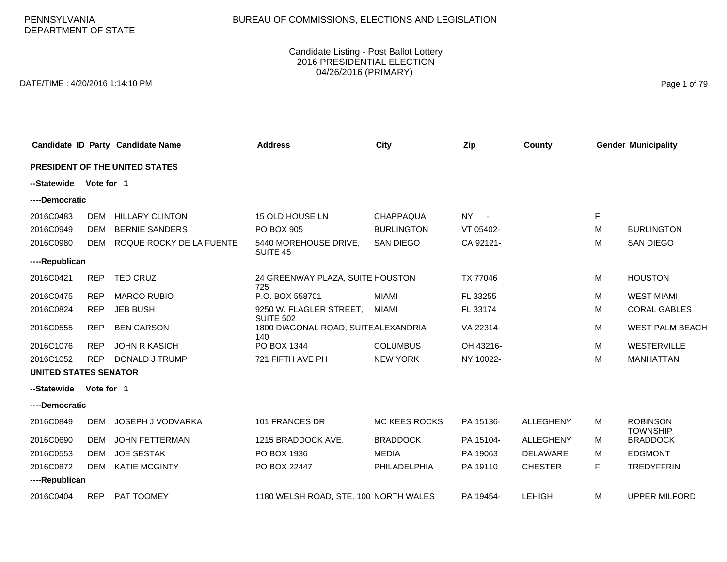# BUREAU OF COMMISSIONS, ELECTIONS AND LEGISLATION

#### Candidate Listing - Post Ballot Lottery 2016 PRESIDENTIAL ELECTION 04/26/2016 (PRIMARY)

DATE/TIME : 4/20/2016 1:14:10 PM Page 1 of 79

|                              |            | Candidate ID Party Candidate Name | <b>Address</b>                              | <b>City</b>          | Zip       | County           |   | <b>Gender Municipality</b>         |
|------------------------------|------------|-----------------------------------|---------------------------------------------|----------------------|-----------|------------------|---|------------------------------------|
|                              |            | PRESIDENT OF THE UNITED STATES    |                                             |                      |           |                  |   |                                    |
| --Statewide                  | Vote for 1 |                                   |                                             |                      |           |                  |   |                                    |
| ----Democratic               |            |                                   |                                             |                      |           |                  |   |                                    |
| 2016C0483                    | <b>DEM</b> | <b>HILLARY CLINTON</b>            | 15 OLD HOUSE LN                             | <b>CHAPPAQUA</b>     | NY -      |                  | F |                                    |
| 2016C0949                    | <b>DEM</b> | <b>BERNIE SANDERS</b>             | PO BOX 905                                  | <b>BURLINGTON</b>    | VT 05402- |                  | м | <b>BURLINGTON</b>                  |
| 2016C0980                    | <b>DEM</b> | ROQUE ROCKY DE LA FUENTE          | 5440 MOREHOUSE DRIVE,<br>SUITE 45           | <b>SAN DIEGO</b>     | CA 92121- |                  | M | <b>SAN DIEGO</b>                   |
| ----Republican               |            |                                   |                                             |                      |           |                  |   |                                    |
| 2016C0421                    | <b>REP</b> | <b>TED CRUZ</b>                   | 24 GREENWAY PLAZA, SUITE HOUSTON<br>725     |                      | TX 77046  |                  | м | <b>HOUSTON</b>                     |
| 2016C0475                    | <b>REP</b> | <b>MARCO RUBIO</b>                | P.O. BOX 558701                             | <b>MIAMI</b>         | FL 33255  |                  | M | <b>WEST MIAMI</b>                  |
| 2016C0824                    | <b>REP</b> | <b>JEB BUSH</b>                   | 9250 W. FLAGLER STREET,<br><b>SUITE 502</b> | <b>MIAMI</b>         | FL 33174  |                  | м | <b>CORAL GABLES</b>                |
| 2016C0555                    | <b>REP</b> | <b>BEN CARSON</b>                 | 1800 DIAGONAL ROAD, SUITEALEXANDRIA<br>140  |                      | VA 22314- |                  | M | <b>WEST PALM BEACH</b>             |
| 2016C1076                    | <b>REP</b> | <b>JOHN R KASICH</b>              | PO BOX 1344                                 | <b>COLUMBUS</b>      | OH 43216- |                  | M | WESTERVILLE                        |
| 2016C1052                    | <b>REP</b> | DONALD J TRUMP                    | 721 FIFTH AVE PH                            | <b>NEW YORK</b>      | NY 10022- |                  | M | <b>MANHATTAN</b>                   |
| <b>UNITED STATES SENATOR</b> |            |                                   |                                             |                      |           |                  |   |                                    |
| --Statewide                  | Vote for 1 |                                   |                                             |                      |           |                  |   |                                    |
| ----Democratic               |            |                                   |                                             |                      |           |                  |   |                                    |
| 2016C0849                    | <b>DEM</b> | JOSEPH J VODVARKA                 | 101 FRANCES DR                              | <b>MC KEES ROCKS</b> | PA 15136- | <b>ALLEGHENY</b> | M | <b>ROBINSON</b><br><b>TOWNSHIP</b> |
| 2016C0690                    | <b>DEM</b> | <b>JOHN FETTERMAN</b>             | 1215 BRADDOCK AVE.                          | <b>BRADDOCK</b>      | PA 15104- | <b>ALLEGHENY</b> | M | <b>BRADDOCK</b>                    |
| 2016C0553                    | <b>DEM</b> | <b>JOE SESTAK</b>                 | PO BOX 1936                                 | <b>MEDIA</b>         | PA 19063  | <b>DELAWARE</b>  | м | <b>EDGMONT</b>                     |
| 2016C0872                    | <b>DEM</b> | <b>KATIE MCGINTY</b>              | PO BOX 22447                                | PHILADELPHIA         | PA 19110  | <b>CHESTER</b>   | F | <b>TREDYFFRIN</b>                  |
| ----Republican               |            |                                   |                                             |                      |           |                  |   |                                    |
| 2016C0404                    | <b>REP</b> | PAT TOOMEY                        | 1180 WELSH ROAD, STE. 100 NORTH WALES       |                      | PA 19454- | <b>LEHIGH</b>    | M | <b>UPPER MILFORD</b>               |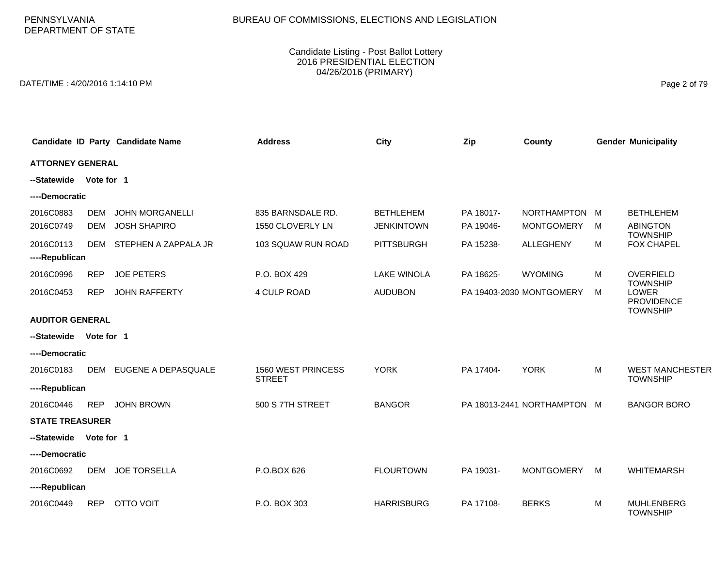# BUREAU OF COMMISSIONS, ELECTIONS AND LEGISLATION

#### Candidate Listing - Post Ballot Lottery 2016 PRESIDENTIAL ELECTION 04/26/2016 (PRIMARY)

DATE/TIME : 4/20/2016 1:14:10 PM Page 2 of 79

|                             |                          | Candidate ID Party Candidate Name             | <b>Address</b>                        | <b>City</b>                           | Zip                    | County                             |   | <b>Gender Municipality</b>                                       |
|-----------------------------|--------------------------|-----------------------------------------------|---------------------------------------|---------------------------------------|------------------------|------------------------------------|---|------------------------------------------------------------------|
| <b>ATTORNEY GENERAL</b>     |                          |                                               |                                       |                                       |                        |                                    |   |                                                                  |
| --Statewide                 | Vote for 1               |                                               |                                       |                                       |                        |                                    |   |                                                                  |
| ----Democratic              |                          |                                               |                                       |                                       |                        |                                    |   |                                                                  |
| 2016C0883<br>2016C0749      | <b>DEM</b><br><b>DEM</b> | <b>JOHN MORGANELLI</b><br><b>JOSH SHAPIRO</b> | 835 BARNSDALE RD.<br>1550 CLOVERLY LN | <b>BETHLEHEM</b><br><b>JENKINTOWN</b> | PA 18017-<br>PA 19046- | NORTHAMPTON M<br><b>MONTGOMERY</b> | M | <b>BETHLEHEM</b><br><b>ABINGTON</b>                              |
| 2016C0113<br>----Republican | <b>DEM</b>               | STEPHEN A ZAPPALA JR                          | 103 SQUAW RUN ROAD                    | <b>PITTSBURGH</b>                     | PA 15238-              | <b>ALLEGHENY</b>                   | М | <b>TOWNSHIP</b><br><b>FOX CHAPEL</b>                             |
| 2016C0996                   | <b>REP</b>               | <b>JOE PETERS</b>                             | P.O. BOX 429                          | <b>LAKE WINOLA</b>                    | PA 18625-              | <b>WYOMING</b>                     | м | OVERFIELD                                                        |
| 2016C0453                   | <b>REP</b>               | <b>JOHN RAFFERTY</b>                          | 4 CULP ROAD                           | <b>AUDUBON</b>                        |                        | PA 19403-2030 MONTGOMERY           | М | <b>TOWNSHIP</b><br>LOWER<br><b>PROVIDENCE</b><br><b>TOWNSHIP</b> |
| <b>AUDITOR GENERAL</b>      |                          |                                               |                                       |                                       |                        |                                    |   |                                                                  |
| --Statewide                 | Vote for 1               |                                               |                                       |                                       |                        |                                    |   |                                                                  |
| ----Democratic              |                          |                                               |                                       |                                       |                        |                                    |   |                                                                  |
| 2016C0183                   | <b>DEM</b>               | EUGENE A DEPASQUALE                           | 1560 WEST PRINCESS<br><b>STREET</b>   | <b>YORK</b>                           | PA 17404-              | <b>YORK</b>                        | M | <b>WEST MANCHESTER</b><br><b>TOWNSHIP</b>                        |
| ----Republican              |                          |                                               |                                       |                                       |                        |                                    |   |                                                                  |
| 2016C0446                   | <b>REP</b>               | <b>JOHN BROWN</b>                             | 500 S 7TH STREET                      | <b>BANGOR</b>                         |                        | PA 18013-2441 NORTHAMPTON M        |   | <b>BANGOR BORO</b>                                               |
| <b>STATE TREASURER</b>      |                          |                                               |                                       |                                       |                        |                                    |   |                                                                  |
| --Statewide                 | Vote for 1               |                                               |                                       |                                       |                        |                                    |   |                                                                  |
| ----Democratic              |                          |                                               |                                       |                                       |                        |                                    |   |                                                                  |
| 2016C0692                   | <b>DEM</b>               | <b>JOE TORSELLA</b>                           | P.O.BOX 626                           | <b>FLOURTOWN</b>                      | PA 19031-              | <b>MONTGOMERY</b>                  | M | <b>WHITEMARSH</b>                                                |
| ----Republican              |                          |                                               |                                       |                                       |                        |                                    |   |                                                                  |
| 2016C0449                   | <b>REP</b>               | <b>OTTO VOIT</b>                              | P.O. BOX 303                          | <b>HARRISBURG</b>                     | PA 17108-              | <b>BERKS</b>                       | M | <b>MUHLENBERG</b><br><b>TOWNSHIP</b>                             |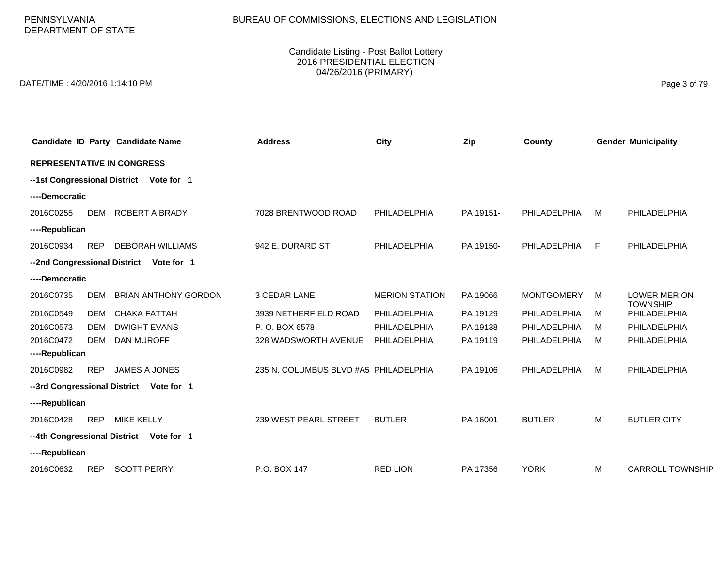PENNSYLVANIA DEPARTMENT OF STATE

#### Candidate Listing - Post Ballot Lottery 2016 PRESIDENTIAL ELECTION 04/26/2016 (PRIMARY)

DATE/TIME : 4/20/2016 1:14:10 PM Page 3 of 79

|                                   |                                         | Candidate ID Party Candidate Name       | <b>Address</b>                        | City                  | Zip       | County            |    | <b>Gender Municipality</b>             |  |  |  |  |
|-----------------------------------|-----------------------------------------|-----------------------------------------|---------------------------------------|-----------------------|-----------|-------------------|----|----------------------------------------|--|--|--|--|
| <b>REPRESENTATIVE IN CONGRESS</b> |                                         |                                         |                                       |                       |           |                   |    |                                        |  |  |  |  |
|                                   | --1st Congressional District Vote for 1 |                                         |                                       |                       |           |                   |    |                                        |  |  |  |  |
| ----Democratic                    |                                         |                                         |                                       |                       |           |                   |    |                                        |  |  |  |  |
| 2016C0255                         | <b>DEM</b>                              | <b>ROBERT A BRADY</b>                   | 7028 BRENTWOOD ROAD                   | PHILADELPHIA          | PA 19151- | PHILADELPHIA      | м  | PHILADELPHIA                           |  |  |  |  |
| ----Republican                    |                                         |                                         |                                       |                       |           |                   |    |                                        |  |  |  |  |
| 2016C0934                         | <b>REP</b>                              | <b>DEBORAH WILLIAMS</b>                 | 942 E. DURARD ST                      | PHILADELPHIA          | PA 19150- | PHILADELPHIA      | F. | PHILADELPHIA                           |  |  |  |  |
|                                   |                                         | --2nd Congressional District Vote for 1 |                                       |                       |           |                   |    |                                        |  |  |  |  |
| ----Democratic                    |                                         |                                         |                                       |                       |           |                   |    |                                        |  |  |  |  |
| 2016C0735                         | DEM                                     | <b>BRIAN ANTHONY GORDON</b>             | 3 CEDAR LANE                          | <b>MERION STATION</b> | PA 19066  | <b>MONTGOMERY</b> | M  | <b>LOWER MERION</b><br><b>TOWNSHIP</b> |  |  |  |  |
| 2016C0549                         | DEM                                     | CHAKA FATTAH                            | 3939 NETHERFIELD ROAD                 | PHILADELPHIA          | PA 19129  | PHILADELPHIA      | м  | PHILADELPHIA                           |  |  |  |  |
| 2016C0573                         | <b>DEM</b>                              | <b>DWIGHT EVANS</b>                     | P.O. BOX 6578                         | PHILADELPHIA          | PA 19138  | PHILADELPHIA      | м  | PHILADELPHIA                           |  |  |  |  |
| 2016C0472                         | DEM                                     | <b>DAN MUROFF</b>                       | 328 WADSWORTH AVENUE                  | PHILADELPHIA          | PA 19119  | PHILADELPHIA      | м  | PHILADELPHIA                           |  |  |  |  |
| ----Republican                    |                                         |                                         |                                       |                       |           |                   |    |                                        |  |  |  |  |
| 2016C0982                         | <b>REP</b>                              | JAMES A JONES                           | 235 N. COLUMBUS BLVD #A5 PHILADELPHIA |                       | PA 19106  | PHILADELPHIA      | м  | PHILADELPHIA                           |  |  |  |  |
| --3rd Congressional District      |                                         | Vote for 1                              |                                       |                       |           |                   |    |                                        |  |  |  |  |
| ----Republican                    |                                         |                                         |                                       |                       |           |                   |    |                                        |  |  |  |  |
| 2016C0428                         | <b>REP</b>                              | <b>MIKE KELLY</b>                       | 239 WEST PEARL STREET                 | <b>BUTLER</b>         | PA 16001  | <b>BUTLER</b>     | M  | <b>BUTLER CITY</b>                     |  |  |  |  |
| --4th Congressional District      |                                         | Vote for 1                              |                                       |                       |           |                   |    |                                        |  |  |  |  |
| ----Republican                    |                                         |                                         |                                       |                       |           |                   |    |                                        |  |  |  |  |
| 2016C0632                         | <b>REP</b>                              | <b>SCOTT PERRY</b>                      | P.O. BOX 147                          | <b>RED LION</b>       | PA 17356  | <b>YORK</b>       | M  | <b>CARROLL TOWNSHIP</b>                |  |  |  |  |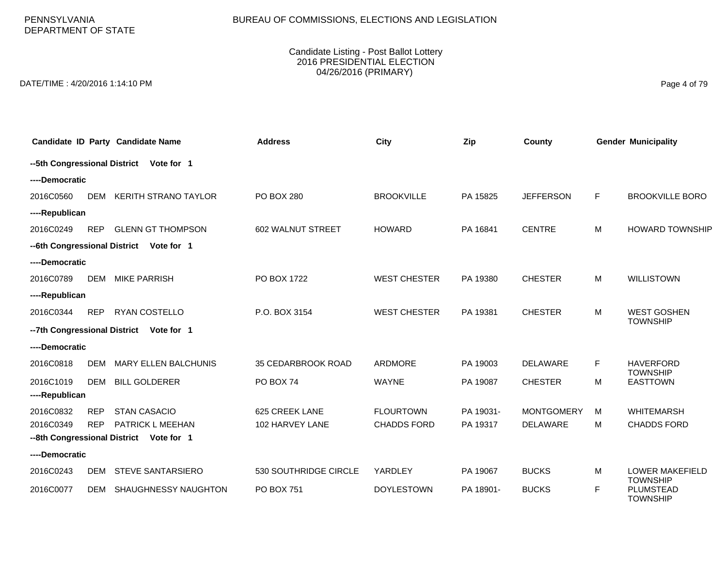PENNSYLVANIA DEPARTMENT OF STATE

#### Candidate Listing - Post Ballot Lottery 2016 PRESIDENTIAL ELECTION 04/26/2016 (PRIMARY)

DATE/TIME : 4/20/2016 1:14:10 PM Page 4 of 79

|                                         |            | <b>Candidate ID Party Candidate Name</b> | <b>Address</b>        | City                | Zip       | County            |    | <b>Gender Municipality</b>                |  |  |
|-----------------------------------------|------------|------------------------------------------|-----------------------|---------------------|-----------|-------------------|----|-------------------------------------------|--|--|
| --5th Congressional District Vote for 1 |            |                                          |                       |                     |           |                   |    |                                           |  |  |
| ----Democratic                          |            |                                          |                       |                     |           |                   |    |                                           |  |  |
| 2016C0560                               | <b>DEM</b> | <b>KERITH STRANO TAYLOR</b>              | <b>PO BOX 280</b>     | <b>BROOKVILLE</b>   | PA 15825  | <b>JEFFERSON</b>  | F  | <b>BROOKVILLE BORO</b>                    |  |  |
| ----Republican                          |            |                                          |                       |                     |           |                   |    |                                           |  |  |
| 2016C0249                               | <b>REP</b> | <b>GLENN GT THOMPSON</b>                 | 602 WALNUT STREET     | <b>HOWARD</b>       | PA 16841  | <b>CENTRE</b>     | M  | <b>HOWARD TOWNSHIP</b>                    |  |  |
| --6th Congressional District            |            | Vote for 1                               |                       |                     |           |                   |    |                                           |  |  |
| ----Democratic                          |            |                                          |                       |                     |           |                   |    |                                           |  |  |
| 2016C0789                               | DEM        | <b>MIKE PARRISH</b>                      | PO BOX 1722           | <b>WEST CHESTER</b> | PA 19380  | <b>CHESTER</b>    | M  | <b>WILLISTOWN</b>                         |  |  |
| ----Republican                          |            |                                          |                       |                     |           |                   |    |                                           |  |  |
| 2016C0344                               | <b>REP</b> | RYAN COSTELLO                            | P.O. BOX 3154         | <b>WEST CHESTER</b> | PA 19381  | <b>CHESTER</b>    | M  | <b>WEST GOSHEN</b><br><b>TOWNSHIP</b>     |  |  |
|                                         |            | -- 7th Congressional District Vote for 1 |                       |                     |           |                   |    |                                           |  |  |
| ----Democratic                          |            |                                          |                       |                     |           |                   |    |                                           |  |  |
| 2016C0818                               | <b>DEM</b> | MARY ELLEN BALCHUNIS                     | 35 CEDARBROOK ROAD    | ARDMORE             | PA 19003  | <b>DELAWARE</b>   | F. | <b>HAVERFORD</b><br><b>TOWNSHIP</b>       |  |  |
| 2016C1019                               | <b>DEM</b> | <b>BILL GOLDERER</b>                     | PO BOX 74             | <b>WAYNE</b>        | PA 19087  | <b>CHESTER</b>    | М  | <b>EASTTOWN</b>                           |  |  |
| ----Republican                          |            |                                          |                       |                     |           |                   |    |                                           |  |  |
| 2016C0832                               | <b>REP</b> | <b>STAN CASACIO</b>                      | 625 CREEK LANE        | <b>FLOURTOWN</b>    | PA 19031- | <b>MONTGOMERY</b> | M  | <b>WHITEMARSH</b>                         |  |  |
| 2016C0349                               | <b>REP</b> | <b>PATRICK L MEEHAN</b>                  | 102 HARVEY LANE       | <b>CHADDS FORD</b>  | PA 19317  | <b>DELAWARE</b>   | M  | <b>CHADDS FORD</b>                        |  |  |
|                                         |            | --8th Congressional District Vote for 1  |                       |                     |           |                   |    |                                           |  |  |
| ----Democratic                          |            |                                          |                       |                     |           |                   |    |                                           |  |  |
| 2016C0243                               | <b>DEM</b> | <b>STEVE SANTARSIERO</b>                 | 530 SOUTHRIDGE CIRCLE | YARDLEY             | PA 19067  | <b>BUCKS</b>      | М  | <b>LOWER MAKEFIELD</b><br><b>TOWNSHIP</b> |  |  |
| 2016C0077                               | <b>DEM</b> | SHAUGHNESSY NAUGHTON                     | PO BOX 751            | <b>DOYLESTOWN</b>   | PA 18901- | <b>BUCKS</b>      | F. | PLUMSTEAD<br><b>TOWNSHIP</b>              |  |  |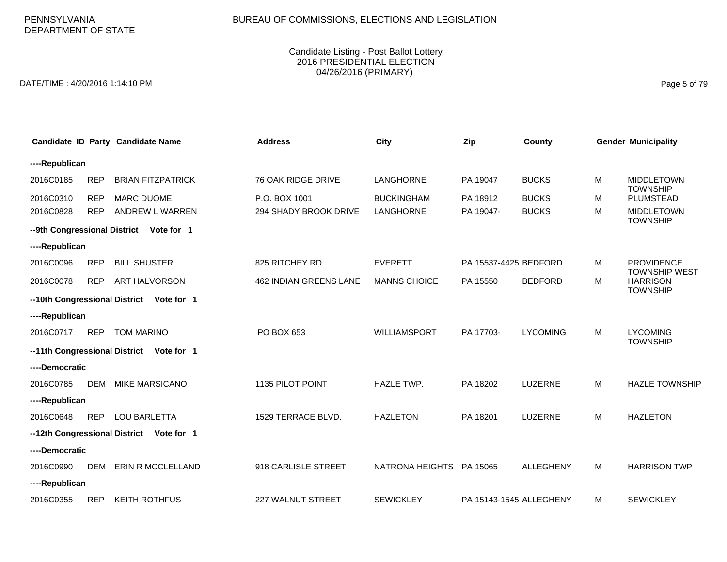#### Candidate Listing - Post Ballot Lottery 2016 PRESIDENTIAL ELECTION 04/26/2016 (PRIMARY)

DATE/TIME : 4/20/2016 1:14:10 PM Page 5 of 79

|                |            | Candidate ID Party Candidate Name        | <b>Address</b>         | <b>City</b>              | Zip                     | <b>County</b>    |   | <b>Gender Municipality</b>                |
|----------------|------------|------------------------------------------|------------------------|--------------------------|-------------------------|------------------|---|-------------------------------------------|
| ----Republican |            |                                          |                        |                          |                         |                  |   |                                           |
| 2016C0185      | <b>REP</b> | <b>BRIAN FITZPATRICK</b>                 | 76 OAK RIDGE DRIVE     | LANGHORNE                | PA 19047                | <b>BUCKS</b>     | M | <b>MIDDLETOWN</b><br><b>TOWNSHIP</b>      |
| 2016C0310      | <b>REP</b> | <b>MARC DUOME</b>                        | P.O. BOX 1001          | <b>BUCKINGHAM</b>        | PA 18912                | <b>BUCKS</b>     | м | PLUMSTEAD                                 |
| 2016C0828      | <b>REP</b> | ANDREW L WARREN                          | 294 SHADY BROOK DRIVE  | <b>LANGHORNE</b>         | PA 19047-               | <b>BUCKS</b>     | M | <b>MIDDLETOWN</b><br><b>TOWNSHIP</b>      |
|                |            | --9th Congressional District Vote for 1  |                        |                          |                         |                  |   |                                           |
| ----Republican |            |                                          |                        |                          |                         |                  |   |                                           |
| 2016C0096      | <b>REP</b> | <b>BILL SHUSTER</b>                      | 825 RITCHEY RD         | <b>EVERETT</b>           | PA 15537-4425 BEDFORD   |                  | M | <b>PROVIDENCE</b><br><b>TOWNSHIP WEST</b> |
| 2016C0078      | <b>REP</b> | <b>ART HALVORSON</b>                     | 462 INDIAN GREENS LANE | <b>MANNS CHOICE</b>      | PA 15550                | <b>BEDFORD</b>   | M | <b>HARRISON</b><br><b>TOWNSHIP</b>        |
|                |            | --10th Congressional District Vote for 1 |                        |                          |                         |                  |   |                                           |
| ----Republican |            |                                          |                        |                          |                         |                  |   |                                           |
| 2016C0717      | <b>REP</b> | <b>TOM MARINO</b>                        | PO BOX 653             | WILLIAMSPORT             | PA 17703-               | <b>LYCOMING</b>  | M | <b>LYCOMING</b>                           |
|                |            | --11th Congressional District Vote for 1 |                        |                          |                         |                  |   | <b>TOWNSHIP</b>                           |
| ----Democratic |            |                                          |                        |                          |                         |                  |   |                                           |
| 2016C0785      | <b>DEM</b> | <b>MIKE MARSICANO</b>                    | 1135 PILOT POINT       | <b>HAZLE TWP.</b>        | PA 18202                | LUZERNE          | M | <b>HAZLE TOWNSHIP</b>                     |
| ----Republican |            |                                          |                        |                          |                         |                  |   |                                           |
| 2016C0648      | <b>REP</b> | <b>LOU BARLETTA</b>                      | 1529 TERRACE BLVD.     | <b>HAZLETON</b>          | PA 18201                | LUZERNE          | M | <b>HAZLETON</b>                           |
|                |            | --12th Congressional District Vote for 1 |                        |                          |                         |                  |   |                                           |
| ----Democratic |            |                                          |                        |                          |                         |                  |   |                                           |
| 2016C0990      | <b>DEM</b> | ERIN R MCCLELLAND                        | 918 CARLISLE STREET    | NATRONA HEIGHTS PA 15065 |                         | <b>ALLEGHENY</b> | M | <b>HARRISON TWP</b>                       |
| ----Republican |            |                                          |                        |                          |                         |                  |   |                                           |
| 2016C0355      | <b>REP</b> | <b>KEITH ROTHFUS</b>                     | 227 WALNUT STREET      | <b>SEWICKLEY</b>         | PA 15143-1545 ALLEGHENY |                  | M | <b>SEWICKLEY</b>                          |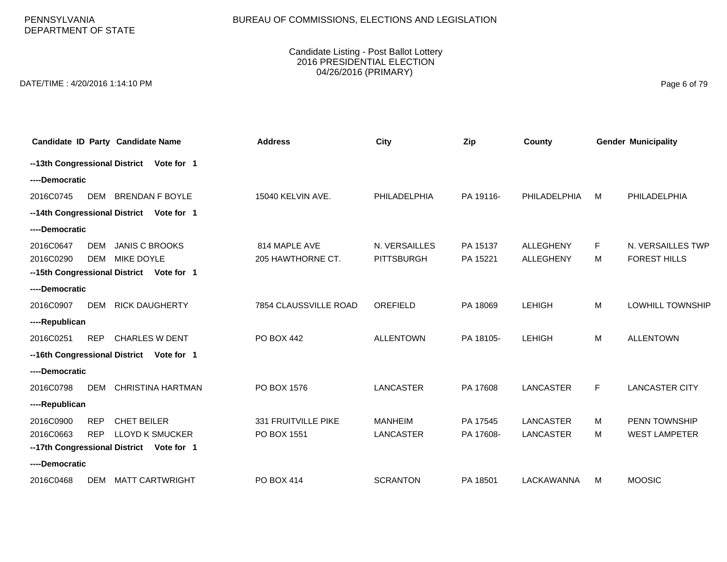PENNSYLVANIA DEPARTMENT OF STATE

#### Candidate Listing - Post Ballot Lottery 2016 PRESIDENTIAL ELECTION 04/26/2016 (PRIMARY)

DATE/TIME : 4/20/2016 1:14:10 PM Page 6 of 79

|                |            | Candidate ID Party Candidate Name        | <b>Address</b>        | City              | Zip       | County           |    | <b>Gender Municipality</b> |
|----------------|------------|------------------------------------------|-----------------------|-------------------|-----------|------------------|----|----------------------------|
|                |            | --13th Congressional District Vote for 1 |                       |                   |           |                  |    |                            |
| ----Democratic |            |                                          |                       |                   |           |                  |    |                            |
| 2016C0745      | DEM        | <b>BRENDAN F BOYLE</b>                   | 15040 KELVIN AVE.     | PHILADELPHIA      | PA 19116- | PHILADELPHIA     | M  | PHILADELPHIA               |
|                |            | --14th Congressional District Vote for 1 |                       |                   |           |                  |    |                            |
| ----Democratic |            |                                          |                       |                   |           |                  |    |                            |
| 2016C0647      | DEM        | <b>JANIS C BROOKS</b>                    | 814 MAPLE AVE         | N. VERSAILLES     | PA 15137  | <b>ALLEGHENY</b> | F. | N. VERSAILLES TWP          |
| 2016C0290      | <b>DEM</b> | <b>MIKE DOYLE</b>                        | 205 HAWTHORNE CT.     | <b>PITTSBURGH</b> | PA 15221  | <b>ALLEGHENY</b> | M  | <b>FOREST HILLS</b>        |
|                |            | --15th Congressional District Vote for 1 |                       |                   |           |                  |    |                            |
| ----Democratic |            |                                          |                       |                   |           |                  |    |                            |
| 2016C0907      | DEM        | <b>RICK DAUGHERTY</b>                    | 7854 CLAUSSVILLE ROAD | OREFIELD          | PA 18069  | <b>LEHIGH</b>    | M  | <b>LOWHILL TOWNSHIP</b>    |
| ----Republican |            |                                          |                       |                   |           |                  |    |                            |
| 2016C0251      | <b>REP</b> | <b>CHARLES W DENT</b>                    | <b>PO BOX 442</b>     | <b>ALLENTOWN</b>  | PA 18105- | <b>LEHIGH</b>    | M  | <b>ALLENTOWN</b>           |
|                |            | --16th Congressional District Vote for 1 |                       |                   |           |                  |    |                            |
| ----Democratic |            |                                          |                       |                   |           |                  |    |                            |
| 2016C0798      | DEM        | <b>CHRISTINA HARTMAN</b>                 | PO BOX 1576           | <b>LANCASTER</b>  | PA 17608  | <b>LANCASTER</b> | F  | <b>LANCASTER CITY</b>      |
| ----Republican |            |                                          |                       |                   |           |                  |    |                            |
| 2016C0900      | <b>REP</b> | <b>CHET BEILER</b>                       | 331 FRUITVILLE PIKE   | <b>MANHEIM</b>    | PA 17545  | <b>LANCASTER</b> | M  | PENN TOWNSHIP              |
| 2016C0663      | <b>REP</b> | <b>LLOYD K SMUCKER</b>                   | PO BOX 1551           | <b>LANCASTER</b>  | PA 17608- | <b>LANCASTER</b> | м  | <b>WEST LAMPETER</b>       |
|                |            | --17th Congressional District Vote for 1 |                       |                   |           |                  |    |                            |
| ----Democratic |            |                                          |                       |                   |           |                  |    |                            |
| 2016C0468      | DEM        | <b>MATT CARTWRIGHT</b>                   | PO BOX 414            | <b>SCRANTON</b>   | PA 18501  | LACKAWANNA       | M  | <b>MOOSIC</b>              |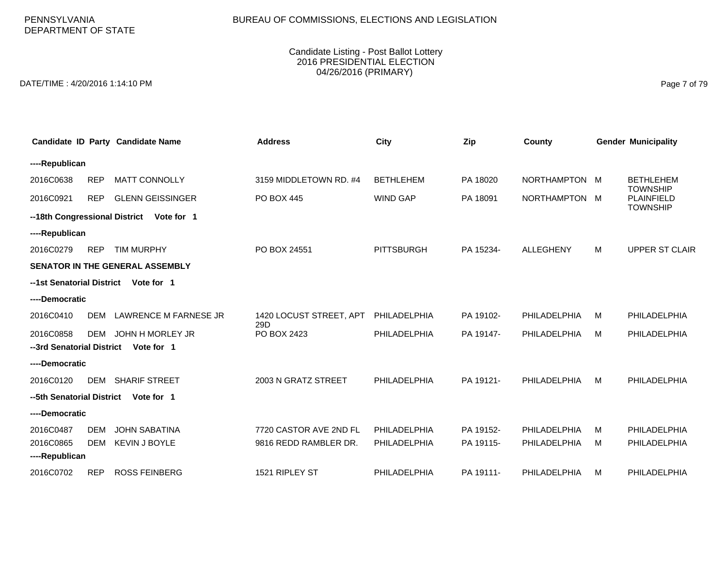# BUREAU OF COMMISSIONS, ELECTIONS AND LEGISLATION

#### Candidate Listing - Post Ballot Lottery 2016 PRESIDENTIAL ELECTION 04/26/2016 (PRIMARY)

DATE/TIME : 4/20/2016 1:14:10 PM Page 7 of 79

|                           | Candidate ID Party Candidate Name           | <b>Address</b>                 | City              | Zip       | County           |   | <b>Gender Municipality</b>                       |
|---------------------------|---------------------------------------------|--------------------------------|-------------------|-----------|------------------|---|--------------------------------------------------|
| ----Republican            |                                             |                                |                   |           |                  |   |                                                  |
| 2016C0638                 | <b>MATT CONNOLLY</b><br><b>REP</b>          | 3159 MIDDLETOWN RD. #4         | <b>BETHLEHEM</b>  | PA 18020  | NORTHAMPTON M    |   | <b>BETHLEHEM</b>                                 |
| 2016C0921                 | <b>GLENN GEISSINGER</b><br><b>REP</b>       | <b>PO BOX 445</b>              | <b>WIND GAP</b>   | PA 18091  | NORTHAMPTON M    |   | <b>TOWNSHIP</b><br>PLAINFIELD<br><b>TOWNSHIP</b> |
|                           | --18th Congressional District<br>Vote for 1 |                                |                   |           |                  |   |                                                  |
| ----Republican            |                                             |                                |                   |           |                  |   |                                                  |
| 2016C0279                 | <b>REP</b><br><b>TIM MURPHY</b>             | PO BOX 24551                   | <b>PITTSBURGH</b> | PA 15234- | <b>ALLEGHENY</b> | M | <b>UPPER ST CLAIR</b>                            |
|                           | <b>SENATOR IN THE GENERAL ASSEMBLY</b>      |                                |                   |           |                  |   |                                                  |
| --1st Senatorial District | Vote for 1                                  |                                |                   |           |                  |   |                                                  |
| ----Democratic            |                                             |                                |                   |           |                  |   |                                                  |
| 2016C0410                 | <b>LAWRENCE M FARNESE JR</b><br><b>DEM</b>  | 1420 LOCUST STREET, APT<br>29D | PHILADELPHIA      | PA 19102- | PHILADELPHIA     | M | PHILADELPHIA                                     |
| 2016C0858                 | JOHN H MORLEY JR<br>DEM                     | PO BOX 2423                    | PHILADELPHIA      | PA 19147- | PHILADELPHIA     | M | PHILADELPHIA                                     |
| --3rd Senatorial District | Vote for 1                                  |                                |                   |           |                  |   |                                                  |
| ----Democratic            |                                             |                                |                   |           |                  |   |                                                  |
| 2016C0120                 | <b>SHARIF STREET</b><br><b>DEM</b>          | 2003 N GRATZ STREET            | PHILADELPHIA      | PA 19121- | PHILADELPHIA     | M | PHILADELPHIA                                     |
| --5th Senatorial District | Vote for 1                                  |                                |                   |           |                  |   |                                                  |
| ----Democratic            |                                             |                                |                   |           |                  |   |                                                  |
| 2016C0487                 | <b>JOHN SABATINA</b><br><b>DEM</b>          | 7720 CASTOR AVE 2ND FL         | PHILADELPHIA      | PA 19152- | PHILADELPHIA     | м | PHILADELPHIA                                     |
| 2016C0865                 | <b>KEVIN J BOYLE</b><br><b>DEM</b>          | 9816 REDD RAMBLER DR.          | PHILADELPHIA      | PA 19115- | PHILADELPHIA     | м | PHILADELPHIA                                     |
| ----Republican            |                                             |                                |                   |           |                  |   |                                                  |
| 2016C0702                 | <b>ROSS FEINBERG</b><br><b>REP</b>          | 1521 RIPLEY ST                 | PHILADELPHIA      | PA 19111- | PHILADELPHIA     | M | PHILADELPHIA                                     |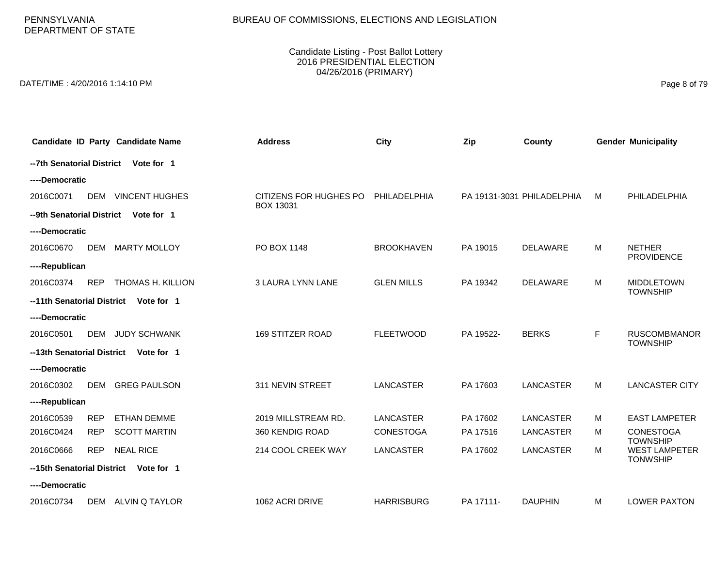### BUREAU OF COMMISSIONS, ELECTIONS AND LEGISLATION

#### Candidate Listing - Post Ballot Lottery 2016 PRESIDENTIAL ELECTION 04/26/2016 (PRIMARY)

DATE/TIME : 4/20/2016 1:14:10 PM Page 8 of 79

|                            |            | Candidate ID Party Candidate Name | <b>Address</b>                             | City              | Zip       | County                     |   | <b>Gender Municipality</b>              |
|----------------------------|------------|-----------------------------------|--------------------------------------------|-------------------|-----------|----------------------------|---|-----------------------------------------|
| --7th Senatorial District  |            | Vote for 1                        |                                            |                   |           |                            |   |                                         |
| ----Democratic             |            |                                   |                                            |                   |           |                            |   |                                         |
| 2016C0071                  | <b>DEM</b> | <b>VINCENT HUGHES</b>             | CITIZENS FOR HUGHES PO<br><b>BOX 13031</b> | PHILADELPHIA      |           | PA 19131-3031 PHILADELPHIA | м | PHILADELPHIA                            |
| --9th Senatorial District  |            | Vote for 1                        |                                            |                   |           |                            |   |                                         |
| ----Democratic             |            |                                   |                                            |                   |           |                            |   |                                         |
| 2016C0670                  | <b>DEM</b> | <b>MARTY MOLLOY</b>               | PO BOX 1148                                | <b>BROOKHAVEN</b> | PA 19015  | <b>DELAWARE</b>            | м | <b>NETHER</b><br><b>PROVIDENCE</b>      |
| ----Republican             |            |                                   |                                            |                   |           |                            |   |                                         |
| 2016C0374                  | <b>REP</b> | THOMAS H. KILLION                 | <b>3 LAURA LYNN LANE</b>                   | <b>GLEN MILLS</b> | PA 19342  | <b>DELAWARE</b>            | м | <b>MIDDLETOWN</b><br><b>TOWNSHIP</b>    |
| --11th Senatorial District |            | Vote for 1                        |                                            |                   |           |                            |   |                                         |
| ----Democratic             |            |                                   |                                            |                   |           |                            |   |                                         |
| 2016C0501                  | <b>DEM</b> | <b>JUDY SCHWANK</b>               | <b>169 STITZER ROAD</b>                    | <b>FLEETWOOD</b>  | PA 19522- | <b>BERKS</b>               | F | <b>RUSCOMBMANOR</b><br><b>TOWNSHIP</b>  |
| --13th Senatorial District |            | Vote for 1                        |                                            |                   |           |                            |   |                                         |
| ----Democratic             |            |                                   |                                            |                   |           |                            |   |                                         |
| 2016C0302                  | <b>DEM</b> | <b>GREG PAULSON</b>               | 311 NEVIN STREET                           | <b>LANCASTER</b>  | PA 17603  | <b>LANCASTER</b>           | M | <b>LANCASTER CITY</b>                   |
| ----Republican             |            |                                   |                                            |                   |           |                            |   |                                         |
| 2016C0539                  | <b>REP</b> | <b>ETHAN DEMME</b>                | 2019 MILLSTREAM RD.                        | LANCASTER         | PA 17602  | <b>LANCASTER</b>           | м | <b>EAST LAMPETER</b>                    |
| 2016C0424                  | <b>REP</b> | <b>SCOTT MARTIN</b>               | 360 KENDIG ROAD                            | <b>CONESTOGA</b>  | PA 17516  | LANCASTER                  | м | <b>CONESTOGA</b><br><b>TOWNSHIP</b>     |
| 2016C0666                  | <b>REP</b> | <b>NEAL RICE</b>                  | 214 COOL CREEK WAY                         | <b>LANCASTER</b>  | PA 17602  | <b>LANCASTER</b>           | м | <b>WEST LAMPETER</b><br><b>TONWSHIP</b> |
| --15th Senatorial District |            | Vote for 1                        |                                            |                   |           |                            |   |                                         |
| ----Democratic             |            |                                   |                                            |                   |           |                            |   |                                         |
| 2016C0734                  | DEM        | ALVIN Q TAYLOR                    | 1062 ACRI DRIVE                            | <b>HARRISBURG</b> | PA 17111- | <b>DAUPHIN</b>             | м | <b>LOWER PAXTON</b>                     |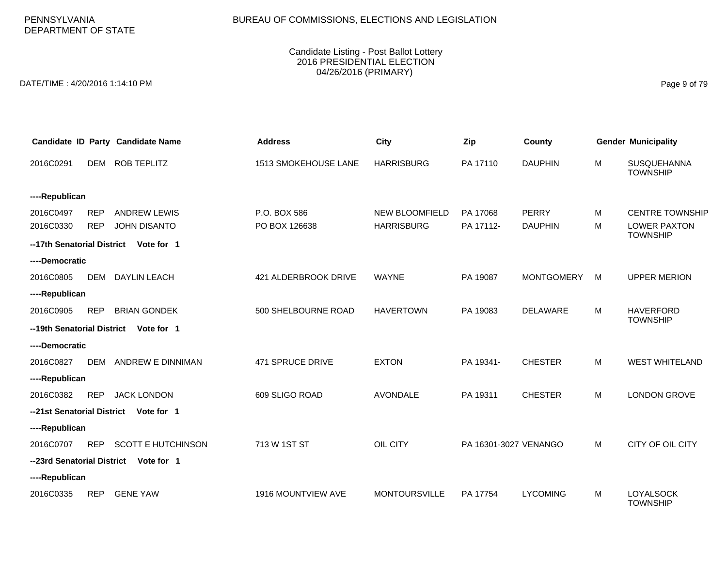# BUREAU OF COMMISSIONS, ELECTIONS AND LEGISLATION

#### Candidate Listing - Post Ballot Lottery 2016 PRESIDENTIAL ELECTION 04/26/2016 (PRIMARY)

DATE/TIME : 4/20/2016 1:14:10 PM Page 9 of 79

|                            |            | Candidate ID Party Candidate Name     | <b>Address</b>       | <b>City</b>           | Zip                   | County            |   | <b>Gender Municipality</b>             |
|----------------------------|------------|---------------------------------------|----------------------|-----------------------|-----------------------|-------------------|---|----------------------------------------|
| 2016C0291                  | <b>DEM</b> | <b>ROB TEPLITZ</b>                    | 1513 SMOKEHOUSE LANE | <b>HARRISBURG</b>     | PA 17110              | <b>DAUPHIN</b>    | M | <b>SUSQUEHANNA</b><br><b>TOWNSHIP</b>  |
| ----Republican             |            |                                       |                      |                       |                       |                   |   |                                        |
| 2016C0497                  | <b>REP</b> | <b>ANDREW LEWIS</b>                   | P.O. BOX 586         | <b>NEW BLOOMFIELD</b> | PA 17068              | <b>PERRY</b>      | M | <b>CENTRE TOWNSHIP</b>                 |
| 2016C0330                  | <b>REP</b> | <b>JOHN DISANTO</b>                   | PO BOX 126638        | <b>HARRISBURG</b>     | PA 17112-             | <b>DAUPHIN</b>    | M | <b>LOWER PAXTON</b><br><b>TOWNSHIP</b> |
| --17th Senatorial District |            | Vote for 1                            |                      |                       |                       |                   |   |                                        |
| ----Democratic             |            |                                       |                      |                       |                       |                   |   |                                        |
| 2016C0805                  | <b>DEM</b> | <b>DAYLIN LEACH</b>                   | 421 ALDERBROOK DRIVE | <b>WAYNE</b>          | PA 19087              | <b>MONTGOMERY</b> | м | <b>UPPER MERION</b>                    |
| ----Republican             |            |                                       |                      |                       |                       |                   |   |                                        |
| 2016C0905                  | <b>REP</b> | <b>BRIAN GONDEK</b>                   | 500 SHELBOURNE ROAD  | <b>HAVERTOWN</b>      | PA 19083              | <b>DELAWARE</b>   | M | <b>HAVERFORD</b><br><b>TOWNSHIP</b>    |
| --19th Senatorial District |            | Vote for 1                            |                      |                       |                       |                   |   |                                        |
| ----Democratic             |            |                                       |                      |                       |                       |                   |   |                                        |
| 2016C0827                  | DEM        | ANDREW E DINNIMAN                     | 471 SPRUCE DRIVE     | <b>EXTON</b>          | PA 19341-             | <b>CHESTER</b>    | M | <b>WEST WHITELAND</b>                  |
| ----Republican             |            |                                       |                      |                       |                       |                   |   |                                        |
| 2016C0382                  | <b>REP</b> | <b>JACK LONDON</b>                    | 609 SLIGO ROAD       | <b>AVONDALE</b>       | PA 19311              | <b>CHESTER</b>    | M | <b>LONDON GROVE</b>                    |
| --21st Senatorial District |            | Vote for 1                            |                      |                       |                       |                   |   |                                        |
| ----Republican             |            |                                       |                      |                       |                       |                   |   |                                        |
| 2016C0707                  | <b>REP</b> | <b>SCOTT E HUTCHINSON</b>             | 713 W 1ST ST         | OIL CITY              | PA 16301-3027 VENANGO |                   | M | CITY OF OIL CITY                       |
|                            |            | --23rd Senatorial District Vote for 1 |                      |                       |                       |                   |   |                                        |
| ----Republican             |            |                                       |                      |                       |                       |                   |   |                                        |
| 2016C0335                  | <b>REP</b> | <b>GENE YAW</b>                       | 1916 MOUNTVIEW AVE   | <b>MONTOURSVILLE</b>  | PA 17754              | <b>LYCOMING</b>   | M | <b>LOYALSOCK</b><br><b>TOWNSHIP</b>    |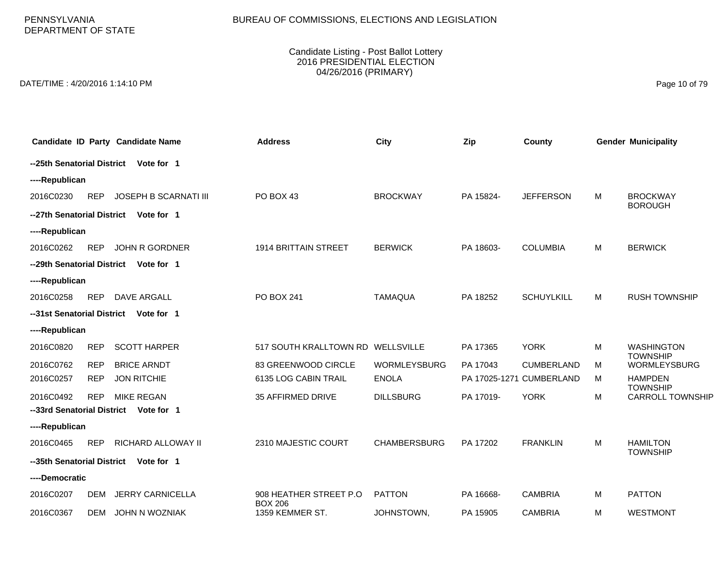PENNSYLVANIA DEPARTMENT OF STATE

#### Candidate Listing - Post Ballot Lottery 2016 PRESIDENTIAL ELECTION 04/26/2016 (PRIMARY)

DATE/TIME : 4/20/2016 1:14:10 PM Page 10 of 79

| Candidate ID Party Candidate Name                       | <b>Address</b>                           | <b>City</b>         | Zip       | County                   |   | <b>Gender Municipality</b>         |
|---------------------------------------------------------|------------------------------------------|---------------------|-----------|--------------------------|---|------------------------------------|
| --25th Senatorial District<br>Vote for 1                |                                          |                     |           |                          |   |                                    |
| ----Republican                                          |                                          |                     |           |                          |   |                                    |
| 2016C0230<br><b>REP</b><br><b>JOSEPH B SCARNATI III</b> | PO BOX 43                                | <b>BROCKWAY</b>     | PA 15824- | <b>JEFFERSON</b>         | M | <b>BROCKWAY</b><br><b>BOROUGH</b>  |
| --27th Senatorial District<br>Vote for 1                |                                          |                     |           |                          |   |                                    |
| ----Republican                                          |                                          |                     |           |                          |   |                                    |
| <b>REP</b><br><b>JOHN R GORDNER</b><br>2016C0262        | 1914 BRITTAIN STREET                     | <b>BERWICK</b>      | PA 18603- | <b>COLUMBIA</b>          | M | <b>BERWICK</b>                     |
| --29th Senatorial District<br>Vote for 1                |                                          |                     |           |                          |   |                                    |
| ----Republican                                          |                                          |                     |           |                          |   |                                    |
| <b>REP</b><br>DAVE ARGALL<br>2016C0258                  | PO BOX 241                               | <b>TAMAQUA</b>      | PA 18252  | <b>SCHUYLKILL</b>        | M | <b>RUSH TOWNSHIP</b>               |
| --31st Senatorial District<br>Vote for 1                |                                          |                     |           |                          |   |                                    |
| ----Republican                                          |                                          |                     |           |                          |   |                                    |
| 2016C0820<br><b>REP</b><br><b>SCOTT HARPER</b>          | 517 SOUTH KRALLTOWN RD WELLSVILLE        |                     | PA 17365  | <b>YORK</b>              | M | <b>WASHINGTON</b>                  |
| 2016C0762<br><b>REP</b><br><b>BRICE ARNDT</b>           | 83 GREENWOOD CIRCLE                      | <b>WORMLEYSBURG</b> | PA 17043  | <b>CUMBERLAND</b>        | M | <b>TOWNSHIP</b><br>WORMLEYSBURG    |
| <b>JON RITCHIE</b><br>2016C0257<br><b>REP</b>           | 6135 LOG CABIN TRAIL                     | <b>ENOLA</b>        |           | PA 17025-1271 CUMBERLAND | М | <b>HAMPDEN</b><br><b>TOWNSHIP</b>  |
| <b>MIKE REGAN</b><br>2016C0492<br><b>REP</b>            | 35 AFFIRMED DRIVE                        | <b>DILLSBURG</b>    | PA 17019- | <b>YORK</b>              | м | <b>CARROLL TOWNSHIP</b>            |
| --33rd Senatorial District Vote for 1                   |                                          |                     |           |                          |   |                                    |
| ----Republican                                          |                                          |                     |           |                          |   |                                    |
| 2016C0465<br><b>REP</b><br><b>RICHARD ALLOWAY II</b>    | 2310 MAJESTIC COURT                      | <b>CHAMBERSBURG</b> | PA 17202  | <b>FRANKLIN</b>          | M | <b>HAMILTON</b><br><b>TOWNSHIP</b> |
| --35th Senatorial District<br>Vote for 1                |                                          |                     |           |                          |   |                                    |
| ----Democratic                                          |                                          |                     |           |                          |   |                                    |
| 2016C0207<br><b>JERRY CARNICELLA</b><br><b>DEM</b>      | 908 HEATHER STREET P.O<br><b>BOX 206</b> | <b>PATTON</b>       | PA 16668- | <b>CAMBRIA</b>           | M | <b>PATTON</b>                      |
| 2016C0367<br><b>JOHN N WOZNIAK</b><br><b>DEM</b>        | 1359 KEMMER ST.                          | JOHNSTOWN,          | PA 15905  | <b>CAMBRIA</b>           | M | <b>WESTMONT</b>                    |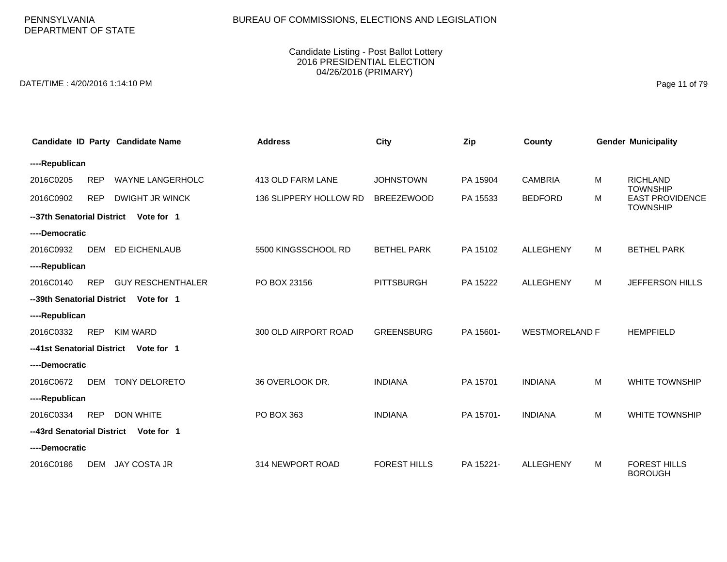# BUREAU OF COMMISSIONS, ELECTIONS AND LEGISLATION

#### Candidate Listing - Post Ballot Lottery 2016 PRESIDENTIAL ELECTION 04/26/2016 (PRIMARY)

DATE/TIME : 4/20/2016 1:14:10 PM Page 11 of 79

|                            |            | Candidate ID Party Candidate Name | <b>Address</b>         | <b>City</b>         | Zip       | County                |   | <b>Gender Municipality</b>                |
|----------------------------|------------|-----------------------------------|------------------------|---------------------|-----------|-----------------------|---|-------------------------------------------|
| ----Republican             |            |                                   |                        |                     |           |                       |   |                                           |
| 2016C0205                  | <b>REP</b> | <b>WAYNE LANGERHOLC</b>           | 413 OLD FARM LANE      | <b>JOHNSTOWN</b>    | PA 15904  | <b>CAMBRIA</b>        | М | <b>RICHLAND</b><br><b>TOWNSHIP</b>        |
| 2016C0902                  | <b>REP</b> | <b>DWIGHT JR WINCK</b>            | 136 SLIPPERY HOLLOW RD | <b>BREEZEWOOD</b>   | PA 15533  | <b>BEDFORD</b>        | М | <b>EAST PROVIDENCE</b><br><b>TOWNSHIP</b> |
| --37th Senatorial District |            | Vote for 1                        |                        |                     |           |                       |   |                                           |
| ----Democratic             |            |                                   |                        |                     |           |                       |   |                                           |
| 2016C0932                  | <b>DEM</b> | <b>ED EICHENLAUB</b>              | 5500 KINGSSCHOOL RD    | <b>BETHEL PARK</b>  | PA 15102  | <b>ALLEGHENY</b>      | M | <b>BETHEL PARK</b>                        |
| ----Republican             |            |                                   |                        |                     |           |                       |   |                                           |
| 2016C0140                  | <b>REP</b> | <b>GUY RESCHENTHALER</b>          | PO BOX 23156           | <b>PITTSBURGH</b>   | PA 15222  | <b>ALLEGHENY</b>      | M | JEFFERSON HILLS                           |
| --39th Senatorial District |            | Vote for 1                        |                        |                     |           |                       |   |                                           |
| ----Republican             |            |                                   |                        |                     |           |                       |   |                                           |
| 2016C0332                  | <b>REP</b> | <b>KIM WARD</b>                   | 300 OLD AIRPORT ROAD   | <b>GREENSBURG</b>   | PA 15601- | <b>WESTMORELAND F</b> |   | <b>HEMPFIELD</b>                          |
| --41st Senatorial District |            | Vote for 1                        |                        |                     |           |                       |   |                                           |
| ----Democratic             |            |                                   |                        |                     |           |                       |   |                                           |
| 2016C0672                  | <b>DEM</b> | <b>TONY DELORETO</b>              | 36 OVERLOOK DR.        | <b>INDIANA</b>      | PA 15701  | <b>INDIANA</b>        | M | <b>WHITE TOWNSHIP</b>                     |
| ----Republican             |            |                                   |                        |                     |           |                       |   |                                           |
| 2016C0334                  | <b>REP</b> | <b>DON WHITE</b>                  | PO BOX 363             | <b>INDIANA</b>      | PA 15701- | <b>INDIANA</b>        | м | <b>WHITE TOWNSHIP</b>                     |
| --43rd Senatorial District |            | Vote for 1                        |                        |                     |           |                       |   |                                           |
| ----Democratic             |            |                                   |                        |                     |           |                       |   |                                           |
| 2016C0186                  | <b>DEM</b> | <b>JAY COSTA JR</b>               | 314 NEWPORT ROAD       | <b>FOREST HILLS</b> | PA 15221- | <b>ALLEGHENY</b>      | м | <b>FOREST HILLS</b><br><b>BOROUGH</b>     |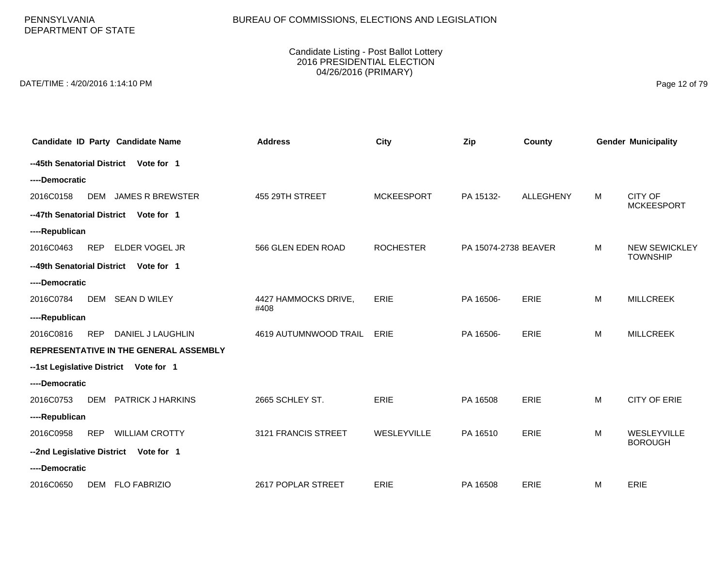PENNSYLVANIA DEPARTMENT OF STATE

#### Candidate Listing - Post Ballot Lottery 2016 PRESIDENTIAL ELECTION 04/26/2016 (PRIMARY)

DATE/TIME : 4/20/2016 1:14:10 PM Page 12 of 79

| Candidate ID Party Candidate Name                   | <b>Address</b>               | City              | Zip                  | County           |   | <b>Gender Municipality</b>              |
|-----------------------------------------------------|------------------------------|-------------------|----------------------|------------------|---|-----------------------------------------|
| --45th Senatorial District<br>Vote for 1            |                              |                   |                      |                  |   |                                         |
| ----Democratic                                      |                              |                   |                      |                  |   |                                         |
| <b>JAMES R BREWSTER</b><br>2016C0158<br><b>DEM</b>  | 455 29TH STREET              | <b>MCKEESPORT</b> | PA 15132-            | <b>ALLEGHENY</b> | M | CITY OF<br><b>MCKEESPORT</b>            |
| --47th Senatorial District<br>Vote for 1            |                              |                   |                      |                  |   |                                         |
| ----Republican                                      |                              |                   |                      |                  |   |                                         |
| 2016C0463<br><b>REP</b><br>ELDER VOGEL JR           | 566 GLEN EDEN ROAD           | <b>ROCHESTER</b>  | PA 15074-2738 BEAVER |                  | м | <b>NEW SEWICKLEY</b><br><b>TOWNSHIP</b> |
| --49th Senatorial District<br>Vote for 1            |                              |                   |                      |                  |   |                                         |
| ----Democratic                                      |                              |                   |                      |                  |   |                                         |
| 2016C0784<br><b>DEM</b><br><b>SEAN D WILEY</b>      | 4427 HAMMOCKS DRIVE,<br>#408 | <b>ERIE</b>       | PA 16506-            | <b>ERIE</b>      | M | <b>MILLCREEK</b>                        |
| ----Republican                                      |                              |                   |                      |                  |   |                                         |
| 2016C0816<br>DANIEL J LAUGHLIN<br><b>REP</b>        | 4619 AUTUMNWOOD TRAIL        | ERIE              | PA 16506-            | ERIE             | M | <b>MILLCREEK</b>                        |
| REPRESENTATIVE IN THE GENERAL ASSEMBLY              |                              |                   |                      |                  |   |                                         |
| --1st Legislative District<br>Vote for 1            |                              |                   |                      |                  |   |                                         |
| ----Democratic                                      |                              |                   |                      |                  |   |                                         |
| 2016C0753<br><b>PATRICK J HARKINS</b><br><b>DEM</b> | 2665 SCHLEY ST.              | <b>ERIE</b>       | PA 16508             | <b>ERIE</b>      | M | <b>CITY OF ERIE</b>                     |
| ----Republican                                      |                              |                   |                      |                  |   |                                         |
| 2016C0958<br><b>REP</b><br><b>WILLIAM CROTTY</b>    | 3121 FRANCIS STREET          | WESLEYVILLE       | PA 16510             | ERIE             | M | WESLEYVILLE<br><b>BOROUGH</b>           |
| --2nd Legislative District Vote for 1               |                              |                   |                      |                  |   |                                         |
| ----Democratic                                      |                              |                   |                      |                  |   |                                         |
| 2016C0650<br><b>FLO FABRIZIO</b><br>DEM             | 2617 POPLAR STREET           | <b>ERIE</b>       | PA 16508             | ERIE             | M | <b>ERIE</b>                             |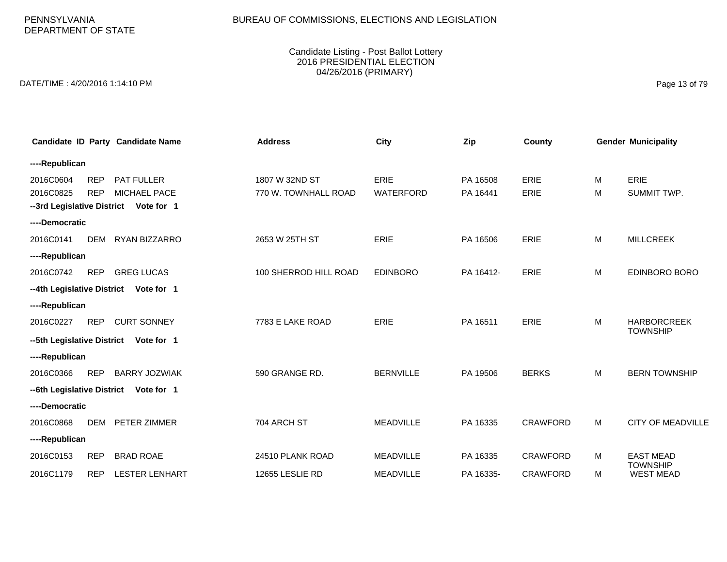# BUREAU OF COMMISSIONS, ELECTIONS AND LEGISLATION

#### Candidate Listing - Post Ballot Lottery 2016 PRESIDENTIAL ELECTION 04/26/2016 (PRIMARY)

DATE/TIME : 4/20/2016 1:14:10 PM Page 13 of 79

|                        |                          | Candidate ID Party Candidate Name     | <b>Address</b>                         | <b>City</b>                     | Zip                  | County              |        | <b>Gender Municipality</b>          |
|------------------------|--------------------------|---------------------------------------|----------------------------------------|---------------------------------|----------------------|---------------------|--------|-------------------------------------|
| ----Republican         |                          |                                       |                                        |                                 |                      |                     |        |                                     |
| 2016C0604<br>2016C0825 | <b>REP</b><br><b>REP</b> | <b>PAT FULLER</b><br>MICHAEL PACE     | 1807 W 32ND ST<br>770 W. TOWNHALL ROAD | <b>ERIE</b><br><b>WATERFORD</b> | PA 16508<br>PA 16441 | ERIE<br><b>ERIE</b> | м<br>М | ERIE<br>SUMMIT TWP.                 |
| ----Democratic         |                          | --3rd Legislative District Vote for 1 |                                        |                                 |                      |                     |        |                                     |
| 2016C0141              | <b>DEM</b>               | RYAN BIZZARRO                         | 2653 W 25TH ST                         | <b>ERIE</b>                     | PA 16506             | ERIE                | M      | <b>MILLCREEK</b>                    |
| ----Republican         |                          |                                       |                                        |                                 |                      |                     |        |                                     |
| 2016C0742              | <b>REP</b>               | <b>GREG LUCAS</b>                     | 100 SHERROD HILL ROAD                  | <b>EDINBORO</b>                 | PA 16412-            | <b>ERIE</b>         | М      | <b>EDINBORO BORO</b>                |
|                        |                          | --4th Legislative District Vote for 1 |                                        |                                 |                      |                     |        |                                     |
| ----Republican         |                          |                                       |                                        |                                 |                      |                     |        |                                     |
| 2016C0227              | <b>REP</b>               | <b>CURT SONNEY</b>                    | 7783 E LAKE ROAD                       | ERIE                            | PA 16511             | ERIE                | M      | <b>HARBORCREEK</b>                  |
|                        |                          | --5th Legislative District Vote for 1 |                                        |                                 |                      |                     |        | <b>TOWNSHIP</b>                     |
| ----Republican         |                          |                                       |                                        |                                 |                      |                     |        |                                     |
| 2016C0366              | <b>REP</b>               | <b>BARRY JOZWIAK</b>                  | 590 GRANGE RD.                         | <b>BERNVILLE</b>                | PA 19506             | <b>BERKS</b>        | М      | <b>BERN TOWNSHIP</b>                |
|                        |                          | --6th Legislative District Vote for 1 |                                        |                                 |                      |                     |        |                                     |
| ----Democratic         |                          |                                       |                                        |                                 |                      |                     |        |                                     |
| 2016C0868              | <b>DEM</b>               | <b>PETER ZIMMER</b>                   | 704 ARCH ST                            | <b>MEADVILLE</b>                | PA 16335             | <b>CRAWFORD</b>     | M      | <b>CITY OF MEADVILLE</b>            |
| ----Republican         |                          |                                       |                                        |                                 |                      |                     |        |                                     |
| 2016C0153              | <b>REP</b>               | <b>BRAD ROAE</b>                      | 24510 PLANK ROAD                       | <b>MEADVILLE</b>                | PA 16335             | <b>CRAWFORD</b>     | м      | <b>EAST MEAD</b>                    |
| 2016C1179              | <b>REP</b>               | <b>LESTER LENHART</b>                 | 12655 LESLIE RD                        | <b>MEADVILLE</b>                | PA 16335-            | <b>CRAWFORD</b>     | м      | <b>TOWNSHIP</b><br><b>WEST MEAD</b> |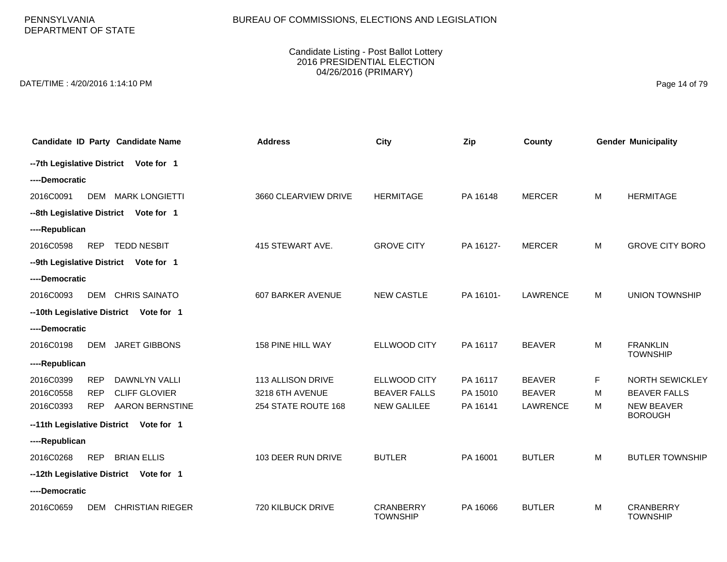PENNSYLVANIA DEPARTMENT OF STATE

#### Candidate Listing - Post Ballot Lottery 2016 PRESIDENTIAL ELECTION 04/26/2016 (PRIMARY)

DATE/TIME : 4/20/2016 1:14:10 PM Page 14 of 79

| Candidate ID Party Candidate Name                  | <b>Address</b>       | City                                | Zip       | County          |   | <b>Gender Municipality</b>          |
|----------------------------------------------------|----------------------|-------------------------------------|-----------|-----------------|---|-------------------------------------|
| -- 7th Legislative District Vote for 1             |                      |                                     |           |                 |   |                                     |
| ----Democratic                                     |                      |                                     |           |                 |   |                                     |
| 2016C0091<br><b>DEM</b><br><b>MARK LONGIETTI</b>   | 3660 CLEARVIEW DRIVE | <b>HERMITAGE</b>                    | PA 16148  | <b>MERCER</b>   | M | <b>HERMITAGE</b>                    |
| --8th Legislative District Vote for 1              |                      |                                     |           |                 |   |                                     |
| ----Republican                                     |                      |                                     |           |                 |   |                                     |
| 2016C0598<br><b>REP</b><br><b>TEDD NESBIT</b>      | 415 STEWART AVE.     | <b>GROVE CITY</b>                   | PA 16127- | <b>MERCER</b>   | M | <b>GROVE CITY BORO</b>              |
| --9th Legislative District<br>Vote for 1           |                      |                                     |           |                 |   |                                     |
| ----Democratic                                     |                      |                                     |           |                 |   |                                     |
| <b>CHRIS SAINATO</b><br>2016C0093<br>DEM           | 607 BARKER AVENUE    | <b>NEW CASTLE</b>                   | PA 16101- | <b>LAWRENCE</b> | M | <b>UNION TOWNSHIP</b>               |
| --10th Legislative District<br>Vote for 1          |                      |                                     |           |                 |   |                                     |
| ----Democratic                                     |                      |                                     |           |                 |   |                                     |
| 2016C0198<br><b>DEM</b><br><b>JARET GIBBONS</b>    | 158 PINE HILL WAY    | ELLWOOD CITY                        | PA 16117  | <b>BEAVER</b>   | M | <b>FRANKLIN</b><br><b>TOWNSHIP</b>  |
| ----Republican                                     |                      |                                     |           |                 |   |                                     |
| 2016C0399<br><b>DAWNLYN VALLI</b><br><b>REP</b>    | 113 ALLISON DRIVE    | ELLWOOD CITY                        | PA 16117  | <b>BEAVER</b>   | F | <b>NORTH SEWICKLEY</b>              |
| <b>CLIFF GLOVIER</b><br>2016C0558<br><b>REP</b>    | 3218 6TH AVENUE      | <b>BEAVER FALLS</b>                 | PA 15010  | <b>BEAVER</b>   | м | <b>BEAVER FALLS</b>                 |
| 2016C0393<br><b>REP</b><br><b>AARON BERNSTINE</b>  | 254 STATE ROUTE 168  | <b>NEW GALILEE</b>                  | PA 16141  | LAWRENCE        | M | <b>NEW BEAVER</b><br><b>BOROUGH</b> |
| --11th Legislative District<br>Vote for 1          |                      |                                     |           |                 |   |                                     |
| ----Republican                                     |                      |                                     |           |                 |   |                                     |
| 2016C0268<br><b>REP</b><br><b>BRIAN ELLIS</b>      | 103 DEER RUN DRIVE   | <b>BUTLER</b>                       | PA 16001  | <b>BUTLER</b>   | M | <b>BUTLER TOWNSHIP</b>              |
| --12th Legislative District Vote for 1             |                      |                                     |           |                 |   |                                     |
| ----Democratic                                     |                      |                                     |           |                 |   |                                     |
| <b>CHRISTIAN RIEGER</b><br>2016C0659<br><b>DEM</b> | 720 KILBUCK DRIVE    | <b>CRANBERRY</b><br><b>TOWNSHIP</b> | PA 16066  | <b>BUTLER</b>   | M | <b>CRANBERRY</b><br><b>TOWNSHIP</b> |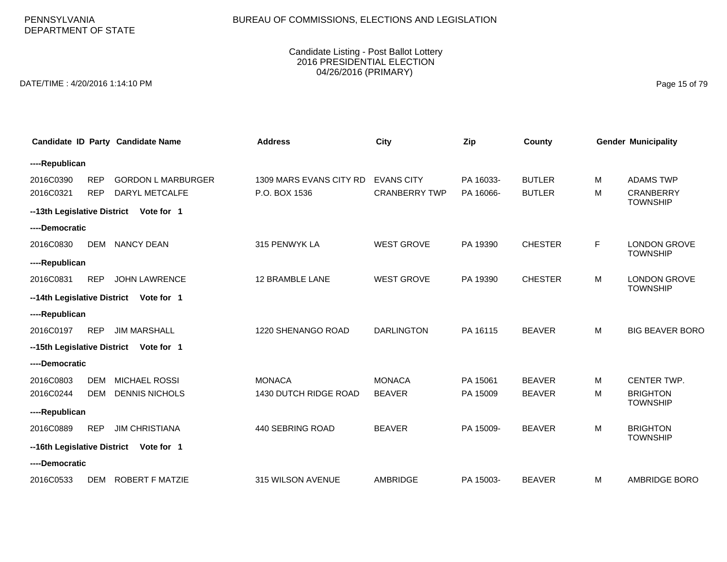# BUREAU OF COMMISSIONS, ELECTIONS AND LEGISLATION

#### Candidate Listing - Post Ballot Lottery 2016 PRESIDENTIAL ELECTION 04/26/2016 (PRIMARY)

DATE/TIME : 4/20/2016 1:14:10 PM Page 15 of 79

|                             |            | Candidate ID Party Candidate Name      | <b>Address</b>          | <b>City</b>          | Zip       | County         |    | <b>Gender Municipality</b>         |
|-----------------------------|------------|----------------------------------------|-------------------------|----------------------|-----------|----------------|----|------------------------------------|
| ----Republican              |            |                                        |                         |                      |           |                |    |                                    |
| 2016C0390                   | <b>REP</b> | <b>GORDON L MARBURGER</b>              | 1309 MARS EVANS CITY RD | <b>EVANS CITY</b>    | PA 16033- | <b>BUTLER</b>  | м  | <b>ADAMS TWP</b>                   |
| 2016C0321                   | <b>REP</b> | DARYL METCALFE                         | P.O. BOX 1536           | <b>CRANBERRY TWP</b> | PA 16066- | <b>BUTLER</b>  | M  | <b>CRANBERRY</b>                   |
| --13th Legislative District |            | Vote for 1                             |                         |                      |           |                |    | <b>TOWNSHIP</b>                    |
| ----Democratic              |            |                                        |                         |                      |           |                |    |                                    |
| 2016C0830                   | DEM        | <b>NANCY DEAN</b>                      | 315 PENWYK LA           | <b>WEST GROVE</b>    | PA 19390  | <b>CHESTER</b> | F. | <b>LONDON GROVE</b>                |
| ----Republican              |            |                                        |                         |                      |           |                |    | <b>TOWNSHIP</b>                    |
| 2016C0831                   | <b>REP</b> | <b>JOHN LAWRENCE</b>                   | 12 BRAMBLE LANE         | <b>WEST GROVE</b>    | PA 19390  | <b>CHESTER</b> | м  | <b>LONDON GROVE</b>                |
| --14th Legislative District |            | Vote for 1                             |                         |                      |           |                |    | <b>TOWNSHIP</b>                    |
| ----Republican              |            |                                        |                         |                      |           |                |    |                                    |
| 2016C0197                   | <b>REP</b> | <b>JIM MARSHALL</b>                    | 1220 SHENANGO ROAD      | <b>DARLINGTON</b>    | PA 16115  | <b>BEAVER</b>  | M  | <b>BIG BEAVER BORO</b>             |
|                             |            | --15th Legislative District Vote for 1 |                         |                      |           |                |    |                                    |
| ----Democratic              |            |                                        |                         |                      |           |                |    |                                    |
| 2016C0803                   | <b>DEM</b> | MICHAEL ROSSI                          | <b>MONACA</b>           | <b>MONACA</b>        | PA 15061  | <b>BEAVER</b>  | м  | CENTER TWP.                        |
| 2016C0244                   | <b>DEM</b> | <b>DENNIS NICHOLS</b>                  | 1430 DUTCH RIDGE ROAD   | <b>BEAVER</b>        | PA 15009  | <b>BEAVER</b>  | м  | <b>BRIGHTON</b><br><b>TOWNSHIP</b> |
| ----Republican              |            |                                        |                         |                      |           |                |    |                                    |
| 2016C0889                   | <b>REP</b> | <b>JIM CHRISTIANA</b>                  | 440 SEBRING ROAD        | <b>BEAVER</b>        | PA 15009- | <b>BEAVER</b>  | M  | <b>BRIGHTON</b>                    |
| --16th Legislative District |            | Vote for 1                             |                         |                      |           |                |    | <b>TOWNSHIP</b>                    |
| ----Democratic              |            |                                        |                         |                      |           |                |    |                                    |
| 2016C0533                   | <b>DEM</b> | <b>ROBERT F MATZIE</b>                 | 315 WILSON AVENUE       | <b>AMBRIDGE</b>      | PA 15003- | <b>BEAVER</b>  | м  | <b>AMBRIDGE BORO</b>               |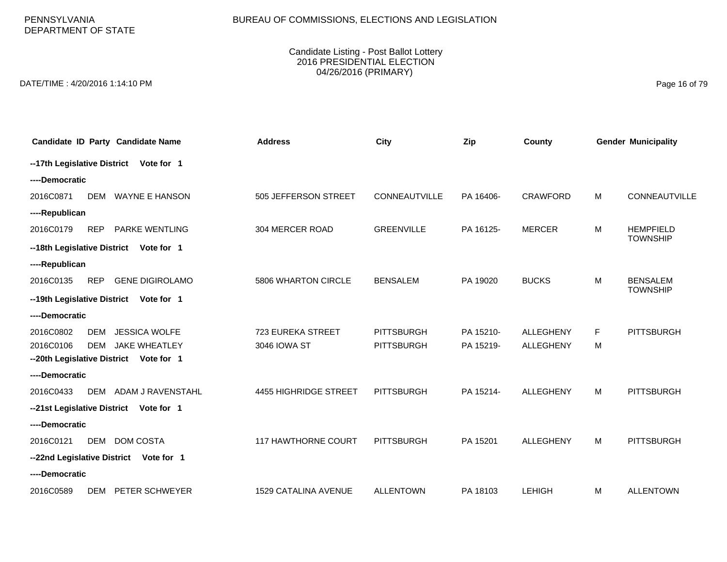PENNSYLVANIA DEPARTMENT OF STATE

#### Candidate Listing - Post Ballot Lottery 2016 PRESIDENTIAL ELECTION 04/26/2016 (PRIMARY)

DATE/TIME : 4/20/2016 1:14:10 PM Page 16 of 79

|                             | Candidate ID Party Candidate Name       | <b>Address</b>             | <b>City</b>          | Zip       | County           |   | <b>Gender Municipality</b>         |
|-----------------------------|-----------------------------------------|----------------------------|----------------------|-----------|------------------|---|------------------------------------|
|                             | --17th Legislative District Vote for 1  |                            |                      |           |                  |   |                                    |
| ----Democratic              |                                         |                            |                      |           |                  |   |                                    |
| 2016C0871                   | <b>WAYNE E HANSON</b><br><b>DEM</b>     | 505 JEFFERSON STREET       | <b>CONNEAUTVILLE</b> | PA 16406- | <b>CRAWFORD</b>  | M | <b>CONNEAUTVILLE</b>               |
| ----Republican              |                                         |                            |                      |           |                  |   |                                    |
| 2016C0179                   | <b>PARKE WENTLING</b><br><b>REP</b>     | 304 MERCER ROAD            | <b>GREENVILLE</b>    | PA 16125- | <b>MERCER</b>    | M | <b>HEMPFIELD</b>                   |
|                             | --18th Legislative District Vote for 1  |                            |                      |           |                  |   | <b>TOWNSHIP</b>                    |
| ----Republican              |                                         |                            |                      |           |                  |   |                                    |
| 2016C0135                   | <b>REP</b><br><b>GENE DIGIROLAMO</b>    | 5806 WHARTON CIRCLE        | <b>BENSALEM</b>      | PA 19020  | <b>BUCKS</b>     | M | <b>BENSALEM</b><br><b>TOWNSHIP</b> |
|                             | --19th Legislative District Vote for 1  |                            |                      |           |                  |   |                                    |
| ----Democratic              |                                         |                            |                      |           |                  |   |                                    |
| 2016C0802                   | <b>JESSICA WOLFE</b><br><b>DEM</b>      | 723 EUREKA STREET          | <b>PITTSBURGH</b>    | PA 15210- | <b>ALLEGHENY</b> | F | <b>PITTSBURGH</b>                  |
| 2016C0106                   | <b>JAKE WHEATLEY</b><br>DEM             | 3046 IOWA ST               | <b>PITTSBURGH</b>    | PA 15219- | <b>ALLEGHENY</b> | м |                                    |
|                             | -- 20th Legislative District Vote for 1 |                            |                      |           |                  |   |                                    |
| ----Democratic              |                                         |                            |                      |           |                  |   |                                    |
| 2016C0433                   | ADAM J RAVENSTAHL<br><b>DEM</b>         | 4455 HIGHRIDGE STREET      | <b>PITTSBURGH</b>    | PA 15214- | <b>ALLEGHENY</b> | M | <b>PITTSBURGH</b>                  |
| --21st Legislative District | Vote for 1                              |                            |                      |           |                  |   |                                    |
| ----Democratic              |                                         |                            |                      |           |                  |   |                                    |
| 2016C0121                   | <b>DOM COSTA</b><br><b>DEM</b>          | <b>117 HAWTHORNE COURT</b> | <b>PITTSBURGH</b>    | PA 15201  | <b>ALLEGHENY</b> | M | <b>PITTSBURGH</b>                  |
|                             | --22nd Legislative District Vote for 1  |                            |                      |           |                  |   |                                    |
| ----Democratic              |                                         |                            |                      |           |                  |   |                                    |
| 2016C0589                   | PETER SCHWEYER<br>DEM                   | 1529 CATALINA AVENUE       | <b>ALLENTOWN</b>     | PA 18103  | <b>LEHIGH</b>    | M | <b>ALLENTOWN</b>                   |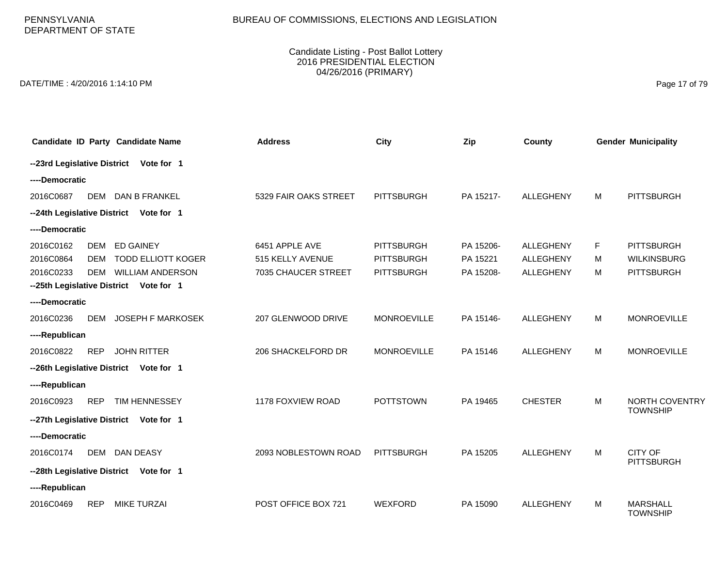PENNSYLVANIA DEPARTMENT OF STATE

#### Candidate Listing - Post Ballot Lottery 2016 PRESIDENTIAL ELECTION 04/26/2016 (PRIMARY)

DATE/TIME : 4/20/2016 1:14:10 PM Page 17 of 79

|                | Candidate ID Party Candidate Name       | <b>Address</b>        | City               | Zip       | County           |    | <b>Gender Municipality</b>         |
|----------------|-----------------------------------------|-----------------------|--------------------|-----------|------------------|----|------------------------------------|
|                | --23rd Legislative District Vote for 1  |                       |                    |           |                  |    |                                    |
| ----Democratic |                                         |                       |                    |           |                  |    |                                    |
| 2016C0687      | DEM<br>DAN B FRANKEL                    | 5329 FAIR OAKS STREET | <b>PITTSBURGH</b>  | PA 15217- | <b>ALLEGHENY</b> | M  | <b>PITTSBURGH</b>                  |
|                | --24th Legislative District Vote for 1  |                       |                    |           |                  |    |                                    |
| ----Democratic |                                         |                       |                    |           |                  |    |                                    |
| 2016C0162      | <b>DEM</b><br><b>ED GAINEY</b>          | 6451 APPLE AVE        | <b>PITTSBURGH</b>  | PA 15206- | <b>ALLEGHENY</b> | F. | <b>PITTSBURGH</b>                  |
| 2016C0864      | <b>TODD ELLIOTT KOGER</b><br><b>DEM</b> | 515 KELLY AVENUE      | <b>PITTSBURGH</b>  | PA 15221  | ALLEGHENY        | м  | <b>WILKINSBURG</b>                 |
| 2016C0233      | <b>WILLIAM ANDERSON</b><br><b>DEM</b>   | 7035 CHAUCER STREET   | <b>PITTSBURGH</b>  | PA 15208- | ALLEGHENY        | M  | <b>PITTSBURGH</b>                  |
|                | --25th Legislative District Vote for 1  |                       |                    |           |                  |    |                                    |
| ----Democratic |                                         |                       |                    |           |                  |    |                                    |
| 2016C0236      | <b>DEM</b><br><b>JOSEPH F MARKOSEK</b>  | 207 GLENWOOD DRIVE    | <b>MONROEVILLE</b> | PA 15146- | ALLEGHENY        | M  | <b>MONROEVILLE</b>                 |
| ----Republican |                                         |                       |                    |           |                  |    |                                    |
| 2016C0822      | <b>REP</b><br><b>JOHN RITTER</b>        | 206 SHACKELFORD DR    | <b>MONROEVILLE</b> | PA 15146  | ALLEGHENY        | M  | <b>MONROEVILLE</b>                 |
|                | --26th Legislative District Vote for 1  |                       |                    |           |                  |    |                                    |
| ----Republican |                                         |                       |                    |           |                  |    |                                    |
| 2016C0923      | <b>REP</b><br>TIM HENNESSEY             | 1178 FOXVIEW ROAD     | <b>POTTSTOWN</b>   | PA 19465  | <b>CHESTER</b>   | M  | NORTH COVENTRY                     |
|                | --27th Legislative District Vote for 1  |                       |                    |           |                  |    | <b>TOWNSHIP</b>                    |
| ----Democratic |                                         |                       |                    |           |                  |    |                                    |
| 2016C0174      | <b>DAN DEASY</b><br>DEM                 | 2093 NOBLESTOWN ROAD  | <b>PITTSBURGH</b>  | PA 15205  | <b>ALLEGHENY</b> | M  | CITY OF                            |
|                | --28th Legislative District Vote for 1  |                       |                    |           |                  |    | <b>PITTSBURGH</b>                  |
| ----Republican |                                         |                       |                    |           |                  |    |                                    |
| 2016C0469      | <b>REP</b><br><b>MIKE TURZAI</b>        | POST OFFICE BOX 721   | <b>WEXFORD</b>     | PA 15090  | <b>ALLEGHENY</b> | M  | <b>MARSHALL</b><br><b>TOWNSHIP</b> |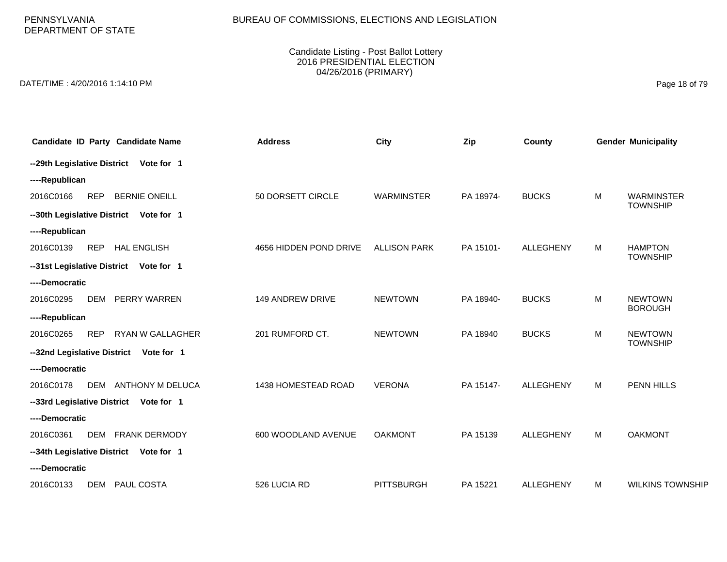PENNSYLVANIA DEPARTMENT OF STATE

#### Candidate Listing - Post Ballot Lottery 2016 PRESIDENTIAL ELECTION 04/26/2016 (PRIMARY)

DATE/TIME : 4/20/2016 1:14:10 PM Page 18 of 79

| Candidate ID Party Candidate Name               | <b>Address</b>         | <b>City</b>         | Zip       | County           |   | <b>Gender Municipality</b>           |
|-------------------------------------------------|------------------------|---------------------|-----------|------------------|---|--------------------------------------|
| -- 29th Legislative District Vote for 1         |                        |                     |           |                  |   |                                      |
| ----Republican                                  |                        |                     |           |                  |   |                                      |
| <b>REP</b><br><b>BERNIE ONEILL</b><br>2016C0166 | 50 DORSETT CIRCLE      | <b>WARMINSTER</b>   | PA 18974- | <b>BUCKS</b>     | M | <b>WARMINSTER</b><br><b>TOWNSHIP</b> |
| --30th Legislative District Vote for 1          |                        |                     |           |                  |   |                                      |
| ----Republican                                  |                        |                     |           |                  |   |                                      |
| <b>HAL ENGLISH</b><br>2016C0139<br><b>REP</b>   | 4656 HIDDEN POND DRIVE | <b>ALLISON PARK</b> | PA 15101- | <b>ALLEGHENY</b> | M | <b>HAMPTON</b><br><b>TOWNSHIP</b>    |
| --31st Legislative District Vote for 1          |                        |                     |           |                  |   |                                      |
| ----Democratic                                  |                        |                     |           |                  |   |                                      |
| 2016C0295<br><b>DEM</b><br>PERRY WARREN         | 149 ANDREW DRIVE       | <b>NEWTOWN</b>      | PA 18940- | <b>BUCKS</b>     | M | <b>NEWTOWN</b><br><b>BOROUGH</b>     |
| ----Republican                                  |                        |                     |           |                  |   |                                      |
| RYAN W GALLAGHER<br>2016C0265<br><b>REP</b>     | 201 RUMFORD CT.        | <b>NEWTOWN</b>      | PA 18940  | <b>BUCKS</b>     | M | <b>NEWTOWN</b><br><b>TOWNSHIP</b>    |
| --32nd Legislative District Vote for 1          |                        |                     |           |                  |   |                                      |
| ----Democratic                                  |                        |                     |           |                  |   |                                      |
| ANTHONY M DELUCA<br>2016C0178<br>DEM            | 1438 HOMESTEAD ROAD    | <b>VERONA</b>       | PA 15147- | <b>ALLEGHENY</b> | M | PENN HILLS                           |
| --33rd Legislative District Vote for 1          |                        |                     |           |                  |   |                                      |
| ----Democratic                                  |                        |                     |           |                  |   |                                      |
| DEM FRANK DERMODY<br>2016C0361                  | 600 WOODLAND AVENUE    | <b>OAKMONT</b>      | PA 15139  | <b>ALLEGHENY</b> | M | <b>OAKMONT</b>                       |
| --34th Legislative District Vote for 1          |                        |                     |           |                  |   |                                      |
| ----Democratic                                  |                        |                     |           |                  |   |                                      |
| 2016C0133<br>PAUL COSTA<br>DEM                  | 526 LUCIA RD           | <b>PITTSBURGH</b>   | PA 15221  | <b>ALLEGHENY</b> | M | <b>WILKINS TOWNSHIP</b>              |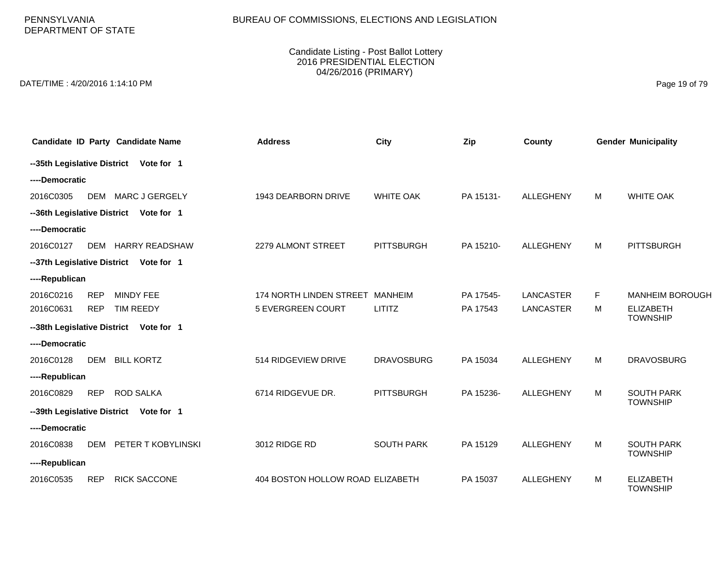PENNSYLVANIA DEPARTMENT OF STATE

#### Candidate Listing - Post Ballot Lottery 2016 PRESIDENTIAL ELECTION 04/26/2016 (PRIMARY)

DATE/TIME : 4/20/2016 1:14:10 PM Page 19 of 79

|                |            | Candidate ID Party Candidate Name      | <b>Address</b>                   | City              | Zip       | County           |   | <b>Gender Municipality</b>          |
|----------------|------------|----------------------------------------|----------------------------------|-------------------|-----------|------------------|---|-------------------------------------|
|                |            | --35th Legislative District Vote for 1 |                                  |                   |           |                  |   |                                     |
| ----Democratic |            |                                        |                                  |                   |           |                  |   |                                     |
| 2016C0305      |            | DEM MARC J GERGELY                     | 1943 DEARBORN DRIVE              | <b>WHITE OAK</b>  | PA 15131- | <b>ALLEGHENY</b> | M | <b>WHITE OAK</b>                    |
|                |            | --36th Legislative District Vote for 1 |                                  |                   |           |                  |   |                                     |
| ----Democratic |            |                                        |                                  |                   |           |                  |   |                                     |
| 2016C0127      |            | DEM HARRY READSHAW                     | 2279 ALMONT STREET               | <b>PITTSBURGH</b> | PA 15210- | <b>ALLEGHENY</b> | M | <b>PITTSBURGH</b>                   |
|                |            | --37th Legislative District Vote for 1 |                                  |                   |           |                  |   |                                     |
| ----Republican |            |                                        |                                  |                   |           |                  |   |                                     |
| 2016C0216      | <b>REP</b> | <b>MINDY FEE</b>                       | 174 NORTH LINDEN STREET          | <b>MANHEIM</b>    | PA 17545- | <b>LANCASTER</b> | F | <b>MANHEIM BOROUGH</b>              |
| 2016C0631      | <b>REP</b> | <b>TIM REEDY</b>                       | <b>5 EVERGREEN COURT</b>         | <b>LITITZ</b>     | PA 17543  | <b>LANCASTER</b> | M | <b>ELIZABETH</b><br><b>TOWNSHIP</b> |
|                |            | --38th Legislative District Vote for 1 |                                  |                   |           |                  |   |                                     |
| ----Democratic |            |                                        |                                  |                   |           |                  |   |                                     |
| 2016C0128      | <b>DEM</b> | <b>BILL KORTZ</b>                      | 514 RIDGEVIEW DRIVE              | <b>DRAVOSBURG</b> | PA 15034  | <b>ALLEGHENY</b> | M | <b>DRAVOSBURG</b>                   |
| ----Republican |            |                                        |                                  |                   |           |                  |   |                                     |
| 2016C0829      | <b>REP</b> | <b>ROD SALKA</b>                       | 6714 RIDGEVUE DR.                | <b>PITTSBURGH</b> | PA 15236- | <b>ALLEGHENY</b> | M | <b>SOUTH PARK</b>                   |
|                |            | --39th Legislative District Vote for 1 |                                  |                   |           |                  |   | <b>TOWNSHIP</b>                     |
| ----Democratic |            |                                        |                                  |                   |           |                  |   |                                     |
| 2016C0838      | DEM        | PETER T KOBYLINSKI                     | 3012 RIDGE RD                    | <b>SOUTH PARK</b> | PA 15129  | <b>ALLEGHENY</b> | M | <b>SOUTH PARK</b>                   |
| ----Republican |            |                                        |                                  |                   |           |                  |   | <b>TOWNSHIP</b>                     |
| 2016C0535      | <b>REP</b> | <b>RICK SACCONE</b>                    | 404 BOSTON HOLLOW ROAD ELIZABETH |                   | PA 15037  | <b>ALLEGHENY</b> | M | <b>ELIZABETH</b><br><b>TOWNSHIP</b> |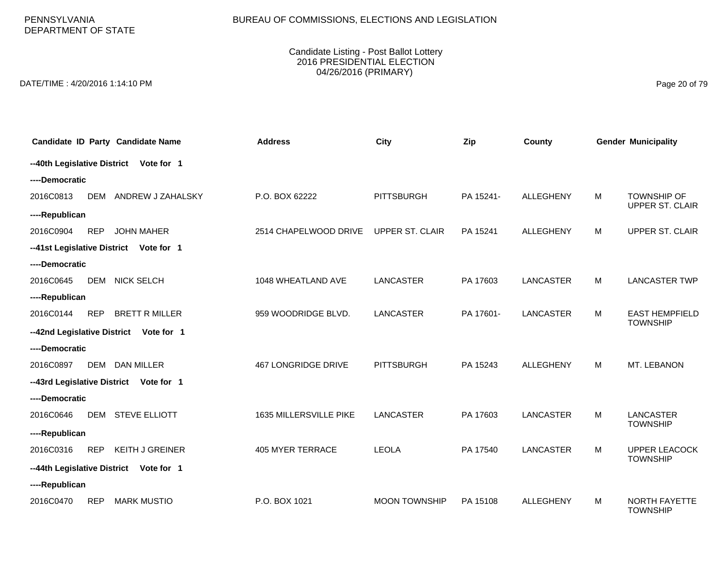PENNSYLVANIA DEPARTMENT OF STATE

#### Candidate Listing - Post Ballot Lottery 2016 PRESIDENTIAL ELECTION 04/26/2016 (PRIMARY)

DATE/TIME : 4/20/2016 1:14:10 PM Page 20 of 79

|                             | Candidate ID Party Candidate Name         | <b>Address</b>             | City                   | Zip       | County           |   | <b>Gender Municipality</b>               |
|-----------------------------|-------------------------------------------|----------------------------|------------------------|-----------|------------------|---|------------------------------------------|
|                             | --40th Legislative District Vote for 1    |                            |                        |           |                  |   |                                          |
| ----Democratic              |                                           |                            |                        |           |                  |   |                                          |
| 2016C0813                   | <b>DEM</b><br>ANDREW J ZAHALSKY           | P.O. BOX 62222             | <b>PITTSBURGH</b>      | PA 15241- | <b>ALLEGHENY</b> | M | <b>TOWNSHIP OF</b><br>UPPER ST. CLAIR    |
| ----Republican              |                                           |                            |                        |           |                  |   |                                          |
| 2016C0904                   | <b>REP</b><br><b>JOHN MAHER</b>           | 2514 CHAPELWOOD DRIVE      | <b>UPPER ST. CLAIR</b> | PA 15241  | <b>ALLEGHENY</b> | M | UPPER ST. CLAIR                          |
| --41st Legislative District | Vote for 1                                |                            |                        |           |                  |   |                                          |
| ----Democratic              |                                           |                            |                        |           |                  |   |                                          |
| 2016C0645                   | <b>DEM</b><br><b>NICK SELCH</b>           | 1048 WHEATLAND AVE         | <b>LANCASTER</b>       | PA 17603  | <b>LANCASTER</b> | М | <b>LANCASTER TWP</b>                     |
| ----Republican              |                                           |                            |                        |           |                  |   |                                          |
| 2016C0144                   | <b>BRETT R MILLER</b><br><b>REP</b>       | 959 WOODRIDGE BLVD.        | <b>LANCASTER</b>       | PA 17601- | <b>LANCASTER</b> | м | <b>EAST HEMPFIELD</b><br><b>TOWNSHIP</b> |
|                             | --42nd Legislative District<br>Vote for 1 |                            |                        |           |                  |   |                                          |
| ----Democratic              |                                           |                            |                        |           |                  |   |                                          |
| 2016C0897                   | DEM DAN MILLER                            | <b>467 LONGRIDGE DRIVE</b> | <b>PITTSBURGH</b>      | PA 15243  | <b>ALLEGHENY</b> | M | MT. LEBANON                              |
|                             | --43rd Legislative District Vote for 1    |                            |                        |           |                  |   |                                          |
| ----Democratic              |                                           |                            |                        |           |                  |   |                                          |
| 2016C0646                   | <b>DEM</b><br><b>STEVE ELLIOTT</b>        | 1635 MILLERSVILLE PIKE     | <b>LANCASTER</b>       | PA 17603  | <b>LANCASTER</b> | M | <b>LANCASTER</b><br><b>TOWNSHIP</b>      |
| ----Republican              |                                           |                            |                        |           |                  |   |                                          |
| 2016C0316                   | <b>REP</b><br><b>KEITH J GREINER</b>      | <b>405 MYER TERRACE</b>    | <b>LEOLA</b>           | PA 17540  | <b>LANCASTER</b> | M | <b>UPPER LEACOCK</b><br><b>TOWNSHIP</b>  |
| --44th Legislative District | Vote for 1                                |                            |                        |           |                  |   |                                          |
| ----Republican              |                                           |                            |                        |           |                  |   |                                          |
| 2016C0470                   | <b>REP</b><br><b>MARK MUSTIO</b>          | P.O. BOX 1021              | <b>MOON TOWNSHIP</b>   | PA 15108  | <b>ALLEGHENY</b> | м | <b>NORTH FAYETTE</b><br><b>TOWNSHIP</b>  |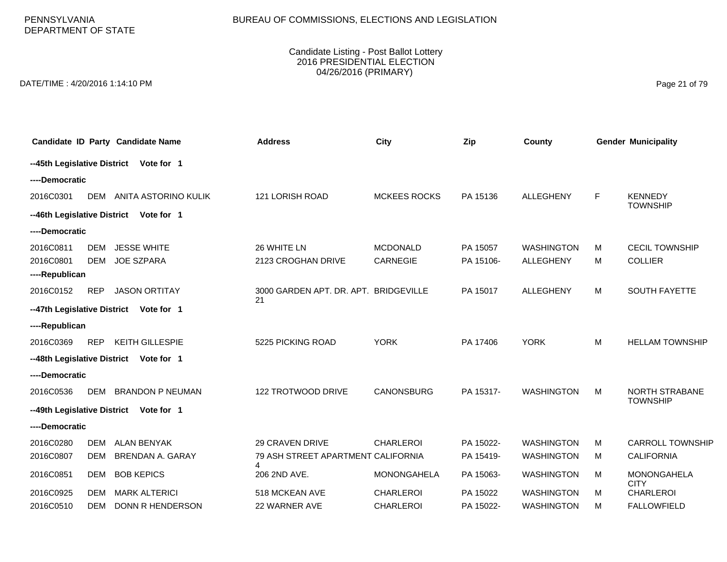PENNSYLVANIA DEPARTMENT OF STATE

#### Candidate Listing - Post Ballot Lottery 2016 PRESIDENTIAL ELECTION 04/26/2016 (PRIMARY)

DATE/TIME : 4/20/2016 1:14:10 PM Page 21 of 79

|                                          |                          | Candidate ID Party Candidate Name       | <b>Address</b>                          | <b>City</b>                        | Zip                   | County                                |        | <b>Gender Municipality</b>              |
|------------------------------------------|--------------------------|-----------------------------------------|-----------------------------------------|------------------------------------|-----------------------|---------------------------------------|--------|-----------------------------------------|
|                                          |                          | --45th Legislative District Vote for 1  |                                         |                                    |                       |                                       |        |                                         |
| ----Democratic                           |                          |                                         |                                         |                                    |                       |                                       |        |                                         |
| 2016C0301                                | <b>DEM</b>               | ANITA ASTORINO KULIK                    | 121 LORISH ROAD                         | <b>MCKEES ROCKS</b>                | PA 15136              | <b>ALLEGHENY</b>                      | F.     | <b>KENNEDY</b><br><b>TOWNSHIP</b>       |
|                                          |                          | --46th Legislative District Vote for 1  |                                         |                                    |                       |                                       |        |                                         |
| ----Democratic                           |                          |                                         |                                         |                                    |                       |                                       |        |                                         |
| 2016C0811<br>2016C0801<br>----Republican | <b>DEM</b><br><b>DEM</b> | <b>JESSE WHITE</b><br><b>JOE SZPARA</b> | 26 WHITE LN<br>2123 CROGHAN DRIVE       | <b>MCDONALD</b><br><b>CARNEGIE</b> | PA 15057<br>PA 15106- | <b>WASHINGTON</b><br><b>ALLEGHENY</b> | M<br>М | <b>CECIL TOWNSHIP</b><br><b>COLLIER</b> |
| 2016C0152                                | <b>REP</b>               | <b>JASON ORTITAY</b>                    | 3000 GARDEN APT, DR. APT. BRIDGEVILLE   |                                    | PA 15017              | ALLEGHENY                             | M      | <b>SOUTH FAYETTE</b>                    |
|                                          |                          | --47th Legislative District Vote for 1  | 21                                      |                                    |                       |                                       |        |                                         |
| ----Republican                           |                          |                                         |                                         |                                    |                       |                                       |        |                                         |
| 2016C0369                                | <b>REP</b>               | <b>KEITH GILLESPIE</b>                  | 5225 PICKING ROAD                       | <b>YORK</b>                        | PA 17406              | <b>YORK</b>                           | М      | <b>HELLAM TOWNSHIP</b>                  |
| --48th Legislative District              |                          | Vote for 1                              |                                         |                                    |                       |                                       |        |                                         |
| ----Democratic                           |                          |                                         |                                         |                                    |                       |                                       |        |                                         |
| 2016C0536                                | DEM                      | <b>BRANDON P NEUMAN</b>                 | 122 TROTWOOD DRIVE                      | <b>CANONSBURG</b>                  | PA 15317-             | <b>WASHINGTON</b>                     | М      | NORTH STRABANE                          |
|                                          |                          | --49th Legislative District Vote for 1  |                                         |                                    |                       |                                       |        | <b>TOWNSHIP</b>                         |
| ----Democratic                           |                          |                                         |                                         |                                    |                       |                                       |        |                                         |
| 2016C0280                                | DEM                      | <b>ALAN BENYAK</b>                      | <b>29 CRAVEN DRIVE</b>                  | <b>CHARLEROI</b>                   | PA 15022-             | <b>WASHINGTON</b>                     | м      | <b>CARROLL TOWNSHIP</b>                 |
| 2016C0807                                | <b>DEM</b>               | <b>BRENDAN A. GARAY</b>                 | 79 ASH STREET APARTMENT CALIFORNIA<br>4 |                                    | PA 15419-             | <b>WASHINGTON</b>                     | м      | <b>CALIFORNIA</b>                       |
| 2016C0851                                | DEM                      | <b>BOB KEPICS</b>                       | 206 2ND AVE.                            | <b>MONONGAHELA</b>                 | PA 15063-             | <b>WASHINGTON</b>                     | м      | <b>MONONGAHELA</b><br><b>CITY</b>       |
| 2016C0925                                | DEM                      | <b>MARK ALTERICI</b>                    | 518 MCKEAN AVE                          | <b>CHARLEROI</b>                   | PA 15022              | <b>WASHINGTON</b>                     | м      | <b>CHARLEROI</b>                        |
| 2016C0510                                | <b>DEM</b>               | <b>DONN R HENDERSON</b>                 | 22 WARNER AVE                           | <b>CHARLEROI</b>                   | PA 15022-             | <b>WASHINGTON</b>                     | м      | <b>FALLOWFIELD</b>                      |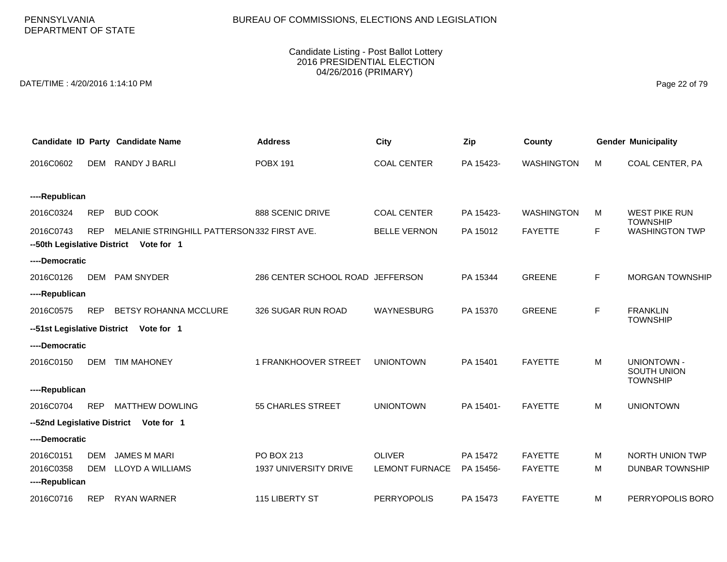PENNSYLVANIA DEPARTMENT OF STATE

#### Candidate Listing - Post Ballot Lottery 2016 PRESIDENTIAL ELECTION 04/26/2016 (PRIMARY)

DATE/TIME : 4/20/2016 1:14:10 PM Page 22 of 79

|                             |            | Candidate ID Party Candidate Name          | <b>Address</b>                   | <b>City</b>           | Zip       | County            |    | <b>Gender Municipality</b>              |
|-----------------------------|------------|--------------------------------------------|----------------------------------|-----------------------|-----------|-------------------|----|-----------------------------------------|
| 2016C0602                   | <b>DEM</b> | RANDY J BARLI                              | <b>POBX 191</b>                  | <b>COAL CENTER</b>    | PA 15423- | <b>WASHINGTON</b> | M  | COAL CENTER, PA                         |
|                             |            |                                            |                                  |                       |           |                   |    |                                         |
| ----Republican              |            |                                            |                                  |                       |           |                   |    |                                         |
| 2016C0324                   | <b>REP</b> | <b>BUD COOK</b>                            | 888 SCENIC DRIVE                 | <b>COAL CENTER</b>    | PA 15423- | <b>WASHINGTON</b> | м  | <b>WEST PIKE RUN</b><br><b>TOWNSHIP</b> |
| 2016C0743                   | <b>REP</b> | MELANIE STRINGHILL PATTERSON332 FIRST AVE. |                                  | <b>BELLE VERNON</b>   | PA 15012  | <b>FAYETTE</b>    | F  | <b>WASHINGTON TWP</b>                   |
|                             |            | --50th Legislative District Vote for 1     |                                  |                       |           |                   |    |                                         |
| ----Democratic              |            |                                            |                                  |                       |           |                   |    |                                         |
| 2016C0126                   |            | DEM PAM SNYDER                             | 286 CENTER SCHOOL ROAD JEFFERSON |                       | PA 15344  | <b>GREENE</b>     | F. | <b>MORGAN TOWNSHIP</b>                  |
| ----Republican              |            |                                            |                                  |                       |           |                   |    |                                         |
| 2016C0575                   | <b>REP</b> | BETSY ROHANNA MCCLURE                      | 326 SUGAR RUN ROAD               | WAYNESBURG            | PA 15370  | <b>GREENE</b>     | F  | <b>FRANKLIN</b>                         |
| --51st Legislative District |            | Vote for 1                                 |                                  |                       |           |                   |    | <b>TOWNSHIP</b>                         |
| ----Democratic              |            |                                            |                                  |                       |           |                   |    |                                         |
| 2016C0150                   | <b>DEM</b> | <b>TIM MAHONEY</b>                         | 1 FRANKHOOVER STREET             | <b>UNIONTOWN</b>      | PA 15401  | <b>FAYETTE</b>    | M  | <b>UNIONTOWN -</b>                      |
|                             |            |                                            |                                  |                       |           |                   |    | <b>SOUTH UNION</b><br><b>TOWNSHIP</b>   |
| ----Republican              |            |                                            |                                  |                       |           |                   |    |                                         |
| 2016C0704                   | <b>REP</b> | <b>MATTHEW DOWLING</b>                     | <b>55 CHARLES STREET</b>         | <b>UNIONTOWN</b>      | PA 15401- | <b>FAYETTE</b>    | M  | <b>UNIONTOWN</b>                        |
| --52nd Legislative District |            | Vote for 1                                 |                                  |                       |           |                   |    |                                         |
| ----Democratic              |            |                                            |                                  |                       |           |                   |    |                                         |
| 2016C0151                   | DEM        | <b>JAMES M MARI</b>                        | PO BOX 213                       | <b>OLIVER</b>         | PA 15472  | <b>FAYETTE</b>    | м  | <b>NORTH UNION TWP</b>                  |
| 2016C0358                   | <b>DEM</b> | LLOYD A WILLIAMS                           | 1937 UNIVERSITY DRIVE            | <b>LEMONT FURNACE</b> | PA 15456- | <b>FAYETTE</b>    | M  | <b>DUNBAR TOWNSHIP</b>                  |
| ----Republican              |            |                                            |                                  |                       |           |                   |    |                                         |
| 2016C0716                   | <b>REP</b> | <b>RYAN WARNER</b>                         | 115 LIBERTY ST                   | <b>PERRYOPOLIS</b>    | PA 15473  | <b>FAYETTE</b>    | M  | PERRYOPOLIS BORO                        |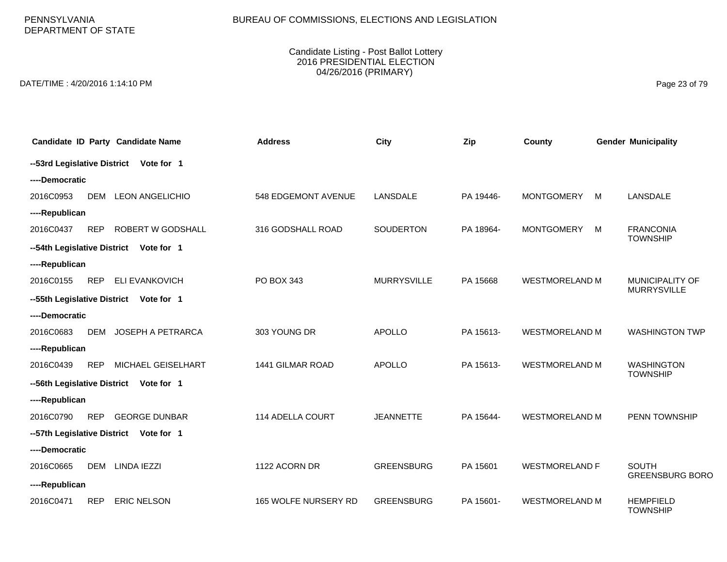PENNSYLVANIA DEPARTMENT OF STATE

#### Candidate Listing - Post Ballot Lottery 2016 PRESIDENTIAL ELECTION 04/26/2016 (PRIMARY)

DATE/TIME : 4/20/2016 1:14:10 PM Page 23 of 79

|                | Candidate ID Party Candidate Name      | <b>Address</b>              | City               | Zip       | County                |   | <b>Gender Municipality</b>                   |
|----------------|----------------------------------------|-----------------------------|--------------------|-----------|-----------------------|---|----------------------------------------------|
|                | --53rd Legislative District Vote for 1 |                             |                    |           |                       |   |                                              |
| ----Democratic |                                        |                             |                    |           |                       |   |                                              |
| 2016C0953      | <b>DEM</b><br><b>LEON ANGELICHIO</b>   | 548 EDGEMONT AVENUE         | LANSDALE           | PA 19446- | <b>MONTGOMERY</b>     | M | LANSDALE                                     |
| ----Republican |                                        |                             |                    |           |                       |   |                                              |
| 2016C0437      | ROBERT W GODSHALL<br><b>REP</b>        | 316 GODSHALL ROAD           | <b>SOUDERTON</b>   | PA 18964- | <b>MONTGOMERY</b>     | M | <b>FRANCONIA</b><br><b>TOWNSHIP</b>          |
|                | --54th Legislative District Vote for 1 |                             |                    |           |                       |   |                                              |
| ----Republican |                                        |                             |                    |           |                       |   |                                              |
| 2016C0155      | <b>REP</b><br><b>ELI EVANKOVICH</b>    | PO BOX 343                  | <b>MURRYSVILLE</b> | PA 15668  | <b>WESTMORELAND M</b> |   | <b>MUNICIPALITY OF</b><br><b>MURRYSVILLE</b> |
|                | --55th Legislative District Vote for 1 |                             |                    |           |                       |   |                                              |
| ----Democratic |                                        |                             |                    |           |                       |   |                                              |
| 2016C0683      | <b>DEM</b><br>JOSEPH A PETRARCA        | 303 YOUNG DR                | <b>APOLLO</b>      | PA 15613- | <b>WESTMORELAND M</b> |   | <b>WASHINGTON TWP</b>                        |
| ----Republican |                                        |                             |                    |           |                       |   |                                              |
| 2016C0439      | MICHAEL GEISELHART<br><b>REP</b>       | 1441 GILMAR ROAD            | <b>APOLLO</b>      | PA 15613- | <b>WESTMORELAND M</b> |   | <b>WASHINGTON</b><br><b>TOWNSHIP</b>         |
|                | --56th Legislative District Vote for 1 |                             |                    |           |                       |   |                                              |
| ----Republican |                                        |                             |                    |           |                       |   |                                              |
| 2016C0790      | <b>REP</b><br><b>GEORGE DUNBAR</b>     | 114 ADELLA COURT            | <b>JEANNETTE</b>   | PA 15644- | <b>WESTMORELAND M</b> |   | PENN TOWNSHIP                                |
|                | --57th Legislative District Vote for 1 |                             |                    |           |                       |   |                                              |
| ----Democratic |                                        |                             |                    |           |                       |   |                                              |
| 2016C0665      | <b>DEM</b><br>LINDA IEZZI              | 1122 ACORN DR               | <b>GREENSBURG</b>  | PA 15601  | <b>WESTMORELAND F</b> |   | <b>SOUTH</b><br><b>GREENSBURG BORO</b>       |
| ----Republican |                                        |                             |                    |           |                       |   |                                              |
| 2016C0471      | <b>REP</b><br><b>ERIC NELSON</b>       | <b>165 WOLFE NURSERY RD</b> | <b>GREENSBURG</b>  | PA 15601- | <b>WESTMORELAND M</b> |   | <b>HEMPFIELD</b><br><b>TOWNSHIP</b>          |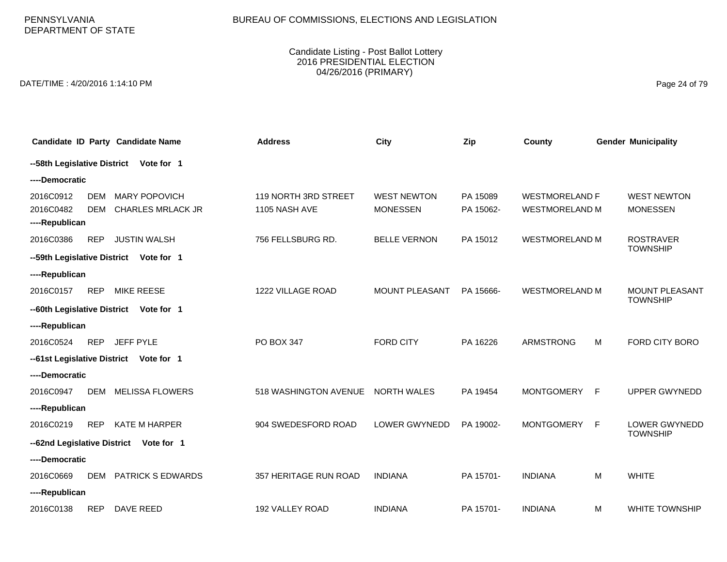# BUREAU OF COMMISSIONS, ELECTIONS AND LEGISLATION

#### Candidate Listing - Post Ballot Lottery 2016 PRESIDENTIAL ELECTION 04/26/2016 (PRIMARY)

DATE/TIME : 4/20/2016 1:14:10 PM Page 24 of 79

|                                          | Candidate ID Party Candidate Name                                            | <b>Address</b>                        | <b>City</b>                           | Zip                   | County                                         |    | <b>Gender Municipality</b>            |
|------------------------------------------|------------------------------------------------------------------------------|---------------------------------------|---------------------------------------|-----------------------|------------------------------------------------|----|---------------------------------------|
| --58th Legislative District              | Vote for 1                                                                   |                                       |                                       |                       |                                                |    |                                       |
| ----Democratic                           |                                                                              |                                       |                                       |                       |                                                |    |                                       |
| 2016C0912<br>2016C0482<br>----Republican | <b>MARY POPOVICH</b><br><b>DEM</b><br><b>CHARLES MRLACK JR</b><br><b>DEM</b> | 119 NORTH 3RD STREET<br>1105 NASH AVE | <b>WEST NEWTON</b><br><b>MONESSEN</b> | PA 15089<br>PA 15062- | <b>WESTMORELAND F</b><br><b>WESTMORELAND M</b> |    | <b>WEST NEWTON</b><br><b>MONESSEN</b> |
| 2016C0386<br>--59th Legislative District | <b>JUSTIN WALSH</b><br><b>REP</b><br>Vote for 1                              | 756 FELLSBURG RD.                     | <b>BELLE VERNON</b>                   | PA 15012              | <b>WESTMORELAND M</b>                          |    | <b>ROSTRAVER</b><br><b>TOWNSHIP</b>   |
| ----Republican                           |                                                                              |                                       |                                       |                       |                                                |    |                                       |
| 2016C0157                                | MIKE REESE<br><b>REP</b>                                                     | 1222 VILLAGE ROAD                     | MOUNT PLEASANT                        | PA 15666-             | <b>WESTMORELAND M</b>                          |    | MOUNT PLEASANT<br><b>TOWNSHIP</b>     |
| --60th Legislative District              | Vote for 1                                                                   |                                       |                                       |                       |                                                |    |                                       |
| ----Republican                           |                                                                              |                                       |                                       |                       |                                                |    |                                       |
| 2016C0524                                | <b>REP</b><br>JEFF PYLE                                                      | PO BOX 347                            | <b>FORD CITY</b>                      | PA 16226              | <b>ARMSTRONG</b>                               | M  | FORD CITY BORO                        |
|                                          | --61st Legislative District Vote for 1                                       |                                       |                                       |                       |                                                |    |                                       |
| ----Democratic                           |                                                                              |                                       |                                       |                       |                                                |    |                                       |
| 2016C0947                                | <b>MELISSA FLOWERS</b><br>DEM                                                | 518 WASHINGTON AVENUE                 | <b>NORTH WALES</b>                    | PA 19454              | <b>MONTGOMERY</b>                              | -F | <b>UPPER GWYNEDD</b>                  |
| ----Republican                           |                                                                              |                                       |                                       |                       |                                                |    |                                       |
| 2016C0219                                | <b>KATE M HARPER</b><br><b>REP</b>                                           | 904 SWEDESFORD ROAD                   | <b>LOWER GWYNEDD</b>                  | PA 19002-             | <b>MONTGOMERY</b>                              | -F | <b>LOWER GWYNEDD</b>                  |
|                                          | --62nd Legislative District<br>Vote for 1                                    |                                       |                                       |                       |                                                |    | <b>TOWNSHIP</b>                       |
| ----Democratic                           |                                                                              |                                       |                                       |                       |                                                |    |                                       |
| 2016C0669                                | <b>DEM</b><br><b>PATRICK S EDWARDS</b>                                       | 357 HERITAGE RUN ROAD                 | <b>INDIANA</b>                        | PA 15701-             | <b>INDIANA</b>                                 | M  | <b>WHITE</b>                          |
| ----Republican                           |                                                                              |                                       |                                       |                       |                                                |    |                                       |
| 2016C0138                                | <b>REP</b><br>DAVE REED                                                      | 192 VALLEY ROAD                       | <b>INDIANA</b>                        | PA 15701-             | <b>INDIANA</b>                                 | м  | <b>WHITE TOWNSHIP</b>                 |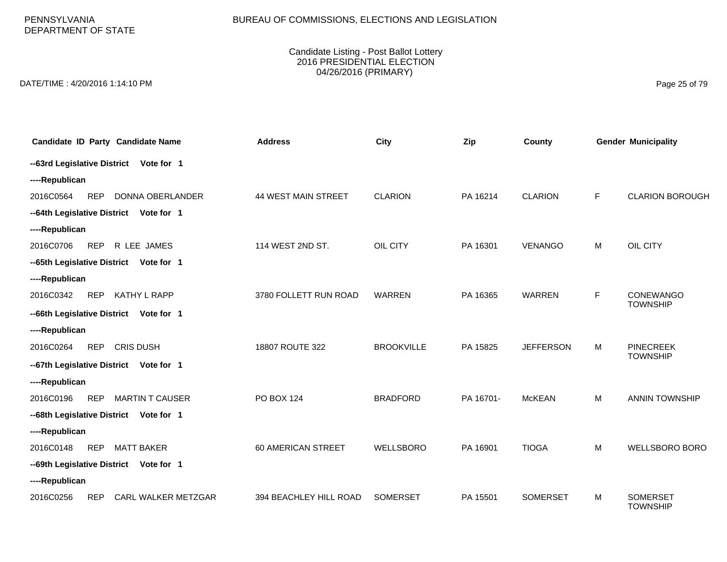PENNSYLVANIA DEPARTMENT OF STATE

#### Candidate Listing - Post Ballot Lottery 2016 PRESIDENTIAL ELECTION 04/26/2016 (PRIMARY)

DATE/TIME : 4/20/2016 1:14:10 PM Page 25 of 79

| Candidate ID Party Candidate Name                 | <b>Address</b>         | City              | Zip       | County           |    | <b>Gender Municipality</b>          |
|---------------------------------------------------|------------------------|-------------------|-----------|------------------|----|-------------------------------------|
| --63rd Legislative District Vote for 1            |                        |                   |           |                  |    |                                     |
| ----Republican                                    |                        |                   |           |                  |    |                                     |
| 2016C0564<br><b>REP</b><br>DONNA OBERLANDER       | 44 WEST MAIN STREET    | <b>CLARION</b>    | PA 16214  | <b>CLARION</b>   | F. | <b>CLARION BOROUGH</b>              |
| --64th Legislative District Vote for 1            |                        |                   |           |                  |    |                                     |
| ----Republican                                    |                        |                   |           |                  |    |                                     |
| <b>REP</b><br>2016C0706<br>R LEE JAMES            | 114 WEST 2ND ST.       | OIL CITY          | PA 16301  | <b>VENANGO</b>   | M  | OIL CITY                            |
| --65th Legislative District Vote for 1            |                        |                   |           |                  |    |                                     |
| ----Republican                                    |                        |                   |           |                  |    |                                     |
| <b>REP</b><br>2016C0342<br>KATHY L RAPP           | 3780 FOLLETT RUN ROAD  | <b>WARREN</b>     | PA 16365  | <b>WARREN</b>    | F  | CONEWANGO                           |
| --66th Legislative District Vote for 1            |                        |                   |           |                  |    | <b>TOWNSHIP</b>                     |
| ----Republican                                    |                        |                   |           |                  |    |                                     |
| <b>REP</b><br><b>CRIS DUSH</b><br>2016C0264       | 18807 ROUTE 322        | <b>BROOKVILLE</b> | PA 15825  | <b>JEFFERSON</b> | M  | <b>PINECREEK</b><br><b>TOWNSHIP</b> |
| --67th Legislative District Vote for 1            |                        |                   |           |                  |    |                                     |
| ----Republican                                    |                        |                   |           |                  |    |                                     |
| <b>MARTIN T CAUSER</b><br>2016C0196<br><b>REP</b> | <b>PO BOX 124</b>      | <b>BRADFORD</b>   | PA 16701- | <b>McKEAN</b>    | M  | <b>ANNIN TOWNSHIP</b>               |
| --68th Legislative District Vote for 1            |                        |                   |           |                  |    |                                     |
| ----Republican                                    |                        |                   |           |                  |    |                                     |
| 2016C0148<br><b>REP</b><br><b>MATT BAKER</b>      | 60 AMERICAN STREET     | <b>WELLSBORO</b>  | PA 16901  | <b>TIOGA</b>     | M  | <b>WELLSBORO BORO</b>               |
| --69th Legislative District Vote for 1            |                        |                   |           |                  |    |                                     |
| ----Republican                                    |                        |                   |           |                  |    |                                     |
| <b>REP</b><br>CARL WALKER METZGAR<br>2016C0256    | 394 BEACHLEY HILL ROAD | <b>SOMERSET</b>   | PA 15501  | <b>SOMERSET</b>  | M  | <b>SOMERSET</b><br><b>TOWNSHIP</b>  |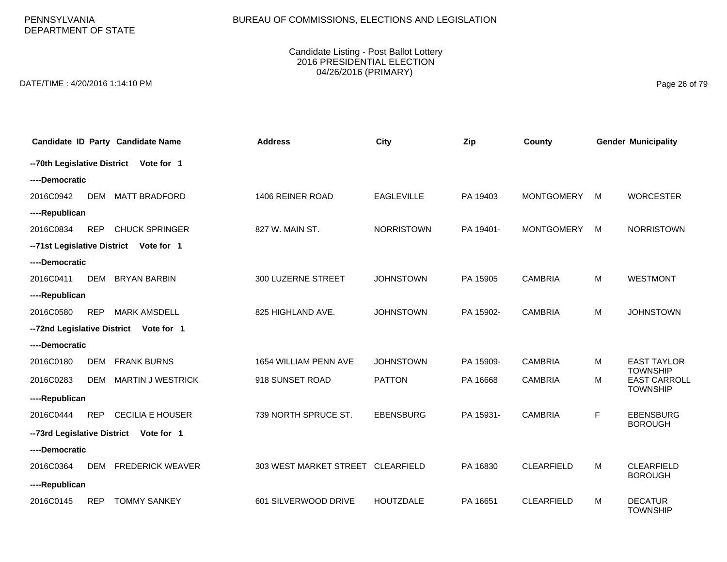PENNSYLVANIA DEPARTMENT OF STATE

#### Candidate Listing - Post Ballot Lottery 2016 PRESIDENTIAL ELECTION 04/26/2016 (PRIMARY)

DATE/TIME : 4/20/2016 1:14:10 PM Page 26 of 79

|                             |            | Candidate ID Party Candidate Name       | <b>Address</b>                    | City              | Zip       | County            |   | <b>Gender Municipality</b>            |
|-----------------------------|------------|-----------------------------------------|-----------------------------------|-------------------|-----------|-------------------|---|---------------------------------------|
|                             |            | -- 70th Legislative District Vote for 1 |                                   |                   |           |                   |   |                                       |
| ----Democratic              |            |                                         |                                   |                   |           |                   |   |                                       |
| 2016C0942                   | <b>DEM</b> | <b>MATT BRADFORD</b>                    | 1406 REINER ROAD                  | <b>EAGLEVILLE</b> | PA 19403  | <b>MONTGOMERY</b> | M | <b>WORCESTER</b>                      |
| ----Republican              |            |                                         |                                   |                   |           |                   |   |                                       |
| 2016C0834                   | <b>REP</b> | <b>CHUCK SPRINGER</b>                   | 827 W. MAIN ST.                   | <b>NORRISTOWN</b> | PA 19401- | <b>MONTGOMERY</b> | M | <b>NORRISTOWN</b>                     |
|                             |            | --71st Legislative District Vote for 1  |                                   |                   |           |                   |   |                                       |
| ----Democratic              |            |                                         |                                   |                   |           |                   |   |                                       |
| 2016C0411                   | <b>DEM</b> | <b>BRYAN BARBIN</b>                     | 300 LUZERNE STREET                | <b>JOHNSTOWN</b>  | PA 15905  | <b>CAMBRIA</b>    | М | <b>WESTMONT</b>                       |
| ----Republican              |            |                                         |                                   |                   |           |                   |   |                                       |
| 2016C0580                   | <b>REP</b> | <b>MARK AMSDELL</b>                     | 825 HIGHLAND AVE.                 | <b>JOHNSTOWN</b>  | PA 15902- | <b>CAMBRIA</b>    | М | <b>JOHNSTOWN</b>                      |
|                             |            | -- 72nd Legislative District Vote for 1 |                                   |                   |           |                   |   |                                       |
| ----Democratic              |            |                                         |                                   |                   |           |                   |   |                                       |
| 2016C0180                   | <b>DEM</b> | <b>FRANK BURNS</b>                      | 1654 WILLIAM PENN AVE             | <b>JOHNSTOWN</b>  | PA 15909- | <b>CAMBRIA</b>    | M | <b>EAST TAYLOR</b><br><b>TOWNSHIP</b> |
| 2016C0283                   | <b>DEM</b> | <b>MARTIN J WESTRICK</b>                | 918 SUNSET ROAD                   | <b>PATTON</b>     | PA 16668  | <b>CAMBRIA</b>    | M | <b>EAST CARROLL</b>                   |
| ----Republican              |            |                                         |                                   |                   |           |                   |   | <b>TOWNSHIP</b>                       |
| 2016C0444                   | <b>REP</b> | <b>CECILIA E HOUSER</b>                 | 739 NORTH SPRUCE ST.              | <b>EBENSBURG</b>  | PA 15931- | <b>CAMBRIA</b>    | F | <b>EBENSBURG</b>                      |
| --73rd Legislative District |            | Vote for 1                              |                                   |                   |           |                   |   | <b>BOROUGH</b>                        |
| ----Democratic              |            |                                         |                                   |                   |           |                   |   |                                       |
| 2016C0364                   | DEM        | <b>FREDERICK WEAVER</b>                 | 303 WEST MARKET STREET CLEARFIELD |                   | PA 16830  | <b>CLEARFIELD</b> | M | <b>CLEARFIELD</b>                     |
| ----Republican              |            |                                         |                                   |                   |           |                   |   | <b>BOROUGH</b>                        |
| 2016C0145                   | <b>REP</b> | <b>TOMMY SANKEY</b>                     | 601 SILVERWOOD DRIVE              | <b>HOUTZDALE</b>  | PA 16651  | <b>CLEARFIELD</b> | M | <b>DECATUR</b><br><b>TOWNSHIP</b>     |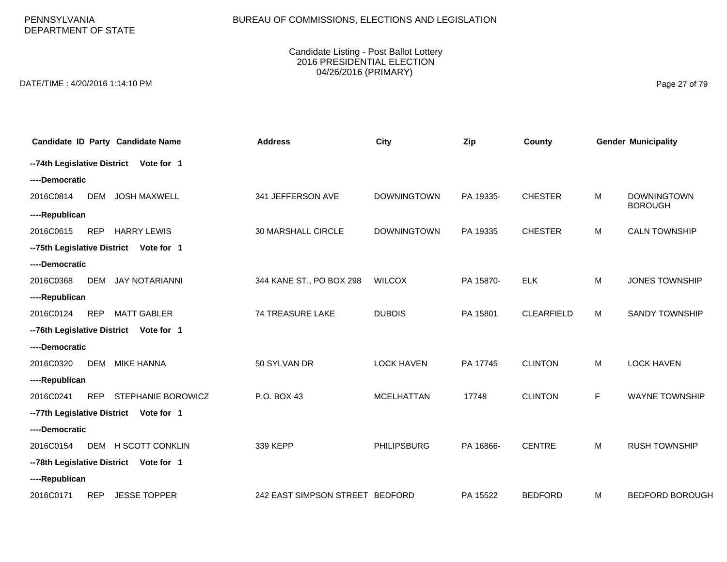PENNSYLVANIA DEPARTMENT OF STATE

#### Candidate Listing - Post Ballot Lottery 2016 PRESIDENTIAL ELECTION 04/26/2016 (PRIMARY)

DATE/TIME : 4/20/2016 1:14:10 PM Page 27 of 79

|                |            | Candidate ID Party Candidate Name       | <b>Address</b>                  | <b>City</b>        | Zip       | County            |           | <b>Gender Municipality</b>           |
|----------------|------------|-----------------------------------------|---------------------------------|--------------------|-----------|-------------------|-----------|--------------------------------------|
|                |            | -- 74th Legislative District Vote for 1 |                                 |                    |           |                   |           |                                      |
| ----Democratic |            |                                         |                                 |                    |           |                   |           |                                      |
| 2016C0814      | <b>DEM</b> | <b>JOSH MAXWELL</b>                     | 341 JEFFERSON AVE               | <b>DOWNINGTOWN</b> | PA 19335- | <b>CHESTER</b>    | M         | <b>DOWNINGTOWN</b><br><b>BOROUGH</b> |
| ----Republican |            |                                         |                                 |                    |           |                   |           |                                      |
| 2016C0615      | <b>REP</b> | <b>HARRY LEWIS</b>                      | 30 MARSHALL CIRCLE              | <b>DOWNINGTOWN</b> | PA 19335  | <b>CHESTER</b>    | M         | <b>CALN TOWNSHIP</b>                 |
|                |            | -- 75th Legislative District Vote for 1 |                                 |                    |           |                   |           |                                      |
| ----Democratic |            |                                         |                                 |                    |           |                   |           |                                      |
| 2016C0368      | <b>DEM</b> | <b>JAY NOTARIANNI</b>                   | 344 KANE ST., PO BOX 298        | <b>WILCOX</b>      | PA 15870- | <b>ELK</b>        | M         | <b>JONES TOWNSHIP</b>                |
| ----Republican |            |                                         |                                 |                    |           |                   |           |                                      |
| 2016C0124      | <b>REP</b> | <b>MATT GABLER</b>                      | <b>74 TREASURE LAKE</b>         | <b>DUBOIS</b>      | PA 15801  | <b>CLEARFIELD</b> | M         | <b>SANDY TOWNSHIP</b>                |
|                |            | -- 76th Legislative District Vote for 1 |                                 |                    |           |                   |           |                                      |
| ----Democratic |            |                                         |                                 |                    |           |                   |           |                                      |
| 2016C0320      | <b>DEM</b> | <b>MIKE HANNA</b>                       | 50 SYLVAN DR                    | <b>LOCK HAVEN</b>  | PA 17745  | <b>CLINTON</b>    | M         | <b>LOCK HAVEN</b>                    |
| ----Republican |            |                                         |                                 |                    |           |                   |           |                                      |
| 2016C0241      | <b>REP</b> | STEPHANIE BOROWICZ                      | P.O. BOX 43                     | <b>MCELHATTAN</b>  | 17748     | <b>CLINTON</b>    | F         | <b>WAYNE TOWNSHIP</b>                |
|                |            | -- 77th Legislative District Vote for 1 |                                 |                    |           |                   |           |                                      |
| ----Democratic |            |                                         |                                 |                    |           |                   |           |                                      |
| 2016C0154      |            | DEM H SCOTT CONKLIN                     | 339 KEPP                        | <b>PHILIPSBURG</b> | PA 16866- | <b>CENTRE</b>     | ${\sf M}$ | <b>RUSH TOWNSHIP</b>                 |
|                |            | -- 78th Legislative District Vote for 1 |                                 |                    |           |                   |           |                                      |
| ----Republican |            |                                         |                                 |                    |           |                   |           |                                      |
| 2016C0171      | <b>REP</b> | <b>JESSE TOPPER</b>                     | 242 EAST SIMPSON STREET BEDFORD |                    | PA 15522  | <b>BEDFORD</b>    | M         | <b>BEDFORD BOROUGH</b>               |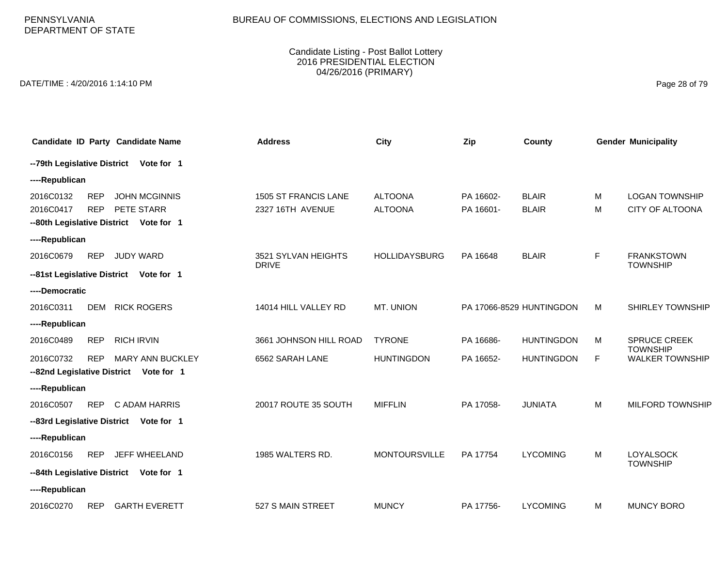# BUREAU OF COMMISSIONS, ELECTIONS AND LEGISLATION

#### Candidate Listing - Post Ballot Lottery 2016 PRESIDENTIAL ELECTION 04/26/2016 (PRIMARY)

DATE/TIME : 4/20/2016 1:14:10 PM Page 28 of 79

| Candidate ID Party Candidate Name                                                               | <b>Address</b>                           | City                             | Zip                    | County                       |        | <b>Gender Municipality</b>               |
|-------------------------------------------------------------------------------------------------|------------------------------------------|----------------------------------|------------------------|------------------------------|--------|------------------------------------------|
| -- 79th Legislative District Vote for 1                                                         |                                          |                                  |                        |                              |        |                                          |
| ----Republican                                                                                  |                                          |                                  |                        |                              |        |                                          |
| 2016C0132<br><b>REP</b><br><b>JOHN MCGINNIS</b><br>2016C0417<br><b>REP</b><br>PETE STARR        | 1505 ST FRANCIS LANE<br>2327 16TH AVENUE | <b>ALTOONA</b><br><b>ALTOONA</b> | PA 16602-<br>PA 16601- | <b>BLAIR</b><br><b>BLAIR</b> | M<br>M | <b>LOGAN TOWNSHIP</b><br>CITY OF ALTOONA |
| --80th Legislative District Vote for 1                                                          |                                          |                                  |                        |                              |        |                                          |
| ----Republican                                                                                  |                                          |                                  |                        |                              |        |                                          |
| 2016C0679<br><b>REP</b><br><b>JUDY WARD</b>                                                     | 3521 SYLVAN HEIGHTS<br><b>DRIVE</b>      | <b>HOLLIDAYSBURG</b>             | PA 16648               | <b>BLAIR</b>                 | F      | <b>FRANKSTOWN</b><br><b>TOWNSHIP</b>     |
| --81st Legislative District Vote for 1                                                          |                                          |                                  |                        |                              |        |                                          |
| ----Democratic                                                                                  |                                          |                                  |                        |                              |        |                                          |
| 2016C0311<br><b>DEM</b><br><b>RICK ROGERS</b>                                                   | 14014 HILL VALLEY RD                     | <b>MT. UNION</b>                 |                        | PA 17066-8529 HUNTINGDON     | M      | <b>SHIRLEY TOWNSHIP</b>                  |
| ----Republican                                                                                  |                                          |                                  |                        |                              |        |                                          |
| 2016C0489<br><b>REP</b><br><b>RICH IRVIN</b>                                                    | 3661 JOHNSON HILL ROAD                   | <b>TYRONE</b>                    | PA 16686-              | <b>HUNTINGDON</b>            | M      | <b>SPRUCE CREEK</b><br><b>TOWNSHIP</b>   |
| 2016C0732<br><b>MARY ANN BUCKLEY</b><br><b>REP</b><br>--82nd Legislative District<br>Vote for 1 | 6562 SARAH LANE                          | <b>HUNTINGDON</b>                | PA 16652-              | <b>HUNTINGDON</b>            | E      | <b>WALKER TOWNSHIP</b>                   |
| ----Republican                                                                                  |                                          |                                  |                        |                              |        |                                          |
| <b>REP</b><br>2016C0507<br>C ADAM HARRIS                                                        | 20017 ROUTE 35 SOUTH                     | <b>MIFFLIN</b>                   | PA 17058-              | <b>JUNIATA</b>               | M      | <b>MILFORD TOWNSHIP</b>                  |
| --83rd Legislative District Vote for 1                                                          |                                          |                                  |                        |                              |        |                                          |
| ----Republican                                                                                  |                                          |                                  |                        |                              |        |                                          |
| 2016C0156<br><b>REP</b><br>JEFF WHEELAND                                                        | 1985 WALTERS RD.                         | <b>MONTOURSVILLE</b>             | PA 17754               | <b>LYCOMING</b>              | M      | <b>LOYALSOCK</b>                         |
| --84th Legislative District Vote for 1                                                          |                                          |                                  |                        |                              |        | <b>TOWNSHIP</b>                          |
| ----Republican                                                                                  |                                          |                                  |                        |                              |        |                                          |
| <b>GARTH EVERETT</b><br>2016C0270<br><b>REP</b>                                                 | 527 S MAIN STREET                        | <b>MUNCY</b>                     | PA 17756-              | <b>LYCOMING</b>              | M      | <b>MUNCY BORO</b>                        |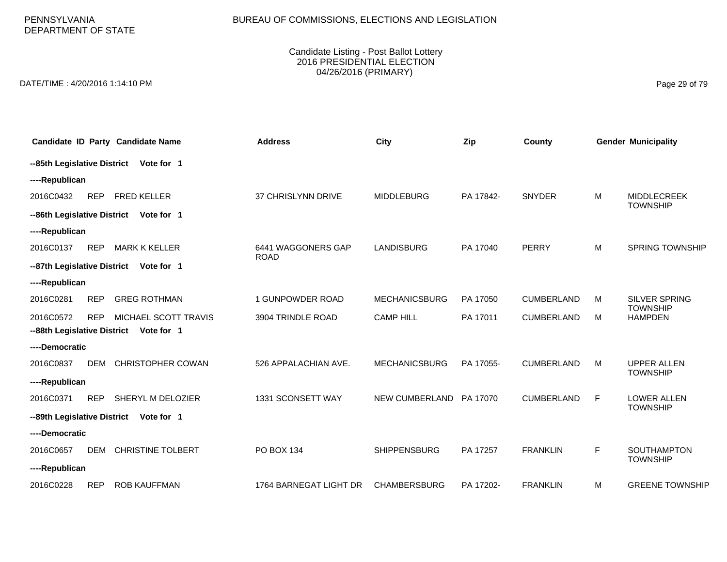PENNSYLVANIA DEPARTMENT OF STATE

#### Candidate Listing - Post Ballot Lottery 2016 PRESIDENTIAL ELECTION 04/26/2016 (PRIMARY)

DATE/TIME : 4/20/2016 1:14:10 PM Page 29 of 79

|                             |            | Candidate ID Party Candidate Name      | <b>Address</b>                    | City                 | Zip       | County            |   | <b>Gender Municipality</b>            |
|-----------------------------|------------|----------------------------------------|-----------------------------------|----------------------|-----------|-------------------|---|---------------------------------------|
|                             |            | --85th Legislative District Vote for 1 |                                   |                      |           |                   |   |                                       |
| ----Republican              |            |                                        |                                   |                      |           |                   |   |                                       |
| 2016C0432                   | <b>REP</b> | <b>FRED KELLER</b>                     | 37 CHRISLYNN DRIVE                | <b>MIDDLEBURG</b>    | PA 17842- | <b>SNYDER</b>     | M | <b>MIDDLECREEK</b><br><b>TOWNSHIP</b> |
| --86th Legislative District |            | Vote for 1                             |                                   |                      |           |                   |   |                                       |
| ----Republican              |            |                                        |                                   |                      |           |                   |   |                                       |
| 2016C0137                   | <b>REP</b> | <b>MARK K KELLER</b>                   | 6441 WAGGONERS GAP<br><b>ROAD</b> | <b>LANDISBURG</b>    | PA 17040  | PERRY             | M | <b>SPRING TOWNSHIP</b>                |
|                             |            | --87th Legislative District Vote for 1 |                                   |                      |           |                   |   |                                       |
| ----Republican              |            |                                        |                                   |                      |           |                   |   |                                       |
| 2016C0281                   | <b>REP</b> | <b>GREG ROTHMAN</b>                    | 1 GUNPOWDER ROAD                  | <b>MECHANICSBURG</b> | PA 17050  | <b>CUMBERLAND</b> | м | SILVER SPRING<br><b>TOWNSHIP</b>      |
| 2016C0572                   | <b>REP</b> | MICHAEL SCOTT TRAVIS                   | 3904 TRINDLE ROAD                 | <b>CAMP HILL</b>     | PA 17011  | <b>CUMBERLAND</b> | M | <b>HAMPDEN</b>                        |
|                             |            | --88th Legislative District Vote for 1 |                                   |                      |           |                   |   |                                       |
| ----Democratic              |            |                                        |                                   |                      |           |                   |   |                                       |
| 2016C0837                   | DEM        | <b>CHRISTOPHER COWAN</b>               | 526 APPALACHIAN AVE.              | <b>MECHANICSBURG</b> | PA 17055- | <b>CUMBERLAND</b> | M | <b>UPPER ALLEN</b><br><b>TOWNSHIP</b> |
| ----Republican              |            |                                        |                                   |                      |           |                   |   |                                       |
| 2016C0371                   | <b>REP</b> | SHERYL M DELOZIER                      | 1331 SCONSETT WAY                 | NEW CUMBERLAND       | PA 17070  | <b>CUMBERLAND</b> | F | LOWER ALLEN<br><b>TOWNSHIP</b>        |
|                             |            | --89th Legislative District Vote for 1 |                                   |                      |           |                   |   |                                       |
| ----Democratic              |            |                                        |                                   |                      |           |                   |   |                                       |
| 2016C0657                   | <b>DEM</b> | <b>CHRISTINE TOLBERT</b>               | PO BOX 134                        | <b>SHIPPENSBURG</b>  | PA 17257  | <b>FRANKLIN</b>   | F | <b>SOUTHAMPTON</b><br><b>TOWNSHIP</b> |
| ----Republican              |            |                                        |                                   |                      |           |                   |   |                                       |
| 2016C0228                   | <b>REP</b> | <b>ROB KAUFFMAN</b>                    | 1764 BARNEGAT LIGHT DR            | <b>CHAMBERSBURG</b>  | PA 17202- | <b>FRANKLIN</b>   | M | <b>GREENE TOWNSHIP</b>                |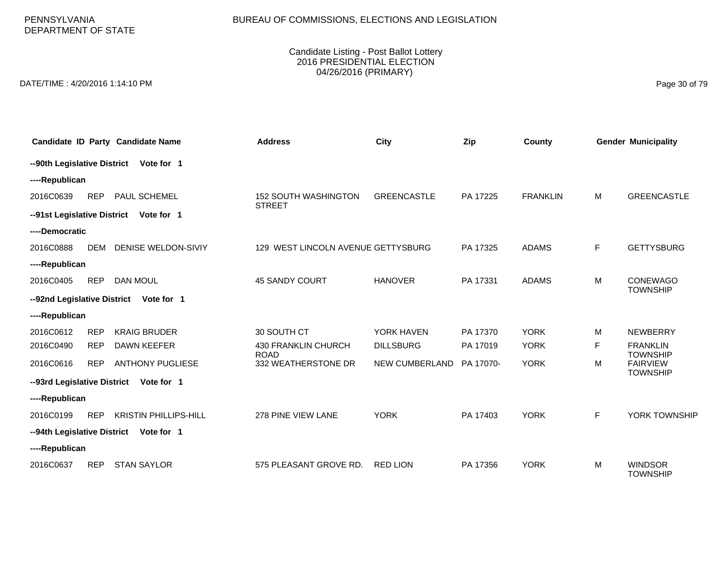PENNSYLVANIA DEPARTMENT OF STATE

#### Candidate Listing - Post Ballot Lottery 2016 PRESIDENTIAL ELECTION 04/26/2016 (PRIMARY)

DATE/TIME : 4/20/2016 1:14:10 PM Page 30 of 79

|                             |            | Candidate ID Party Candidate Name      | <b>Address</b>                               | City               | Zip       | <b>County</b>   |   | <b>Gender Municipality</b>         |
|-----------------------------|------------|----------------------------------------|----------------------------------------------|--------------------|-----------|-----------------|---|------------------------------------|
| --90th Legislative District |            | Vote for 1                             |                                              |                    |           |                 |   |                                    |
| ----Republican              |            |                                        |                                              |                    |           |                 |   |                                    |
| 2016C0639                   | <b>REP</b> | PAUL SCHEMEL                           | <b>152 SOUTH WASHINGTON</b><br><b>STREET</b> | <b>GREENCASTLE</b> | PA 17225  | <b>FRANKLIN</b> | M | <b>GREENCASTLE</b>                 |
|                             |            | --91st Legislative District Vote for 1 |                                              |                    |           |                 |   |                                    |
| ----Democratic              |            |                                        |                                              |                    |           |                 |   |                                    |
| 2016C0888                   | <b>DEM</b> | DENISE WELDON-SIVIY                    | 129 WEST LINCOLN AVENUE GETTYSBURG           |                    | PA 17325  | <b>ADAMS</b>    | F | <b>GETTYSBURG</b>                  |
| ----Republican              |            |                                        |                                              |                    |           |                 |   |                                    |
| 2016C0405                   | <b>REP</b> | <b>DAN MOUL</b>                        | 45 SANDY COURT                               | <b>HANOVER</b>     | PA 17331  | <b>ADAMS</b>    | M | <b>CONEWAGO</b><br><b>TOWNSHIP</b> |
|                             |            | --92nd Legislative District Vote for 1 |                                              |                    |           |                 |   |                                    |
| ----Republican              |            |                                        |                                              |                    |           |                 |   |                                    |
| 2016C0612                   | <b>REP</b> | <b>KRAIG BRUDER</b>                    | 30 SOUTH CT                                  | YORK HAVEN         | PA 17370  | <b>YORK</b>     | м | <b>NEWBERRY</b>                    |
| 2016C0490                   | <b>REP</b> | <b>DAWN KEEFER</b>                     | 430 FRANKLIN CHURCH<br><b>ROAD</b>           | <b>DILLSBURG</b>   | PA 17019  | <b>YORK</b>     | F | <b>FRANKLIN</b><br><b>TOWNSHIP</b> |
| 2016C0616                   | <b>REP</b> | <b>ANTHONY PUGLIESE</b>                | 332 WEATHERSTONE DR                          | NEW CUMBERLAND     | PA 17070- | <b>YORK</b>     | M | <b>FAIRVIEW</b><br><b>TOWNSHIP</b> |
| --93rd Legislative District |            | Vote for 1                             |                                              |                    |           |                 |   |                                    |
| ----Republican              |            |                                        |                                              |                    |           |                 |   |                                    |
| 2016C0199                   | <b>REP</b> | <b>KRISTIN PHILLIPS-HILL</b>           | 278 PINE VIEW LANE                           | <b>YORK</b>        | PA 17403  | <b>YORK</b>     | F | YORK TOWNSHIP                      |
| --94th Legislative District |            | Vote for 1                             |                                              |                    |           |                 |   |                                    |
| ----Republican              |            |                                        |                                              |                    |           |                 |   |                                    |
| 2016C0637                   | <b>REP</b> | <b>STAN SAYLOR</b>                     | 575 PLEASANT GROVE RD.                       | <b>RED LION</b>    | PA 17356  | <b>YORK</b>     | M | <b>WINDSOR</b><br><b>TOWNSHIP</b>  |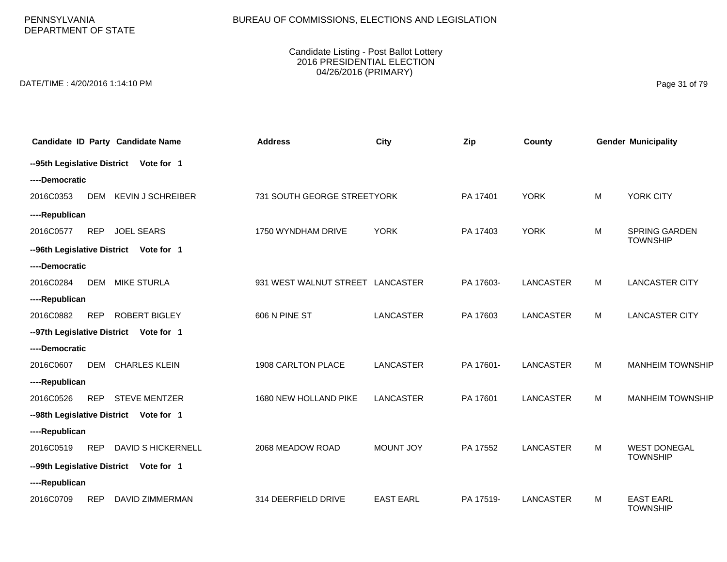PENNSYLVANIA DEPARTMENT OF STATE

#### Candidate Listing - Post Ballot Lottery 2016 PRESIDENTIAL ELECTION 04/26/2016 (PRIMARY)

DATE/TIME : 4/20/2016 1:14:10 PM Page 31 of 79

|                |            | Candidate ID Party Candidate Name      | <b>Address</b>                   | <b>City</b>      | Zip       | County           |   | <b>Gender Municipality</b>              |
|----------------|------------|----------------------------------------|----------------------------------|------------------|-----------|------------------|---|-----------------------------------------|
|                |            | --95th Legislative District Vote for 1 |                                  |                  |           |                  |   |                                         |
| ----Democratic |            |                                        |                                  |                  |           |                  |   |                                         |
| 2016C0353      |            | DEM KEVIN J SCHREIBER                  | 731 SOUTH GEORGE STREETYORK      |                  | PA 17401  | <b>YORK</b>      | M | YORK CITY                               |
| ----Republican |            |                                        |                                  |                  |           |                  |   |                                         |
| 2016C0577      | <b>REP</b> | <b>JOEL SEARS</b>                      | 1750 WYNDHAM DRIVE               | <b>YORK</b>      | PA 17403  | <b>YORK</b>      | M | <b>SPRING GARDEN</b><br><b>TOWNSHIP</b> |
|                |            | --96th Legislative District Vote for 1 |                                  |                  |           |                  |   |                                         |
| ----Democratic |            |                                        |                                  |                  |           |                  |   |                                         |
| 2016C0284      | DEM        | <b>MIKE STURLA</b>                     | 931 WEST WALNUT STREET LANCASTER |                  | PA 17603- | <b>LANCASTER</b> | M | <b>LANCASTER CITY</b>                   |
| ----Republican |            |                                        |                                  |                  |           |                  |   |                                         |
| 2016C0882      | <b>REP</b> | <b>ROBERT BIGLEY</b>                   | 606 N PINE ST                    | <b>LANCASTER</b> | PA 17603  | <b>LANCASTER</b> | М | <b>LANCASTER CITY</b>                   |
|                |            | --97th Legislative District Vote for 1 |                                  |                  |           |                  |   |                                         |
| ----Democratic |            |                                        |                                  |                  |           |                  |   |                                         |
| 2016C0607      | DEM        | <b>CHARLES KLEIN</b>                   | 1908 CARLTON PLACE               | LANCASTER        | PA 17601- | <b>LANCASTER</b> | M | <b>MANHEIM TOWNSHIP</b>                 |
| ----Republican |            |                                        |                                  |                  |           |                  |   |                                         |
| 2016C0526      | <b>REP</b> | <b>STEVE MENTZER</b>                   | 1680 NEW HOLLAND PIKE            | <b>LANCASTER</b> | PA 17601  | <b>LANCASTER</b> | M | <b>MANHEIM TOWNSHIP</b>                 |
|                |            | --98th Legislative District Vote for 1 |                                  |                  |           |                  |   |                                         |
| ----Republican |            |                                        |                                  |                  |           |                  |   |                                         |
| 2016C0519      | <b>REP</b> | DAVID S HICKERNELL                     | 2068 MEADOW ROAD                 | MOUNT JOY        | PA 17552  | <b>LANCASTER</b> | M | <b>WEST DONEGAL</b><br><b>TOWNSHIP</b>  |
|                |            | --99th Legislative District Vote for 1 |                                  |                  |           |                  |   |                                         |
| ----Republican |            |                                        |                                  |                  |           |                  |   |                                         |
| 2016C0709      | <b>REP</b> | <b>DAVID ZIMMERMAN</b>                 | 314 DEERFIELD DRIVE              | <b>EAST EARL</b> | PA 17519- | <b>LANCASTER</b> | м | <b>EAST EARL</b><br><b>TOWNSHIP</b>     |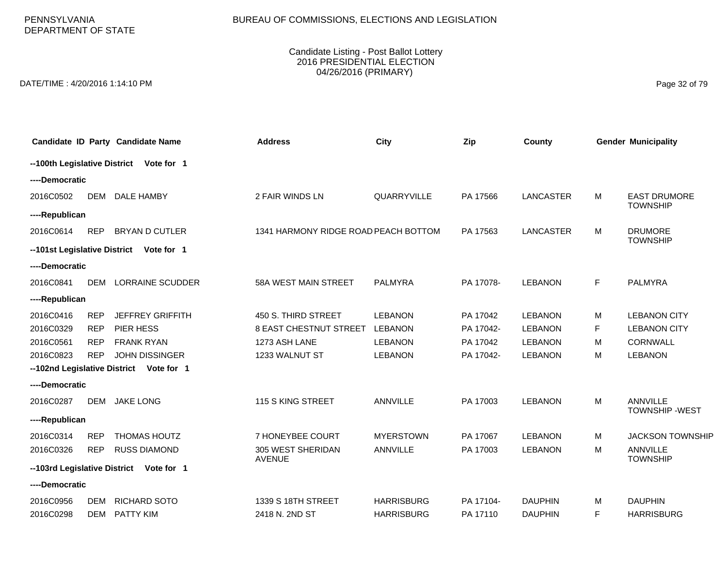PENNSYLVANIA DEPARTMENT OF STATE

#### Candidate Listing - Post Ballot Lottery 2016 PRESIDENTIAL ELECTION 04/26/2016 (PRIMARY)

DATE/TIME : 4/20/2016 1:14:10 PM Page 32 of 79

|                |            | Candidate ID Party Candidate Name        | <b>Address</b>                       | <b>City</b>       | Zip       | County           |    | <b>Gender Municipality</b>               |
|----------------|------------|------------------------------------------|--------------------------------------|-------------------|-----------|------------------|----|------------------------------------------|
|                |            | -- 100th Legislative District Vote for 1 |                                      |                   |           |                  |    |                                          |
| ----Democratic |            |                                          |                                      |                   |           |                  |    |                                          |
| 2016C0502      | DEM        | DALE HAMBY                               | 2 FAIR WINDS LN                      | QUARRYVILLE       | PA 17566  | <b>LANCASTER</b> | м  | <b>EAST DRUMORE</b><br><b>TOWNSHIP</b>   |
| ----Republican |            |                                          |                                      |                   |           |                  |    |                                          |
| 2016C0614      | <b>REP</b> | <b>BRYAN D CUTLER</b>                    | 1341 HARMONY RIDGE ROAD PEACH BOTTOM |                   | PA 17563  | <b>LANCASTER</b> | М  | <b>DRUMORE</b><br><b>TOWNSHIP</b>        |
|                |            | -- 101st Legislative District Vote for 1 |                                      |                   |           |                  |    |                                          |
| ----Democratic |            |                                          |                                      |                   |           |                  |    |                                          |
| 2016C0841      | <b>DEM</b> | <b>LORRAINE SCUDDER</b>                  | 58A WEST MAIN STREET                 | <b>PALMYRA</b>    | PA 17078- | <b>LEBANON</b>   | F. | <b>PALMYRA</b>                           |
| ----Republican |            |                                          |                                      |                   |           |                  |    |                                          |
| 2016C0416      | <b>REP</b> | <b>JEFFREY GRIFFITH</b>                  | 450 S. THIRD STREET                  | <b>LEBANON</b>    | PA 17042  | <b>LEBANON</b>   | м  | <b>LEBANON CITY</b>                      |
| 2016C0329      | <b>REP</b> | PIER HESS                                | 8 EAST CHESTNUT STREET               | <b>LEBANON</b>    | PA 17042- | <b>LEBANON</b>   | F  | <b>LEBANON CITY</b>                      |
| 2016C0561      | <b>REP</b> | <b>FRANK RYAN</b>                        | 1273 ASH LANE                        | <b>LEBANON</b>    | PA 17042  | <b>LEBANON</b>   | м  | <b>CORNWALL</b>                          |
| 2016C0823      | <b>REP</b> | <b>JOHN DISSINGER</b>                    | 1233 WALNUT ST                       | <b>LEBANON</b>    | PA 17042- | <b>LEBANON</b>   | M  | <b>LEBANON</b>                           |
|                |            | -- 102nd Legislative District Vote for 1 |                                      |                   |           |                  |    |                                          |
| ----Democratic |            |                                          |                                      |                   |           |                  |    |                                          |
| 2016C0287      | <b>DEM</b> | <b>JAKE LONG</b>                         | 115 S KING STREET                    | <b>ANNVILLE</b>   | PA 17003  | <b>LEBANON</b>   | M  | <b>ANNVILLE</b><br><b>TOWNSHIP -WEST</b> |
| ----Republican |            |                                          |                                      |                   |           |                  |    |                                          |
| 2016C0314      | <b>REP</b> | <b>THOMAS HOUTZ</b>                      | 7 HONEYBEE COURT                     | <b>MYERSTOWN</b>  | PA 17067  | <b>LEBANON</b>   | M  | <b>JACKSON TOWNSHIP</b>                  |
| 2016C0326      | <b>REP</b> | <b>RUSS DIAMOND</b>                      | 305 WEST SHERIDAN<br><b>AVENUE</b>   | <b>ANNVILLE</b>   | PA 17003  | <b>LEBANON</b>   | М  | ANNVILLE<br><b>TOWNSHIP</b>              |
|                |            | --103rd Legislative District Vote for 1  |                                      |                   |           |                  |    |                                          |
| ----Democratic |            |                                          |                                      |                   |           |                  |    |                                          |
| 2016C0956      | DEM        | RICHARD SOTO                             | 1339 S 18TH STREET                   | <b>HARRISBURG</b> | PA 17104- | <b>DAUPHIN</b>   | м  | <b>DAUPHIN</b>                           |
| 2016C0298      | <b>DEM</b> | <b>PATTY KIM</b>                         | 2418 N. 2ND ST                       | <b>HARRISBURG</b> | PA 17110  | <b>DAUPHIN</b>   | F. | <b>HARRISBURG</b>                        |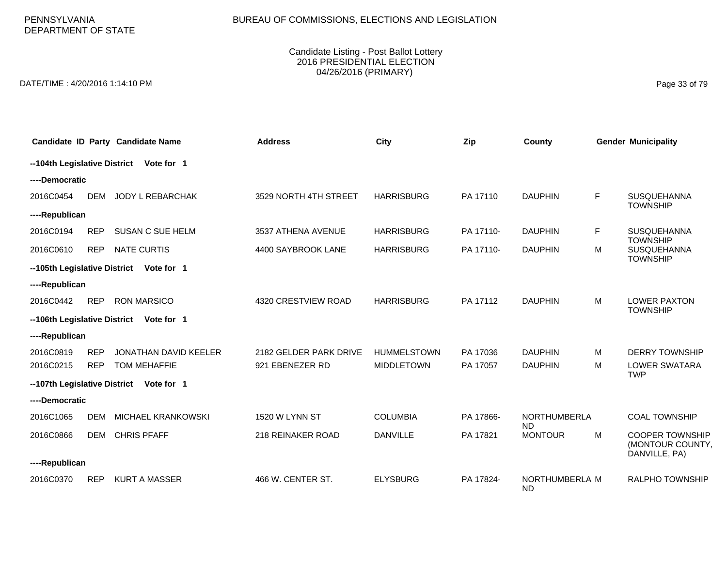PENNSYLVANIA DEPARTMENT OF STATE

#### Candidate Listing - Post Ballot Lottery 2016 PRESIDENTIAL ELECTION 04/26/2016 (PRIMARY)

DATE/TIME : 4/20/2016 1:14:10 PM Page 33 of 79

|                              |            | Candidate ID Party Candidate Name | <b>Address</b>         | City               | Zip       | County                      |   | <b>Gender Municipality</b>                                  |
|------------------------------|------------|-----------------------------------|------------------------|--------------------|-----------|-----------------------------|---|-------------------------------------------------------------|
| --104th Legislative District |            | Vote for 1                        |                        |                    |           |                             |   |                                                             |
| ----Democratic               |            |                                   |                        |                    |           |                             |   |                                                             |
| 2016C0454                    | <b>DEM</b> | JODY L REBARCHAK                  | 3529 NORTH 4TH STREET  | <b>HARRISBURG</b>  | PA 17110  | <b>DAUPHIN</b>              | F | SUSQUEHANNA<br><b>TOWNSHIP</b>                              |
| ----Republican               |            |                                   |                        |                    |           |                             |   |                                                             |
| 2016C0194                    | <b>REP</b> | <b>SUSAN C SUE HELM</b>           | 3537 ATHENA AVENUE     | <b>HARRISBURG</b>  | PA 17110- | <b>DAUPHIN</b>              | F | SUSQUEHANNA<br><b>TOWNSHIP</b>                              |
| 2016C0610                    | <b>REP</b> | <b>NATE CURTIS</b>                | 4400 SAYBROOK LANE     | <b>HARRISBURG</b>  | PA 17110- | <b>DAUPHIN</b>              | м | SUSQUEHANNA<br><b>TOWNSHIP</b>                              |
| --105th Legislative District |            | Vote for 1                        |                        |                    |           |                             |   |                                                             |
| ----Republican               |            |                                   |                        |                    |           |                             |   |                                                             |
| 2016C0442                    | <b>REP</b> | <b>RON MARSICO</b>                | 4320 CRESTVIEW ROAD    | <b>HARRISBURG</b>  | PA 17112  | <b>DAUPHIN</b>              | М | <b>LOWER PAXTON</b><br><b>TOWNSHIP</b>                      |
| --106th Legislative District |            | Vote for 1                        |                        |                    |           |                             |   |                                                             |
| ----Republican               |            |                                   |                        |                    |           |                             |   |                                                             |
| 2016C0819                    | <b>REP</b> | <b>JONATHAN DAVID KEELER</b>      | 2182 GELDER PARK DRIVE | <b>HUMMELSTOWN</b> | PA 17036  | <b>DAUPHIN</b>              | м | <b>DERRY TOWNSHIP</b>                                       |
| 2016C0215                    | <b>REP</b> | <b>TOM MEHAFFIE</b>               | 921 EBENEZER RD        | <b>MIDDLETOWN</b>  | PA 17057  | <b>DAUPHIN</b>              | М | <b>LOWER SWATARA</b><br><b>TWP</b>                          |
| --107th Legislative District |            | Vote for 1                        |                        |                    |           |                             |   |                                                             |
| ----Democratic               |            |                                   |                        |                    |           |                             |   |                                                             |
| 2016C1065                    | <b>DEM</b> | <b>MICHAEL KRANKOWSKI</b>         | 1520 W LYNN ST         | <b>COLUMBIA</b>    | PA 17866- | NORTHUMBERLA<br><b>ND</b>   |   | <b>COAL TOWNSHIP</b>                                        |
| 2016C0866                    | DEM        | <b>CHRIS PFAFF</b>                | 218 REINAKER ROAD      | <b>DANVILLE</b>    | PA 17821  | <b>MONTOUR</b>              | М | <b>COOPER TOWNSHIP</b><br>(MONTOUR COUNTY,<br>DANVILLE, PA) |
| ----Republican               |            |                                   |                        |                    |           |                             |   |                                                             |
| 2016C0370                    | <b>REP</b> | <b>KURT A MASSER</b>              | 466 W. CENTER ST.      | <b>ELYSBURG</b>    | PA 17824- | NORTHUMBERLA M<br><b>ND</b> |   | <b>RALPHO TOWNSHIP</b>                                      |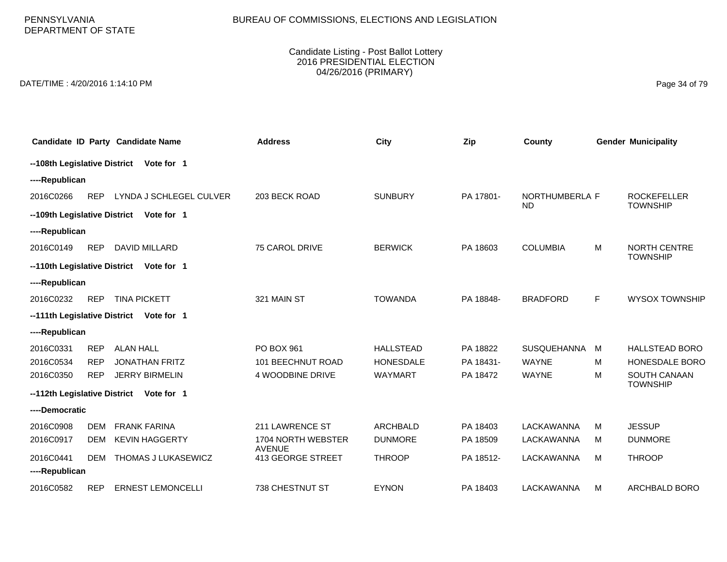PENNSYLVANIA DEPARTMENT OF STATE

#### Candidate Listing - Post Ballot Lottery 2016 PRESIDENTIAL ELECTION 04/26/2016 (PRIMARY)

DATE/TIME : 4/20/2016 1:14:10 PM Page 34 of 79

|                              |            | Candidate ID Party Candidate Name       | <b>Address</b>                      | City             | Zip       | County                      |   | <b>Gender Municipality</b>             |
|------------------------------|------------|-----------------------------------------|-------------------------------------|------------------|-----------|-----------------------------|---|----------------------------------------|
| --108th Legislative District |            | Vote for 1                              |                                     |                  |           |                             |   |                                        |
| ----Republican               |            |                                         |                                     |                  |           |                             |   |                                        |
| 2016C0266                    | <b>REP</b> | LYNDA J SCHLEGEL CULVER                 | 203 BECK ROAD                       | <b>SUNBURY</b>   | PA 17801- | NORTHUMBERLA F<br><b>ND</b> |   | <b>ROCKEFELLER</b><br><b>TOWNSHIP</b>  |
| --109th Legislative District |            | Vote for 1                              |                                     |                  |           |                             |   |                                        |
| ----Republican               |            |                                         |                                     |                  |           |                             |   |                                        |
| 2016C0149                    | <b>REP</b> | <b>DAVID MILLARD</b>                    | 75 CAROL DRIVE                      | <b>BERWICK</b>   | PA 18603  | <b>COLUMBIA</b>             | м | <b>NORTH CENTRE</b><br><b>TOWNSHIP</b> |
|                              |            | --110th Legislative District Vote for 1 |                                     |                  |           |                             |   |                                        |
| ----Republican               |            |                                         |                                     |                  |           |                             |   |                                        |
| 2016C0232                    | <b>REP</b> | <b>TINA PICKETT</b>                     | 321 MAIN ST                         | <b>TOWANDA</b>   | PA 18848- | <b>BRADFORD</b>             | F | <b>WYSOX TOWNSHIP</b>                  |
|                              |            | --111th Legislative District Vote for 1 |                                     |                  |           |                             |   |                                        |
| ----Republican               |            |                                         |                                     |                  |           |                             |   |                                        |
| 2016C0331                    | <b>REP</b> | <b>ALAN HALL</b>                        | PO BOX 961                          | <b>HALLSTEAD</b> | PA 18822  | <b>SUSQUEHANNA</b>          | M | <b>HALLSTEAD BORO</b>                  |
| 2016C0534                    | <b>REP</b> | <b>JONATHAN FRITZ</b>                   | <b>101 BEECHNUT ROAD</b>            | <b>HONESDALE</b> | PA 18431- | <b>WAYNE</b>                | м | <b>HONESDALE BORO</b>                  |
| 2016C0350                    | <b>REP</b> | <b>JERRY BIRMELIN</b>                   | 4 WOODBINE DRIVE                    | <b>WAYMART</b>   | PA 18472  | <b>WAYNE</b>                | M | <b>SOUTH CANAAN</b><br><b>TOWNSHIP</b> |
|                              |            | --112th Legislative District Vote for 1 |                                     |                  |           |                             |   |                                        |
| ----Democratic               |            |                                         |                                     |                  |           |                             |   |                                        |
| 2016C0908                    | <b>DEM</b> | <b>FRANK FARINA</b>                     | 211 LAWRENCE ST                     | <b>ARCHBALD</b>  | PA 18403  | LACKAWANNA                  | м | <b>JESSUP</b>                          |
| 2016C0917                    | DEM        | <b>KEVIN HAGGERTY</b>                   | 1704 NORTH WEBSTER<br><b>AVENUE</b> | <b>DUNMORE</b>   | PA 18509  | LACKAWANNA                  | м | <b>DUNMORE</b>                         |
| 2016C0441                    | DEM        | THOMAS J LUKASEWICZ                     | 413 GEORGE STREET                   | <b>THROOP</b>    | PA 18512- | <b>LACKAWANNA</b>           | M | <b>THROOP</b>                          |
| ----Republican               |            |                                         |                                     |                  |           |                             |   |                                        |
| 2016C0582                    | <b>REP</b> | <b>ERNEST LEMONCELLI</b>                | <b>738 CHESTNUT ST</b>              | <b>EYNON</b>     | PA 18403  | LACKAWANNA                  | м | <b>ARCHBALD BORO</b>                   |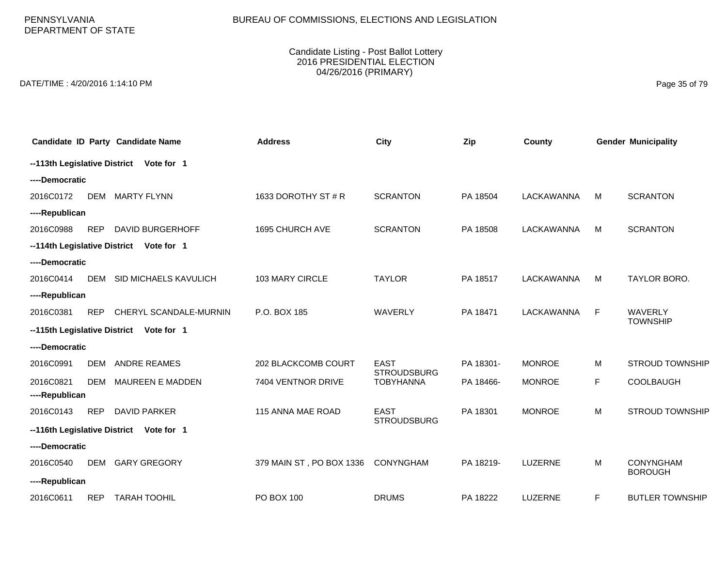PENNSYLVANIA DEPARTMENT OF STATE

#### Candidate Listing - Post Ballot Lottery 2016 PRESIDENTIAL ELECTION 04/26/2016 (PRIMARY)

DATE/TIME : 4/20/2016 1:14:10 PM Page 35 of 79

|                |            | Candidate ID Party Candidate Name       | <b>Address</b>           | <b>City</b>                            | Zip       | County        |             | <b>Gender Municipality</b> |
|----------------|------------|-----------------------------------------|--------------------------|----------------------------------------|-----------|---------------|-------------|----------------------------|
|                |            | --113th Legislative District Vote for 1 |                          |                                        |           |               |             |                            |
| ----Democratic |            |                                         |                          |                                        |           |               |             |                            |
| 2016C0172      | <b>DEM</b> | <b>MARTY FLYNN</b>                      | 1633 DOROTHY ST # R      | <b>SCRANTON</b>                        | PA 18504  | LACKAWANNA    | M           | <b>SCRANTON</b>            |
| ----Republican |            |                                         |                          |                                        |           |               |             |                            |
| 2016C0988      | <b>REP</b> | <b>DAVID BURGERHOFF</b>                 | 1695 CHURCH AVE          | <b>SCRANTON</b>                        | PA 18508  | LACKAWANNA    | M           | <b>SCRANTON</b>            |
|                |            | --114th Legislative District Vote for 1 |                          |                                        |           |               |             |                            |
| ----Democratic |            |                                         |                          |                                        |           |               |             |                            |
| 2016C0414      | DEM        | SID MICHAELS KAVULICH                   | 103 MARY CIRCLE          | <b>TAYLOR</b>                          | PA 18517  | LACKAWANNA    | M           | TAYLOR BORO.               |
| ----Republican |            |                                         |                          |                                        |           |               |             |                            |
| 2016C0381      | <b>REP</b> | CHERYL SCANDALE-MURNIN                  | P.O. BOX 185             | WAVERLY                                | PA 18471  | LACKAWANNA    | F           | <b>WAVERLY</b>             |
|                |            | --115th Legislative District Vote for 1 |                          |                                        |           |               |             | <b>TOWNSHIP</b>            |
| ----Democratic |            |                                         |                          |                                        |           |               |             |                            |
| 2016C0991      | <b>DEM</b> | <b>ANDRE REAMES</b>                     | 202 BLACKCOMB COURT      | <b>EAST</b>                            | PA 18301- | <b>MONROE</b> | M           | <b>STROUD TOWNSHIP</b>     |
| 2016C0821      | <b>DEM</b> | <b>MAUREEN E MADDEN</b>                 | 7404 VENTNOR DRIVE       | <b>STROUDSBURG</b><br><b>TOBYHANNA</b> | PA 18466- | <b>MONROE</b> | $\mathsf F$ | <b>COOLBAUGH</b>           |
| ----Republican |            |                                         |                          |                                        |           |               |             |                            |
| 2016C0143      | <b>REP</b> | <b>DAVID PARKER</b>                     | 115 ANNA MAE ROAD        | <b>EAST</b>                            | PA 18301  | <b>MONROE</b> | M           | <b>STROUD TOWNSHIP</b>     |
|                |            | --116th Legislative District Vote for 1 |                          | <b>STROUDSBURG</b>                     |           |               |             |                            |
| ----Democratic |            |                                         |                          |                                        |           |               |             |                            |
| 2016C0540      | <b>DEM</b> | <b>GARY GREGORY</b>                     | 379 MAIN ST, PO BOX 1336 | CONYNGHAM                              | PA 18219- | LUZERNE       | M           | <b>CONYNGHAM</b>           |
| ----Republican |            |                                         |                          |                                        |           |               |             | <b>BOROUGH</b>             |
| 2016C0611      | <b>REP</b> | <b>TARAH TOOHIL</b>                     | PO BOX 100               | <b>DRUMS</b>                           | PA 18222  | LUZERNE       | F           | <b>BUTLER TOWNSHIP</b>     |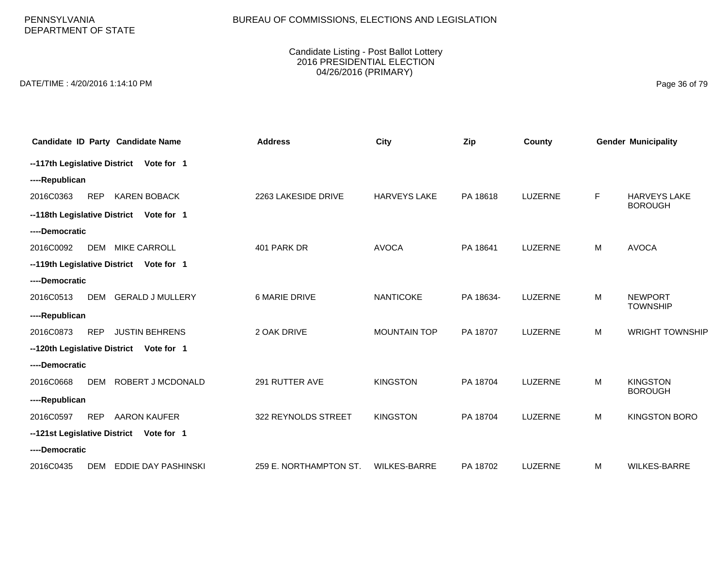PENNSYLVANIA DEPARTMENT OF STATE

#### Candidate Listing - Post Ballot Lottery 2016 PRESIDENTIAL ELECTION 04/26/2016 (PRIMARY)

DATE/TIME : 4/20/2016 1:14:10 PM Page 36 of 79

|                              |            | Candidate ID Party Candidate Name       | <b>Address</b>         | <b>City</b>         | Zip       | County         |   | <b>Gender Municipality</b>            |
|------------------------------|------------|-----------------------------------------|------------------------|---------------------|-----------|----------------|---|---------------------------------------|
|                              |            | --117th Legislative District Vote for 1 |                        |                     |           |                |   |                                       |
| ----Republican               |            |                                         |                        |                     |           |                |   |                                       |
| 2016C0363                    | <b>REP</b> | <b>KAREN BOBACK</b>                     | 2263 LAKESIDE DRIVE    | <b>HARVEYS LAKE</b> | PA 18618  | LUZERNE        | F | <b>HARVEYS LAKE</b><br><b>BOROUGH</b> |
|                              |            | --118th Legislative District Vote for 1 |                        |                     |           |                |   |                                       |
| ----Democratic               |            |                                         |                        |                     |           |                |   |                                       |
| 2016C0092                    | <b>DEM</b> | <b>MIKE CARROLL</b>                     | 401 PARK DR            | <b>AVOCA</b>        | PA 18641  | LUZERNE        | M | <b>AVOCA</b>                          |
|                              |            | --119th Legislative District Vote for 1 |                        |                     |           |                |   |                                       |
| ----Democratic               |            |                                         |                        |                     |           |                |   |                                       |
| 2016C0513                    | <b>DEM</b> | <b>GERALD J MULLERY</b>                 | <b>6 MARIE DRIVE</b>   | <b>NANTICOKE</b>    | PA 18634- | LUZERNE        | M | <b>NEWPORT</b><br><b>TOWNSHIP</b>     |
| ----Republican               |            |                                         |                        |                     |           |                |   |                                       |
| 2016C0873                    | <b>REP</b> | <b>JUSTIN BEHRENS</b>                   | 2 OAK DRIVE            | <b>MOUNTAIN TOP</b> | PA 18707  | LUZERNE        | M | <b>WRIGHT TOWNSHIP</b>                |
|                              |            | --120th Legislative District Vote for 1 |                        |                     |           |                |   |                                       |
| ----Democratic               |            |                                         |                        |                     |           |                |   |                                       |
| 2016C0668                    | <b>DEM</b> | ROBERT J MCDONALD                       | 291 RUTTER AVE         | <b>KINGSTON</b>     | PA 18704  | LUZERNE        | M | <b>KINGSTON</b>                       |
| ----Republican               |            |                                         |                        |                     |           |                |   | <b>BOROUGH</b>                        |
| 2016C0597                    | <b>REP</b> | <b>AARON KAUFER</b>                     | 322 REYNOLDS STREET    | <b>KINGSTON</b>     | PA 18704  | <b>LUZERNE</b> | M | <b>KINGSTON BORO</b>                  |
| --121st Legislative District |            | Vote for 1                              |                        |                     |           |                |   |                                       |
| ----Democratic               |            |                                         |                        |                     |           |                |   |                                       |
| 2016C0435                    | DEM        | EDDIE DAY PASHINSKI                     | 259 E. NORTHAMPTON ST. | <b>WILKES-BARRE</b> | PA 18702  | <b>LUZERNE</b> | M | <b>WILKES-BARRE</b>                   |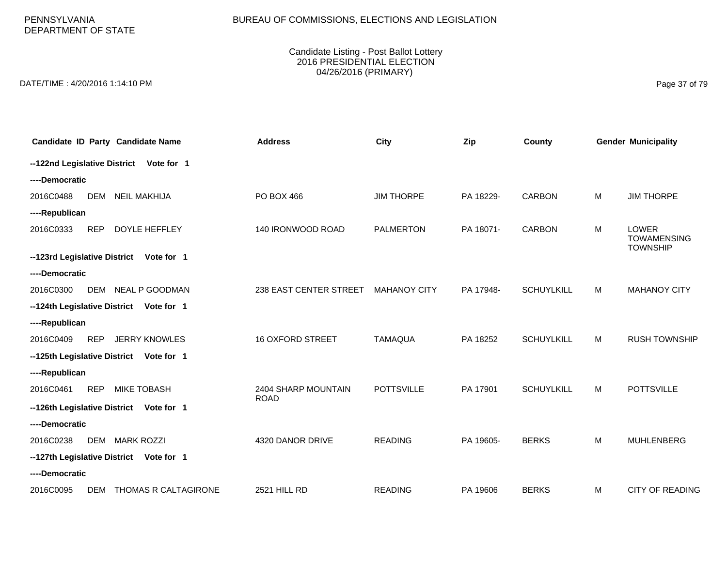PENNSYLVANIA DEPARTMENT OF STATE

#### Candidate Listing - Post Ballot Lottery 2016 PRESIDENTIAL ELECTION 04/26/2016 (PRIMARY)

DATE/TIME : 4/20/2016 1:14:10 PM Page 37 of 79

|                              |            | Candidate ID Party Candidate Name       | <b>Address</b>                     | City                | Zip       | County            |   | <b>Gender Municipality</b>                     |
|------------------------------|------------|-----------------------------------------|------------------------------------|---------------------|-----------|-------------------|---|------------------------------------------------|
|                              |            | --122nd Legislative District Vote for 1 |                                    |                     |           |                   |   |                                                |
| ----Democratic               |            |                                         |                                    |                     |           |                   |   |                                                |
| 2016C0488                    | <b>DEM</b> | <b>NEIL MAKHIJA</b>                     | PO BOX 466                         | <b>JIM THORPE</b>   | PA 18229- | <b>CARBON</b>     | M | <b>JIM THORPE</b>                              |
| ----Republican               |            |                                         |                                    |                     |           |                   |   |                                                |
| 2016C0333                    | <b>REP</b> | DOYLE HEFFLEY                           | 140 IRONWOOD ROAD                  | <b>PALMERTON</b>    | PA 18071- | <b>CARBON</b>     | M | LOWER<br><b>TOWAMENSING</b><br><b>TOWNSHIP</b> |
| --123rd Legislative District |            | Vote for 1                              |                                    |                     |           |                   |   |                                                |
| ----Democratic               |            |                                         |                                    |                     |           |                   |   |                                                |
| 2016C0300                    | DEM        | NEAL P GOODMAN                          | 238 EAST CENTER STREET             | <b>MAHANOY CITY</b> | PA 17948- | <b>SCHUYLKILL</b> | M | <b>MAHANOY CITY</b>                            |
|                              |            | --124th Legislative District Vote for 1 |                                    |                     |           |                   |   |                                                |
| ----Republican               |            |                                         |                                    |                     |           |                   |   |                                                |
| 2016C0409                    | <b>REP</b> | <b>JERRY KNOWLES</b>                    | <b>16 OXFORD STREET</b>            | <b>TAMAQUA</b>      | PA 18252  | <b>SCHUYLKILL</b> | M | <b>RUSH TOWNSHIP</b>                           |
|                              |            | --125th Legislative District Vote for 1 |                                    |                     |           |                   |   |                                                |
| ----Republican               |            |                                         |                                    |                     |           |                   |   |                                                |
| 2016C0461                    | <b>REP</b> | <b>MIKE TOBASH</b>                      | 2404 SHARP MOUNTAIN<br><b>ROAD</b> | <b>POTTSVILLE</b>   | PA 17901  | <b>SCHUYLKILL</b> | M | <b>POTTSVILLE</b>                              |
|                              |            | --126th Legislative District Vote for 1 |                                    |                     |           |                   |   |                                                |
| ----Democratic               |            |                                         |                                    |                     |           |                   |   |                                                |
| 2016C0238                    | <b>DEM</b> | <b>MARK ROZZI</b>                       | 4320 DANOR DRIVE                   | <b>READING</b>      | PA 19605- | <b>BERKS</b>      | M | <b>MUHLENBERG</b>                              |
|                              |            | --127th Legislative District Vote for 1 |                                    |                     |           |                   |   |                                                |
| ----Democratic               |            |                                         |                                    |                     |           |                   |   |                                                |
| 2016C0095                    | DEM        | THOMAS R CALTAGIRONE                    | 2521 HILL RD                       | <b>READING</b>      | PA 19606  | <b>BERKS</b>      | M | <b>CITY OF READING</b>                         |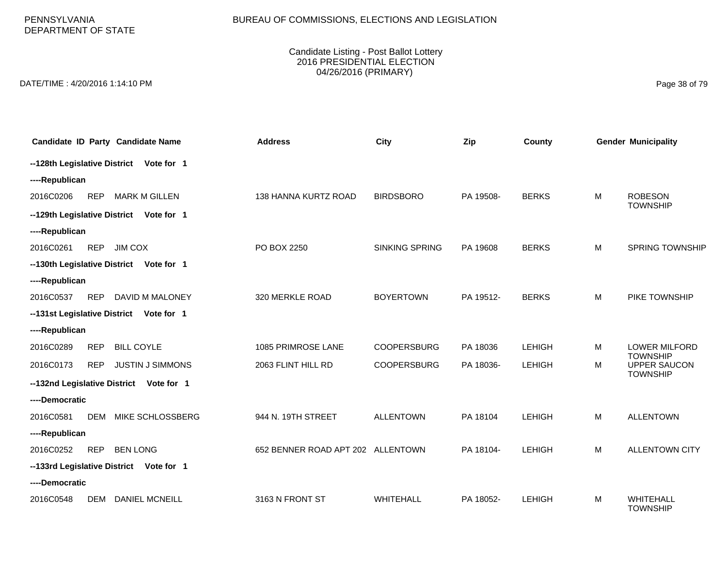PENNSYLVANIA DEPARTMENT OF STATE

#### Candidate Listing - Post Ballot Lottery 2016 PRESIDENTIAL ELECTION 04/26/2016 (PRIMARY)

DATE/TIME : 4/20/2016 1:14:10 PM Page 38 of 79

|                |            | Candidate ID Party Candidate Name       | <b>Address</b>                    | City                  | Zip       | County        |   | <b>Gender Municipality</b>                                |
|----------------|------------|-----------------------------------------|-----------------------------------|-----------------------|-----------|---------------|---|-----------------------------------------------------------|
|                |            | --128th Legislative District Vote for 1 |                                   |                       |           |               |   |                                                           |
| ----Republican |            |                                         |                                   |                       |           |               |   |                                                           |
| 2016C0206      | <b>REP</b> | <b>MARK M GILLEN</b>                    | 138 HANNA KURTZ ROAD              | <b>BIRDSBORO</b>      | PA 19508- | <b>BERKS</b>  | M | <b>ROBESON</b><br><b>TOWNSHIP</b>                         |
|                |            | --129th Legislative District Vote for 1 |                                   |                       |           |               |   |                                                           |
| ----Republican |            |                                         |                                   |                       |           |               |   |                                                           |
| 2016C0261      | <b>REP</b> | <b>JIM COX</b>                          | PO BOX 2250                       | <b>SINKING SPRING</b> | PA 19608  | <b>BERKS</b>  | M | <b>SPRING TOWNSHIP</b>                                    |
|                |            | --130th Legislative District Vote for 1 |                                   |                       |           |               |   |                                                           |
| ----Republican |            |                                         |                                   |                       |           |               |   |                                                           |
| 2016C0537      | <b>REP</b> | DAVID M MALONEY                         | 320 MERKLE ROAD                   | <b>BOYERTOWN</b>      | PA 19512- | <b>BERKS</b>  | M | PIKE TOWNSHIP                                             |
|                |            | --131st Legislative District Vote for 1 |                                   |                       |           |               |   |                                                           |
| ----Republican |            |                                         |                                   |                       |           |               |   |                                                           |
| 2016C0289      | <b>REP</b> | <b>BILL COYLE</b>                       | 1085 PRIMROSE LANE                | <b>COOPERSBURG</b>    | PA 18036  | <b>LEHIGH</b> | м | <b>LOWER MILFORD</b>                                      |
| 2016C0173      | <b>REP</b> | <b>JUSTIN J SIMMONS</b>                 | 2063 FLINT HILL RD                | <b>COOPERSBURG</b>    | PA 18036- | <b>LEHIGH</b> | м | <b>TOWNSHIP</b><br><b>UPPER SAUCON</b><br><b>TOWNSHIP</b> |
|                |            | --132nd Legislative District Vote for 1 |                                   |                       |           |               |   |                                                           |
| ----Democratic |            |                                         |                                   |                       |           |               |   |                                                           |
| 2016C0581      | <b>DEM</b> | MIKE SCHLOSSBERG                        | 944 N. 19TH STREET                | <b>ALLENTOWN</b>      | PA 18104  | <b>LEHIGH</b> | M | <b>ALLENTOWN</b>                                          |
| ----Republican |            |                                         |                                   |                       |           |               |   |                                                           |
| 2016C0252      | <b>REP</b> | <b>BEN LONG</b>                         | 652 BENNER ROAD APT 202 ALLENTOWN |                       | PA 18104- | <b>LEHIGH</b> | M | <b>ALLENTOWN CITY</b>                                     |
|                |            | --133rd Legislative District Vote for 1 |                                   |                       |           |               |   |                                                           |
| ----Democratic |            |                                         |                                   |                       |           |               |   |                                                           |
| 2016C0548      | <b>DEM</b> | <b>DANIEL MCNEILL</b>                   | 3163 N FRONT ST                   | <b>WHITEHALL</b>      | PA 18052- | <b>LEHIGH</b> | м | <b>WHITEHALL</b><br><b>TOWNSHIP</b>                       |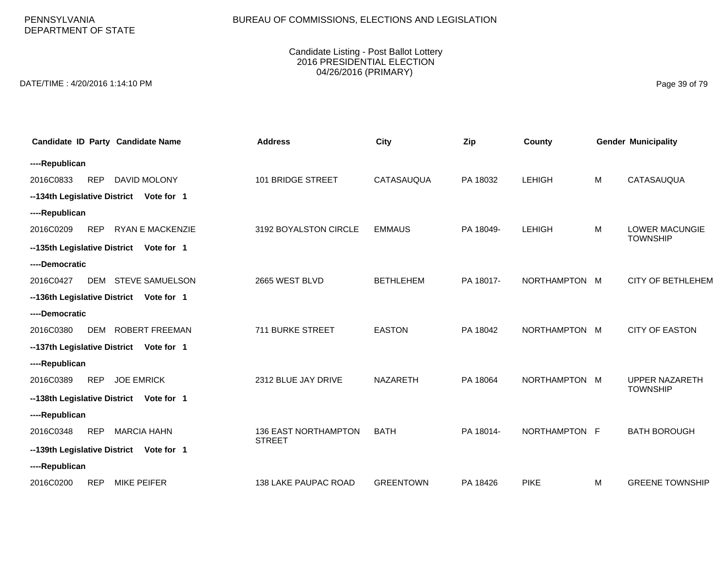# BUREAU OF COMMISSIONS, ELECTIONS AND LEGISLATION

### Candidate Listing - Post Ballot Lottery 2016 PRESIDENTIAL ELECTION 04/26/2016 (PRIMARY)

DATE/TIME : 4/20/2016 1:14:10 PM Page 39 of 79

| Candidate ID Party Candidate Name                  | <b>Address</b>                               | <b>City</b>      | Zip       | County        |   | <b>Gender Municipality</b>               |  |  |  |  |
|----------------------------------------------------|----------------------------------------------|------------------|-----------|---------------|---|------------------------------------------|--|--|--|--|
| ----Republican                                     |                                              |                  |           |               |   |                                          |  |  |  |  |
| <b>DAVID MOLONY</b><br>2016C0833<br><b>REP</b>     | 101 BRIDGE STREET                            | CATASAUQUA       | PA 18032  | <b>LEHIGH</b> | M | CATASAUQUA                               |  |  |  |  |
| --134th Legislative District Vote for 1            |                                              |                  |           |               |   |                                          |  |  |  |  |
| ----Republican                                     |                                              |                  |           |               |   |                                          |  |  |  |  |
| <b>RYAN E MACKENZIE</b><br>2016C0209<br><b>REP</b> | 3192 BOYALSTON CIRCLE                        | <b>EMMAUS</b>    | PA 18049- | <b>LEHIGH</b> | M | <b>LOWER MACUNGIE</b><br><b>TOWNSHIP</b> |  |  |  |  |
| --135th Legislative District Vote for 1            |                                              |                  |           |               |   |                                          |  |  |  |  |
| ----Democratic                                     |                                              |                  |           |               |   |                                          |  |  |  |  |
| <b>STEVE SAMUELSON</b><br>2016C0427<br><b>DEM</b>  | 2665 WEST BLVD                               | <b>BETHLEHEM</b> | PA 18017- | NORTHAMPTON M |   | <b>CITY OF BETHLEHEM</b>                 |  |  |  |  |
| --136th Legislative District<br>Vote for 1         |                                              |                  |           |               |   |                                          |  |  |  |  |
| ----Democratic                                     |                                              |                  |           |               |   |                                          |  |  |  |  |
| <b>ROBERT FREEMAN</b><br>2016C0380<br><b>DEM</b>   | 711 BURKE STREET                             | <b>EASTON</b>    | PA 18042  | NORTHAMPTON M |   | <b>CITY OF EASTON</b>                    |  |  |  |  |
| --137th Legislative District<br>Vote for 1         |                                              |                  |           |               |   |                                          |  |  |  |  |
| ----Republican                                     |                                              |                  |           |               |   |                                          |  |  |  |  |
| <b>REP</b><br><b>JOE EMRICK</b><br>2016C0389       | 2312 BLUE JAY DRIVE                          | NAZARETH         | PA 18064  | NORTHAMPTON M |   | <b>UPPER NAZARETH</b><br><b>TOWNSHIP</b> |  |  |  |  |
| --138th Legislative District Vote for 1            |                                              |                  |           |               |   |                                          |  |  |  |  |
| ----Republican                                     |                                              |                  |           |               |   |                                          |  |  |  |  |
| <b>REP</b><br><b>MARCIA HAHN</b><br>2016C0348      | <b>136 EAST NORTHAMPTON</b><br><b>STREET</b> | <b>BATH</b>      | PA 18014- | NORTHAMPTON F |   | <b>BATH BOROUGH</b>                      |  |  |  |  |
| --139th Legislative District Vote for 1            |                                              |                  |           |               |   |                                          |  |  |  |  |
| ----Republican                                     |                                              |                  |           |               |   |                                          |  |  |  |  |
| <b>REP</b><br><b>MIKE PEIFER</b><br>2016C0200      | 138 LAKE PAUPAC ROAD                         | <b>GREENTOWN</b> | PA 18426  | <b>PIKE</b>   | M | <b>GREENE TOWNSHIP</b>                   |  |  |  |  |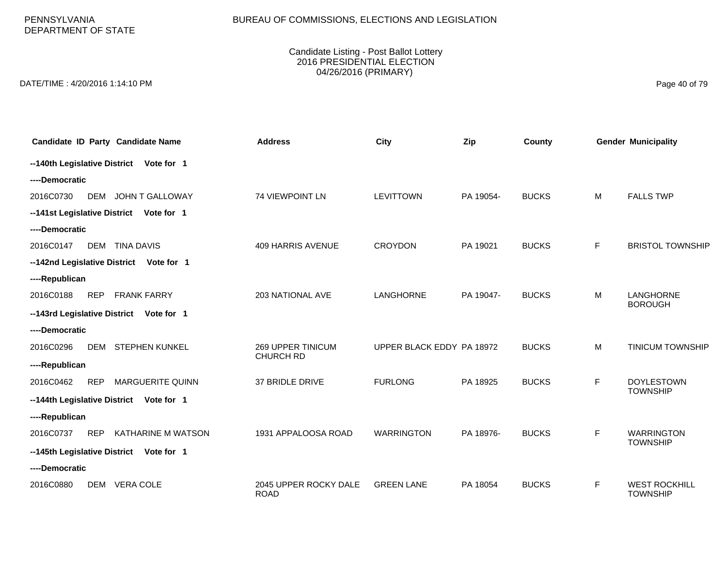PENNSYLVANIA DEPARTMENT OF STATE

#### Candidate Listing - Post Ballot Lottery 2016 PRESIDENTIAL ELECTION 04/26/2016 (PRIMARY)

DATE/TIME : 4/20/2016 1:14:10 PM Page 40 of 79

|                |                | Candidate ID Party Candidate Name       | <b>Address</b>                               | City                      | Zip       | County       |    | <b>Gender Municipality</b>              |  |
|----------------|----------------|-----------------------------------------|----------------------------------------------|---------------------------|-----------|--------------|----|-----------------------------------------|--|
|                |                | --140th Legislative District Vote for 1 |                                              |                           |           |              |    |                                         |  |
| ----Democratic |                |                                         |                                              |                           |           |              |    |                                         |  |
| 2016C0730      | DEM            | JOHN T GALLOWAY                         | 74 VIEWPOINT LN                              | <b>LEVITTOWN</b>          | PA 19054- | <b>BUCKS</b> | M  | <b>FALLS TWP</b>                        |  |
|                |                | --141st Legislative District Vote for 1 |                                              |                           |           |              |    |                                         |  |
| ----Democratic |                |                                         |                                              |                           |           |              |    |                                         |  |
| 2016C0147      |                | DEM TINA DAVIS                          | <b>409 HARRIS AVENUE</b>                     | <b>CROYDON</b>            | PA 19021  | <b>BUCKS</b> | F. | <b>BRISTOL TOWNSHIP</b>                 |  |
|                |                | --142nd Legislative District Vote for 1 |                                              |                           |           |              |    |                                         |  |
| ----Republican |                |                                         |                                              |                           |           |              |    |                                         |  |
| 2016C0188      | <b>REP</b>     | <b>FRANK FARRY</b>                      | 203 NATIONAL AVE                             | LANGHORNE                 | PA 19047- | <b>BUCKS</b> | M  | LANGHORNE                               |  |
|                |                | --143rd Legislative District Vote for 1 |                                              |                           |           |              |    | <b>BOROUGH</b>                          |  |
| ----Democratic |                |                                         |                                              |                           |           |              |    |                                         |  |
| 2016C0296      |                | DEM STEPHEN KUNKEL                      | <b>269 UPPER TINICUM</b><br><b>CHURCH RD</b> | UPPER BLACK EDDY PA 18972 |           | <b>BUCKS</b> | M  | <b>TINICUM TOWNSHIP</b>                 |  |
| ----Republican |                |                                         |                                              |                           |           |              |    |                                         |  |
| 2016C0462      | <b>REP</b>     | <b>MARGUERITE QUINN</b>                 | 37 BRIDLE DRIVE                              | <b>FURLONG</b>            | PA 18925  | <b>BUCKS</b> | F  | <b>DOYLESTOWN</b><br><b>TOWNSHIP</b>    |  |
|                |                | --144th Legislative District Vote for 1 |                                              |                           |           |              |    |                                         |  |
| ----Republican |                |                                         |                                              |                           |           |              |    |                                         |  |
| 2016C0737      | <b>REP</b>     | KATHARINE M WATSON                      | 1931 APPALOOSA ROAD                          | <b>WARRINGTON</b>         | PA 18976- | <b>BUCKS</b> | F  | <b>WARRINGTON</b>                       |  |
|                |                | --145th Legislative District Vote for 1 |                                              |                           |           |              |    | <b>TOWNSHIP</b>                         |  |
|                | ----Democratic |                                         |                                              |                           |           |              |    |                                         |  |
| 2016C0880      |                | DEM VERA COLE                           | 2045 UPPER ROCKY DALE<br><b>ROAD</b>         | <b>GREEN LANE</b>         | PA 18054  | <b>BUCKS</b> | F. | <b>WEST ROCKHILL</b><br><b>TOWNSHIP</b> |  |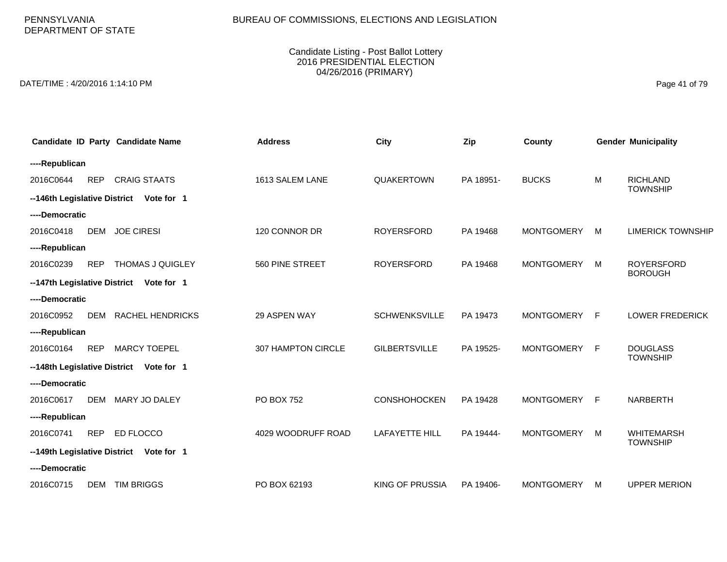# BUREAU OF COMMISSIONS, ELECTIONS AND LEGISLATION

### Candidate Listing - Post Ballot Lottery 2016 PRESIDENTIAL ELECTION 04/26/2016 (PRIMARY)

DATE/TIME : 4/20/2016 1:14:10 PM Page 41 of 79

|                              |            | <b>Candidate ID Party Candidate Name</b> | <b>Address</b>     | <b>City</b>            | Zip       | County            |   | <b>Gender Municipality</b>           |
|------------------------------|------------|------------------------------------------|--------------------|------------------------|-----------|-------------------|---|--------------------------------------|
| ----Republican               |            |                                          |                    |                        |           |                   |   |                                      |
| 2016C0644                    | <b>REP</b> | <b>CRAIG STAATS</b>                      | 1613 SALEM LANE    | QUAKERTOWN             | PA 18951- | <b>BUCKS</b>      | M | <b>RICHLAND</b><br><b>TOWNSHIP</b>   |
|                              |            | --146th Legislative District Vote for 1  |                    |                        |           |                   |   |                                      |
| ----Democratic               |            |                                          |                    |                        |           |                   |   |                                      |
| 2016C0418                    | <b>DEM</b> | <b>JOE CIRESI</b>                        | 120 CONNOR DR      | <b>ROYERSFORD</b>      | PA 19468  | <b>MONTGOMERY</b> | M | <b>LIMERICK TOWNSHIP</b>             |
| ----Republican               |            |                                          |                    |                        |           |                   |   |                                      |
| 2016C0239                    | <b>REP</b> | THOMAS J QUIGLEY                         | 560 PINE STREET    | <b>ROYERSFORD</b>      | PA 19468  | <b>MONTGOMERY</b> | M | <b>ROYERSFORD</b><br><b>BOROUGH</b>  |
|                              |            | --147th Legislative District Vote for 1  |                    |                        |           |                   |   |                                      |
| ----Democratic               |            |                                          |                    |                        |           |                   |   |                                      |
| 2016C0952                    | DEM        | <b>RACHEL HENDRICKS</b>                  | 29 ASPEN WAY       | <b>SCHWENKSVILLE</b>   | PA 19473  | MONTGOMERY F      |   | <b>LOWER FREDERICK</b>               |
| ----Republican               |            |                                          |                    |                        |           |                   |   |                                      |
| 2016C0164                    | <b>REP</b> | <b>MARCY TOEPEL</b>                      | 307 HAMPTON CIRCLE | <b>GILBERTSVILLE</b>   | PA 19525- | <b>MONTGOMERY</b> | F | <b>DOUGLASS</b><br><b>TOWNSHIP</b>   |
| --148th Legislative District |            | Vote for 1                               |                    |                        |           |                   |   |                                      |
| ----Democratic               |            |                                          |                    |                        |           |                   |   |                                      |
| 2016C0617                    | <b>DEM</b> | MARY JO DALEY                            | PO BOX 752         | <b>CONSHOHOCKEN</b>    | PA 19428  | MONTGOMERY F      |   | <b>NARBERTH</b>                      |
| ----Republican               |            |                                          |                    |                        |           |                   |   |                                      |
| 2016C0741                    | <b>REP</b> | ED FLOCCO                                | 4029 WOODRUFF ROAD | <b>LAFAYETTE HILL</b>  | PA 19444- | MONTGOMERY        | M | <b>WHITEMARSH</b><br><b>TOWNSHIP</b> |
|                              |            | --149th Legislative District Vote for 1  |                    |                        |           |                   |   |                                      |
| ----Democratic               |            |                                          |                    |                        |           |                   |   |                                      |
| 2016C0715                    | <b>DEM</b> | <b>TIM BRIGGS</b>                        | PO BOX 62193       | <b>KING OF PRUSSIA</b> | PA 19406- | <b>MONTGOMERY</b> | м | <b>UPPER MERION</b>                  |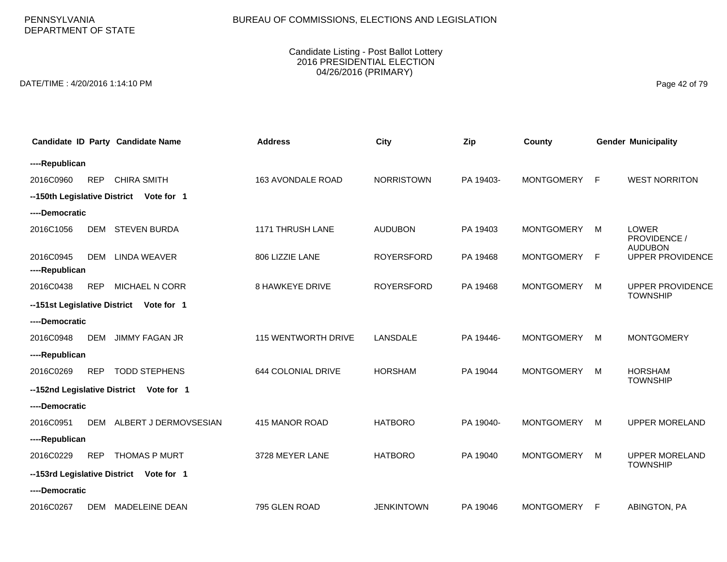### BUREAU OF COMMISSIONS, ELECTIONS AND LEGISLATION

### Candidate Listing - Post Ballot Lottery 2016 PRESIDENTIAL ELECTION 04/26/2016 (PRIMARY)

DATE/TIME : 4/20/2016 1:14:10 PM Page 42 of 79

|                              |            | Candidate ID Party Candidate Name       | <b>Address</b>             | City              | Zip       | County            |   | <b>Gender Municipality</b>                |
|------------------------------|------------|-----------------------------------------|----------------------------|-------------------|-----------|-------------------|---|-------------------------------------------|
| ----Republican               |            |                                         |                            |                   |           |                   |   |                                           |
| 2016C0960                    | <b>REP</b> | <b>CHIRA SMITH</b>                      | <b>163 AVONDALE ROAD</b>   | <b>NORRISTOWN</b> | PA 19403- | <b>MONTGOMERY</b> | F | <b>WEST NORRITON</b>                      |
| --150th Legislative District |            | Vote for 1                              |                            |                   |           |                   |   |                                           |
| ----Democratic               |            |                                         |                            |                   |           |                   |   |                                           |
| 2016C1056                    | <b>DEM</b> | <b>STEVEN BURDA</b>                     | 1171 THRUSH LANE           | <b>AUDUBON</b>    | PA 19403  | <b>MONTGOMERY</b> | M | <b>LOWER</b><br>PROVIDENCE /              |
| 2016C0945<br>----Republican  | <b>DEM</b> | LINDA WEAVER                            | 806 LIZZIE LANE            | <b>ROYERSFORD</b> | PA 19468  | <b>MONTGOMERY</b> | F | <b>AUDUBON</b><br><b>UPPER PROVIDENCE</b> |
| 2016C0438                    | <b>REP</b> | MICHAEL N CORR                          | <b>8 HAWKEYE DRIVE</b>     | <b>ROYERSFORD</b> | PA 19468  | <b>MONTGOMERY</b> | M | <b>UPPER PROVIDENCE</b>                   |
|                              |            | --151st Legislative District Vote for 1 |                            |                   |           |                   |   | <b>TOWNSHIP</b>                           |
| ----Democratic               |            |                                         |                            |                   |           |                   |   |                                           |
| 2016C0948                    | <b>DEM</b> | <b>JIMMY FAGAN JR</b>                   | <b>115 WENTWORTH DRIVE</b> | LANSDALE          | PA 19446- | <b>MONTGOMERY</b> | M | <b>MONTGOMERY</b>                         |
| ----Republican               |            |                                         |                            |                   |           |                   |   |                                           |
| 2016C0269                    | <b>REP</b> | <b>TODD STEPHENS</b>                    | 644 COLONIAL DRIVE         | <b>HORSHAM</b>    | PA 19044  | <b>MONTGOMERY</b> | M | <b>HORSHAM</b><br><b>TOWNSHIP</b>         |
| --152nd Legislative District |            | Vote for 1                              |                            |                   |           |                   |   |                                           |
| ----Democratic               |            |                                         |                            |                   |           |                   |   |                                           |
| 2016C0951                    | <b>DEM</b> | ALBERT J DERMOVSESIAN                   | 415 MANOR ROAD             | <b>HATBORO</b>    | PA 19040- | <b>MONTGOMERY</b> | M | <b>UPPER MORELAND</b>                     |
| ----Republican               |            |                                         |                            |                   |           |                   |   |                                           |
| 2016C0229                    | <b>REP</b> | <b>THOMAS P MURT</b>                    | 3728 MEYER LANE            | <b>HATBORO</b>    | PA 19040  | <b>MONTGOMERY</b> | M | <b>UPPER MORELAND</b><br><b>TOWNSHIP</b>  |
|                              |            | --153rd Legislative District Vote for 1 |                            |                   |           |                   |   |                                           |
| ----Democratic               |            |                                         |                            |                   |           |                   |   |                                           |
| 2016C0267                    | DEM        | MADELEINE DEAN                          | 795 GLEN ROAD              | <b>JENKINTOWN</b> | PA 19046  | <b>MONTGOMERY</b> | F | ABINGTON, PA                              |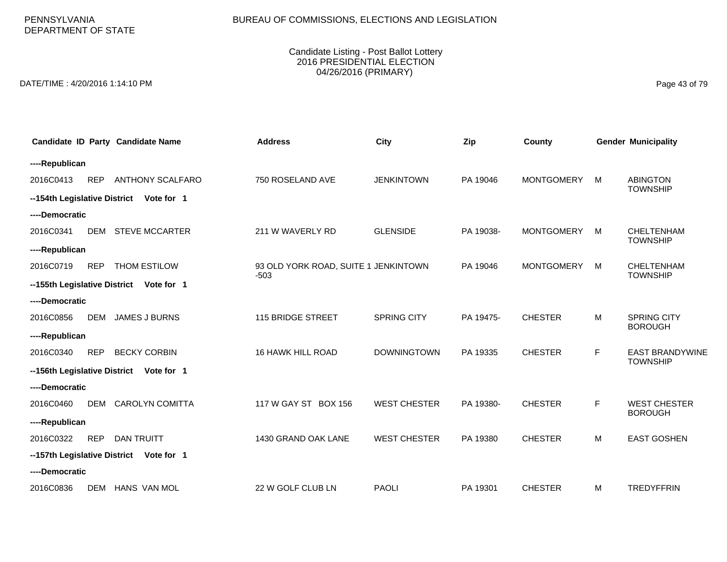# BUREAU OF COMMISSIONS, ELECTIONS AND LEGISLATION

### Candidate Listing - Post Ballot Lottery 2016 PRESIDENTIAL ELECTION 04/26/2016 (PRIMARY)

DATE/TIME : 4/20/2016 1:14:10 PM Page 43 of 79

|                |            | Candidate ID Party Candidate Name       | <b>Address</b>                                 | City                | Zip       | County            |             | <b>Gender Municipality</b>                |
|----------------|------------|-----------------------------------------|------------------------------------------------|---------------------|-----------|-------------------|-------------|-------------------------------------------|
| ----Republican |            |                                         |                                                |                     |           |                   |             |                                           |
| 2016C0413      | <b>REP</b> | <b>ANTHONY SCALFARO</b>                 | 750 ROSELAND AVE                               | <b>JENKINTOWN</b>   | PA 19046  | <b>MONTGOMERY</b> | M           | <b>ABINGTON</b>                           |
|                |            | --154th Legislative District Vote for 1 |                                                |                     |           |                   |             | <b>TOWNSHIP</b>                           |
| ----Democratic |            |                                         |                                                |                     |           |                   |             |                                           |
| 2016C0341      |            | DEM STEVE MCCARTER                      | 211 W WAVERLY RD                               | <b>GLENSIDE</b>     | PA 19038- | <b>MONTGOMERY</b> | M           | <b>CHELTENHAM</b><br><b>TOWNSHIP</b>      |
| ----Republican |            |                                         |                                                |                     |           |                   |             |                                           |
| 2016C0719      | <b>REP</b> | THOM ESTILOW                            | 93 OLD YORK ROAD, SUITE 1 JENKINTOWN<br>$-503$ |                     | PA 19046  | <b>MONTGOMERY</b> | M           | CHELTENHAM<br><b>TOWNSHIP</b>             |
|                |            | --155th Legislative District Vote for 1 |                                                |                     |           |                   |             |                                           |
| ----Democratic |            |                                         |                                                |                     |           |                   |             |                                           |
| 2016C0856      | DEM        | <b>JAMES J BURNS</b>                    | 115 BRIDGE STREET                              | <b>SPRING CITY</b>  | PA 19475- | <b>CHESTER</b>    | M           | <b>SPRING CITY</b><br><b>BOROUGH</b>      |
| ----Republican |            |                                         |                                                |                     |           |                   |             |                                           |
| 2016C0340      | <b>REP</b> | <b>BECKY CORBIN</b>                     | 16 HAWK HILL ROAD                              | <b>DOWNINGTOWN</b>  | PA 19335  | <b>CHESTER</b>    | $\mathsf F$ | <b>EAST BRANDYWINE</b><br><b>TOWNSHIP</b> |
|                |            | --156th Legislative District Vote for 1 |                                                |                     |           |                   |             |                                           |
| ----Democratic |            |                                         |                                                |                     |           |                   |             |                                           |
| 2016C0460      |            | DEM CAROLYN COMITTA                     | 117 W GAY ST BOX 156                           | <b>WEST CHESTER</b> | PA 19380- | <b>CHESTER</b>    | $\mathsf F$ | <b>WEST CHESTER</b><br><b>BOROUGH</b>     |
| ----Republican |            |                                         |                                                |                     |           |                   |             |                                           |
| 2016C0322      | <b>REP</b> | <b>DAN TRUITT</b>                       | 1430 GRAND OAK LANE                            | <b>WEST CHESTER</b> | PA 19380  | <b>CHESTER</b>    | M           | <b>EAST GOSHEN</b>                        |
|                |            | --157th Legislative District Vote for 1 |                                                |                     |           |                   |             |                                           |
| ----Democratic |            |                                         |                                                |                     |           |                   |             |                                           |
| 2016C0836      |            | DEM HANS VAN MOL                        | 22 W GOLF CLUB LN                              | <b>PAOLI</b>        | PA 19301  | <b>CHESTER</b>    | M           | <b>TREDYFFRIN</b>                         |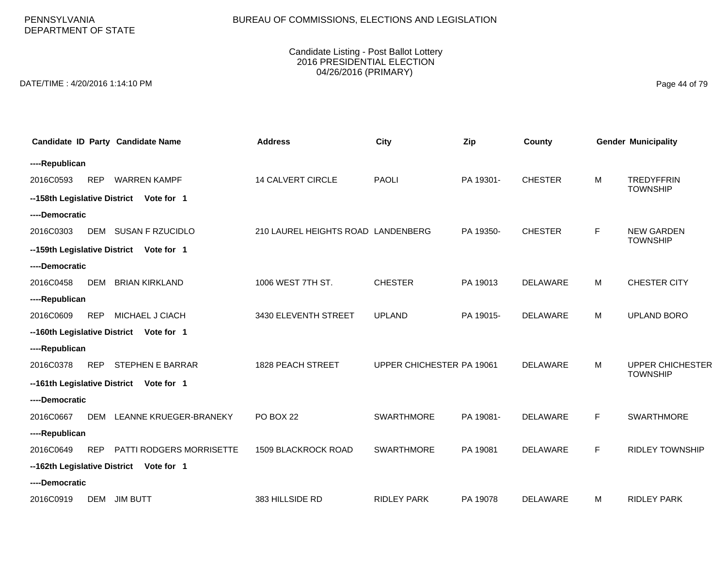# BUREAU OF COMMISSIONS, ELECTIONS AND LEGISLATION

### Candidate Listing - Post Ballot Lottery 2016 PRESIDENTIAL ELECTION 04/26/2016 (PRIMARY)

DATE/TIME : 4/20/2016 1:14:10 PM Page 44 of 79

|                |            | Candidate ID Party Candidate Name        | <b>Address</b>                     | <b>City</b>               | Zip       | County          |   | <b>Gender Municipality</b>                 |
|----------------|------------|------------------------------------------|------------------------------------|---------------------------|-----------|-----------------|---|--------------------------------------------|
| ----Republican |            |                                          |                                    |                           |           |                 |   |                                            |
| 2016C0593      | <b>REP</b> | <b>WARREN KAMPF</b>                      | <b>14 CALVERT CIRCLE</b>           | <b>PAOLI</b>              | PA 19301- | <b>CHESTER</b>  | м | <b>TREDYFFRIN</b><br><b>TOWNSHIP</b>       |
|                |            | --158th Legislative District Vote for 1  |                                    |                           |           |                 |   |                                            |
| ----Democratic |            |                                          |                                    |                           |           |                 |   |                                            |
| 2016C0303      |            | DEM SUSAN F RZUCIDLO                     | 210 LAUREL HEIGHTS ROAD LANDENBERG |                           | PA 19350- | <b>CHESTER</b>  | F | <b>NEW GARDEN</b><br><b>TOWNSHIP</b>       |
|                |            | --159th Legislative District Vote for 1  |                                    |                           |           |                 |   |                                            |
| ----Democratic |            |                                          |                                    |                           |           |                 |   |                                            |
| 2016C0458      | <b>DEM</b> | <b>BRIAN KIRKLAND</b>                    | 1006 WEST 7TH ST.                  | <b>CHESTER</b>            | PA 19013  | <b>DELAWARE</b> | м | <b>CHESTER CITY</b>                        |
| ----Republican |            |                                          |                                    |                           |           |                 |   |                                            |
| 2016C0609      | <b>REP</b> | MICHAEL J CIACH                          | 3430 ELEVENTH STREET               | <b>UPLAND</b>             | PA 19015- | <b>DELAWARE</b> | м | UPLAND BORO                                |
|                |            | -- 160th Legislative District Vote for 1 |                                    |                           |           |                 |   |                                            |
| ----Republican |            |                                          |                                    |                           |           |                 |   |                                            |
| 2016C0378      | <b>REP</b> | <b>STEPHEN E BARRAR</b>                  | 1828 PEACH STREET                  | UPPER CHICHESTER PA 19061 |           | <b>DELAWARE</b> | м | <b>UPPER CHICHESTER</b><br><b>TOWNSHIP</b> |
|                |            | -- 161th Legislative District Vote for 1 |                                    |                           |           |                 |   |                                            |
| ----Democratic |            |                                          |                                    |                           |           |                 |   |                                            |
| 2016C0667      | <b>DEM</b> | LEANNE KRUEGER-BRANEKY                   | <b>PO BOX 22</b>                   | <b>SWARTHMORE</b>         | PA 19081- | <b>DELAWARE</b> | F | SWARTHMORE                                 |
| ----Republican |            |                                          |                                    |                           |           |                 |   |                                            |
| 2016C0649      | <b>REP</b> | PATTI RODGERS MORRISETTE                 | 1509 BLACKROCK ROAD                | <b>SWARTHMORE</b>         | PA 19081  | <b>DELAWARE</b> | F | <b>RIDLEY TOWNSHIP</b>                     |
|                |            | -- 162th Legislative District Vote for 1 |                                    |                           |           |                 |   |                                            |
| ----Democratic |            |                                          |                                    |                           |           |                 |   |                                            |
| 2016C0919      | DEM        | <b>JIM BUTT</b>                          | 383 HILLSIDE RD                    | <b>RIDLEY PARK</b>        | PA 19078  | <b>DELAWARE</b> | м | <b>RIDLEY PARK</b>                         |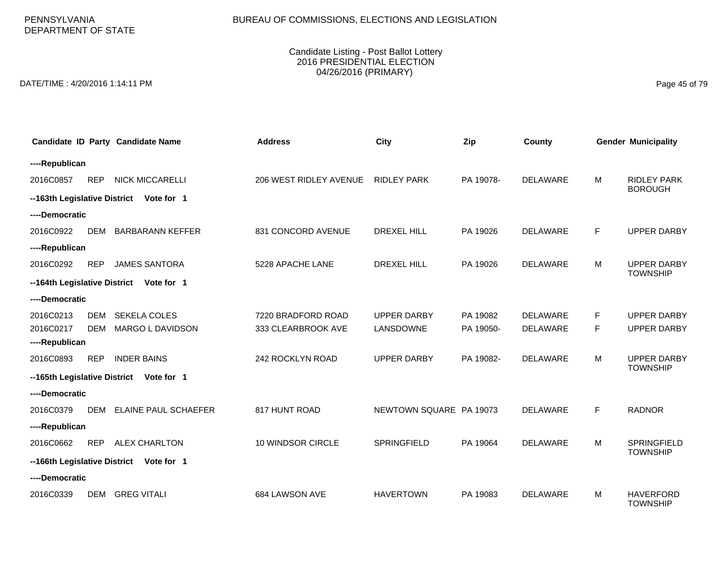# BUREAU OF COMMISSIONS, ELECTIONS AND LEGISLATION

### Candidate Listing - Post Ballot Lottery 2016 PRESIDENTIAL ELECTION 04/26/2016 (PRIMARY)

DATE/TIME : 4/20/2016 1:14:11 PM Page 45 of 79

|                              |            | Candidate ID Party Candidate Name       | <b>Address</b>         | <b>City</b>             | Zip       | County          |   | <b>Gender Municipality</b>            |
|------------------------------|------------|-----------------------------------------|------------------------|-------------------------|-----------|-----------------|---|---------------------------------------|
| ----Republican               |            |                                         |                        |                         |           |                 |   |                                       |
| 2016C0857                    | <b>REP</b> | <b>NICK MICCARELLI</b>                  | 206 WEST RIDLEY AVENUE | <b>RIDLEY PARK</b>      | PA 19078- | <b>DELAWARE</b> | M | <b>RIDLEY PARK</b><br><b>BOROUGH</b>  |
| --163th Legislative District |            | Vote for 1                              |                        |                         |           |                 |   |                                       |
| ----Democratic               |            |                                         |                        |                         |           |                 |   |                                       |
| 2016C0922                    | <b>DEM</b> | <b>BARBARANN KEFFER</b>                 | 831 CONCORD AVENUE     | <b>DREXEL HILL</b>      | PA 19026  | <b>DELAWARE</b> | F | <b>UPPER DARBY</b>                    |
| ----Republican               |            |                                         |                        |                         |           |                 |   |                                       |
| 2016C0292                    | <b>REP</b> | <b>JAMES SANTORA</b>                    | 5228 APACHE LANE       | <b>DREXEL HILL</b>      | PA 19026  | DELAWARE        | м | <b>UPPER DARBY</b><br><b>TOWNSHIP</b> |
|                              |            | --164th Legislative District Vote for 1 |                        |                         |           |                 |   |                                       |
| ----Democratic               |            |                                         |                        |                         |           |                 |   |                                       |
| 2016C0213                    | <b>DEM</b> | <b>SEKELA COLES</b>                     | 7220 BRADFORD ROAD     | <b>UPPER DARBY</b>      | PA 19082  | <b>DELAWARE</b> | F | <b>UPPER DARBY</b>                    |
| 2016C0217                    | <b>DEM</b> | MARGO L DAVIDSON                        | 333 CLEARBROOK AVE     | LANSDOWNE               | PA 19050- | <b>DELAWARE</b> | F | <b>UPPER DARBY</b>                    |
| ----Republican               |            |                                         |                        |                         |           |                 |   |                                       |
| 2016C0893                    | <b>REP</b> | <b>INDER BAINS</b>                      | 242 ROCKLYN ROAD       | <b>UPPER DARBY</b>      | PA 19082- | <b>DELAWARE</b> | M | <b>UPPER DARBY</b><br><b>TOWNSHIP</b> |
| --165th Legislative District |            | Vote for 1                              |                        |                         |           |                 |   |                                       |
| ----Democratic               |            |                                         |                        |                         |           |                 |   |                                       |
| 2016C0379                    | <b>DEM</b> | ELAINE PAUL SCHAEFER                    | 817 HUNT ROAD          | NEWTOWN SQUARE PA 19073 |           | <b>DELAWARE</b> | F | <b>RADNOR</b>                         |
| ----Republican               |            |                                         |                        |                         |           |                 |   |                                       |
| 2016C0662                    | <b>REP</b> | <b>ALEX CHARLTON</b>                    | 10 WINDSOR CIRCLE      | SPRINGFIELD             | PA 19064  | <b>DELAWARE</b> | M | SPRINGFIELD<br><b>TOWNSHIP</b>        |
|                              |            | --166th Legislative District Vote for 1 |                        |                         |           |                 |   |                                       |
| ----Democratic               |            |                                         |                        |                         |           |                 |   |                                       |
| 2016C0339                    | <b>DEM</b> | <b>GREG VITALI</b>                      | 684 LAWSON AVE         | <b>HAVERTOWN</b>        | PA 19083  | <b>DELAWARE</b> | M | <b>HAVERFORD</b><br><b>TOWNSHIP</b>   |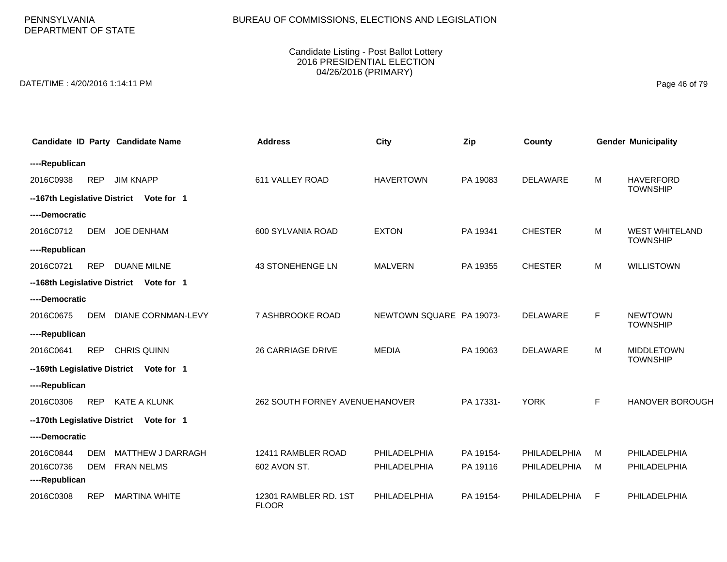# BUREAU OF COMMISSIONS, ELECTIONS AND LEGISLATION

### Candidate Listing - Post Ballot Lottery 2016 PRESIDENTIAL ELECTION 04/26/2016 (PRIMARY)

DATE/TIME : 4/20/2016 1:14:11 PM Page 46 of 79

|                |            | Candidate ID Party Candidate Name       | <b>Address</b>                        | City                     | Zip       | County          |    | <b>Gender Municipality</b> |
|----------------|------------|-----------------------------------------|---------------------------------------|--------------------------|-----------|-----------------|----|----------------------------|
| ----Republican |            |                                         |                                       |                          |           |                 |    |                            |
| 2016C0938      | <b>REP</b> | <b>JIM KNAPP</b>                        | 611 VALLEY ROAD                       | <b>HAVERTOWN</b>         | PA 19083  | <b>DELAWARE</b> | M  | <b>HAVERFORD</b>           |
|                |            | --167th Legislative District Vote for 1 |                                       |                          |           |                 |    | <b>TOWNSHIP</b>            |
| ----Democratic |            |                                         |                                       |                          |           |                 |    |                            |
| 2016C0712      | <b>DEM</b> | <b>JOE DENHAM</b>                       | 600 SYLVANIA ROAD                     | <b>EXTON</b>             | PA 19341  | <b>CHESTER</b>  | M  | <b>WEST WHITELAND</b>      |
| ----Republican |            |                                         |                                       |                          |           |                 |    | <b>TOWNSHIP</b>            |
| 2016C0721      | <b>REP</b> | <b>DUANE MILNE</b>                      | 43 STONEHENGE LN                      | <b>MALVERN</b>           | PA 19355  | <b>CHESTER</b>  | M  | <b>WILLISTOWN</b>          |
|                |            | --168th Legislative District Vote for 1 |                                       |                          |           |                 |    |                            |
| ----Democratic |            |                                         |                                       |                          |           |                 |    |                            |
| 2016C0675      | <b>DEM</b> | <b>DIANE CORNMAN-LEVY</b>               | 7 ASHBROOKE ROAD                      | NEWTOWN SQUARE PA 19073- |           | <b>DELAWARE</b> | F. | <b>NEWTOWN</b>             |
| ----Republican |            |                                         |                                       |                          |           |                 |    | <b>TOWNSHIP</b>            |
| 2016C0641      | <b>REP</b> | <b>CHRIS QUINN</b>                      | <b>26 CARRIAGE DRIVE</b>              | <b>MEDIA</b>             | PA 19063  | DELAWARE        | M  | <b>MIDDLETOWN</b>          |
|                |            | --169th Legislative District Vote for 1 |                                       |                          |           |                 |    | <b>TOWNSHIP</b>            |
| ----Republican |            |                                         |                                       |                          |           |                 |    |                            |
| 2016C0306      | <b>REP</b> | <b>KATE A KLUNK</b>                     | 262 SOUTH FORNEY AVENUE HANOVER       |                          | PA 17331- | <b>YORK</b>     | F. | <b>HANOVER BOROUGH</b>     |
|                |            | --170th Legislative District Vote for 1 |                                       |                          |           |                 |    |                            |
| ----Democratic |            |                                         |                                       |                          |           |                 |    |                            |
| 2016C0844      | <b>DEM</b> | <b>MATTHEW J DARRAGH</b>                | 12411 RAMBLER ROAD                    | PHILADELPHIA             | PA 19154- | PHILADELPHIA    | M  | PHILADELPHIA               |
| 2016C0736      | <b>DEM</b> | <b>FRAN NELMS</b>                       | 602 AVON ST.                          | PHILADELPHIA             | PA 19116  | PHILADELPHIA    | м  | PHILADELPHIA               |
| ----Republican |            |                                         |                                       |                          |           |                 |    |                            |
| 2016C0308      | <b>REP</b> | <b>MARTINA WHITE</b>                    | 12301 RAMBLER RD. 1ST<br><b>FLOOR</b> | PHILADELPHIA             | PA 19154- | PHILADELPHIA    | F  | PHILADELPHIA               |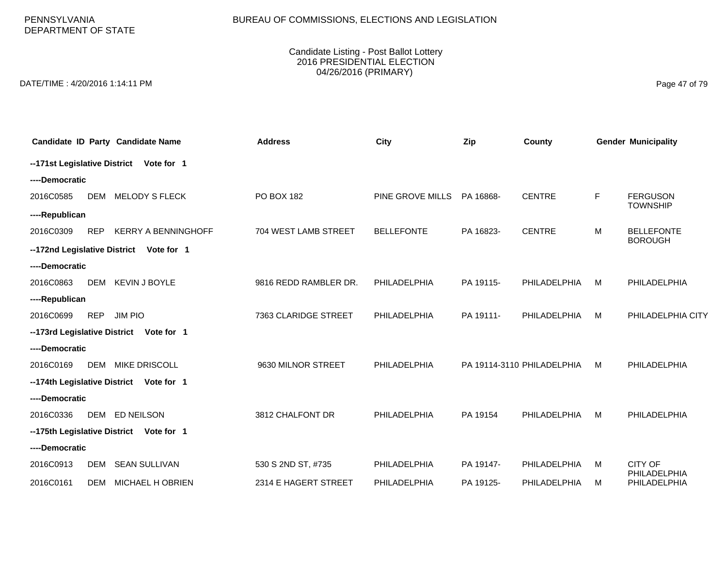PENNSYLVANIA DEPARTMENT OF STATE

#### Candidate Listing - Post Ballot Lottery 2016 PRESIDENTIAL ELECTION 04/26/2016 (PRIMARY)

DATE/TIME : 4/20/2016 1:14:11 PM Page 47 of 79

|                | Candidate ID Party Candidate Name        | <b>Address</b>        | <b>City</b>       | Zip       | County                     |   | <b>Gender Municipality</b>          |
|----------------|------------------------------------------|-----------------------|-------------------|-----------|----------------------------|---|-------------------------------------|
|                | --171st Legislative District Vote for 1  |                       |                   |           |                            |   |                                     |
| ----Democratic |                                          |                       |                   |           |                            |   |                                     |
| 2016C0585      | <b>MELODY S FLECK</b><br>DEM             | PO BOX 182            | PINE GROVE MILLS  | PA 16868- | <b>CENTRE</b>              | F | <b>FERGUSON</b><br><b>TOWNSHIP</b>  |
| ----Republican |                                          |                       |                   |           |                            |   |                                     |
| 2016C0309      | <b>KERRY A BENNINGHOFF</b><br><b>REP</b> | 704 WEST LAMB STREET  | <b>BELLEFONTE</b> | PA 16823- | <b>CENTRE</b>              | M | <b>BELLEFONTE</b><br><b>BOROUGH</b> |
|                | --172nd Legislative District Vote for 1  |                       |                   |           |                            |   |                                     |
| ----Democratic |                                          |                       |                   |           |                            |   |                                     |
| 2016C0863      | DEM KEVIN J BOYLE                        | 9816 REDD RAMBLER DR. | PHILADELPHIA      | PA 19115- | PHILADELPHIA               | M | PHILADELPHIA                        |
| ----Republican |                                          |                       |                   |           |                            |   |                                     |
| 2016C0699      | <b>REP</b><br><b>JIM PIO</b>             | 7363 CLARIDGE STREET  | PHILADELPHIA      | PA 19111- | PHILADELPHIA               | M | PHILADELPHIA CITY                   |
|                | --173rd Legislative District Vote for 1  |                       |                   |           |                            |   |                                     |
| ----Democratic |                                          |                       |                   |           |                            |   |                                     |
| 2016C0169      | <b>DEM</b><br><b>MIKE DRISCOLL</b>       | 9630 MILNOR STREET    | PHILADELPHIA      |           | PA 19114-3110 PHILADELPHIA | M | PHILADELPHIA                        |
|                | --174th Legislative District Vote for 1  |                       |                   |           |                            |   |                                     |
| ----Democratic |                                          |                       |                   |           |                            |   |                                     |
| 2016C0336      | DEM ED NEILSON                           | 3812 CHALFONT DR      | PHILADELPHIA      | PA 19154  | <b>PHILADELPHIA</b>        | M | PHILADELPHIA                        |
|                | --175th Legislative District Vote for 1  |                       |                   |           |                            |   |                                     |
| ----Democratic |                                          |                       |                   |           |                            |   |                                     |
| 2016C0913      | <b>SEAN SULLIVAN</b><br>DEM              | 530 S 2ND ST, #735    | PHILADELPHIA      | PA 19147- | PHILADELPHIA               | M | CITY OF<br>PHILADELPHIA             |
| 2016C0161      | <b>MICHAEL H OBRIEN</b><br>DEM           | 2314 E HAGERT STREET  | PHILADELPHIA      | PA 19125- | <b>PHILADELPHIA</b>        | M | PHILADELPHIA                        |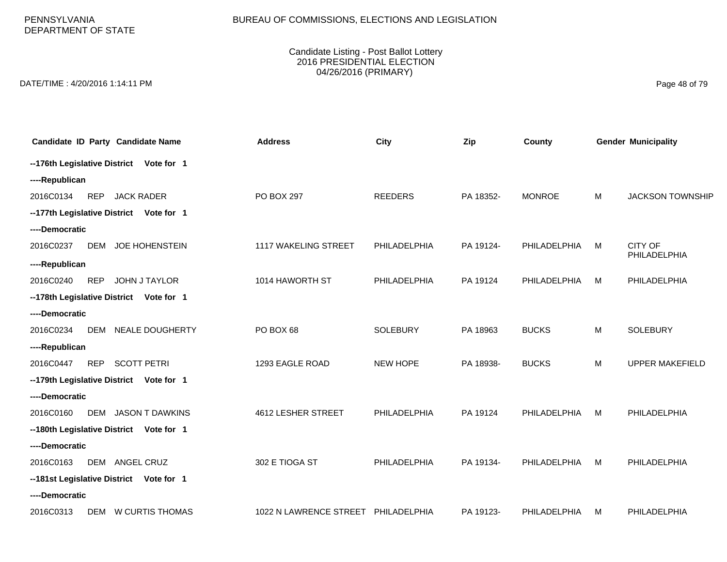PENNSYLVANIA DEPARTMENT OF STATE

#### Candidate Listing - Post Ballot Lottery 2016 PRESIDENTIAL ELECTION 04/26/2016 (PRIMARY)

DATE/TIME : 4/20/2016 1:14:11 PM Page 48 of 79

| <b>Candidate ID Party Candidate Name</b>          | <b>Address</b>                      | <b>City</b>     | Zip       | County        |   | <b>Gender Municipality</b>     |
|---------------------------------------------------|-------------------------------------|-----------------|-----------|---------------|---|--------------------------------|
| --176th Legislative District Vote for 1           |                                     |                 |           |               |   |                                |
| ----Republican                                    |                                     |                 |           |               |   |                                |
| 2016C0134<br><b>REP</b><br><b>JACK RADER</b>      | PO BOX 297                          | <b>REEDERS</b>  | PA 18352- | <b>MONROE</b> | M | <b>JACKSON TOWNSHIP</b>        |
| --177th Legislative District Vote for 1           |                                     |                 |           |               |   |                                |
| ----Democratic                                    |                                     |                 |           |               |   |                                |
| 2016C0237<br><b>DEM</b><br><b>JOE HOHENSTEIN</b>  | 1117 WAKELING STREET                | PHILADELPHIA    | PA 19124- | PHILADELPHIA  | M | <b>CITY OF</b><br>PHILADELPHIA |
| ----Republican                                    |                                     |                 |           |               |   |                                |
| <b>REP</b><br><b>JOHN J TAYLOR</b><br>2016C0240   | 1014 HAWORTH ST                     | PHILADELPHIA    | PA 19124  | PHILADELPHIA  | M | PHILADELPHIA                   |
| --178th Legislative District Vote for 1           |                                     |                 |           |               |   |                                |
| ----Democratic                                    |                                     |                 |           |               |   |                                |
| <b>NEALE DOUGHERTY</b><br>2016C0234<br><b>DEM</b> | PO BOX 68                           | <b>SOLEBURY</b> | PA 18963  | <b>BUCKS</b>  | M | <b>SOLEBURY</b>                |
| ----Republican                                    |                                     |                 |           |               |   |                                |
| <b>REP</b><br><b>SCOTT PETRI</b><br>2016C0447     | 1293 EAGLE ROAD                     | NEW HOPE        | PA 18938- | <b>BUCKS</b>  | M | <b>UPPER MAKEFIELD</b>         |
| --179th Legislative District Vote for 1           |                                     |                 |           |               |   |                                |
| ----Democratic                                    |                                     |                 |           |               |   |                                |
| <b>JASON T DAWKINS</b><br>2016C0160<br>DEM        | 4612 LESHER STREET                  | PHILADELPHIA    | PA 19124  | PHILADELPHIA  | M | PHILADELPHIA                   |
| --180th Legislative District Vote for 1           |                                     |                 |           |               |   |                                |
| ----Democratic                                    |                                     |                 |           |               |   |                                |
| 2016C0163<br>ANGEL CRUZ<br>DEM                    | 302 E TIOGA ST                      | PHILADELPHIA    | PA 19134- | PHILADELPHIA  | M | PHILADELPHIA                   |
| --181st Legislative District Vote for 1           |                                     |                 |           |               |   |                                |
| ----Democratic                                    |                                     |                 |           |               |   |                                |
| DEM W CURTIS THOMAS<br>2016C0313                  | 1022 N LAWRENCE STREET PHILADELPHIA |                 | PA 19123- | PHILADELPHIA  | м | PHILADELPHIA                   |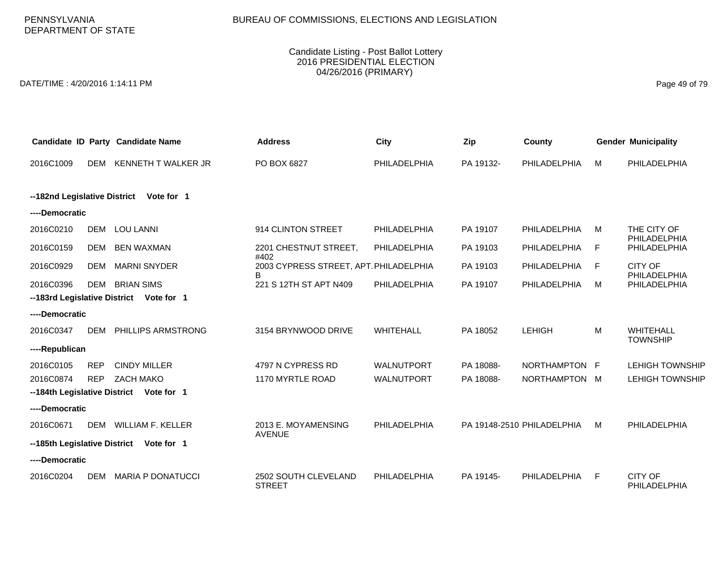PENNSYLVANIA DEPARTMENT OF STATE

#### Candidate Listing - Post Ballot Lottery 2016 PRESIDENTIAL ELECTION 04/26/2016 (PRIMARY)

DATE/TIME : 4/20/2016 1:14:11 PM Page 49 of 79

|                              |            | Candidate ID Party Candidate Name       | <b>Address</b>                              | City                | Zip       | County                     |   | <b>Gender Municipality</b>     |
|------------------------------|------------|-----------------------------------------|---------------------------------------------|---------------------|-----------|----------------------------|---|--------------------------------|
| 2016C1009                    | DEM        | KENNETH T WALKER JR                     | PO BOX 6827                                 | PHILADELPHIA        | PA 19132- | PHILADELPHIA               | M | PHILADELPHIA                   |
|                              |            |                                         |                                             |                     |           |                            |   |                                |
| --182nd Legislative District |            | Vote for 1                              |                                             |                     |           |                            |   |                                |
| ----Democratic               |            |                                         |                                             |                     |           |                            |   |                                |
| 2016C0210                    | <b>DEM</b> | <b>LOU LANNI</b>                        | 914 CLINTON STREET                          | PHILADELPHIA        | PA 19107  | PHILADELPHIA               | M | THE CITY OF<br>PHILADELPHIA    |
| 2016C0159                    | DEM        | <b>BEN WAXMAN</b>                       | 2201 CHESTNUT STREET,<br>#402               | PHILADELPHIA        | PA 19103  | PHILADELPHIA               | F | PHILADELPHIA                   |
| 2016C0929                    | DEM        | <b>MARNI SNYDER</b>                     | 2003 CYPRESS STREET, APT. PHILADELPHIA<br>в |                     | PA 19103  | PHILADELPHIA               | F | <b>CITY OF</b><br>PHILADELPHIA |
| 2016C0396                    | <b>DEM</b> | <b>BRIAN SIMS</b>                       | 221 S 12TH ST APT N409                      | PHILADELPHIA        | PA 19107  | PHILADELPHIA               | M | PHILADELPHIA                   |
| --183rd Legislative District |            | Vote for 1                              |                                             |                     |           |                            |   |                                |
| ----Democratic               |            |                                         |                                             |                     |           |                            |   |                                |
| 2016C0347                    | DEM        | <b>PHILLIPS ARMSTRONG</b>               | 3154 BRYNWOOD DRIVE                         | WHITEHALL           | PA 18052  | <b>LEHIGH</b>              | M | WHITEHALL<br><b>TOWNSHIP</b>   |
| ----Republican               |            |                                         |                                             |                     |           |                            |   |                                |
| 2016C0105                    | <b>REP</b> | <b>CINDY MILLER</b>                     | 4797 N CYPRESS RD                           | <b>WALNUTPORT</b>   | PA 18088- | NORTHAMPTON F              |   | <b>LEHIGH TOWNSHIP</b>         |
| 2016C0874                    | <b>REP</b> | <b>ZACH MAKO</b>                        | 1170 MYRTLE ROAD                            | <b>WALNUTPORT</b>   | PA 18088- | NORTHAMPTON M              |   | <b>LEHIGH TOWNSHIP</b>         |
|                              |            | --184th Legislative District Vote for 1 |                                             |                     |           |                            |   |                                |
| ----Democratic               |            |                                         |                                             |                     |           |                            |   |                                |
| 2016C0671                    | <b>DEM</b> | <b>WILLIAM F. KELLER</b>                | 2013 E. MOYAMENSING<br><b>AVENUE</b>        | <b>PHILADELPHIA</b> |           | PA 19148-2510 PHILADELPHIA | M | PHILADELPHIA                   |
| --185th Legislative District |            | Vote for 1                              |                                             |                     |           |                            |   |                                |
| ----Democratic               |            |                                         |                                             |                     |           |                            |   |                                |
| 2016C0204                    | DEM        | <b>MARIA P DONATUCCI</b>                | 2502 SOUTH CLEVELAND<br><b>STREET</b>       | PHILADELPHIA        | PA 19145- | PHILADELPHIA               | F | <b>CITY OF</b><br>PHILADELPHIA |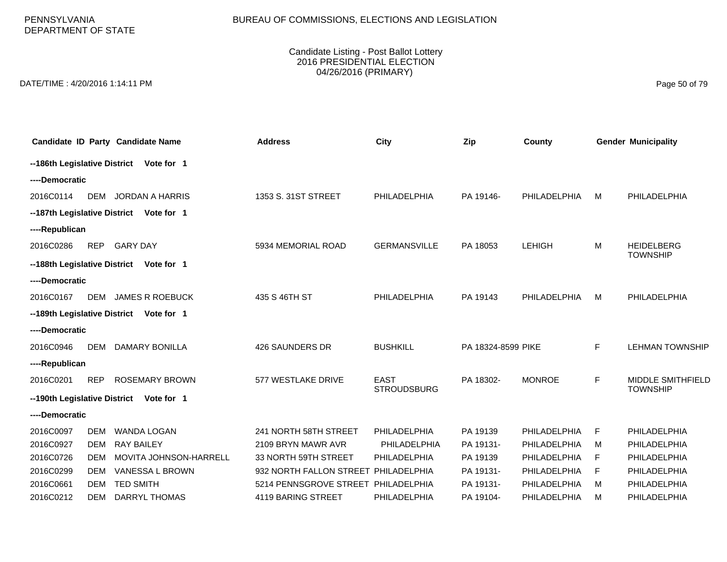PENNSYLVANIA DEPARTMENT OF STATE

#### Candidate Listing - Post Ballot Lottery 2016 PRESIDENTIAL ELECTION 04/26/2016 (PRIMARY)

DATE/TIME : 4/20/2016 1:14:11 PM Page 50 of 79

|                              |                                            | Candidate ID Party Candidate Name       | <b>Address</b>                      | <b>City</b>         | Zip                | County        |             | <b>Gender Municipality</b> |  |  |
|------------------------------|--------------------------------------------|-----------------------------------------|-------------------------------------|---------------------|--------------------|---------------|-------------|----------------------------|--|--|
|                              |                                            | --186th Legislative District Vote for 1 |                                     |                     |                    |               |             |                            |  |  |
| ----Democratic               |                                            |                                         |                                     |                     |                    |               |             |                            |  |  |
| 2016C0114                    | <b>DEM</b>                                 | JORDAN A HARRIS                         | 1353 S. 31ST STREET                 | PHILADELPHIA        | PA 19146-          | PHILADELPHIA  | M           | PHILADELPHIA               |  |  |
|                              |                                            | --187th Legislative District Vote for 1 |                                     |                     |                    |               |             |                            |  |  |
|                              | ----Republican                             |                                         |                                     |                     |                    |               |             |                            |  |  |
| 2016C0286                    | <b>REP</b>                                 | <b>GARY DAY</b>                         | 5934 MEMORIAL ROAD                  | <b>GERMANSVILLE</b> | PA 18053           | <b>LEHIGH</b> | M           | <b>HEIDELBERG</b>          |  |  |
| --188th Legislative District |                                            | Vote for 1                              |                                     |                     |                    |               |             | <b>TOWNSHIP</b>            |  |  |
| ----Democratic               |                                            |                                         |                                     |                     |                    |               |             |                            |  |  |
| 2016C0167                    | DEM                                        | <b>JAMES R ROEBUCK</b>                  | 435 S 46TH ST                       | PHILADELPHIA        | PA 19143           | PHILADELPHIA  | M           | PHILADELPHIA               |  |  |
|                              | --189th Legislative District<br>Vote for 1 |                                         |                                     |                     |                    |               |             |                            |  |  |
| ----Democratic               |                                            |                                         |                                     |                     |                    |               |             |                            |  |  |
| 2016C0946                    | DEM                                        | DAMARY BONILLA                          | 426 SAUNDERS DR                     | <b>BUSHKILL</b>     | PA 18324-8599 PIKE |               | F           | <b>LEHMAN TOWNSHIP</b>     |  |  |
| ----Republican               |                                            |                                         |                                     |                     |                    |               |             |                            |  |  |
| 2016C0201                    | <b>REP</b>                                 | <b>ROSEMARY BROWN</b>                   | 577 WESTLAKE DRIVE                  | <b>EAST</b>         | PA 18302-          | <b>MONROE</b> | $\mathsf F$ | <b>MIDDLE SMITHFIELD</b>   |  |  |
| --190th Legislative District |                                            | Vote for 1                              |                                     | <b>STROUDSBURG</b>  |                    |               |             | <b>TOWNSHIP</b>            |  |  |
| ----Democratic               |                                            |                                         |                                     |                     |                    |               |             |                            |  |  |
| 2016C0097                    | <b>DEM</b>                                 | <b>WANDA LOGAN</b>                      | 241 NORTH 58TH STREET               | PHILADELPHIA        | PA 19139           | PHILADELPHIA  | F           | PHILADELPHIA               |  |  |
| 2016C0927                    | DEM                                        | <b>RAY BAILEY</b>                       | 2109 BRYN MAWR AVR                  | PHILADELPHIA        | PA 19131-          | PHILADELPHIA  | M           | PHILADELPHIA               |  |  |
| 2016C0726                    | <b>DEM</b>                                 | MOVITA JOHNSON-HARRELL                  | 33 NORTH 59TH STREET                | PHILADELPHIA        | PA 19139           | PHILADELPHIA  | F           | PHILADELPHIA               |  |  |
| 2016C0299                    | <b>DEM</b>                                 | VANESSA L BROWN                         | 932 NORTH FALLON STREET             | PHILADELPHIA        | PA 19131-          | PHILADELPHIA  | F           | PHILADELPHIA               |  |  |
| 2016C0661                    | DFM                                        | <b>TED SMITH</b>                        | 5214 PENNSGROVE STREET PHILADELPHIA |                     | PA 19131-          | PHILADELPHIA  | M           | PHILADELPHIA               |  |  |
| 2016C0212                    | <b>DEM</b>                                 | DARRYL THOMAS                           | 4119 BARING STREET                  | <b>PHILADELPHIA</b> | PA 19104-          | PHILADELPHIA  | м           | PHILADELPHIA               |  |  |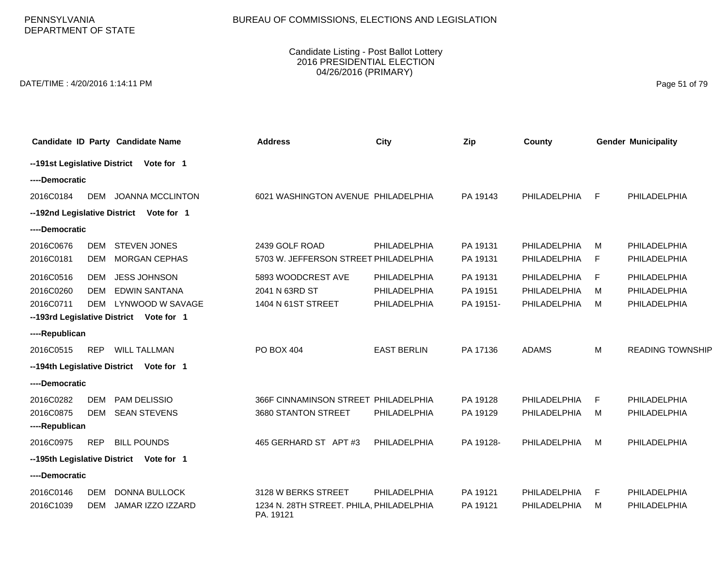PENNSYLVANIA DEPARTMENT OF STATE

### Candidate Listing - Post Ballot Lottery 2016 PRESIDENTIAL ELECTION 04/26/2016 (PRIMARY)

DATE/TIME : 4/20/2016 1:14:11 PM Page 51 of 79

|                                          |                                         | Candidate ID Party Candidate Name                                                                          | <b>Address</b>                                                               | City                                         | Zip                               | County                                       |             | <b>Gender Municipality</b>                   |  |
|------------------------------------------|-----------------------------------------|------------------------------------------------------------------------------------------------------------|------------------------------------------------------------------------------|----------------------------------------------|-----------------------------------|----------------------------------------------|-------------|----------------------------------------------|--|
|                                          |                                         | --191st Legislative District Vote for 1                                                                    |                                                                              |                                              |                                   |                                              |             |                                              |  |
| ----Democratic                           |                                         |                                                                                                            |                                                                              |                                              |                                   |                                              |             |                                              |  |
| 2016C0184                                |                                         | DEM JOANNA MCCLINTON                                                                                       | 6021 WASHINGTON AVENUE PHILADELPHIA                                          |                                              | PA 19143                          | PHILADELPHIA                                 | E           | PHILADELPHIA                                 |  |
|                                          |                                         | --192nd Legislative District Vote for 1                                                                    |                                                                              |                                              |                                   |                                              |             |                                              |  |
|                                          | ----Democratic                          |                                                                                                            |                                                                              |                                              |                                   |                                              |             |                                              |  |
| 2016C0676<br>2016C0181                   | DEM<br><b>DEM</b>                       | <b>STEVEN JONES</b><br>MORGAN CEPHAS                                                                       | 2439 GOLF ROAD<br>5703 W. JEFFERSON STREET PHILADELPHIA                      | PHILADELPHIA                                 | PA 19131<br>PA 19131              | PHILADELPHIA<br>PHILADELPHIA                 | м<br>F      | PHILADELPHIA<br>PHILADELPHIA                 |  |
| 2016C0516<br>2016C0260<br>2016C0711      | <b>DEM</b><br><b>DEM</b><br>DEM         | <b>JESS JOHNSON</b><br><b>EDWIN SANTANA</b><br>LYNWOOD W SAVAGE<br>--193rd Legislative District Vote for 1 | 5893 WOODCREST AVE<br>2041 N 63RD ST<br>1404 N 61ST STREET                   | PHILADELPHIA<br>PHILADELPHIA<br>PHILADELPHIA | PA 19131<br>PA 19151<br>PA 19151- | PHILADELPHIA<br>PHILADELPHIA<br>PHILADELPHIA | F<br>м<br>м | PHILADELPHIA<br>PHILADELPHIA<br>PHILADELPHIA |  |
| ----Republican                           |                                         |                                                                                                            |                                                                              |                                              |                                   |                                              |             |                                              |  |
| 2016C0515                                | <b>REP</b>                              | <b>WILL TALLMAN</b>                                                                                        | PO BOX 404                                                                   | <b>EAST BERLIN</b>                           | PA 17136                          | <b>ADAMS</b>                                 | M           | <b>READING TOWNSHIP</b>                      |  |
|                                          |                                         | --194th Legislative District Vote for 1                                                                    |                                                                              |                                              |                                   |                                              |             |                                              |  |
| ----Democratic                           |                                         |                                                                                                            |                                                                              |                                              |                                   |                                              |             |                                              |  |
| 2016C0282<br>2016C0875<br>----Republican | <b>DEM</b><br><b>DEM</b>                | PAM DELISSIO<br><b>SEAN STEVENS</b>                                                                        | 366F CINNAMINSON STREET PHILADELPHIA<br>3680 STANTON STREET                  | <b>PHILADELPHIA</b>                          | PA 19128<br>PA 19129              | PHILADELPHIA<br>PHILADELPHIA                 | F<br>м      | PHILADELPHIA<br>PHILADELPHIA                 |  |
| 2016C0975                                | <b>REP</b>                              | <b>BILL POUNDS</b>                                                                                         | 465 GERHARD ST APT #3                                                        | PHILADELPHIA                                 | PA 19128-                         | PHILADELPHIA                                 | M           | PHILADELPHIA                                 |  |
|                                          | --195th Legislative District Vote for 1 |                                                                                                            |                                                                              |                                              |                                   |                                              |             |                                              |  |
| ----Democratic                           |                                         |                                                                                                            |                                                                              |                                              |                                   |                                              |             |                                              |  |
| 2016C0146<br>2016C1039                   | <b>DEM</b><br><b>DEM</b>                | <b>DONNA BULLOCK</b><br>JAMAR IZZO IZZARD                                                                  | 3128 W BERKS STREET<br>1234 N. 28TH STREET. PHILA, PHILADELPHIA<br>PA. 19121 | PHILADELPHIA                                 | PA 19121<br>PA 19121              | PHILADELPHIA<br>PHILADELPHIA                 | F<br>M      | PHILADELPHIA<br>PHILADELPHIA                 |  |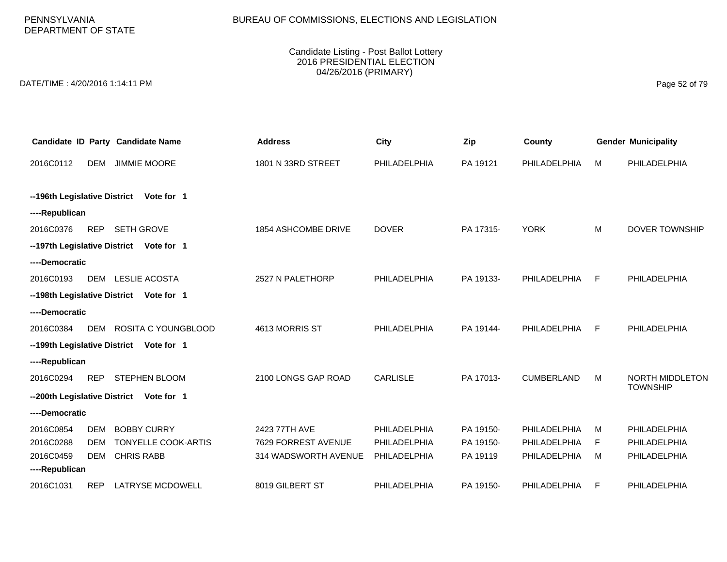# BUREAU OF COMMISSIONS, ELECTIONS AND LEGISLATION

### Candidate Listing - Post Ballot Lottery 2016 PRESIDENTIAL ELECTION 04/26/2016 (PRIMARY)

DATE/TIME : 4/20/2016 1:14:11 PM Page 52 of 79

|                              |                                            | Candidate ID Party Candidate Name       | <b>Address</b>             | City            | Zip       | County            |    | <b>Gender Municipality</b> |  |
|------------------------------|--------------------------------------------|-----------------------------------------|----------------------------|-----------------|-----------|-------------------|----|----------------------------|--|
| 2016C0112                    | <b>DEM</b>                                 | <b>JIMMIE MOORE</b>                     | 1801 N 33RD STREET         | PHILADELPHIA    | PA 19121  | PHILADELPHIA      | м  | PHILADELPHIA               |  |
|                              |                                            |                                         |                            |                 |           |                   |    |                            |  |
|                              | --196th Legislative District<br>Vote for 1 |                                         |                            |                 |           |                   |    |                            |  |
| ----Republican               |                                            |                                         |                            |                 |           |                   |    |                            |  |
| 2016C0376                    | <b>REP</b>                                 | <b>SETH GROVE</b>                       | <b>1854 ASHCOMBE DRIVE</b> | <b>DOVER</b>    | PA 17315- | <b>YORK</b>       | M  | <b>DOVER TOWNSHIP</b>      |  |
|                              |                                            | --197th Legislative District Vote for 1 |                            |                 |           |                   |    |                            |  |
| ----Democratic               |                                            |                                         |                            |                 |           |                   |    |                            |  |
| 2016C0193                    | DEM                                        | LESLIE ACOSTA                           | 2527 N PALETHORP           | PHILADELPHIA    | PA 19133- | PHILADELPHIA      | F  | <b>PHILADELPHIA</b>        |  |
|                              |                                            | --198th Legislative District Vote for 1 |                            |                 |           |                   |    |                            |  |
| ----Democratic               |                                            |                                         |                            |                 |           |                   |    |                            |  |
| 2016C0384                    | DEM                                        | ROSITA C YOUNGBLOOD                     | 4613 MORRIS ST             | PHILADELPHIA    | PA 19144- | PHILADELPHIA      | F  | <b>PHILADELPHIA</b>        |  |
| --199th Legislative District |                                            | Vote for 1                              |                            |                 |           |                   |    |                            |  |
| ----Republican               |                                            |                                         |                            |                 |           |                   |    |                            |  |
| 2016C0294                    | <b>REP</b>                                 | <b>STEPHEN BLOOM</b>                    | 2100 LONGS GAP ROAD        | <b>CARLISLE</b> | PA 17013- | <b>CUMBERLAND</b> | M  | NORTH MIDDLETON            |  |
| --200th Legislative District |                                            | Vote for 1                              |                            |                 |           |                   |    | <b>TOWNSHIP</b>            |  |
| ----Democratic               |                                            |                                         |                            |                 |           |                   |    |                            |  |
| 2016C0854                    | <b>DEM</b>                                 | <b>BOBBY CURRY</b>                      | 2423 77TH AVE              | PHILADELPHIA    | PA 19150- | PHILADELPHIA      | м  | <b>PHILADELPHIA</b>        |  |
| 2016C0288                    | <b>DEM</b>                                 | <b>TONYELLE COOK-ARTIS</b>              | 7629 FORREST AVENUE        | PHILADELPHIA    | PA 19150- | PHILADELPHIA      | F. | <b>PHILADELPHIA</b>        |  |
| 2016C0459                    | <b>DEM</b>                                 | <b>CHRIS RABB</b>                       | 314 WADSWORTH AVENUE       | PHILADELPHIA    | PA 19119  | PHILADELPHIA      | м  | PHILADELPHIA               |  |
| ----Republican               |                                            |                                         |                            |                 |           |                   |    |                            |  |
| 2016C1031                    | <b>REP</b>                                 | <b>LATRYSE MCDOWELL</b>                 | 8019 GILBERT ST            | PHILADELPHIA    | PA 19150- | PHILADELPHIA      | F  | PHILADELPHIA               |  |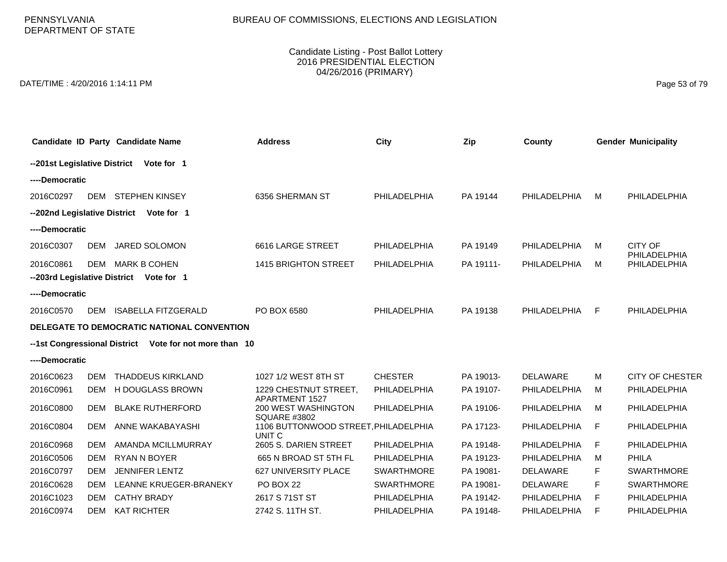PENNSYLVANIA DEPARTMENT OF STATE

#### Candidate Listing - Post Ballot Lottery 2016 PRESIDENTIAL ELECTION 04/26/2016 (PRIMARY)

DATE/TIME : 4/20/2016 1:14:11 PM Page 53 of 79

|                |            | Candidate ID Party Candidate Name                      | <b>Address</b>                                              | City              | Zip       | County          |    | <b>Gender Municipality</b>   |
|----------------|------------|--------------------------------------------------------|-------------------------------------------------------------|-------------------|-----------|-----------------|----|------------------------------|
|                |            | --201st Legislative District Vote for 1                |                                                             |                   |           |                 |    |                              |
| ----Democratic |            |                                                        |                                                             |                   |           |                 |    |                              |
| 2016C0297      | DEM        | <b>STEPHEN KINSEY</b>                                  | 6356 SHERMAN ST                                             | PHILADELPHIA      | PA 19144  | PHILADELPHIA    | м  | PHILADELPHIA                 |
|                |            | -- 202nd Legislative District Vote for 1               |                                                             |                   |           |                 |    |                              |
| ----Democratic |            |                                                        |                                                             |                   |           |                 |    |                              |
| 2016C0307      | <b>DEM</b> | JARED SOLOMON                                          | 6616 LARGE STREET                                           | PHILADELPHIA      | PA 19149  | PHILADELPHIA    | м  | <b>CITY OF</b>               |
| 2016C0861      | <b>DEM</b> | <b>MARK B COHEN</b>                                    | <b>1415 BRIGHTON STREET</b>                                 | PHILADELPHIA      | PA 19111- | PHILADELPHIA    | M  | PHILADELPHIA<br>PHILADELPHIA |
|                |            | --203rd Legislative District Vote for 1                |                                                             |                   |           |                 |    |                              |
| ----Democratic |            |                                                        |                                                             |                   |           |                 |    |                              |
| 2016C0570      | DEM        | <b>ISABELLA FITZGERALD</b>                             | PO BOX 6580                                                 | PHILADELPHIA      | PA 19138  | PHILADELPHIA    | F  | PHILADELPHIA                 |
|                |            | DELEGATE TO DEMOCRATIC NATIONAL CONVENTION             |                                                             |                   |           |                 |    |                              |
|                |            | --1st Congressional District Vote for not more than 10 |                                                             |                   |           |                 |    |                              |
| ----Democratic |            |                                                        |                                                             |                   |           |                 |    |                              |
| 2016C0623      | <b>DEM</b> | <b>THADDEUS KIRKLAND</b>                               | 1027 1/2 WEST 8TH ST                                        | <b>CHESTER</b>    | PA 19013- | <b>DELAWARE</b> | м  | <b>CITY OF CHESTER</b>       |
| 2016C0961      | <b>DEM</b> | H DOUGLASS BROWN                                       | 1229 CHESTNUT STREET,                                       | PHILADELPHIA      | PA 19107- | PHILADELPHIA    | М  | PHILADELPHIA                 |
| 2016C0800      | <b>DEM</b> | <b>BLAKE RUTHERFORD</b>                                | APARTMENT 1527<br>200 WEST WASHINGTON                       | PHILADELPHIA      | PA 19106- | PHILADELPHIA    | M  | PHILADELPHIA                 |
| 2016C0804      | <b>DEM</b> | ANNE WAKABAYASHI                                       | <b>SQUARE #3802</b><br>1106 BUTTONWOOD STREET, PHILADELPHIA |                   | PA 17123- | PHILADELPHIA    | F. | PHILADELPHIA                 |
| 2016C0968      | <b>DEM</b> | AMANDA MCILLMURRAY                                     | UNIT <sub>C</sub><br>2605 S. DARIEN STREET                  | PHILADELPHIA      | PA 19148- | PHILADELPHIA    | F  | PHILADELPHIA                 |
| 2016C0506      | <b>DEM</b> | <b>RYAN N BOYER</b>                                    | 665 N BROAD ST 5TH FL                                       | PHILADELPHIA      | PA 19123- | PHILADELPHIA    | м  | PHILA                        |
| 2016C0797      | <b>DEM</b> | <b>JENNIFER LENTZ</b>                                  | 627 UNIVERSITY PLACE                                        | <b>SWARTHMORE</b> | PA 19081- | DELAWARE        | F  | <b>SWARTHMORE</b>            |
| 2016C0628      | <b>DEM</b> | LEANNE KRUEGER-BRANEKY                                 | PO BOX 22                                                   | <b>SWARTHMORE</b> | PA 19081- | <b>DELAWARE</b> | F. | <b>SWARTHMORE</b>            |
| 2016C1023      | <b>DEM</b> | <b>CATHY BRADY</b>                                     | 2617 S 71ST ST                                              | PHILADELPHIA      | PA 19142- | PHILADELPHIA    | F. | PHILADELPHIA                 |
|                |            |                                                        |                                                             |                   |           |                 |    |                              |
| 2016C0974      | <b>DEM</b> | <b>KAT RICHTER</b>                                     | 2742 S. 11TH ST.                                            | PHILADELPHIA      | PA 19148- | PHILADELPHIA    | F  | PHILADELPHIA                 |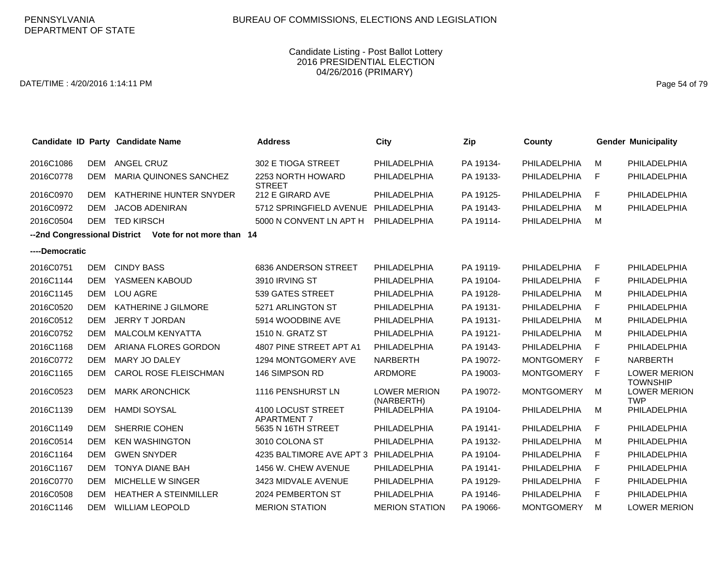### DATE/TIME : 4/20/2016 1:14:11 PM Page 54 of 79

|                |            | Candidate ID Party Candidate Name                      | <b>Address</b>                           | City                              | Zip       | County            |     | <b>Gender Municipality</b>             |
|----------------|------------|--------------------------------------------------------|------------------------------------------|-----------------------------------|-----------|-------------------|-----|----------------------------------------|
| 2016C1086      | DEM        | ANGEL CRUZ                                             | 302 E TIOGA STREET                       | PHILADELPHIA                      | PA 19134- | PHILADELPHIA      | м   | PHILADELPHIA                           |
| 2016C0778      | <b>DEM</b> | <b>MARIA QUINONES SANCHEZ</b>                          | 2253 NORTH HOWARD<br><b>STREET</b>       | PHILADELPHIA                      | PA 19133- | PHILADELPHIA      | F   | PHILADELPHIA                           |
| 2016C0970      | <b>DEM</b> | KATHERINE HUNTER SNYDER                                | 212 E GIRARD AVE                         | PHILADELPHIA                      | PA 19125- | PHILADELPHIA      | F   | PHILADELPHIA                           |
| 2016C0972      | <b>DEM</b> | <b>JACOB ADENIRAN</b>                                  | 5712 SPRINGFIELD AVENUE                  | PHILADELPHIA                      | PA 19143- | PHILADELPHIA      | M   | PHILADELPHIA                           |
| 2016C0504      | <b>DEM</b> | <b>TED KIRSCH</b>                                      | 5000 N CONVENT LN APT H                  | PHILADELPHIA                      | PA 19114- | PHILADELPHIA      | M   |                                        |
|                |            | --2nd Congressional District Vote for not more than 14 |                                          |                                   |           |                   |     |                                        |
| ----Democratic |            |                                                        |                                          |                                   |           |                   |     |                                        |
| 2016C0751      | <b>DEM</b> | <b>CINDY BASS</b>                                      | 6836 ANDERSON STREET                     | PHILADELPHIA                      | PA 19119- | PHILADELPHIA      | E   | PHILADELPHIA                           |
| 2016C1144      | <b>DEM</b> | YASMEEN KABOUD                                         | 3910 IRVING ST                           | PHILADELPHIA                      | PA 19104- | PHILADELPHIA      | F   | PHILADELPHIA                           |
| 2016C1145      | <b>DEM</b> | <b>LOU AGRE</b>                                        | 539 GATES STREET                         | PHILADELPHIA                      | PA 19128- | PHILADELPHIA      | M   | PHILADELPHIA                           |
| 2016C0520      | DEM        | KATHERINE J GILMORE                                    | 5271 ARLINGTON ST                        | PHILADELPHIA                      | PA 19131- | PHILADELPHIA      | F   | PHILADELPHIA                           |
| 2016C0512      | <b>DEM</b> | JERRY T JORDAN                                         | 5914 WOODBINE AVE                        | PHILADELPHIA                      | PA 19131- | PHILADELPHIA      | м   | PHILADELPHIA                           |
| 2016C0752      | <b>DEM</b> | <b>MALCOLM KENYATTA</b>                                | 1510 N. GRATZ ST                         | PHILADELPHIA                      | PA 19121- | PHILADELPHIA      | м   | PHILADELPHIA                           |
| 2016C1168      | DEM        | ARIANA FLORES GORDON                                   | 4807 PINE STREET APT A1                  | PHILADELPHIA                      | PA 19143- | PHILADELPHIA      | F   | PHILADELPHIA                           |
| 2016C0772      | <b>DEM</b> | MARY JO DALEY                                          | 1294 MONTGOMERY AVE                      | <b>NARBERTH</b>                   | PA 19072- | <b>MONTGOMERY</b> | - F | <b>NARBERTH</b>                        |
| 2016C1165      | <b>DEM</b> | <b>CAROL ROSE FLEISCHMAN</b>                           | 146 SIMPSON RD                           | ARDMORE                           | PA 19003- | <b>MONTGOMERY</b> | - F | <b>LOWER MERION</b><br><b>TOWNSHIP</b> |
| 2016C0523      | DEM        | <b>MARK ARONCHICK</b>                                  | 1116 PENSHURST LN                        | <b>LOWER MERION</b><br>(NARBERTH) | PA 19072- | <b>MONTGOMERY</b> | M   | <b>LOWER MERION</b><br><b>TWP</b>      |
| 2016C1139      | <b>DEM</b> | <b>HAMDI SOYSAL</b>                                    | 4100 LOCUST STREET<br><b>APARTMENT 7</b> | PHILADELPHIA                      | PA 19104- | PHILADELPHIA      | M   | PHILADELPHIA                           |
| 2016C1149      | DEM        | <b>SHERRIE COHEN</b>                                   | 5635 N 16TH STREET                       | PHILADELPHIA                      | PA 19141- | PHILADELPHIA      | F   | PHILADELPHIA                           |
| 2016C0514      | <b>DEM</b> | <b>KEN WASHINGTON</b>                                  | 3010 COLONA ST                           | PHILADELPHIA                      | PA 19132- | PHILADELPHIA      | M   | PHILADELPHIA                           |
| 2016C1164      | <b>DEM</b> | <b>GWEN SNYDER</b>                                     | 4235 BALTIMORE AVE APT 3                 | PHILADELPHIA                      | PA 19104- | PHILADELPHIA      | F   | PHILADELPHIA                           |
| 2016C1167      | DEM        | <b>TONYA DIANE BAH</b>                                 | 1456 W. CHEW AVENUE                      | PHILADELPHIA                      | PA 19141- | PHILADELPHIA      | F   | PHILADELPHIA                           |
| 2016C0770      | <b>DEM</b> | MICHELLE W SINGER                                      | 3423 MIDVALE AVENUE                      | PHILADELPHIA                      | PA 19129- | PHILADELPHIA      | -F  | PHILADELPHIA                           |
| 2016C0508      | <b>DEM</b> | <b>HEATHER A STEINMILLER</b>                           | 2024 PEMBERTON ST                        | PHILADELPHIA                      | PA 19146- | PHILADELPHIA      | F   | PHILADELPHIA                           |
| 2016C1146      | <b>DEM</b> | <b>WILLIAM LEOPOLD</b>                                 | <b>MERION STATION</b>                    | <b>MERION STATION</b>             | PA 19066- | <b>MONTGOMERY</b> | м   | <b>LOWER MERION</b>                    |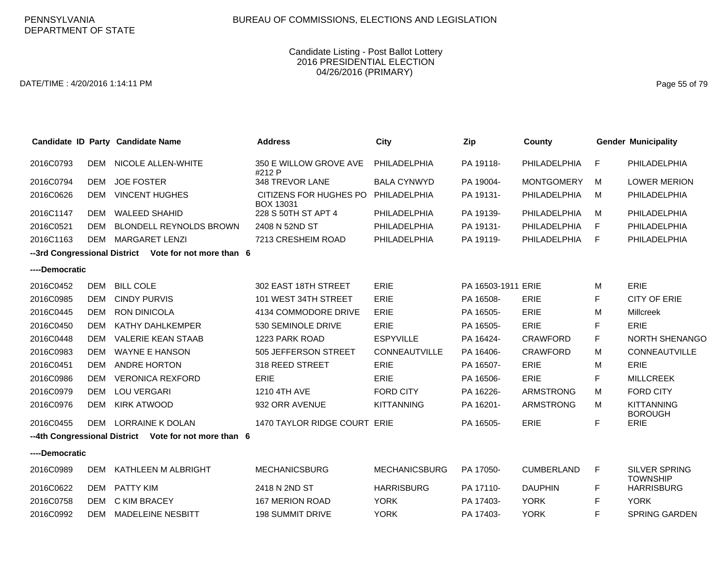### DATE/TIME : 4/20/2016 1:14:11 PM Page 55 of 79

|                |            | Candidate ID Party Candidate Name                     | <b>Address</b>                             | <b>City</b>          | Zip                | County            |             | <b>Gender Municipality</b>              |
|----------------|------------|-------------------------------------------------------|--------------------------------------------|----------------------|--------------------|-------------------|-------------|-----------------------------------------|
| 2016C0793      | <b>DEM</b> | NICOLE ALLEN-WHITE                                    | 350 E WILLOW GROVE AVE<br>#212 P           | PHILADELPHIA         | PA 19118-          | PHILADELPHIA      | F           | PHILADELPHIA                            |
| 2016C0794      | <b>DEM</b> | <b>JOE FOSTER</b>                                     | 348 TREVOR LANE                            | <b>BALA CYNWYD</b>   | PA 19004-          | <b>MONTGOMERY</b> | M           | <b>LOWER MERION</b>                     |
| 2016C0626      | <b>DEM</b> | <b>VINCENT HUGHES</b>                                 | CITIZENS FOR HUGHES PO<br><b>BOX 13031</b> | PHILADELPHIA         | PA 19131-          | PHILADELPHIA      | M           | PHILADELPHIA                            |
| 2016C1147      | <b>DEM</b> | <b>WALEED SHAHID</b>                                  | 228 S 50TH ST APT 4                        | PHILADELPHIA         | PA 19139-          | PHILADELPHIA      | M           | PHILADELPHIA                            |
| 2016C0521      | <b>DEM</b> | <b>BLONDELL REYNOLDS BROWN</b>                        | 2408 N 52ND ST                             | PHILADELPHIA         | PA 19131-          | PHILADELPHIA      | F           | PHILADELPHIA                            |
| 2016C1163      | DEM        | <b>MARGARET LENZI</b>                                 | 7213 CRESHEIM ROAD                         | PHILADELPHIA         | PA 19119-          | PHILADELPHIA      | F           | PHILADELPHIA                            |
|                |            | --3rd Congressional District Vote for not more than 6 |                                            |                      |                    |                   |             |                                         |
| ----Democratic |            |                                                       |                                            |                      |                    |                   |             |                                         |
| 2016C0452      | <b>DEM</b> | <b>BILL COLE</b>                                      | 302 EAST 18TH STREET                       | <b>ERIE</b>          | PA 16503-1911 ERIE |                   | м           | ERIE                                    |
| 2016C0985      | <b>DEM</b> | <b>CINDY PURVIS</b>                                   | 101 WEST 34TH STREET                       | <b>ERIE</b>          | PA 16508-          | <b>ERIE</b>       | F           | <b>CITY OF ERIE</b>                     |
| 2016C0445      | <b>DEM</b> | <b>RON DINICOLA</b>                                   | 4134 COMMODORE DRIVE                       | <b>ERIE</b>          | PA 16505-          | <b>ERIE</b>       | м           | Millcreek                               |
| 2016C0450      | <b>DEM</b> | KATHY DAHLKEMPER                                      | 530 SEMINOLE DRIVE                         | <b>ERIE</b>          | PA 16505-          | <b>ERIE</b>       | F           | ERIE                                    |
| 2016C0448      | <b>DEM</b> | <b>VALERIE KEAN STAAB</b>                             | 1223 PARK ROAD                             | <b>ESPYVILLE</b>     | PA 16424-          | <b>CRAWFORD</b>   | F           | <b>NORTH SHENANGO</b>                   |
| 2016C0983      | <b>DEM</b> | WAYNE E HANSON                                        | 505 JEFFERSON STREET                       | <b>CONNEAUTVILLE</b> | PA 16406-          | <b>CRAWFORD</b>   | м           | <b>CONNEAUTVILLE</b>                    |
| 2016C0451      | <b>DEM</b> | <b>ANDRE HORTON</b>                                   | 318 REED STREET                            | ERIE                 | PA 16507-          | <b>ERIE</b>       | м           | ERIE                                    |
| 2016C0986      | <b>DEM</b> | <b>VERONICA REXFORD</b>                               | <b>ERIE</b>                                | <b>ERIE</b>          | PA 16506-          | ERIE              | F           | <b>MILLCREEK</b>                        |
| 2016C0979      | <b>DEM</b> | <b>LOU VERGARI</b>                                    | 1210 4TH AVE                               | <b>FORD CITY</b>     | PA 16226-          | <b>ARMSTRONG</b>  | м           | <b>FORD CITY</b>                        |
| 2016C0976      | <b>DEM</b> | <b>KIRK ATWOOD</b>                                    | 932 ORR AVENUE                             | <b>KITTANNING</b>    | PA 16201-          | <b>ARMSTRONG</b>  | м           | <b>KITTANNING</b><br><b>BOROUGH</b>     |
| 2016C0455      | <b>DEM</b> | LORRAINE K DOLAN                                      | 1470 TAYLOR RIDGE COURT ERIE               |                      | PA 16505-          | <b>ERIE</b>       | F           | <b>ERIE</b>                             |
|                |            | --4th Congressional District Vote for not more than 6 |                                            |                      |                    |                   |             |                                         |
| ----Democratic |            |                                                       |                                            |                      |                    |                   |             |                                         |
| 2016C0989      | DEM        | KATHLEEN M ALBRIGHT                                   | <b>MECHANICSBURG</b>                       | <b>MECHANICSBURG</b> | PA 17050-          | <b>CUMBERLAND</b> | $\mathsf F$ | <b>SILVER SPRING</b><br><b>TOWNSHIP</b> |
| 2016C0622      | <b>DEM</b> | PATTY KIM                                             | 2418 N 2ND ST                              | <b>HARRISBURG</b>    | PA 17110-          | <b>DAUPHIN</b>    | F           | <b>HARRISBURG</b>                       |
| 2016C0758      | DEM        | C KIM BRACEY                                          | <b>167 MERION ROAD</b>                     | <b>YORK</b>          | PA 17403-          | <b>YORK</b>       | F           | <b>YORK</b>                             |
| 2016C0992      | <b>DEM</b> | <b>MADELEINE NESBITT</b>                              | <b>198 SUMMIT DRIVE</b>                    | <b>YORK</b>          | PA 17403-          | <b>YORK</b>       | F           | <b>SPRING GARDEN</b>                    |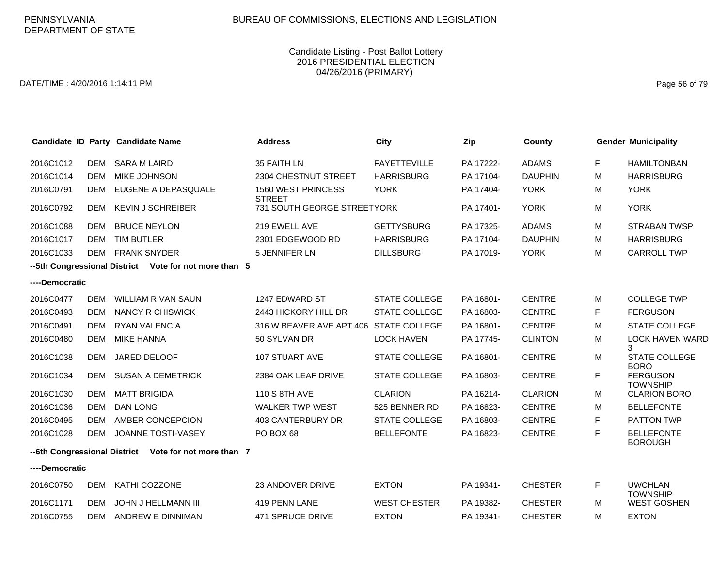### DATE/TIME : 4/20/2016 1:14:11 PM Page 56 of 79

|                                                       |            | Candidate ID Party Candidate Name                     | <b>Address</b>                         | <b>City</b>          | Zip       | <b>County</b>  |   | <b>Gender Municipality</b>          |  |
|-------------------------------------------------------|------------|-------------------------------------------------------|----------------------------------------|----------------------|-----------|----------------|---|-------------------------------------|--|
| 2016C1012                                             | DEM        | <b>SARA M LAIRD</b>                                   | 35 FAITH LN                            | <b>FAYETTEVILLE</b>  | PA 17222- | <b>ADAMS</b>   | F | <b>HAMILTONBAN</b>                  |  |
| 2016C1014                                             | <b>DEM</b> | <b>MIKE JOHNSON</b>                                   | 2304 CHESTNUT STREET                   | <b>HARRISBURG</b>    | PA 17104- | <b>DAUPHIN</b> | м | <b>HARRISBURG</b>                   |  |
| 2016C0791                                             | DEM        | EUGENE A DEPASQUALE                                   | 1560 WEST PRINCESS<br><b>STREET</b>    | <b>YORK</b>          | PA 17404- | <b>YORK</b>    | м | <b>YORK</b>                         |  |
| 2016C0792                                             | <b>DEM</b> | <b>KEVIN J SCHREIBER</b>                              | 731 SOUTH GEORGE STREETYORK            |                      | PA 17401- | <b>YORK</b>    | м | <b>YORK</b>                         |  |
| 2016C1088                                             | <b>DEM</b> | <b>BRUCE NEYLON</b>                                   | 219 EWELL AVE                          | <b>GETTYSBURG</b>    | PA 17325- | <b>ADAMS</b>   | M | <b>STRABAN TWSP</b>                 |  |
| 2016C1017                                             | <b>DEM</b> | <b>TIM BUTLER</b>                                     | 2301 EDGEWOOD RD                       | <b>HARRISBURG</b>    | PA 17104- | <b>DAUPHIN</b> | м | <b>HARRISBURG</b>                   |  |
| 2016C1033                                             | DEM        | <b>FRANK SNYDER</b>                                   | <b>5 JENNIFER LN</b>                   | <b>DILLSBURG</b>     | PA 17019- | <b>YORK</b>    | M | <b>CARROLL TWP</b>                  |  |
| --5th Congressional District Vote for not more than 5 |            |                                                       |                                        |                      |           |                |   |                                     |  |
| ----Democratic                                        |            |                                                       |                                        |                      |           |                |   |                                     |  |
| 2016C0477                                             | <b>DEM</b> | <b>WILLIAM R VAN SAUN</b>                             | 1247 EDWARD ST                         | <b>STATE COLLEGE</b> | PA 16801- | <b>CENTRE</b>  | M | <b>COLLEGE TWP</b>                  |  |
| 2016C0493                                             | <b>DEM</b> | <b>NANCY R CHISWICK</b>                               | 2443 HICKORY HILL DR                   | <b>STATE COLLEGE</b> | PA 16803- | <b>CENTRE</b>  | F | <b>FERGUSON</b>                     |  |
| 2016C0491                                             | <b>DEM</b> | RYAN VALENCIA                                         | 316 W BEAVER AVE APT 406 STATE COLLEGE |                      | PA 16801- | <b>CENTRE</b>  | M | <b>STATE COLLEGE</b>                |  |
| 2016C0480                                             | DEM        | <b>MIKE HANNA</b>                                     | 50 SYLVAN DR                           | <b>LOCK HAVEN</b>    | PA 17745- | <b>CLINTON</b> | M | <b>LOCK HAVEN WARD</b><br>3         |  |
| 2016C1038                                             | <b>DEM</b> | JARED DELOOF                                          | 107 STUART AVE                         | STATE COLLEGE        | PA 16801- | <b>CENTRE</b>  | м | <b>STATE COLLEGE</b><br><b>BORO</b> |  |
| 2016C1034                                             | <b>DEM</b> | <b>SUSAN A DEMETRICK</b>                              | 2384 OAK LEAF DRIVE                    | <b>STATE COLLEGE</b> | PA 16803- | <b>CENTRE</b>  | F | <b>FERGUSON</b><br><b>TOWNSHIP</b>  |  |
| 2016C1030                                             | <b>DEM</b> | <b>MATT BRIGIDA</b>                                   | 110 S 8TH AVE                          | <b>CLARION</b>       | PA 16214- | <b>CLARION</b> | м | <b>CLARION BORO</b>                 |  |
| 2016C1036                                             | <b>DEM</b> | <b>DAN LONG</b>                                       | <b>WALKER TWP WEST</b>                 | 525 BENNER RD        | PA 16823- | <b>CENTRE</b>  | м | <b>BELLEFONTE</b>                   |  |
| 2016C0495                                             | <b>DEM</b> | AMBER CONCEPCION                                      | <b>403 CANTERBURY DR</b>               | <b>STATE COLLEGE</b> | PA 16803- | <b>CENTRE</b>  | F | <b>PATTON TWP</b>                   |  |
| 2016C1028                                             | DEM        | JOANNE TOSTI-VASEY                                    | PO BOX 68                              | <b>BELLEFONTE</b>    | PA 16823- | <b>CENTRE</b>  | F | <b>BELLEFONTE</b><br><b>BOROUGH</b> |  |
|                                                       |            | --6th Congressional District Vote for not more than 7 |                                        |                      |           |                |   |                                     |  |
| ----Democratic                                        |            |                                                       |                                        |                      |           |                |   |                                     |  |
| 2016C0750                                             | DEM        | KATHI COZZONE                                         | <b>23 ANDOVER DRIVE</b>                | <b>EXTON</b>         | PA 19341- | <b>CHESTER</b> | F | <b>UWCHLAN</b><br><b>TOWNSHIP</b>   |  |
| 2016C1171                                             | <b>DEM</b> | JOHN J HELLMANN III                                   | 419 PENN LANE                          | <b>WEST CHESTER</b>  | PA 19382- | <b>CHESTER</b> | M | <b>WEST GOSHEN</b>                  |  |
| 2016C0755                                             | <b>DEM</b> | ANDREW E DINNIMAN                                     | 471 SPRUCE DRIVE                       | <b>EXTON</b>         | PA 19341- | <b>CHESTER</b> | M | <b>EXTON</b>                        |  |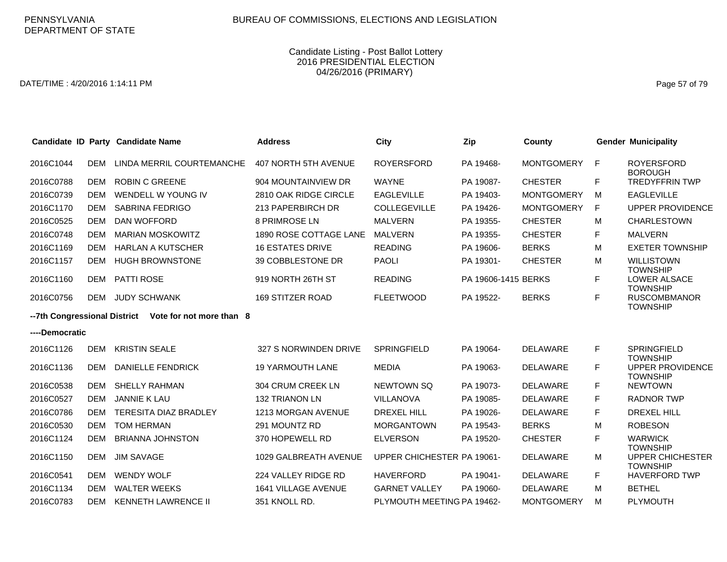DATE/TIME : 4/20/2016 1:14:11 PM Page 57 of 79

|                              |            | Candidate ID Party Candidate Name | <b>Address</b>              | City                       | Zip                 | County            |    | <b>Gender Municipality</b>                 |
|------------------------------|------------|-----------------------------------|-----------------------------|----------------------------|---------------------|-------------------|----|--------------------------------------------|
| 2016C1044                    | DEM        | LINDA MERRIL COURTEMANCHE         | <b>407 NORTH 5TH AVENUE</b> | <b>ROYERSFORD</b>          | PA 19468-           | <b>MONTGOMERY</b> | F  | <b>ROYERSFORD</b><br><b>BOROUGH</b>        |
| 2016C0788                    | DEM        | <b>ROBIN C GREENE</b>             | 904 MOUNTAINVIEW DR         | <b>WAYNE</b>               | PA 19087-           | <b>CHESTER</b>    | F. | <b>TREDYFFRIN TWP</b>                      |
| 2016C0739                    | <b>DEM</b> | WENDELL W YOUNG IV                | 2810 OAK RIDGE CIRCLE       | <b>EAGLEVILLE</b>          | PA 19403-           | <b>MONTGOMERY</b> | м  | <b>EAGLEVILLE</b>                          |
| 2016C1170                    | DEM        | <b>SABRINA FEDRIGO</b>            | 213 PAPERBIRCH DR           | <b>COLLEGEVILLE</b>        | PA 19426-           | <b>MONTGOMERY</b> | F  | <b>UPPER PROVIDENCE</b>                    |
| 2016C0525                    | <b>DEM</b> | DAN WOFFORD                       | 8 PRIMROSE LN               | <b>MALVERN</b>             | PA 19355-           | <b>CHESTER</b>    | м  | <b>CHARLESTOWN</b>                         |
| 2016C0748                    | <b>DEM</b> | <b>MARIAN MOSKOWITZ</b>           | 1890 ROSE COTTAGE LANE      | <b>MALVERN</b>             | PA 19355-           | <b>CHESTER</b>    | F  | <b>MALVERN</b>                             |
| 2016C1169                    | DEM        | <b>HARLAN A KUTSCHER</b>          | <b>16 ESTATES DRIVE</b>     | <b>READING</b>             | PA 19606-           | <b>BERKS</b>      | м  | <b>EXETER TOWNSHIP</b>                     |
| 2016C1157                    | <b>DEM</b> | <b>HUGH BROWNSTONE</b>            | 39 COBBLESTONE DR           | <b>PAOLI</b>               | PA 19301-           | <b>CHESTER</b>    | м  | <b>WILLISTOWN</b><br><b>TOWNSHIP</b>       |
| 2016C1160                    | DEM        | <b>PATTI ROSE</b>                 | 919 NORTH 26TH ST           | <b>READING</b>             | PA 19606-1415 BERKS |                   | F  | <b>LOWER ALSACE</b><br><b>TOWNSHIP</b>     |
| 2016C0756                    | <b>DEM</b> | <b>JUDY SCHWANK</b>               | <b>169 STITZER ROAD</b>     | <b>FLEETWOOD</b>           | PA 19522-           | <b>BERKS</b>      | F  | <b>RUSCOMBMANOR</b><br><b>TOWNSHIP</b>     |
| --7th Congressional District |            | Vote for not more than 8          |                             |                            |                     |                   |    |                                            |
| ----Democratic               |            |                                   |                             |                            |                     |                   |    |                                            |
| 2016C1126                    | <b>DEM</b> | <b>KRISTIN SEALE</b>              | 327 S NORWINDEN DRIVE       | SPRINGFIELD                | PA 19064-           | <b>DELAWARE</b>   | F  | SPRINGFIELD<br><b>TOWNSHIP</b>             |
| 2016C1136                    | <b>DEM</b> | <b>DANIELLE FENDRICK</b>          | <b>19 YARMOUTH LANE</b>     | <b>MEDIA</b>               | PA 19063-           | <b>DELAWARE</b>   | F  | <b>UPPER PROVIDENCE</b><br><b>TOWNSHIP</b> |
| 2016C0538                    | <b>DEM</b> | <b>SHELLY RAHMAN</b>              | 304 CRUM CREEK LN           | NEWTOWN SQ                 | PA 19073-           | <b>DELAWARE</b>   | F  | <b>NEWTOWN</b>                             |
| 2016C0527                    | DEM        | <b>JANNIE K LAU</b>               | <b>132 TRIANON LN</b>       | <b>VILLANOVA</b>           | PA 19085-           | <b>DELAWARE</b>   | F  | <b>RADNOR TWP</b>                          |
| 2016C0786                    | <b>DEM</b> | TERESITA DIAZ BRADLEY             | 1213 MORGAN AVENUE          | <b>DREXEL HILL</b>         | PA 19026-           | <b>DELAWARE</b>   | F  | <b>DREXEL HILL</b>                         |
| 2016C0530                    | <b>DEM</b> | <b>TOM HERMAN</b>                 | 291 MOUNTZ RD               | <b>MORGANTOWN</b>          | PA 19543-           | <b>BERKS</b>      | м  | <b>ROBESON</b>                             |
| 2016C1124                    | DEM        | <b>BRIANNA JOHNSTON</b>           | 370 HOPEWELL RD             | <b>ELVERSON</b>            | PA 19520-           | <b>CHESTER</b>    | F  | <b>WARWICK</b><br><b>TOWNSHIP</b>          |
| 2016C1150                    | <b>DEM</b> | <b>JIM SAVAGE</b>                 | 1029 GALBREATH AVENUE       | UPPER CHICHESTER PA 19061- |                     | <b>DELAWARE</b>   | м  | <b>UPPER CHICHESTER</b><br><b>TOWNSHIP</b> |
| 2016C0541                    | <b>DEM</b> | <b>WENDY WOLF</b>                 | 224 VALLEY RIDGE RD         | <b>HAVERFORD</b>           | PA 19041-           | <b>DELAWARE</b>   | F  | <b>HAVERFORD TWP</b>                       |
| 2016C1134                    | <b>DEM</b> | <b>WALTER WEEKS</b>               | <b>1641 VILLAGE AVENUE</b>  | <b>GARNET VALLEY</b>       | PA 19060-           | <b>DELAWARE</b>   | м  | <b>BETHEL</b>                              |
| 2016C0783                    | <b>DEM</b> | <b>KENNETH LAWRENCE II</b>        | 351 KNOLL RD.               | PLYMOUTH MEETING PA 19462- |                     | <b>MONTGOMERY</b> | м  | <b>PLYMOUTH</b>                            |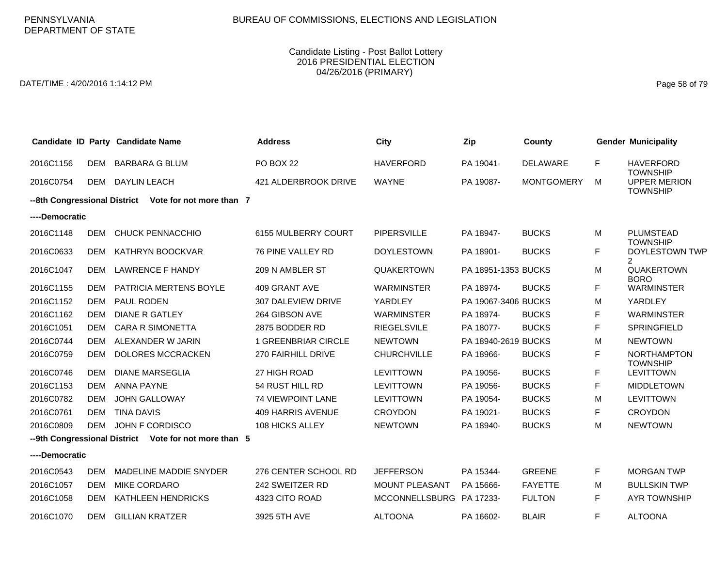DATE/TIME : 4/20/2016 1:14:12 PM Page 58 of 79

|                |            | Candidate ID Party Candidate Name                     | <b>Address</b>           | City                  | Zip                 | County            |   | <b>Gender Municipality</b>             |
|----------------|------------|-------------------------------------------------------|--------------------------|-----------------------|---------------------|-------------------|---|----------------------------------------|
| 2016C1156      |            | DEM BARBARA G BLUM                                    | <b>PO BOX 22</b>         | <b>HAVERFORD</b>      | PA 19041-           | <b>DELAWARE</b>   | F | <b>HAVERFORD</b><br><b>TOWNSHIP</b>    |
| 2016C0754      |            | DEM DAYLIN LEACH                                      | 421 ALDERBROOK DRIVE     | <b>WAYNE</b>          | PA 19087-           | <b>MONTGOMERY</b> | м | <b>UPPER MERION</b><br><b>TOWNSHIP</b> |
|                |            | --8th Congressional District Vote for not more than 7 |                          |                       |                     |                   |   |                                        |
| ----Democratic |            |                                                       |                          |                       |                     |                   |   |                                        |
| 2016C1148      | DEM        | <b>CHUCK PENNACCHIO</b>                               | 6155 MULBERRY COURT      | <b>PIPERSVILLE</b>    | PA 18947-           | <b>BUCKS</b>      | M | <b>PLUMSTEAD</b><br><b>TOWNSHIP</b>    |
| 2016C0633      | DEM        | KATHRYN BOOCKVAR                                      | 76 PINE VALLEY RD        | <b>DOYLESTOWN</b>     | PA 18901-           | <b>BUCKS</b>      | F | DOYLESTOWN TWP<br>2                    |
| 2016C1047      | DEM        | <b>LAWRENCE F HANDY</b>                               | 209 N AMBLER ST          | <b>QUAKERTOWN</b>     | PA 18951-1353 BUCKS |                   | М | <b>QUAKERTOWN</b><br><b>BORO</b>       |
| 2016C1155      | <b>DEM</b> | <b>PATRICIA MERTENS BOYLE</b>                         | 409 GRANT AVE            | <b>WARMINSTER</b>     | PA 18974-           | <b>BUCKS</b>      | F | <b>WARMINSTER</b>                      |
| 2016C1152      | <b>DEM</b> | PAUL RODEN                                            | 307 DALEVIEW DRIVE       | YARDLEY               | PA 19067-3406 BUCKS |                   | M | YARDLEY                                |
| 2016C1162      | <b>DEM</b> | <b>DIANE R GATLEY</b>                                 | 264 GIBSON AVE           | <b>WARMINSTER</b>     | PA 18974-           | <b>BUCKS</b>      | F | <b>WARMINSTER</b>                      |
| 2016C1051      | DEM        | <b>CARA R SIMONETTA</b>                               | 2875 BODDER RD           | <b>RIEGELSVILE</b>    | PA 18077-           | <b>BUCKS</b>      | F | <b>SPRINGFIELD</b>                     |
| 2016C0744      | <b>DEM</b> | ALEXANDER W JARIN                                     | 1 GREENBRIAR CIRCLE      | <b>NEWTOWN</b>        | PA 18940-2619 BUCKS |                   | Μ | <b>NEWTOWN</b>                         |
| 2016C0759      | <b>DEM</b> | DOLORES MCCRACKEN                                     | 270 FAIRHILL DRIVE       | <b>CHURCHVILLE</b>    | PA 18966-           | <b>BUCKS</b>      | F | <b>NORTHAMPTON</b><br><b>TOWNSHIP</b>  |
| 2016C0746      | <b>DEM</b> | <b>DIANE MARSEGLIA</b>                                | 27 HIGH ROAD             | <b>LEVITTOWN</b>      | PA 19056-           | <b>BUCKS</b>      | F | <b>LEVITTOWN</b>                       |
| 2016C1153      | <b>DEM</b> | <b>ANNA PAYNE</b>                                     | 54 RUST HILL RD          | <b>LEVITTOWN</b>      | PA 19056-           | <b>BUCKS</b>      | F | <b>MIDDLETOWN</b>                      |
| 2016C0782      | <b>DEM</b> | <b>JOHN GALLOWAY</b>                                  | 74 VIEWPOINT LANE        | <b>LEVITTOWN</b>      | PA 19054-           | <b>BUCKS</b>      | M | <b>LEVITTOWN</b>                       |
| 2016C0761      | <b>DEM</b> | <b>TINA DAVIS</b>                                     | <b>409 HARRIS AVENUE</b> | <b>CROYDON</b>        | PA 19021-           | <b>BUCKS</b>      | F | <b>CROYDON</b>                         |
| 2016C0809      | DEM        | JOHN F CORDISCO                                       | 108 HICKS ALLEY          | <b>NEWTOWN</b>        | PA 18940-           | <b>BUCKS</b>      | М | <b>NEWTOWN</b>                         |
|                |            | --9th Congressional District Vote for not more than 5 |                          |                       |                     |                   |   |                                        |
| ----Democratic |            |                                                       |                          |                       |                     |                   |   |                                        |
| 2016C0543      | <b>DEM</b> | MADELINE MADDIE SNYDER                                | 276 CENTER SCHOOL RD     | <b>JEFFERSON</b>      | PA 15344-           | <b>GREENE</b>     | F | <b>MORGAN TWP</b>                      |
| 2016C1057      | <b>DEM</b> | <b>MIKE CORDARO</b>                                   | 242 SWEITZER RD          | <b>MOUNT PLEASANT</b> | PA 15666-           | <b>FAYETTE</b>    | м | <b>BULLSKIN TWP</b>                    |
| 2016C1058      | DEM        | KATHLEEN HENDRICKS                                    | 4323 CITO ROAD           | <b>MCCONNELLSBURG</b> | PA 17233-           | <b>FULTON</b>     | F | <b>AYR TOWNSHIP</b>                    |
| 2016C1070      |            | DEM GILLIAN KRATZER                                   | 3925 5TH AVE             | <b>ALTOONA</b>        | PA 16602-           | <b>BLAIR</b>      | F | <b>ALTOONA</b>                         |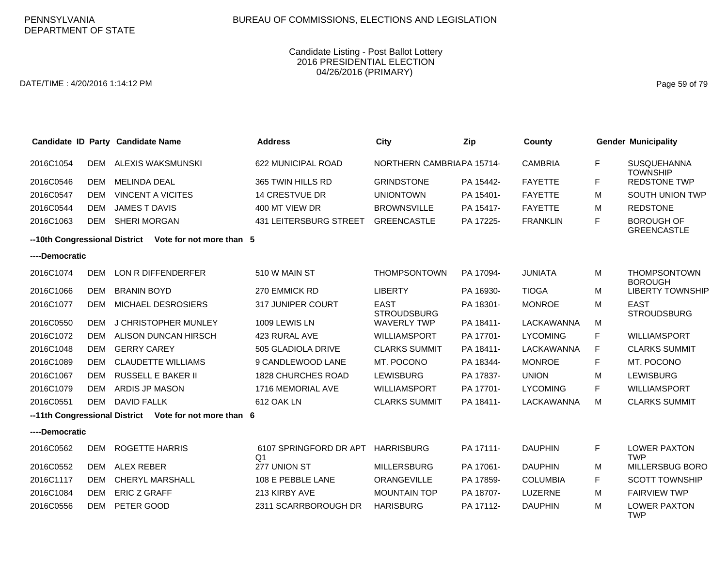DATE/TIME : 4/20/2016 1:14:12 PM Page 59 of 79

|                |            | Candidate ID Party Candidate Name                      | <b>Address</b>                           | <b>City</b>                       | Zip       | County          |    | <b>Gender Municipality</b>              |
|----------------|------------|--------------------------------------------------------|------------------------------------------|-----------------------------------|-----------|-----------------|----|-----------------------------------------|
| 2016C1054      | DEM        | ALEXIS WAKSMUNSKI                                      | 622 MUNICIPAL ROAD                       | NORTHERN CAMBRIAPA 15714-         |           | <b>CAMBRIA</b>  | F. | SUSQUEHANNA<br><b>TOWNSHIP</b>          |
| 2016C0546      | <b>DEM</b> | <b>MELINDA DEAL</b>                                    | 365 TWIN HILLS RD                        | <b>GRINDSTONE</b>                 | PA 15442- | <b>FAYETTE</b>  | F. | <b>REDSTONE TWP</b>                     |
| 2016C0547      | <b>DEM</b> | <b>VINCENT A VICITES</b>                               | <b>14 CRESTVUE DR</b>                    | <b>UNIONTOWN</b>                  | PA 15401- | <b>FAYETTE</b>  | М  | SOUTH UNION TWP                         |
| 2016C0544      | <b>DEM</b> | <b>JAMES T DAVIS</b>                                   | 400 MT VIEW DR                           | <b>BROWNSVILLE</b>                | PA 15417- | <b>FAYETTE</b>  | м  | <b>REDSTONE</b>                         |
| 2016C1063      | <b>DEM</b> | <b>SHERI MORGAN</b>                                    | <b>431 LEITERSBURG STREET</b>            | <b>GREENCASTLE</b>                | PA 17225- | <b>FRANKLIN</b> | F. | <b>BOROUGH OF</b><br><b>GREENCASTLE</b> |
|                |            | --10th Congressional District Vote for not more than 5 |                                          |                                   |           |                 |    |                                         |
| ----Democratic |            |                                                        |                                          |                                   |           |                 |    |                                         |
| 2016C1074      | <b>DEM</b> | LON R DIFFENDERFER                                     | 510 W MAIN ST                            | <b>THOMPSONTOWN</b>               | PA 17094- | <b>JUNIATA</b>  | м  | <b>THOMPSONTOWN</b><br><b>BOROUGH</b>   |
| 2016C1066      | <b>DEM</b> | <b>BRANIN BOYD</b>                                     | 270 EMMICK RD                            | <b>LIBERTY</b>                    | PA 16930- | <b>TIOGA</b>    | м  | <b>LIBERTY TOWNSHIP</b>                 |
| 2016C1077      | <b>DEM</b> | MICHAEL DESROSIERS                                     | 317 JUNIPER COURT                        | <b>EAST</b><br><b>STROUDSBURG</b> | PA 18301- | <b>MONROE</b>   | м  | <b>EAST</b><br><b>STROUDSBURG</b>       |
| 2016C0550      | DEM        | J CHRISTOPHER MUNLEY                                   | 1009 LEWIS LN                            | <b>WAVERLY TWP</b>                | PA 18411- | LACKAWANNA      | м  |                                         |
| 2016C1072      | <b>DEM</b> | ALISON DUNCAN HIRSCH                                   | 423 RURAL AVE                            | <b>WILLIAMSPORT</b>               | PA 17701- | <b>LYCOMING</b> | F. | <b>WILLIAMSPORT</b>                     |
| 2016C1048      | <b>DEM</b> | <b>GERRY CAREY</b>                                     | 505 GLADIOLA DRIVE                       | <b>CLARKS SUMMIT</b>              | PA 18411- | LACKAWANNA      | F. | <b>CLARKS SUMMIT</b>                    |
| 2016C1089      | <b>DEM</b> | <b>CLAUDETTE WILLIAMS</b>                              | 9 CANDLEWOOD LANE                        | MT. POCONO                        | PA 18344- | <b>MONROE</b>   | F. | MT. POCONO                              |
| 2016C1067      | <b>DEM</b> | <b>RUSSELL E BAKER II</b>                              | <b>1828 CHURCHES ROAD</b>                | <b>LEWISBURG</b>                  | PA 17837- | <b>UNION</b>    | M  | <b>LEWISBURG</b>                        |
| 2016C1079      | <b>DEM</b> | <b>ARDIS JP MASON</b>                                  | 1716 MEMORIAL AVE                        | <b>WILLIAMSPORT</b>               | PA 17701- | <b>LYCOMING</b> | F. | <b>WILLIAMSPORT</b>                     |
| 2016C0551      | <b>DEM</b> | <b>DAVID FALLK</b>                                     | 612 OAK LN                               | <b>CLARKS SUMMIT</b>              | PA 18411- | LACKAWANNA      | м  | <b>CLARKS SUMMIT</b>                    |
|                |            | --11th Congressional District Vote for not more than 6 |                                          |                                   |           |                 |    |                                         |
| ----Democratic |            |                                                        |                                          |                                   |           |                 |    |                                         |
| 2016C0562      | <b>DEM</b> | <b>ROGETTE HARRIS</b>                                  | 6107 SPRINGFORD DR APT<br>Q <sub>1</sub> | <b>HARRISBURG</b>                 | PA 17111- | <b>DAUPHIN</b>  | F. | <b>LOWER PAXTON</b><br><b>TWP</b>       |
| 2016C0552      | DEM        | ALEX REBER                                             | 277 UNION ST                             | <b>MILLERSBURG</b>                | PA 17061- | <b>DAUPHIN</b>  | м  | <b>MILLERSBUG BORO</b>                  |
| 2016C1117      | <b>DEM</b> | <b>CHERYL MARSHALL</b>                                 | 108 E PEBBLE LANE                        | ORANGEVILLE                       | PA 17859- | <b>COLUMBIA</b> | F  | <b>SCOTT TOWNSHIP</b>                   |
| 2016C1084      | DEM        | <b>ERIC Z GRAFF</b>                                    | 213 KIRBY AVE                            | <b>MOUNTAIN TOP</b>               | PA 18707- | LUZERNE         | м  | <b>FAIRVIEW TWP</b>                     |
| 2016C0556      | <b>DEM</b> | PETER GOOD                                             | 2311 SCARRBOROUGH DR                     | <b>HARISBURG</b>                  | PA 17112- | <b>DAUPHIN</b>  | м  | <b>LOWER PAXTON</b><br><b>TWP</b>       |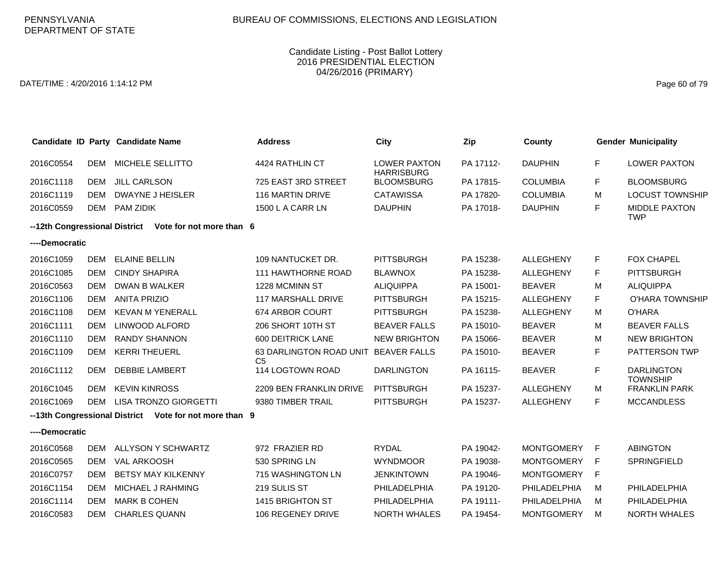DATE/TIME : 4/20/2016 1:14:12 PM Page 60 of 79

|                               |            | Candidate ID Party Candidate Name | <b>Address</b>                                   | City                                     | Zip       | County            |    | <b>Gender Municipality</b>           |
|-------------------------------|------------|-----------------------------------|--------------------------------------------------|------------------------------------------|-----------|-------------------|----|--------------------------------------|
| 2016C0554                     | <b>DEM</b> | MICHELE SELLITTO                  | 4424 RATHLIN CT                                  | <b>LOWER PAXTON</b><br><b>HARRISBURG</b> | PA 17112- | <b>DAUPHIN</b>    | F  | <b>LOWER PAXTON</b>                  |
| 2016C1118                     | <b>DEM</b> | <b>JILL CARLSON</b>               | 725 EAST 3RD STREET                              | <b>BLOOMSBURG</b>                        | PA 17815- | <b>COLUMBIA</b>   | F  | <b>BLOOMSBURG</b>                    |
| 2016C1119                     | <b>DEM</b> | <b>DWAYNE J HEISLER</b>           | <b>116 MARTIN DRIVE</b>                          | <b>CATAWISSA</b>                         | PA 17820- | <b>COLUMBIA</b>   | м  | <b>LOCUST TOWNSHIP</b>               |
| 2016C0559                     | <b>DEM</b> | <b>PAM ZIDIK</b>                  | 1500 L A CARR LN                                 | <b>DAUPHIN</b>                           | PA 17018- | <b>DAUPHIN</b>    | F  | <b>MIDDLE PAXTON</b><br><b>TWP</b>   |
| --12th Congressional District |            | Vote for not more than 6          |                                                  |                                          |           |                   |    |                                      |
| ----Democratic                |            |                                   |                                                  |                                          |           |                   |    |                                      |
| 2016C1059                     | <b>DEM</b> | <b>ELAINE BELLIN</b>              | 109 NANTUCKET DR.                                | <b>PITTSBURGH</b>                        | PA 15238- | <b>ALLEGHENY</b>  | F  | <b>FOX CHAPEL</b>                    |
| 2016C1085                     | <b>DEM</b> | <b>CINDY SHAPIRA</b>              | <b>111 HAWTHORNE ROAD</b>                        | <b>BLAWNOX</b>                           | PA 15238- | <b>ALLEGHENY</b>  | F  | <b>PITTSBURGH</b>                    |
| 2016C0563                     | <b>DEM</b> | DWAN B WALKER                     | 1228 MCMINN ST                                   | <b>ALIQUIPPA</b>                         | PA 15001- | <b>BEAVER</b>     | М  | <b>ALIQUIPPA</b>                     |
| 2016C1106                     | <b>DEM</b> | <b>ANITA PRIZIO</b>               | <b>117 MARSHALL DRIVE</b>                        | <b>PITTSBURGH</b>                        | PA 15215- | <b>ALLEGHENY</b>  | F  | O'HARA TOWNSHIP                      |
| 2016C1108                     | <b>DEM</b> | <b>KEVAN M YENERALL</b>           | 674 ARBOR COURT                                  | <b>PITTSBURGH</b>                        | PA 15238- | <b>ALLEGHENY</b>  | м  | <b>O'HARA</b>                        |
| 2016C1111                     | <b>DEM</b> | LINWOOD ALFORD                    | 206 SHORT 10TH ST                                | <b>BEAVER FALLS</b>                      | PA 15010- | <b>BEAVER</b>     | М  | <b>BEAVER FALLS</b>                  |
| 2016C1110                     | <b>DEM</b> | <b>RANDY SHANNON</b>              | 600 DEITRICK LANE                                | <b>NEW BRIGHTON</b>                      | PA 15066- | <b>BEAVER</b>     | М  | <b>NEW BRIGHTON</b>                  |
| 2016C1109                     | <b>DEM</b> | <b>KERRI THEUERL</b>              | <b>63 DARLINGTON ROAD UNIT</b><br>C <sub>5</sub> | <b>BEAVER FALLS</b>                      | PA 15010- | <b>BEAVER</b>     | F  | PATTERSON TWP                        |
| 2016C1112                     | DEM        | <b>DEBBIE LAMBERT</b>             | 114 LOGTOWN ROAD                                 | <b>DARLINGTON</b>                        | PA 16115- | <b>BEAVER</b>     | F  | <b>DARLINGTON</b><br><b>TOWNSHIP</b> |
| 2016C1045                     | <b>DEM</b> | <b>KEVIN KINROSS</b>              | 2209 BEN FRANKLIN DRIVE                          | <b>PITTSBURGH</b>                        | PA 15237- | <b>ALLEGHENY</b>  | м  | <b>FRANKLIN PARK</b>                 |
| 2016C1069                     | <b>DEM</b> | <b>LISA TRONZO GIORGETTI</b>      | 9380 TIMBER TRAIL                                | <b>PITTSBURGH</b>                        | PA 15237- | <b>ALLEGHENY</b>  | F  | <b>MCCANDLESS</b>                    |
| --13th Congressional District |            | Vote for not more than 9          |                                                  |                                          |           |                   |    |                                      |
| ----Democratic                |            |                                   |                                                  |                                          |           |                   |    |                                      |
| 2016C0568                     | <b>DEM</b> | ALLYSON Y SCHWARTZ                | 972 FRAZIER RD                                   | <b>RYDAL</b>                             | PA 19042- | <b>MONTGOMERY</b> | -F | <b>ABINGTON</b>                      |
| 2016C0565                     | <b>DEM</b> | <b>VAL ARKOOSH</b>                | 530 SPRING LN                                    | <b>WYNDMOOR</b>                          | PA 19038- | <b>MONTGOMERY</b> | F  | SPRINGFIELD                          |
| 2016C0757                     | <b>DEM</b> | <b>BETSY MAY KILKENNY</b>         | 715 WASHINGTON LN                                | <b>JENKINTOWN</b>                        | PA 19046- | <b>MONTGOMERY</b> | F  |                                      |
| 2016C1154                     | <b>DEM</b> | MICHAEL J RAHMING                 | 219 SULIS ST                                     | PHILADELPHIA                             | PA 19120- | PHILADELPHIA      | м  | PHILADELPHIA                         |
| 2016C1114                     | <b>DEM</b> | <b>MARK B COHEN</b>               | 1415 BRIGHTON ST                                 | PHILADELPHIA                             | PA 19111- | PHILADELPHIA      | M  | PHILADELPHIA                         |
| 2016C0583                     | <b>DEM</b> | <b>CHARLES QUANN</b>              | 106 REGENEY DRIVE                                | <b>NORTH WHALES</b>                      | PA 19454- | <b>MONTGOMERY</b> | м  | <b>NORTH WHALES</b>                  |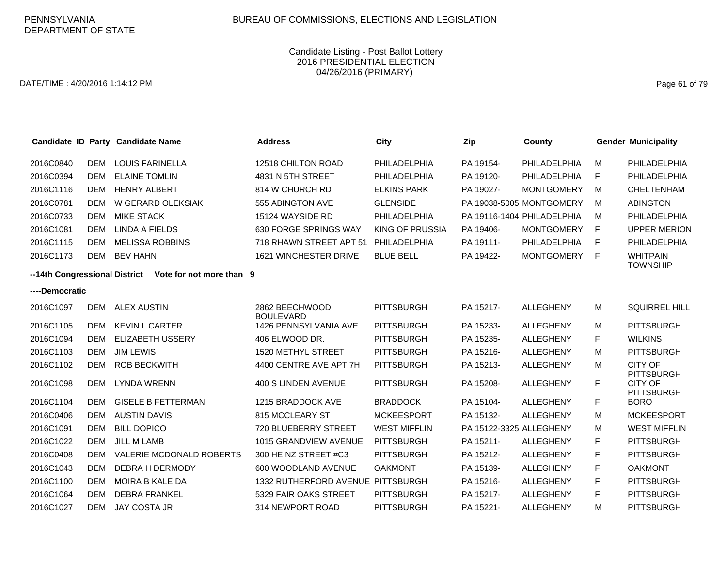### DATE/TIME : 4/20/2016 1:14:12 PM Page 61 of 79

| Candidate ID Party Candidate Name |            |                                 | <b>Address</b>                     | <b>City</b>         | Zip                     | County                     |   | <b>Gender Municipality</b>                        |
|-----------------------------------|------------|---------------------------------|------------------------------------|---------------------|-------------------------|----------------------------|---|---------------------------------------------------|
| 2016C0840                         | <b>DEM</b> | <b>LOUIS FARINELLA</b>          | 12518 CHILTON ROAD                 | PHILADELPHIA        | PA 19154-               | PHILADELPHIA               | M | PHILADELPHIA                                      |
| 2016C0394                         | <b>DEM</b> | <b>ELAINE TOMLIN</b>            | 4831 N 5TH STREET                  | PHILADELPHIA        | PA 19120-               | <b>PHILADELPHIA</b>        | F | PHILADELPHIA                                      |
| 2016C1116                         | <b>DEM</b> | HENRY ALBERT                    | 814 W CHURCH RD                    | <b>ELKINS PARK</b>  | PA 19027-               | <b>MONTGOMERY</b>          | M | <b>CHELTENHAM</b>                                 |
| 2016C0781                         | <b>DEM</b> | W GERARD OLEKSIAK               | 555 ABINGTON AVE                   | <b>GLENSIDE</b>     |                         | PA 19038-5005 MONTGOMERY   | M | <b>ABINGTON</b>                                   |
| 2016C0733                         | <b>DEM</b> | <b>MIKE STACK</b>               | 15124 WAYSIDE RD                   | PHILADELPHIA        |                         | PA 19116-1404 PHILADELPHIA | M | PHILADELPHIA                                      |
| 2016C1081                         | <b>DEM</b> | LINDA A FIELDS                  | 630 FORGE SPRINGS WAY              | KING OF PRUSSIA     | PA 19406-               | <b>MONTGOMERY</b>          | F | <b>UPPER MERION</b>                               |
| 2016C1115                         | <b>DEM</b> | <b>MELISSA ROBBINS</b>          | 718 RHAWN STREET APT 51            | PHILADELPHIA        | PA 19111-               | PHILADELPHIA               | F | PHILADELPHIA                                      |
| 2016C1173                         | <b>DEM</b> | <b>BEV HAHN</b>                 | 1621 WINCHESTER DRIVE              | <b>BLUE BELL</b>    | PA 19422-               | <b>MONTGOMERY</b>          | F | <b>WHITPAIN</b>                                   |
| --14th Congressional District     |            | Vote for not more than 9        |                                    |                     |                         |                            |   | <b>TOWNSHIP</b>                                   |
| ----Democratic                    |            |                                 |                                    |                     |                         |                            |   |                                                   |
| 2016C1097                         | <b>DEM</b> | <b>ALEX AUSTIN</b>              | 2862 BEECHWOOD<br><b>BOULEVARD</b> | <b>PITTSBURGH</b>   | PA 15217-               | <b>ALLEGHENY</b>           | M | <b>SQUIRREL HILL</b>                              |
| 2016C1105                         | <b>DEM</b> | <b>KEVIN L CARTER</b>           | 1426 PENNSYLVANIA AVE              | <b>PITTSBURGH</b>   | PA 15233-               | ALLEGHENY                  | M | <b>PITTSBURGH</b>                                 |
| 2016C1094                         | <b>DEM</b> | <b>ELIZABETH USSERY</b>         | 406 ELWOOD DR.                     | <b>PITTSBURGH</b>   | PA 15235-               | <b>ALLEGHENY</b>           | F | <b>WILKINS</b>                                    |
| 2016C1103                         | <b>DEM</b> | <b>JIM LEWIS</b>                | 1520 METHYL STREET                 | <b>PITTSBURGH</b>   | PA 15216-               | <b>ALLEGHENY</b>           | м | <b>PITTSBURGH</b>                                 |
| 2016C1102                         | <b>DEM</b> | <b>ROB BECKWITH</b>             | 4400 CENTRE AVE APT 7H             | <b>PITTSBURGH</b>   | PA 15213-               | ALLEGHENY                  | M | <b>CITY OF</b>                                    |
| 2016C1098                         | <b>DEM</b> | <b>LYNDA WRENN</b>              | 400 S LINDEN AVENUE                | <b>PITTSBURGH</b>   | PA 15208-               | ALLEGHENY                  | F | PITTSBURGH<br><b>CITY OF</b><br><b>PITTSBURGH</b> |
| 2016C1104                         | <b>DEM</b> | <b>GISELE B FETTERMAN</b>       | 1215 BRADDOCK AVE                  | <b>BRADDOCK</b>     | PA 15104-               | <b>ALLEGHENY</b>           | F | <b>BORO</b>                                       |
| 2016C0406                         | <b>DEM</b> | <b>AUSTIN DAVIS</b>             | 815 MCCLEARY ST                    | <b>MCKEESPORT</b>   | PA 15132-               | <b>ALLEGHENY</b>           | M | <b>MCKEESPORT</b>                                 |
| 2016C1091                         | <b>DEM</b> | <b>BILL DOPICO</b>              | 720 BLUEBERRY STREET               | <b>WEST MIFFLIN</b> | PA 15122-3325 ALLEGHENY |                            | M | <b>WEST MIFFLIN</b>                               |
| 2016C1022                         | <b>DEM</b> | <b>JILL M LAMB</b>              | 1015 GRANDVIEW AVENUE              | <b>PITTSBURGH</b>   | PA 15211-               | <b>ALLEGHENY</b>           | F | <b>PITTSBURGH</b>                                 |
| 2016C0408                         | <b>DEM</b> | <b>VALERIE MCDONALD ROBERTS</b> | 300 HEINZ STREET #C3               | <b>PITTSBURGH</b>   | PA 15212-               | <b>ALLEGHENY</b>           | F | <b>PITTSBURGH</b>                                 |
| 2016C1043                         | <b>DEM</b> | <b>DEBRA H DERMODY</b>          | 600 WOODLAND AVENUE                | <b>OAKMONT</b>      | PA 15139-               | <b>ALLEGHENY</b>           | F | <b>OAKMONT</b>                                    |
| 2016C1100                         | <b>DEM</b> | <b>MOIRA B KALEIDA</b>          | 1332 RUTHERFORD AVENUE PITTSBURGH  |                     | PA 15216-               | <b>ALLEGHENY</b>           | F | <b>PITTSBURGH</b>                                 |
| 2016C1064                         | <b>DEM</b> | <b>DEBRA FRANKEL</b>            | 5329 FAIR OAKS STREET              | <b>PITTSBURGH</b>   | PA 15217-               | <b>ALLEGHENY</b>           | F | <b>PITTSBURGH</b>                                 |
| 2016C1027                         | <b>DEM</b> | <b>JAY COSTA JR</b>             | 314 NEWPORT ROAD                   | <b>PITTSBURGH</b>   | PA 15221-               | <b>ALLEGHENY</b>           | M | <b>PITTSBURGH</b>                                 |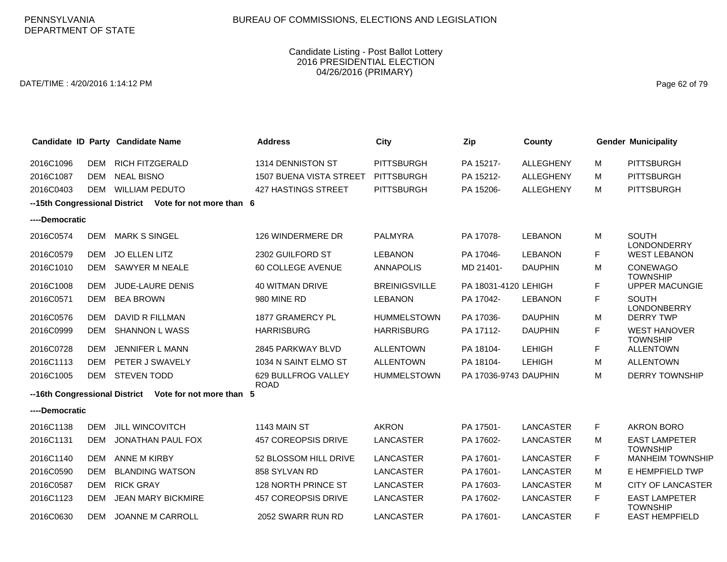DATE/TIME : 4/20/2016 1:14:12 PM Page 62 of 79

|                               |            | Candidate ID Party Candidate Name                      | <b>Address</b>                     | City                 | Zip                   | County           |    | <b>Gender Municipality</b>              |
|-------------------------------|------------|--------------------------------------------------------|------------------------------------|----------------------|-----------------------|------------------|----|-----------------------------------------|
| 2016C1096                     | DEM        | <b>RICH FITZGERALD</b>                                 | 1314 DENNISTON ST                  | <b>PITTSBURGH</b>    | PA 15217-             | <b>ALLEGHENY</b> | м  | <b>PITTSBURGH</b>                       |
| 2016C1087                     | <b>DEM</b> | <b>NEAL BISNO</b>                                      | <b>1507 BUENA VISTA STREET</b>     | <b>PITTSBURGH</b>    | PA 15212-             | <b>ALLEGHENY</b> | М  | <b>PITTSBURGH</b>                       |
| 2016C0403                     | DEM        | <b>WILLIAM PEDUTO</b>                                  | <b>427 HASTINGS STREET</b>         | <b>PITTSBURGH</b>    | PA 15206-             | <b>ALLEGHENY</b> | м  | <b>PITTSBURGH</b>                       |
|                               |            | --15th Congressional District Vote for not more than 6 |                                    |                      |                       |                  |    |                                         |
| ----Democratic                |            |                                                        |                                    |                      |                       |                  |    |                                         |
| 2016C0574                     | <b>DEM</b> | <b>MARK S SINGEL</b>                                   | 126 WINDERMERE DR                  | <b>PALMYRA</b>       | PA 17078-             | <b>LEBANON</b>   | м  | <b>SOUTH</b><br><b>LONDONDERRY</b>      |
| 2016C0579                     | <b>DEM</b> | <b>JO ELLEN LITZ</b>                                   | 2302 GUILFORD ST                   | <b>LEBANON</b>       | PA 17046-             | <b>LEBANON</b>   | F. | <b>WEST LEBANON</b>                     |
| 2016C1010                     | <b>DEM</b> | SAWYER M NEALE                                         | 60 COLLEGE AVENUE                  | <b>ANNAPOLIS</b>     | MD 21401-             | <b>DAUPHIN</b>   | м  | <b>CONEWAGO</b><br><b>TOWNSHIP</b>      |
| 2016C1008                     | <b>DEM</b> | JUDE-LAURE DENIS                                       | <b>40 WITMAN DRIVE</b>             | <b>BREINIGSVILLE</b> | PA 18031-4120 LEHIGH  |                  | F. | <b>UPPER MACUNGIE</b>                   |
| 2016C0571                     | <b>DEM</b> | <b>BEA BROWN</b>                                       | 980 MINE RD                        | <b>LEBANON</b>       | PA 17042-             | <b>LEBANON</b>   | F  | <b>SOUTH</b><br><b>LONDONBERRY</b>      |
| 2016C0576                     | <b>DEM</b> | DAVID R FILLMAN                                        | 1877 GRAMERCY PL                   | <b>HUMMELSTOWN</b>   | PA 17036-             | <b>DAUPHIN</b>   | M  | <b>DERRY TWP</b>                        |
| 2016C0999                     | <b>DEM</b> | SHANNON L WASS                                         | <b>HARRISBURG</b>                  | <b>HARRISBURG</b>    | PA 17112-             | <b>DAUPHIN</b>   | F. | <b>WEST HANOVER</b><br><b>TOWNSHIP</b>  |
| 2016C0728                     | <b>DEM</b> | JENNIFER L MANN                                        | 2845 PARKWAY BLVD                  | <b>ALLENTOWN</b>     | PA 18104-             | <b>LEHIGH</b>    | F. | <b>ALLENTOWN</b>                        |
| 2016C1113                     | <b>DEM</b> | PETER J SWAVELY                                        | 1034 N SAINT ELMO ST               | <b>ALLENTOWN</b>     | PA 18104-             | <b>LEHIGH</b>    | м  | <b>ALLENTOWN</b>                        |
| 2016C1005                     | DEM        | <b>STEVEN TODD</b>                                     | 629 BULLFROG VALLEY<br><b>ROAD</b> | <b>HUMMELSTOWN</b>   | PA 17036-9743 DAUPHIN |                  | м  | <b>DERRY TOWNSHIP</b>                   |
| --16th Congressional District |            | Vote for not more than 5                               |                                    |                      |                       |                  |    |                                         |
| ----Democratic                |            |                                                        |                                    |                      |                       |                  |    |                                         |
| 2016C1138                     | <b>DEM</b> | <b>JILL WINCOVITCH</b>                                 | 1143 MAIN ST                       | <b>AKRON</b>         | PA 17501-             | <b>LANCASTER</b> | F. | <b>AKRON BORO</b>                       |
| 2016C1131                     | DEM        | JONATHAN PAUL FOX                                      | 457 COREOPSIS DRIVE                | LANCASTER            | PA 17602-             | LANCASTER        | м  | <b>EAST LAMPETER</b><br><b>TOWNSHIP</b> |
| 2016C1140                     | <b>DEM</b> | <b>ANNE M KIRBY</b>                                    | 52 BLOSSOM HILL DRIVE              | <b>LANCASTER</b>     | PA 17601-             | <b>LANCASTER</b> | F. | <b>MANHEIM TOWNSHIP</b>                 |
| 2016C0590                     | <b>DEM</b> | <b>BLANDING WATSON</b>                                 | 858 SYLVAN RD                      | <b>LANCASTER</b>     | PA 17601-             | <b>LANCASTER</b> | м  | E HEMPFIELD TWP                         |
| 2016C0587                     | <b>DEM</b> | <b>RICK GRAY</b>                                       | 128 NORTH PRINCE ST                | <b>LANCASTER</b>     | PA 17603-             | <b>LANCASTER</b> | м  | <b>CITY OF LANCASTER</b>                |
| 2016C1123                     | <b>DEM</b> | <b>JEAN MARY BICKMIRE</b>                              | 457 COREOPSIS DRIVE                | LANCASTER            | PA 17602-             | <b>LANCASTER</b> | F. | <b>EAST LAMPETER</b><br><b>TOWNSHIP</b> |
| 2016C0630                     | <b>DEM</b> | JOANNE M CARROLL                                       | 2052 SWARR RUN RD                  | <b>LANCASTER</b>     | PA 17601-             | <b>LANCASTER</b> | F. | <b>EAST HEMPFIELD</b>                   |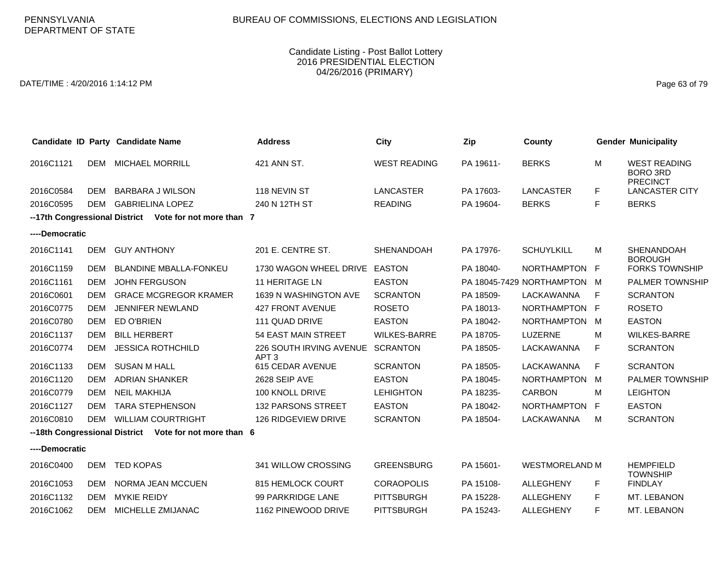DATE/TIME : 4/20/2016 1:14:12 PM Page 63 of 79

|                |            | Candidate ID Party Candidate Name                      | <b>Address</b>                              | <b>City</b>         | Zip       | County                      |    | <b>Gender Municipality</b>                                |
|----------------|------------|--------------------------------------------------------|---------------------------------------------|---------------------|-----------|-----------------------------|----|-----------------------------------------------------------|
| 2016C1121      |            | <b>DEM MICHAEL MORRILL</b>                             | 421 ANN ST.                                 | <b>WEST READING</b> | PA 19611- | <b>BERKS</b>                | M  | <b>WEST READING</b><br><b>BORO 3RD</b><br><b>PRECINCT</b> |
| 2016C0584      | DEM        | <b>BARBARA J WILSON</b>                                | 118 NEVIN ST                                | <b>LANCASTER</b>    | PA 17603- | <b>LANCASTER</b>            | F  | <b>LANCASTER CITY</b>                                     |
| 2016C0595      | <b>DEM</b> | <b>GABRIELINA LOPEZ</b>                                | 240 N 12TH ST                               | <b>READING</b>      | PA 19604- | <b>BERKS</b>                | F  | <b>BERKS</b>                                              |
|                |            | --17th Congressional District Vote for not more than 7 |                                             |                     |           |                             |    |                                                           |
| ----Democratic |            |                                                        |                                             |                     |           |                             |    |                                                           |
| 2016C1141      | <b>DEM</b> | <b>GUY ANTHONY</b>                                     | 201 E. CENTRE ST.                           | <b>SHENANDOAH</b>   | PA 17976- | <b>SCHUYLKILL</b>           | M  | SHENANDOAH<br><b>BOROUGH</b>                              |
| 2016C1159      | DEM        | <b>BLANDINE MBALLA-FONKEU</b>                          | 1730 WAGON WHEEL DRIVE EASTON               |                     | PA 18040- | NORTHAMPTON F               |    | <b>FORKS TOWNSHIP</b>                                     |
| 2016C1161      | <b>DEM</b> | <b>JOHN FERGUSON</b>                                   | <b>11 HERITAGE LN</b>                       | <b>EASTON</b>       |           | PA 18045-7429 NORTHAMPTON M |    | <b>PALMER TOWNSHIP</b>                                    |
| 2016C0601      | <b>DEM</b> | <b>GRACE MCGREGOR KRAMER</b>                           | 1639 N WASHINGTON AVE                       | <b>SCRANTON</b>     | PA 18509- | LACKAWANNA                  | F  | <b>SCRANTON</b>                                           |
| 2016C0775      | DEM        | <b>JENNIFER NEWLAND</b>                                | 427 FRONT AVENUE                            | <b>ROSETO</b>       | PA 18013- | NORTHAMPTON F               |    | <b>ROSETO</b>                                             |
| 2016C0780      | <b>DEM</b> | ED O'BRIEN                                             | 111 QUAD DRIVE                              | <b>EASTON</b>       | PA 18042- | NORTHAMPTON M               |    | <b>EASTON</b>                                             |
| 2016C1137      | <b>DEM</b> | <b>BILL HERBERT</b>                                    | <b>54 EAST MAIN STREET</b>                  | <b>WILKES-BARRE</b> | PA 18705- | <b>LUZERNE</b>              | M  | <b>WILKES-BARRE</b>                                       |
| 2016C0774      | <b>DEM</b> | <b>JESSICA ROTHCHILD</b>                               | 226 SOUTH IRVING AVENUE<br>APT <sub>3</sub> | <b>SCRANTON</b>     | PA 18505- | LACKAWANNA                  | F  | <b>SCRANTON</b>                                           |
| 2016C1133      | <b>DEM</b> | <b>SUSAN M HALL</b>                                    | 615 CEDAR AVENUE                            | <b>SCRANTON</b>     | PA 18505- | LACKAWANNA                  | F  | <b>SCRANTON</b>                                           |
| 2016C1120      | <b>DEM</b> | <b>ADRIAN SHANKER</b>                                  | 2628 SEIP AVE                               | <b>EASTON</b>       | PA 18045- | <b>NORTHAMPTON</b>          | M  | PALMER TOWNSHIP                                           |
| 2016C0779      | <b>DEM</b> | <b>NEIL MAKHIJA</b>                                    | 100 KNOLL DRIVE                             | <b>LEHIGHTON</b>    | PA 18235- | <b>CARBON</b>               | м  | <b>LEIGHTON</b>                                           |
| 2016C1127      | <b>DEM</b> | <b>TARA STEPHENSON</b>                                 | <b>132 PARSONS STREET</b>                   | <b>EASTON</b>       | PA 18042- | NORTHAMPTON F               |    | <b>EASTON</b>                                             |
| 2016C0810      | <b>DEM</b> | <b>WILLIAM COURTRIGHT</b>                              | 126 RIDGEVIEW DRIVE                         | <b>SCRANTON</b>     | PA 18504- | LACKAWANNA                  | M  | <b>SCRANTON</b>                                           |
|                |            | --18th Congressional District Vote for not more than 6 |                                             |                     |           |                             |    |                                                           |
| ----Democratic |            |                                                        |                                             |                     |           |                             |    |                                                           |
| 2016C0400      |            | DEM TED KOPAS                                          | 341 WILLOW CROSSING                         | <b>GREENSBURG</b>   | PA 15601- | <b>WESTMORELAND M</b>       |    | <b>HEMPFIELD</b><br><b>TOWNSHIP</b>                       |
| 2016C1053      | DEM        | NORMA JEAN MCCUEN                                      | 815 HEMLOCK COURT                           | <b>CORAOPOLIS</b>   | PA 15108- | <b>ALLEGHENY</b>            | F  | <b>FINDLAY</b>                                            |
| 2016C1132      | DEM        | <b>MYKIE REIDY</b>                                     | 99 PARKRIDGE LANE                           | <b>PITTSBURGH</b>   | PA 15228- | <b>ALLEGHENY</b>            | F  | MT. LEBANON                                               |
| 2016C1062      | DEM        | MICHELLE ZMIJANAC                                      | 1162 PINEWOOD DRIVE                         | <b>PITTSBURGH</b>   | PA 15243- | <b>ALLEGHENY</b>            | F. | MT. LEBANON                                               |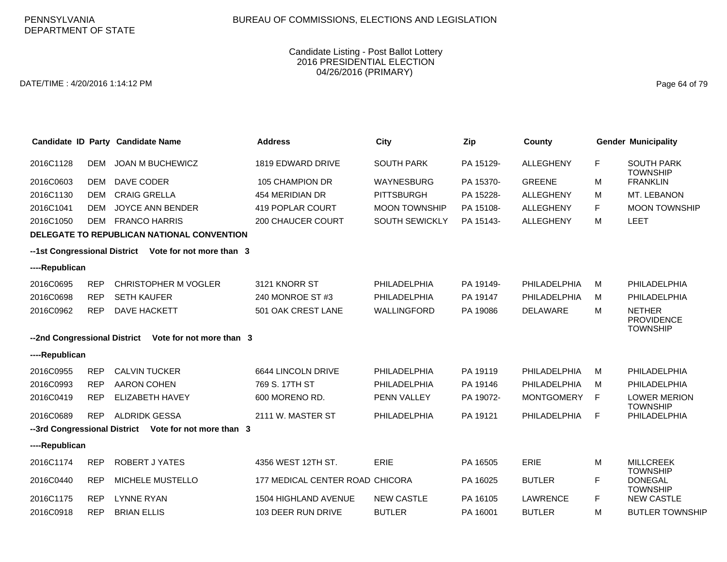DATE/TIME : 4/20/2016 1:14:12 PM Page 64 of 79

|                                                       |            | Candidate ID Party Candidate Name                     | <b>Address</b>                  | <b>City</b>           | Zip       | County            |    | <b>Gender Municipality</b>                            |  |
|-------------------------------------------------------|------------|-------------------------------------------------------|---------------------------------|-----------------------|-----------|-------------------|----|-------------------------------------------------------|--|
| 2016C1128                                             | <b>DEM</b> | <b>JOAN M BUCHEWICZ</b>                               | 1819 EDWARD DRIVE               | <b>SOUTH PARK</b>     | PA 15129- | <b>ALLEGHENY</b>  | F. | <b>SOUTH PARK</b>                                     |  |
| 2016C0603                                             | <b>DEM</b> | DAVE CODER                                            | 105 CHAMPION DR                 | <b>WAYNESBURG</b>     | PA 15370- | <b>GREENE</b>     | M  | <b>TOWNSHIP</b><br><b>FRANKLIN</b>                    |  |
| 2016C1130                                             | <b>DEM</b> | <b>CRAIG GRELLA</b>                                   | 454 MERIDIAN DR                 | <b>PITTSBURGH</b>     | PA 15228- | ALLEGHENY         | M  | MT. LEBANON                                           |  |
| 2016C1041                                             | <b>DEM</b> | <b>JOYCE ANN BENDER</b>                               | 419 POPLAR COURT                | <b>MOON TOWNSHIP</b>  | PA 15108- | <b>ALLEGHENY</b>  | F. | <b>MOON TOWNSHIP</b>                                  |  |
| 2016C1050                                             | DEM        | <b>FRANCO HARRIS</b>                                  | <b>200 CHAUCER COURT</b>        | <b>SOUTH SEWICKLY</b> | PA 15143- | <b>ALLEGHENY</b>  | M  | <b>LEET</b>                                           |  |
|                                                       |            | <b>DELEGATE TO REPUBLICAN NATIONAL CONVENTION</b>     |                                 |                       |           |                   |    |                                                       |  |
| --1st Congressional District Vote for not more than 3 |            |                                                       |                                 |                       |           |                   |    |                                                       |  |
| ----Republican                                        |            |                                                       |                                 |                       |           |                   |    |                                                       |  |
| 2016C0695                                             | <b>REP</b> | <b>CHRISTOPHER M VOGLER</b>                           | 3121 KNORR ST                   | PHILADELPHIA          | PA 19149- | PHILADELPHIA      | M  | PHILADELPHIA                                          |  |
| 2016C0698                                             | <b>REP</b> | <b>SETH KAUFER</b>                                    | 240 MONROE ST #3                | PHILADELPHIA          | PA 19147  | PHILADELPHIA      | M  | PHILADELPHIA                                          |  |
| 2016C0962                                             | <b>REP</b> | DAVE HACKETT                                          | 501 OAK CREST LANE              | WALLINGFORD           | PA 19086  | DELAWARE          | M  | <b>NETHER</b><br><b>PROVIDENCE</b><br><b>TOWNSHIP</b> |  |
|                                                       |            | --2nd Congressional District Vote for not more than 3 |                                 |                       |           |                   |    |                                                       |  |
| ----Republican                                        |            |                                                       |                                 |                       |           |                   |    |                                                       |  |
| 2016C0955                                             | <b>REP</b> | <b>CALVIN TUCKER</b>                                  | 6644 LINCOLN DRIVE              | PHILADELPHIA          | PA 19119  | PHILADELPHIA      | м  | PHILADELPHIA                                          |  |
| 2016C0993                                             | <b>REP</b> | AARON COHEN                                           | 769 S. 17TH ST                  | PHILADELPHIA          | PA 19146  | PHILADELPHIA      | м  | PHILADELPHIA                                          |  |
| 2016C0419                                             | <b>REP</b> | <b>ELIZABETH HAVEY</b>                                | 600 MORENO RD.                  | PENN VALLEY           | PA 19072- | <b>MONTGOMERY</b> | F  | <b>LOWER MERION</b><br><b>TOWNSHIP</b>                |  |
| 2016C0689                                             | <b>REP</b> | ALDRIDK GESSA                                         | 2111 W. MASTER ST               | PHILADELPHIA          | PA 19121  | PHILADELPHIA      | F  | PHILADELPHIA                                          |  |
|                                                       |            | --3rd Congressional District Vote for not more than 3 |                                 |                       |           |                   |    |                                                       |  |
| ----Republican                                        |            |                                                       |                                 |                       |           |                   |    |                                                       |  |
| 2016C1174                                             | <b>REP</b> | <b>ROBERT J YATES</b>                                 | 4356 WEST 12TH ST.              | <b>ERIE</b>           | PA 16505  | <b>ERIE</b>       | M  | <b>MILLCREEK</b><br><b>TOWNSHIP</b>                   |  |
| 2016C0440                                             | <b>REP</b> | MICHELE MUSTELLO                                      | 177 MEDICAL CENTER ROAD CHICORA |                       | PA 16025  | <b>BUTLER</b>     | F  | <b>DONEGAL</b><br><b>TOWNSHIP</b>                     |  |
| 2016C1175                                             | <b>REP</b> | <b>LYNNE RYAN</b>                                     | <b>1504 HIGHLAND AVENUE</b>     | <b>NEW CASTLE</b>     | PA 16105  | <b>LAWRENCE</b>   | F  | <b>NEW CASTLE</b>                                     |  |
| 2016C0918                                             | <b>REP</b> | <b>BRIAN ELLIS</b>                                    | 103 DEER RUN DRIVE              | <b>BUTLER</b>         | PA 16001  | <b>BUTLER</b>     | м  | <b>BUTLER TOWNSHIP</b>                                |  |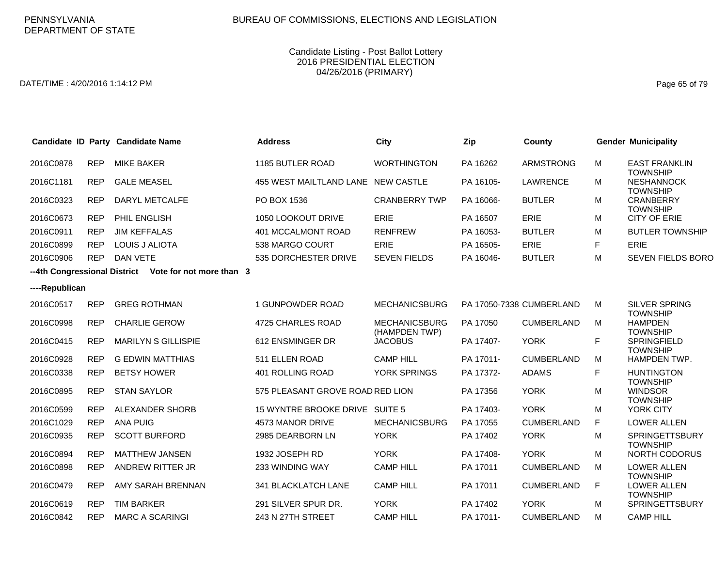DATE/TIME : 4/20/2016 1:14:12 PM Page 65 of 79

|                |            | Candidate ID Party Candidate Name                     | <b>Address</b>                     | City                                  | Zip       | County                   |    | <b>Gender Municipality</b>               |
|----------------|------------|-------------------------------------------------------|------------------------------------|---------------------------------------|-----------|--------------------------|----|------------------------------------------|
| 2016C0878      | <b>REP</b> | <b>MIKE BAKER</b>                                     | 1185 BUTLER ROAD                   | <b>WORTHINGTON</b>                    | PA 16262  | <b>ARMSTRONG</b>         | M  | <b>EAST FRANKLIN</b><br><b>TOWNSHIP</b>  |
| 2016C1181      | <b>REP</b> | <b>GALE MEASEL</b>                                    | 455 WEST MAILTLAND LANE NEW CASTLE |                                       | PA 16105- | <b>LAWRENCE</b>          | M  | <b>NESHANNOCK</b><br><b>TOWNSHIP</b>     |
| 2016C0323      | <b>REP</b> | <b>DARYL METCALFE</b>                                 | PO BOX 1536                        | <b>CRANBERRY TWP</b>                  | PA 16066- | <b>BUTLER</b>            | M  | <b>CRANBERRY</b><br><b>TOWNSHIP</b>      |
| 2016C0673      | <b>REP</b> | PHIL ENGLISH                                          | 1050 LOOKOUT DRIVE                 | ERIE                                  | PA 16507  | ERIE                     | м  | <b>CITY OF ERIE</b>                      |
| 2016C0911      | <b>REP</b> | <b>JIM KEFFALAS</b>                                   | 401 MCCALMONT ROAD                 | <b>RENFREW</b>                        | PA 16053- | <b>BUTLER</b>            | м  | <b>BUTLER TOWNSHIP</b>                   |
| 2016C0899      | <b>REP</b> | <b>LOUIS J ALIOTA</b>                                 | 538 MARGO COURT                    | ERIE                                  | PA 16505- | <b>ERIE</b>              | F  | ERIE                                     |
| 2016C0906      | <b>REP</b> | <b>DAN VETE</b>                                       | 535 DORCHESTER DRIVE               | <b>SEVEN FIELDS</b>                   | PA 16046- | <b>BUTLER</b>            | M  | <b>SEVEN FIELDS BORO</b>                 |
|                |            | --4th Congressional District Vote for not more than 3 |                                    |                                       |           |                          |    |                                          |
| ----Republican |            |                                                       |                                    |                                       |           |                          |    |                                          |
| 2016C0517      | <b>REP</b> | <b>GREG ROTHMAN</b>                                   | 1 GUNPOWDER ROAD                   | <b>MECHANICSBURG</b>                  |           | PA 17050-7338 CUMBERLAND | M  | <b>SILVER SPRING</b><br><b>TOWNSHIP</b>  |
| 2016C0998      | <b>REP</b> | <b>CHARLIE GEROW</b>                                  | 4725 CHARLES ROAD                  | <b>MECHANICSBURG</b><br>(HAMPDEN TWP) | PA 17050  | <b>CUMBERLAND</b>        | M  | <b>HAMPDEN</b><br><b>TOWNSHIP</b>        |
| 2016C0415      | <b>REP</b> | <b>MARILYN S GILLISPIE</b>                            | 612 ENSMINGER DR                   | <b>JACOBUS</b>                        | PA 17407- | <b>YORK</b>              | F  | SPRINGFIELD<br><b>TOWNSHIP</b>           |
| 2016C0928      | <b>REP</b> | <b>G EDWIN MATTHIAS</b>                               | 511 ELLEN ROAD                     | <b>CAMP HILL</b>                      | PA 17011- | <b>CUMBERLAND</b>        | M  | <b>HAMPDEN TWP.</b>                      |
| 2016C0338      | <b>REP</b> | <b>BETSY HOWER</b>                                    | 401 ROLLING ROAD                   | YORK SPRINGS                          | PA 17372- | <b>ADAMS</b>             | F  | <b>HUNTINGTON</b><br><b>TOWNSHIP</b>     |
| 2016C0895      | <b>REP</b> | <b>STAN SAYLOR</b>                                    | 575 PLEASANT GROVE ROAD RED LION   |                                       | PA 17356  | <b>YORK</b>              | M  | <b>WINDSOR</b><br><b>TOWNSHIP</b>        |
| 2016C0599      | <b>REP</b> | ALEXANDER SHORB                                       | 15 WYNTRE BROOKE DRIVE SUITE 5     |                                       | PA 17403- | <b>YORK</b>              | M  | YORK CITY                                |
| 2016C1029      | <b>REP</b> | <b>ANA PUIG</b>                                       | 4573 MANOR DRIVE                   | <b>MECHANICSBURG</b>                  | PA 17055  | <b>CUMBERLAND</b>        | F. | <b>LOWER ALLEN</b>                       |
| 2016C0935      | <b>REP</b> | <b>SCOTT BURFORD</b>                                  | 2985 DEARBORN LN                   | <b>YORK</b>                           | PA 17402  | <b>YORK</b>              | M  | <b>SPRINGETTSBURY</b><br><b>TOWNSHIP</b> |
| 2016C0894      | <b>REP</b> | <b>MATTHEW JANSEN</b>                                 | 1932 JOSEPH RD                     | <b>YORK</b>                           | PA 17408- | <b>YORK</b>              | м  | <b>NORTH CODORUS</b>                     |
| 2016C0898      | <b>REP</b> | ANDREW RITTER JR                                      | 233 WINDING WAY                    | <b>CAMP HILL</b>                      | PA 17011  | <b>CUMBERLAND</b>        | M  | <b>LOWER ALLEN</b><br><b>TOWNSHIP</b>    |
| 2016C0479      | <b>REP</b> | AMY SARAH BRENNAN                                     | 341 BLACKLATCH LANE                | <b>CAMP HILL</b>                      | PA 17011  | <b>CUMBERLAND</b>        | F. | <b>LOWER ALLEN</b><br><b>TOWNSHIP</b>    |
| 2016C0619      | <b>REP</b> | <b>TIM BARKER</b>                                     | 291 SILVER SPUR DR.                | <b>YORK</b>                           | PA 17402  | <b>YORK</b>              | м  | <b>SPRINGETTSBURY</b>                    |
| 2016C0842      | <b>REP</b> | <b>MARC A SCARINGI</b>                                | 243 N 27TH STREET                  | <b>CAMP HILL</b>                      | PA 17011- | <b>CUMBERLAND</b>        | M  | <b>CAMP HILL</b>                         |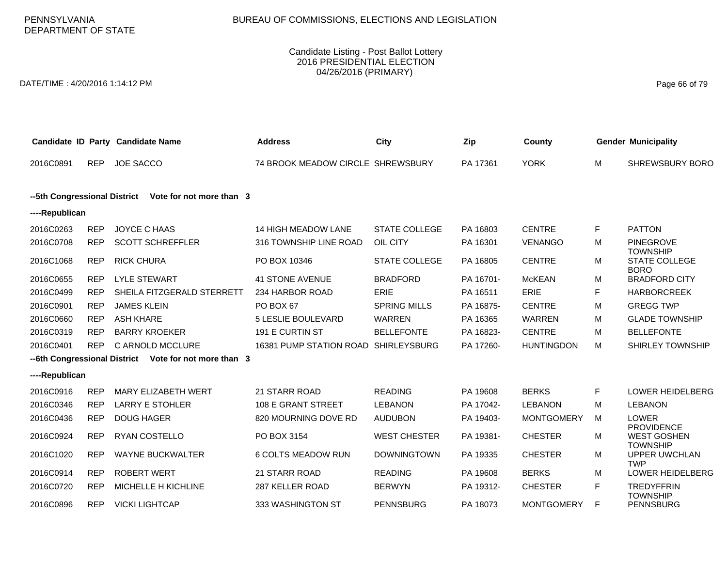PENNSYLVANIA DEPARTMENT OF STATE

### Candidate Listing - Post Ballot Lottery 2016 PRESIDENTIAL ELECTION 04/26/2016 (PRIMARY)

DATE/TIME : 4/20/2016 1:14:12 PM Page 66 of 79

| Candidate ID Party Candidate Name                        |            |                                                       | <b>Address</b>                       | City                 | Zip       | County            |    | <b>Gender Municipality</b>                                 |
|----------------------------------------------------------|------------|-------------------------------------------------------|--------------------------------------|----------------------|-----------|-------------------|----|------------------------------------------------------------|
| 2016C0891                                                | <b>REP</b> | <b>JOE SACCO</b>                                      | 74 BROOK MEADOW CIRCLE SHREWSBURY    |                      | PA 17361  | <b>YORK</b>       | м  | <b>SHREWSBURY BORO</b>                                     |
| Vote for not more than 3<br>--5th Congressional District |            |                                                       |                                      |                      |           |                   |    |                                                            |
| ----Republican                                           |            |                                                       |                                      |                      |           |                   |    |                                                            |
| 2016C0263                                                | <b>REP</b> | <b>JOYCE C HAAS</b>                                   | 14 HIGH MEADOW LANE                  | <b>STATE COLLEGE</b> | PA 16803  | <b>CENTRE</b>     | F. | <b>PATTON</b>                                              |
| 2016C0708                                                | <b>REP</b> | <b>SCOTT SCHREFFLER</b>                               | 316 TOWNSHIP LINE ROAD               | OIL CITY             | PA 16301  | <b>VENANGO</b>    | м  | <b>PINEGROVE</b>                                           |
| 2016C1068                                                | <b>REP</b> | <b>RICK CHURA</b>                                     | PO BOX 10346                         | STATE COLLEGE        | PA 16805  | <b>CENTRE</b>     | M  | <b>TOWNSHIP</b><br><b>STATE COLLEGE</b><br><b>BORO</b>     |
| 2016C0655                                                | <b>REP</b> | <b>LYLE STEWART</b>                                   | <b>41 STONE AVENUE</b>               | <b>BRADFORD</b>      | PA 16701- | <b>McKEAN</b>     | M  | <b>BRADFORD CITY</b>                                       |
| 2016C0499                                                | <b>REP</b> | SHEILA FITZGERALD STERRETT                            | 234 HARBOR ROAD                      | <b>ERIE</b>          | PA 16511  | ERIE              | F. | <b>HARBORCREEK</b>                                         |
| 2016C0901                                                | <b>REP</b> | <b>JAMES KLEIN</b>                                    | PO BOX 67                            | <b>SPRING MILLS</b>  | PA 16875- | CENTRE            | M  | <b>GREGG TWP</b>                                           |
| 2016C0660                                                | <b>REP</b> | <b>ASH KHARE</b>                                      | <b>5 LESLIE BOULEVARD</b>            | <b>WARREN</b>        | PA 16365  | <b>WARREN</b>     | M  | <b>GLADE TOWNSHIP</b>                                      |
| 2016C0319                                                | <b>REP</b> | <b>BARRY KROEKER</b>                                  | 191 E CURTIN ST                      | <b>BELLEFONTE</b>    | PA 16823- | <b>CENTRE</b>     | M  | <b>BELLEFONTE</b>                                          |
| 2016C0401                                                | <b>REP</b> | C ARNOLD MCCLURE                                      | 16381 PUMP STATION ROAD SHIRLEYSBURG |                      | PA 17260- | <b>HUNTINGDON</b> | M  | SHIRLEY TOWNSHIP                                           |
|                                                          |            | --6th Congressional District Vote for not more than 3 |                                      |                      |           |                   |    |                                                            |
| ----Republican                                           |            |                                                       |                                      |                      |           |                   |    |                                                            |
| 2016C0916                                                | <b>REP</b> | <b>MARY ELIZABETH WERT</b>                            | 21 STARR ROAD                        | <b>READING</b>       | PA 19608  | <b>BERKS</b>      | F. | LOWER HEIDELBERG                                           |
| 2016C0346                                                | <b>REP</b> | <b>LARRY E STOHLER</b>                                | 108 E GRANT STREET                   | <b>LEBANON</b>       | PA 17042- | <b>LEBANON</b>    | M  | <b>LEBANON</b>                                             |
| 2016C0436                                                | <b>REP</b> | <b>DOUG HAGER</b>                                     | 820 MOURNING DOVE RD                 | <b>AUDUBON</b>       | PA 19403- | <b>MONTGOMERY</b> | м  | LOWER                                                      |
| 2016C0924                                                | <b>REP</b> | RYAN COSTELLO                                         | PO BOX 3154                          | <b>WEST CHESTER</b>  | PA 19381- | <b>CHESTER</b>    | м  | <b>PROVIDENCE</b><br><b>WEST GOSHEN</b><br><b>TOWNSHIP</b> |
| 2016C1020                                                | <b>REP</b> | <b>WAYNE BUCKWALTER</b>                               | 6 COLTS MEADOW RUN                   | <b>DOWNINGTOWN</b>   | PA 19335  | <b>CHESTER</b>    | M  | <b>UPPER UWCHLAN</b><br><b>TWP</b>                         |
| 2016C0914                                                | <b>REP</b> | <b>ROBERT WERT</b>                                    | <b>21 STARR ROAD</b>                 | <b>READING</b>       | PA 19608  | <b>BERKS</b>      | M  | <b>LOWER HEIDELBERG</b>                                    |
| 2016C0720                                                | <b>REP</b> | MICHELLE H KICHLINE                                   | 287 KELLER ROAD                      | <b>BERWYN</b>        | PA 19312- | <b>CHESTER</b>    | F. | <b>TREDYFFRIN</b><br><b>TOWNSHIP</b>                       |
| 2016C0896                                                | <b>REP</b> | <b>VICKI LIGHTCAP</b>                                 | 333 WASHINGTON ST                    | <b>PENNSBURG</b>     | PA 18073  | <b>MONTGOMERY</b> | F. | <b>PENNSBURG</b>                                           |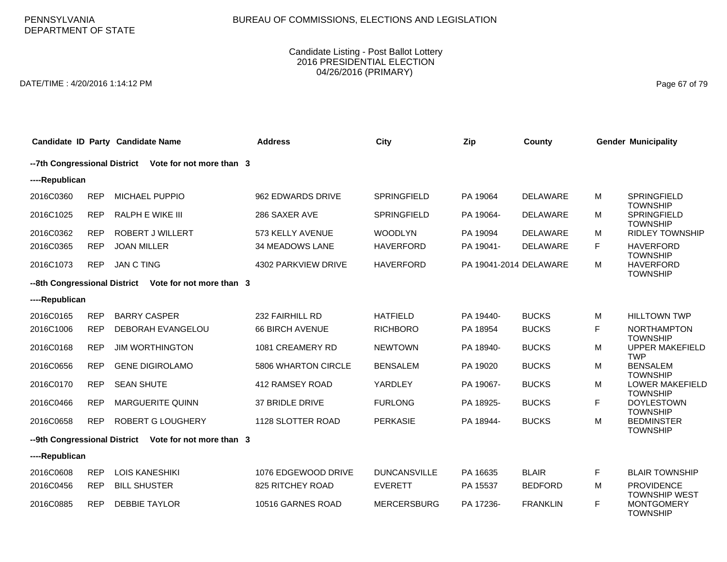# BUREAU OF COMMISSIONS, ELECTIONS AND LEGISLATION

### Candidate Listing - Post Ballot Lottery 2016 PRESIDENTIAL ELECTION 04/26/2016 (PRIMARY)

DATE/TIME : 4/20/2016 1:14:12 PM Page 67 of 79

|                              |            | Candidate ID Party Candidate Name                      | <b>Address</b>         | City                | Zip                    | <b>County</b>   |   | <b>Gender Municipality</b>                                   |
|------------------------------|------------|--------------------------------------------------------|------------------------|---------------------|------------------------|-----------------|---|--------------------------------------------------------------|
|                              |            | -- 7th Congressional District Vote for not more than 3 |                        |                     |                        |                 |   |                                                              |
| ----Republican               |            |                                                        |                        |                     |                        |                 |   |                                                              |
| 2016C0360                    | <b>REP</b> | <b>MICHAEL PUPPIO</b>                                  | 962 EDWARDS DRIVE      | SPRINGFIELD         | PA 19064               | <b>DELAWARE</b> | М | SPRINGFIELD<br><b>TOWNSHIP</b>                               |
| 2016C1025                    | <b>REP</b> | <b>RALPH E WIKE III</b>                                | 286 SAXER AVE          | <b>SPRINGFIELD</b>  | PA 19064-              | <b>DELAWARE</b> | м | SPRINGFIELD<br><b>TOWNSHIP</b>                               |
| 2016C0362                    | <b>REP</b> | ROBERT J WILLERT                                       | 573 KELLY AVENUE       | <b>WOODLYN</b>      | PA 19094               | <b>DELAWARE</b> | м | <b>RIDLEY TOWNSHIP</b>                                       |
| 2016C0365                    | <b>REP</b> | <b>JOAN MILLER</b>                                     | <b>34 MEADOWS LANE</b> | <b>HAVERFORD</b>    | PA 19041-              | <b>DELAWARE</b> | F | <b>HAVERFORD</b>                                             |
| 2016C1073                    | <b>REP</b> | <b>JAN C TING</b>                                      | 4302 PARKVIEW DRIVE    | <b>HAVERFORD</b>    | PA 19041-2014 DELAWARE |                 | м | <b>TOWNSHIP</b><br><b>HAVERFORD</b><br><b>TOWNSHIP</b>       |
| --8th Congressional District |            | Vote for not more than 3                               |                        |                     |                        |                 |   |                                                              |
| ----Republican               |            |                                                        |                        |                     |                        |                 |   |                                                              |
| 2016C0165                    | <b>REP</b> | <b>BARRY CASPER</b>                                    | 232 FAIRHILL RD        | <b>HATFIELD</b>     | PA 19440-              | <b>BUCKS</b>    | м | <b>HILLTOWN TWP</b>                                          |
| 2016C1006                    | <b>REP</b> | <b>DEBORAH EVANGELOU</b>                               | <b>66 BIRCH AVENUE</b> | <b>RICHBORO</b>     | PA 18954               | <b>BUCKS</b>    | F | <b>NORTHAMPTON</b>                                           |
| 2016C0168                    | <b>REP</b> | <b>JIM WORTHINGTON</b>                                 | 1081 CREAMERY RD       | <b>NEWTOWN</b>      | PA 18940-              | <b>BUCKS</b>    | М | <b>TOWNSHIP</b><br><b>UPPER MAKEFIELD</b><br><b>TWP</b>      |
| 2016C0656                    | <b>REP</b> | <b>GENE DIGIROLAMO</b>                                 | 5806 WHARTON CIRCLE    | <b>BENSALEM</b>     | PA 19020               | <b>BUCKS</b>    | м | <b>BENSALEM</b><br><b>TOWNSHIP</b>                           |
| 2016C0170                    | <b>REP</b> | <b>SEAN SHUTE</b>                                      | 412 RAMSEY ROAD        | YARDLEY             | PA 19067-              | <b>BUCKS</b>    | м | LOWER MAKEFIELD<br><b>TOWNSHIP</b>                           |
| 2016C0466                    | <b>REP</b> | <b>MARGUERITE QUINN</b>                                | 37 BRIDLE DRIVE        | <b>FURLONG</b>      | PA 18925-              | <b>BUCKS</b>    | F | <b>DOYLESTOWN</b><br><b>TOWNSHIP</b>                         |
| 2016C0658                    | <b>REP</b> | ROBERT G LOUGHERY                                      | 1128 SLOTTER ROAD      | <b>PERKASIE</b>     | PA 18944-              | <b>BUCKS</b>    | М | <b>BEDMINSTER</b><br><b>TOWNSHIP</b>                         |
|                              |            | --9th Congressional District Vote for not more than 3  |                        |                     |                        |                 |   |                                                              |
| ----Republican               |            |                                                        |                        |                     |                        |                 |   |                                                              |
| 2016C0608                    | <b>REP</b> | <b>LOIS KANESHIKI</b>                                  | 1076 EDGEWOOD DRIVE    | <b>DUNCANSVILLE</b> | PA 16635               | <b>BLAIR</b>    | F | <b>BLAIR TOWNSHIP</b>                                        |
| 2016C0456                    | <b>REP</b> | <b>BILL SHUSTER</b>                                    | 825 RITCHEY ROAD       | <b>EVERETT</b>      | PA 15537               | <b>BEDFORD</b>  | м | <b>PROVIDENCE</b>                                            |
| 2016C0885                    | <b>REP</b> | <b>DEBBIE TAYLOR</b>                                   | 10516 GARNES ROAD      | <b>MERCERSBURG</b>  | PA 17236-              | <b>FRANKLIN</b> | F | <b>TOWNSHIP WEST</b><br><b>MONTGOMERY</b><br><b>TOWNSHIP</b> |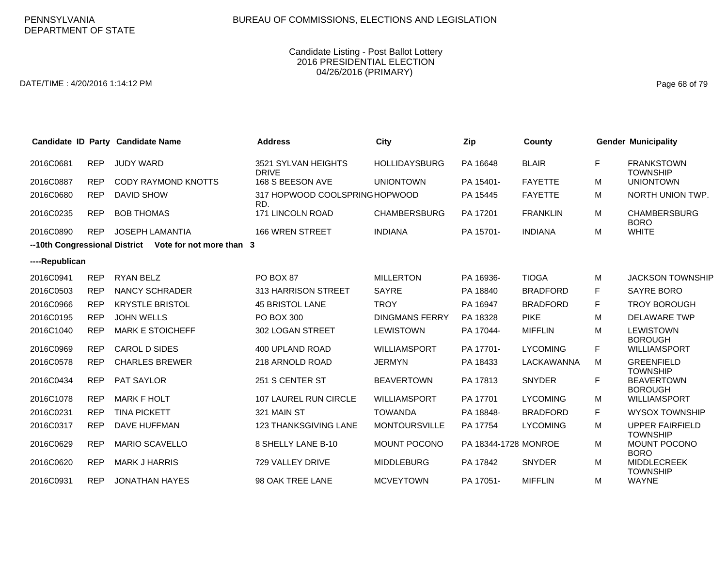DATE/TIME : 4/20/2016 1:14:12 PM Page 68 of 79

|                |            | Candidate ID Party Candidate Name                      | <b>Address</b>                        | City                  | Zip                  | County          |    | <b>Gender Municipality</b>                |
|----------------|------------|--------------------------------------------------------|---------------------------------------|-----------------------|----------------------|-----------------|----|-------------------------------------------|
| 2016C0681      | <b>REP</b> | <b>JUDY WARD</b>                                       | 3521 SYLVAN HEIGHTS<br><b>DRIVE</b>   | <b>HOLLIDAYSBURG</b>  | PA 16648             | <b>BLAIR</b>    | F  | <b>FRANKSTOWN</b><br><b>TOWNSHIP</b>      |
| 2016C0887      | <b>REP</b> | <b>CODY RAYMOND KNOTTS</b>                             | 168 S BEESON AVE                      | <b>UNIONTOWN</b>      | PA 15401-            | <b>FAYETTE</b>  | м  | <b>UNIONTOWN</b>                          |
| 2016C0680      | <b>REP</b> | <b>DAVID SHOW</b>                                      | 317 HOPWOOD COOLSPRING HOPWOOD<br>RD. |                       | PA 15445             | <b>FAYETTE</b>  | м  | NORTH UNION TWP.                          |
| 2016C0235      | <b>REP</b> | <b>BOB THOMAS</b>                                      | 171 LINCOLN ROAD                      | <b>CHAMBERSBURG</b>   | PA 17201             | <b>FRANKLIN</b> | м  | <b>CHAMBERSBURG</b><br><b>BORO</b>        |
| 2016C0890      | <b>REP</b> | JOSEPH LAMANTIA                                        | <b>166 WREN STREET</b>                | <b>INDIANA</b>        | PA 15701-            | <b>INDIANA</b>  | M  | <b>WHITE</b>                              |
|                |            | --10th Congressional District Vote for not more than 3 |                                       |                       |                      |                 |    |                                           |
| ----Republican |            |                                                        |                                       |                       |                      |                 |    |                                           |
| 2016C0941      | <b>REP</b> | <b>RYAN BELZ</b>                                       | PO BOX 87                             | <b>MILLERTON</b>      | PA 16936-            | <b>TIOGA</b>    | M  | <b>JACKSON TOWNSHIP</b>                   |
| 2016C0503      | <b>REP</b> | <b>NANCY SCHRADER</b>                                  | 313 HARRISON STREET                   | <b>SAYRE</b>          | PA 18840             | <b>BRADFORD</b> | F. | SAYRE BORO                                |
| 2016C0966      | <b>REP</b> | <b>KRYSTLE BRISTOL</b>                                 | <b>45 BRISTOL LANE</b>                | <b>TROY</b>           | PA 16947             | <b>BRADFORD</b> | F. | <b>TROY BOROUGH</b>                       |
| 2016C0195      | <b>REP</b> | <b>JOHN WELLS</b>                                      | PO BOX 300                            | <b>DINGMANS FERRY</b> | PA 18328             | <b>PIKE</b>     | M  | <b>DELAWARE TWP</b>                       |
| 2016C1040      | <b>REP</b> | <b>MARK E STOICHEFF</b>                                | 302 LOGAN STREET                      | <b>LEWISTOWN</b>      | PA 17044-            | <b>MIFFLIN</b>  | М  | <b>LEWISTOWN</b><br><b>BOROUGH</b>        |
| 2016C0969      | <b>REP</b> | CAROL D SIDES                                          | 400 UPLAND ROAD                       | <b>WILLIAMSPORT</b>   | PA 17701-            | <b>LYCOMING</b> | F. | <b>WILLIAMSPORT</b>                       |
| 2016C0578      | <b>REP</b> | <b>CHARLES BREWER</b>                                  | 218 ARNOLD ROAD                       | <b>JERMYN</b>         | PA 18433             | LACKAWANNA      | м  | <b>GREENFIELD</b><br><b>TOWNSHIP</b>      |
| 2016C0434      | <b>REP</b> | PAT SAYLOR                                             | 251 S CENTER ST                       | <b>BEAVERTOWN</b>     | PA 17813             | <b>SNYDER</b>   | F. | <b>BEAVERTOWN</b><br><b>BOROUGH</b>       |
| 2016C1078      | <b>REP</b> | <b>MARK F HOLT</b>                                     | 107 LAUREL RUN CIRCLE                 | <b>WILLIAMSPORT</b>   | PA 17701             | <b>LYCOMING</b> | м  | <b>WILLIAMSPORT</b>                       |
| 2016C0231      | <b>REP</b> | <b>TINA PICKETT</b>                                    | 321 MAIN ST                           | <b>TOWANDA</b>        | PA 18848-            | <b>BRADFORD</b> | F. | <b>WYSOX TOWNSHIP</b>                     |
| 2016C0317      | <b>REP</b> | <b>DAVE HUFFMAN</b>                                    | 123 THANKSGIVING LANE                 | <b>MONTOURSVILLE</b>  | PA 17754             | <b>LYCOMING</b> | M  | <b>UPPER FAIRFIELD</b><br><b>TOWNSHIP</b> |
| 2016C0629      | <b>REP</b> | <b>MARIO SCAVELLO</b>                                  | 8 SHELLY LANE B-10                    | MOUNT POCONO          | PA 18344-1728 MONROE |                 | M  | MOUNT POCONO<br><b>BORO</b>               |
| 2016C0620      | <b>REP</b> | <b>MARK J HARRIS</b>                                   | 729 VALLEY DRIVE                      | <b>MIDDLEBURG</b>     | PA 17842             | <b>SNYDER</b>   | M  | <b>MIDDLECREEK</b><br><b>TOWNSHIP</b>     |
| 2016C0931      | <b>REP</b> | <b>JONATHAN HAYES</b>                                  | 98 OAK TREE LANE                      | <b>MCVEYTOWN</b>      | PA 17051-            | <b>MIFFLIN</b>  | M  | <b>WAYNE</b>                              |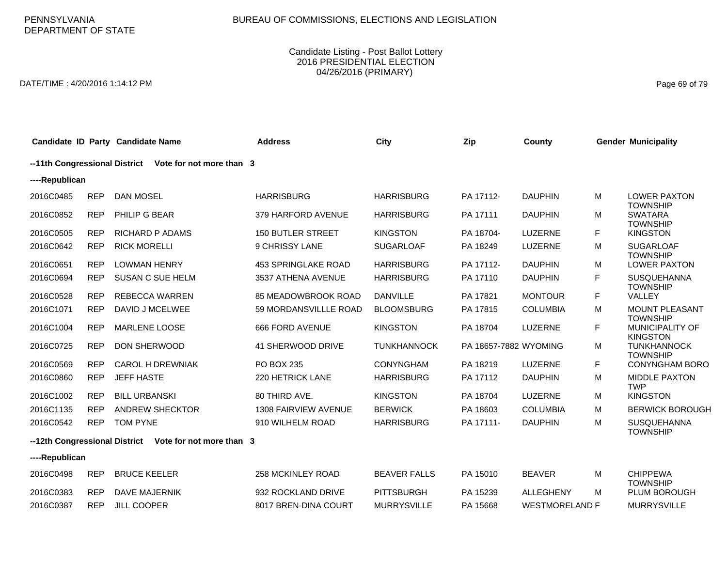# BUREAU OF COMMISSIONS, ELECTIONS AND LEGISLATION

### Candidate Listing - Post Ballot Lottery 2016 PRESIDENTIAL ELECTION 04/26/2016 (PRIMARY)

DATE/TIME : 4/20/2016 1:14:12 PM Page 69 of 79

|                               |            | Candidate ID Party Candidate Name                      | <b>Address</b>              | <b>City</b>         | Zip                   | County                |    | <b>Gender Municipality</b>                            |
|-------------------------------|------------|--------------------------------------------------------|-----------------------------|---------------------|-----------------------|-----------------------|----|-------------------------------------------------------|
| --11th Congressional District |            | Vote for not more than 3                               |                             |                     |                       |                       |    |                                                       |
| ----Republican                |            |                                                        |                             |                     |                       |                       |    |                                                       |
| 2016C0485                     | <b>REP</b> | <b>DAN MOSEL</b>                                       | <b>HARRISBURG</b>           | <b>HARRISBURG</b>   | PA 17112-             | <b>DAUPHIN</b>        | М  | <b>LOWER PAXTON</b>                                   |
| 2016C0852                     | <b>REP</b> | PHILIP G BEAR                                          | 379 HARFORD AVENUE          | <b>HARRISBURG</b>   | PA 17111              | <b>DAUPHIN</b>        | М  | <b>TOWNSHIP</b><br><b>SWATARA</b><br><b>TOWNSHIP</b>  |
| 2016C0505                     | <b>REP</b> | <b>RICHARD P ADAMS</b>                                 | <b>150 BUTLER STREET</b>    | <b>KINGSTON</b>     | PA 18704-             | <b>LUZERNE</b>        | F  | <b>KINGSTON</b>                                       |
| 2016C0642                     | <b>REP</b> | <b>RICK MORELLI</b>                                    | 9 CHRISSY LANE              | <b>SUGARLOAF</b>    | PA 18249              | LUZERNE               | M  | <b>SUGARLOAF</b><br><b>TOWNSHIP</b>                   |
| 2016C0651                     | <b>REP</b> | <b>LOWMAN HENRY</b>                                    | <b>453 SPRINGLAKE ROAD</b>  | <b>HARRISBURG</b>   | PA 17112-             | <b>DAUPHIN</b>        | М  | <b>LOWER PAXTON</b>                                   |
| 2016C0694                     | <b>REP</b> | <b>SUSAN C SUE HELM</b>                                | 3537 ATHENA AVENUE          | <b>HARRISBURG</b>   | PA 17110              | <b>DAUPHIN</b>        | F  | <b>SUSQUEHANNA</b><br><b>TOWNSHIP</b>                 |
| 2016C0528                     | <b>REP</b> | <b>REBECCA WARREN</b>                                  | 85 MEADOWBROOK ROAD         | <b>DANVILLE</b>     | PA 17821              | <b>MONTOUR</b>        | F  | VALLEY                                                |
| 2016C1071                     | <b>REP</b> | DAVID J MCELWEE                                        | 59 MORDANSVILLLE ROAD       | <b>BLOOMSBURG</b>   | PA 17815              | <b>COLUMBIA</b>       | M  | <b>MOUNT PLEASANT</b>                                 |
| 2016C1004                     | <b>REP</b> | MARLENE LOOSE                                          | 666 FORD AVENUE             | <b>KINGSTON</b>     | PA 18704              | <b>LUZERNE</b>        | F. | <b>TOWNSHIP</b><br>MUNICIPALITY OF<br><b>KINGSTON</b> |
| 2016C0725                     | <b>REP</b> | DON SHERWOOD                                           | 41 SHERWOOD DRIVE           | <b>TUNKHANNOCK</b>  | PA 18657-7882 WYOMING |                       | М  | <b>TUNKHANNOCK</b><br><b>TOWNSHIP</b>                 |
| 2016C0569                     | <b>REP</b> | <b>CAROL H DREWNIAK</b>                                | PO BOX 235                  | <b>CONYNGHAM</b>    | PA 18219              | <b>LUZERNE</b>        | F. | <b>CONYNGHAM BORO</b>                                 |
| 2016C0860                     | <b>REP</b> | <b>JEFF HASTE</b>                                      | 220 HETRICK LANE            | <b>HARRISBURG</b>   | PA 17112              | <b>DAUPHIN</b>        | M  | <b>MIDDLE PAXTON</b><br><b>TWP</b>                    |
| 2016C1002                     | <b>REP</b> | <b>BILL URBANSKI</b>                                   | 80 THIRD AVE.               | <b>KINGSTON</b>     | PA 18704              | <b>LUZERNE</b>        | М  | <b>KINGSTON</b>                                       |
| 2016C1135                     | <b>REP</b> | <b>ANDREW SHECKTOR</b>                                 | <b>1308 FAIRVIEW AVENUE</b> | <b>BERWICK</b>      | PA 18603              | <b>COLUMBIA</b>       | M  | <b>BERWICK BOROUGH</b>                                |
| 2016C0542                     | <b>REP</b> | <b>TOM PYNE</b>                                        | 910 WILHELM ROAD            | <b>HARRISBURG</b>   | PA 17111-             | <b>DAUPHIN</b>        | М  | <b>SUSQUEHANNA</b><br><b>TOWNSHIP</b>                 |
|                               |            | --12th Congressional District Vote for not more than 3 |                             |                     |                       |                       |    |                                                       |
| ----Republican                |            |                                                        |                             |                     |                       |                       |    |                                                       |
| 2016C0498                     | <b>REP</b> | <b>BRUCE KEELER</b>                                    | 258 MCKINLEY ROAD           | <b>BEAVER FALLS</b> | PA 15010              | <b>BEAVER</b>         | M  | <b>CHIPPEWA</b><br><b>TOWNSHIP</b>                    |
| 2016C0383                     | <b>REP</b> | <b>DAVE MAJERNIK</b>                                   | 932 ROCKLAND DRIVE          | <b>PITTSBURGH</b>   | PA 15239              | <b>ALLEGHENY</b>      | м  | <b>PLUM BOROUGH</b>                                   |
| 2016C0387                     | <b>REP</b> | <b>JILL COOPER</b>                                     | 8017 BREN-DINA COURT        | <b>MURRYSVILLE</b>  | PA 15668              | <b>WESTMORELAND F</b> |    | <b>MURRYSVILLE</b>                                    |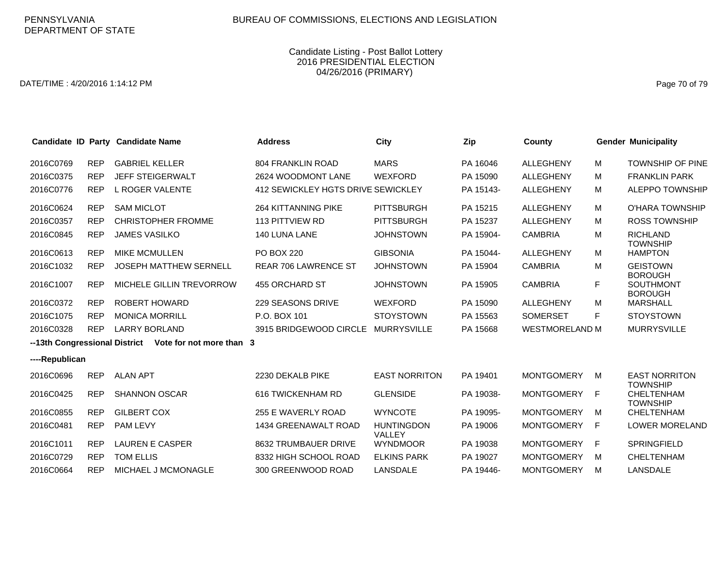DATE/TIME : 4/20/2016 1:14:12 PM Page 70 of 79

|                |            | Candidate ID Party Candidate Name                       | <b>Address</b>                     | City                        | Zip       | County                |   | <b>Gender Municipality</b>              |
|----------------|------------|---------------------------------------------------------|------------------------------------|-----------------------------|-----------|-----------------------|---|-----------------------------------------|
| 2016C0769      | <b>REP</b> | <b>GABRIEL KELLER</b>                                   | <b>804 FRANKLIN ROAD</b>           | <b>MARS</b>                 | PA 16046  | <b>ALLEGHENY</b>      | м | <b>TOWNSHIP OF PINE</b>                 |
| 2016C0375      | <b>REP</b> | JEFF STEIGERWALT                                        | 2624 WOODMONT LANE                 | <b>WEXFORD</b>              | PA 15090  | <b>ALLEGHENY</b>      | м | <b>FRANKLIN PARK</b>                    |
| 2016C0776      | <b>REP</b> | L ROGER VALENTE                                         | 412 SEWICKLEY HGTS DRIVE SEWICKLEY |                             | PA 15143- | <b>ALLEGHENY</b>      | м | <b>ALEPPO TOWNSHIP</b>                  |
| 2016C0624      | <b>REP</b> | <b>SAM MICLOT</b>                                       | <b>264 KITTANNING PIKE</b>         | <b>PITTSBURGH</b>           | PA 15215  | <b>ALLEGHENY</b>      | M | O'HARA TOWNSHIP                         |
| 2016C0357      | <b>REP</b> | <b>CHRISTOPHER FROMME</b>                               | <b>113 PITTVIEW RD</b>             | <b>PITTSBURGH</b>           | PA 15237  | <b>ALLEGHENY</b>      | м | <b>ROSS TOWNSHIP</b>                    |
| 2016C0845      | <b>REP</b> | <b>JAMES VASILKO</b>                                    | 140 LUNA LANE                      | <b>JOHNSTOWN</b>            | PA 15904- | <b>CAMBRIA</b>        | M | <b>RICHLAND</b><br><b>TOWNSHIP</b>      |
| 2016C0613      | <b>REP</b> | <b>MIKE MCMULLEN</b>                                    | <b>PO BOX 220</b>                  | <b>GIBSONIA</b>             | PA 15044- | <b>ALLEGHENY</b>      | м | <b>HAMPTON</b>                          |
| 2016C1032      | <b>REP</b> | <b>JOSEPH MATTHEW SERNELL</b>                           | <b>REAR 706 LAWRENCE ST</b>        | <b>JOHNSTOWN</b>            | PA 15904  | <b>CAMBRIA</b>        | M | <b>GEISTOWN</b><br><b>BOROUGH</b>       |
| 2016C1007      | <b>REP</b> | MICHELE GILLIN TREVORROW                                | 455 ORCHARD ST                     | <b>JOHNSTOWN</b>            | PA 15905  | <b>CAMBRIA</b>        | F | <b>SOUTHMONT</b><br><b>BOROUGH</b>      |
| 2016C0372      | <b>REP</b> | <b>ROBERT HOWARD</b>                                    | 229 SEASONS DRIVE                  | <b>WEXFORD</b>              | PA 15090  | <b>ALLEGHENY</b>      | м | <b>MARSHALL</b>                         |
| 2016C1075      | <b>REP</b> | <b>MONICA MORRILL</b>                                   | P.O. BOX 101                       | <b>STOYSTOWN</b>            | PA 15563  | <b>SOMERSET</b>       | F | <b>STOYSTOWN</b>                        |
| 2016C0328      | <b>REP</b> | <b>LARRY BORLAND</b>                                    | 3915 BRIDGEWOOD CIRCLE             | <b>MURRYSVILLE</b>          | PA 15668  | <b>WESTMORELAND M</b> |   | <b>MURRYSVILLE</b>                      |
|                |            | --13th Congressional District  Vote for not more than 3 |                                    |                             |           |                       |   |                                         |
| ----Republican |            |                                                         |                                    |                             |           |                       |   |                                         |
| 2016C0696      | <b>REP</b> | <b>ALAN APT</b>                                         | 2230 DEKALB PIKE                   | <b>EAST NORRITON</b>        | PA 19401  | <b>MONTGOMERY</b>     | м | <b>EAST NORRITON</b><br><b>TOWNSHIP</b> |
| 2016C0425      | <b>REP</b> | <b>SHANNON OSCAR</b>                                    | 616 TWICKENHAM RD                  | <b>GLENSIDE</b>             | PA 19038- | <b>MONTGOMERY</b>     | F | CHELTENHAM<br><b>TOWNSHIP</b>           |
| 2016C0855      | <b>REP</b> | <b>GILBERT COX</b>                                      | 255 E WAVERLY ROAD                 | <b>WYNCOTE</b>              | PA 19095- | <b>MONTGOMERY</b>     | M | <b>CHELTENHAM</b>                       |
| 2016C0481      | <b>REP</b> | <b>PAM LEVY</b>                                         | 1434 GREENAWALT ROAD               | <b>HUNTINGDON</b><br>VALLEY | PA 19006  | <b>MONTGOMERY</b>     | F | <b>LOWER MORELAND</b>                   |
| 2016C1011      | <b>REP</b> | <b>LAUREN E CASPER</b>                                  | 8632 TRUMBAUER DRIVE               | <b>WYNDMOOR</b>             | PA 19038  | <b>MONTGOMERY</b>     | E | <b>SPRINGFIELD</b>                      |
| 2016C0729      | <b>REP</b> | TOM ELLIS                                               | 8332 HIGH SCHOOL ROAD              | <b>ELKINS PARK</b>          | PA 19027  | <b>MONTGOMERY</b>     | M | <b>CHELTENHAM</b>                       |
| 2016C0664      | <b>REP</b> | <b>MICHAEL J MCMONAGLE</b>                              | 300 GREENWOOD ROAD                 | LANSDALE                    | PA 19446- | <b>MONTGOMERY</b>     | M | LANSDALE                                |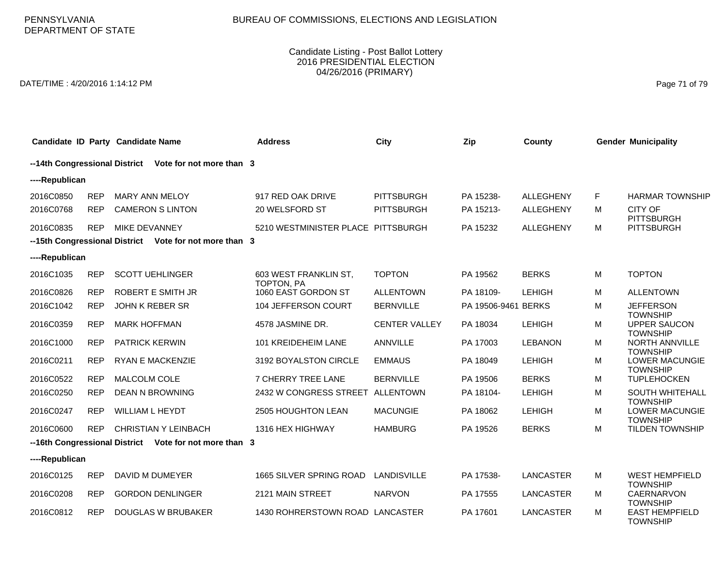DATE/TIME : 4/20/2016 1:14:12 PM Page 71 of 79

| Candidate ID Party Candidate Name |            |                        |                                                        | <b>Address</b>                      | City                 | Zip                 | County           |    | <b>Gender Municipality</b>                |
|-----------------------------------|------------|------------------------|--------------------------------------------------------|-------------------------------------|----------------------|---------------------|------------------|----|-------------------------------------------|
|                                   |            |                        | --14th Congressional District Vote for not more than 3 |                                     |                      |                     |                  |    |                                           |
| ----Republican                    |            |                        |                                                        |                                     |                      |                     |                  |    |                                           |
| 2016C0850                         | <b>REP</b> | <b>MARY ANN MELOY</b>  |                                                        | 917 RED OAK DRIVE                   | <b>PITTSBURGH</b>    | PA 15238-           | <b>ALLEGHENY</b> | F. | <b>HARMAR TOWNSHIP</b>                    |
| 2016C0768                         | <b>REP</b> |                        | <b>CAMERON S LINTON</b>                                | 20 WELSFORD ST                      | <b>PITTSBURGH</b>    | PA 15213-           | ALLEGHENY        | м  | <b>CITY OF</b><br><b>PITTSBURGH</b>       |
| 2016C0835                         | <b>REP</b> | MIKE DEVANNEY          |                                                        | 5210 WESTMINISTER PLACE PITTSBURGH  |                      | PA 15232            | <b>ALLEGHENY</b> | M  | <b>PITTSBURGH</b>                         |
|                                   |            |                        | --15th Congressional District Vote for not more than 3 |                                     |                      |                     |                  |    |                                           |
| ----Republican                    |            |                        |                                                        |                                     |                      |                     |                  |    |                                           |
| 2016C1035                         | <b>REP</b> |                        | <b>SCOTT UEHLINGER</b>                                 | 603 WEST FRANKLIN ST.<br>TOPTON, PA | <b>TOPTON</b>        | PA 19562            | <b>BERKS</b>     | м  | <b>TOPTON</b>                             |
| 2016C0826                         | <b>REP</b> |                        | <b>ROBERT E SMITH JR</b>                               | 1060 EAST GORDON ST                 | <b>ALLENTOWN</b>     | PA 18109-           | <b>LEHIGH</b>    | M  | <b>ALLENTOWN</b>                          |
| 2016C1042                         | <b>REP</b> | <b>JOHN K REBER SR</b> |                                                        | 104 JEFFERSON COURT                 | <b>BERNVILLE</b>     | PA 19506-9461 BERKS |                  | M  | <b>JEFFERSON</b><br><b>TOWNSHIP</b>       |
| 2016C0359                         | <b>REP</b> | <b>MARK HOFFMAN</b>    |                                                        | 4578 JASMINE DR.                    | <b>CENTER VALLEY</b> | PA 18034            | <b>LEHIGH</b>    | M  | <b>UPPER SAUCON</b><br><b>TOWNSHIP</b>    |
| 2016C1000                         | <b>REP</b> | <b>PATRICK KERWIN</b>  |                                                        | 101 KREIDEHEIM LANE                 | <b>ANNVILLE</b>      | PA 17003            | <b>LEBANON</b>   | M  | NORTH ANNVILLE<br><b>TOWNSHIP</b>         |
| 2016C0211                         | <b>REP</b> |                        | <b>RYAN E MACKENZIE</b>                                | 3192 BOYALSTON CIRCLE               | <b>EMMAUS</b>        | PA 18049            | <b>LEHIGH</b>    | M  | <b>LOWER MACUNGIE</b><br><b>TOWNSHIP</b>  |
| 2016C0522                         | <b>REP</b> | <b>MALCOLM COLE</b>    |                                                        | <b>7 CHERRY TREE LANE</b>           | <b>BERNVILLE</b>     | PA 19506            | <b>BERKS</b>     | M  | <b>TUPLEHOCKEN</b>                        |
| 2016C0250                         | <b>REP</b> |                        | <b>DEAN N BROWNING</b>                                 | 2432 W CONGRESS STREET              | ALLENTOWN            | PA 18104-           | <b>LEHIGH</b>    | M  | <b>SOUTH WHITEHALL</b><br><b>TOWNSHIP</b> |
| 2016C0247                         | <b>REP</b> | <b>WILLIAM L HEYDT</b> |                                                        | 2505 HOUGHTON LEAN                  | <b>MACUNGIE</b>      | PA 18062            | <b>LEHIGH</b>    | M  | <b>LOWER MACUNGIE</b><br><b>TOWNSHIP</b>  |
| 2016C0600                         | <b>REP</b> |                        | <b>CHRISTIAN Y LEINBACH</b>                            | 1316 HEX HIGHWAY                    | <b>HAMBURG</b>       | PA 19526            | <b>BERKS</b>     | M  | <b>TILDEN TOWNSHIP</b>                    |
|                                   |            |                        | --16th Congressional District Vote for not more than 3 |                                     |                      |                     |                  |    |                                           |
| ----Republican                    |            |                        |                                                        |                                     |                      |                     |                  |    |                                           |
| 2016C0125                         | <b>REP</b> |                        | DAVID M DUMEYER                                        | 1665 SILVER SPRING ROAD             | <b>LANDISVILLE</b>   | PA 17538-           | <b>LANCASTER</b> | M  | <b>WEST HEMPFIELD</b><br><b>TOWNSHIP</b>  |
| 2016C0208                         | <b>REP</b> |                        | <b>GORDON DENLINGER</b>                                | 2121 MAIN STREET                    | <b>NARVON</b>        | PA 17555            | <b>LANCASTER</b> | M  | CAERNARVON<br><b>TOWNSHIP</b>             |
| 2016C0812                         | <b>REP</b> |                        | <b>DOUGLAS W BRUBAKER</b>                              | 1430 ROHRERSTOWN ROAD LANCASTER     |                      | PA 17601            | <b>LANCASTER</b> | м  | <b>EAST HEMPFIELD</b><br><b>TOWNSHIP</b>  |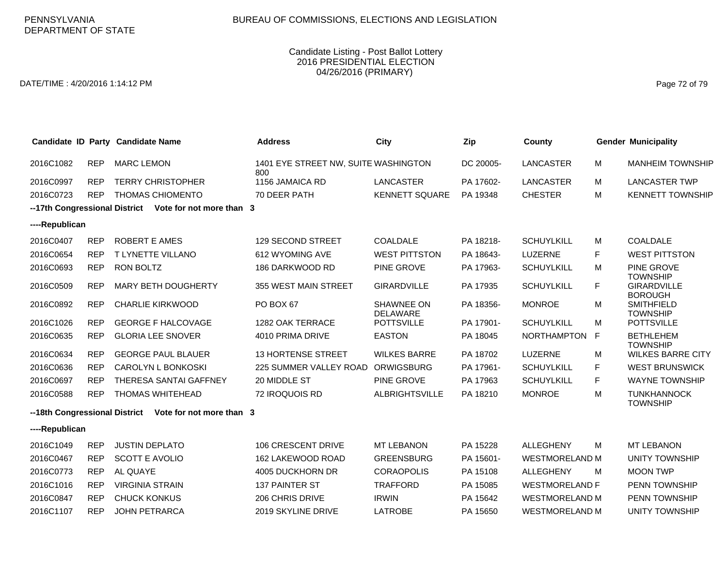DATE/TIME : 4/20/2016 1:14:12 PM Page 72 of 79

|                                                        |            | Candidate ID Party Candidate Name | <b>Address</b>                              | <b>City</b>                   | Zip       | County                |    | <b>Gender Municipality</b>                              |
|--------------------------------------------------------|------------|-----------------------------------|---------------------------------------------|-------------------------------|-----------|-----------------------|----|---------------------------------------------------------|
| 2016C1082                                              | <b>REP</b> | <b>MARC LEMON</b>                 | 1401 EYE STREET NW, SUITE WASHINGTON<br>800 |                               | DC 20005- | <b>LANCASTER</b>      | м  | <b>MANHEIM TOWNSHIP</b>                                 |
| 2016C0997                                              | <b>REP</b> | <b>TERRY CHRISTOPHER</b>          | 1156 JAMAICA RD                             | LANCASTER                     | PA 17602- | <b>LANCASTER</b>      | м  | <b>LANCASTER TWP</b>                                    |
| 2016C0723                                              | <b>REP</b> | <b>THOMAS CHIOMENTO</b>           | 70 DEER PATH                                | <b>KENNETT SQUARE</b>         | PA 19348  | <b>CHESTER</b>        | м  | <b>KENNETT TOWNSHIP</b>                                 |
| --17th Congressional District Vote for not more than 3 |            |                                   |                                             |                               |           |                       |    |                                                         |
| ----Republican                                         |            |                                   |                                             |                               |           |                       |    |                                                         |
| 2016C0407                                              | <b>REP</b> | ROBERT E AMES                     | 129 SECOND STREET                           | <b>COALDALE</b>               | PA 18218- | <b>SCHUYLKILL</b>     | М  | <b>COALDALE</b>                                         |
| 2016C0654                                              | <b>REP</b> | T LYNETTE VILLANO                 | 612 WYOMING AVE                             | <b>WEST PITTSTON</b>          | PA 18643- | LUZERNE               | F  | <b>WEST PITTSTON</b>                                    |
| 2016C0693                                              | <b>REP</b> | <b>RON BOLTZ</b>                  | 186 DARKWOOD RD                             | <b>PINE GROVE</b>             | PA 17963- | <b>SCHUYLKILL</b>     | М  | PINE GROVE                                              |
| 2016C0509                                              | <b>REP</b> | MARY BETH DOUGHERTY               | 355 WEST MAIN STREET                        | <b>GIRARDVILLE</b>            | PA 17935  | <b>SCHUYLKILL</b>     | F  | <b>TOWNSHIP</b><br><b>GIRARDVILLE</b><br><b>BOROUGH</b> |
| 2016C0892                                              | <b>REP</b> | <b>CHARLIE KIRKWOOD</b>           | PO BOX 67                                   | SHAWNEE ON<br><b>DELAWARE</b> | PA 18356- | <b>MONROE</b>         | М  | <b>SMITHFIELD</b><br><b>TOWNSHIP</b>                    |
| 2016C1026                                              | <b>REP</b> | <b>GEORGE F HALCOVAGE</b>         | 1282 OAK TERRACE                            | <b>POTTSVILLE</b>             | PA 17901- | <b>SCHUYLKILL</b>     | м  | <b>POTTSVILLE</b>                                       |
| 2016C0635                                              | <b>REP</b> | <b>GLORIA LEE SNOVER</b>          | 4010 PRIMA DRIVE                            | <b>EASTON</b>                 | PA 18045  | <b>NORTHAMPTON</b>    | F  | <b>BETHLEHEM</b><br><b>TOWNSHIP</b>                     |
| 2016C0634                                              | <b>REP</b> | <b>GEORGE PAUL BLAUER</b>         | <b>13 HORTENSE STREET</b>                   | <b>WILKES BARRE</b>           | PA 18702  | LUZERNE               | м  | <b>WILKES BARRE CITY</b>                                |
| 2016C0636                                              | <b>REP</b> | CAROLYN L BONKOSKI                | 225 SUMMER VALLEY ROAD                      | <b>ORWIGSBURG</b>             | PA 17961- | <b>SCHUYLKILL</b>     | F  | <b>WEST BRUNSWICK</b>                                   |
| 2016C0697                                              | <b>REP</b> | THERESA SANTAI GAFFNEY            | 20 MIDDLE ST                                | PINE GROVE                    | PA 17963  | <b>SCHUYLKILL</b>     | F. | WAYNE TOWNSHIP                                          |
| 2016C0588                                              | <b>REP</b> | <b>THOMAS WHITEHEAD</b>           | 72 IROQUOIS RD                              | <b>ALBRIGHTSVILLE</b>         | PA 18210  | <b>MONROE</b>         | M  | <b>TUNKHANNOCK</b><br><b>TOWNSHIP</b>                   |
| --18th Congressional District                          |            | Vote for not more than 3          |                                             |                               |           |                       |    |                                                         |
| ----Republican                                         |            |                                   |                                             |                               |           |                       |    |                                                         |
| 2016C1049                                              | <b>REP</b> | <b>JUSTIN DEPLATO</b>             | 106 CRESCENT DRIVE                          | <b>MT LEBANON</b>             | PA 15228  | <b>ALLEGHENY</b>      | м  | <b>MT LEBANON</b>                                       |
| 2016C0467                                              | <b>REP</b> | <b>SCOTT E AVOLIO</b>             | 162 LAKEWOOD ROAD                           | <b>GREENSBURG</b>             | PA 15601- | <b>WESTMORELAND M</b> |    | <b>UNITY TOWNSHIP</b>                                   |
| 2016C0773                                              | <b>REP</b> | AL QUAYE                          | 4005 DUCKHORN DR                            | <b>CORAOPOLIS</b>             | PA 15108  | <b>ALLEGHENY</b>      | м  | <b>MOON TWP</b>                                         |
| 2016C1016                                              | <b>REP</b> | <b>VIRGINIA STRAIN</b>            | 137 PAINTER ST                              | <b>TRAFFORD</b>               | PA 15085  | <b>WESTMORELAND F</b> |    | PENN TOWNSHIP                                           |
| 2016C0847                                              | <b>REP</b> | <b>CHUCK KONKUS</b>               | 206 CHRIS DRIVE                             | <b>IRWIN</b>                  | PA 15642  | <b>WESTMORELAND M</b> |    | PENN TOWNSHIP                                           |
| 2016C1107                                              | <b>REP</b> | <b>JOHN PETRARCA</b>              | 2019 SKYLINE DRIVE                          | <b>LATROBE</b>                | PA 15650  | <b>WESTMORELAND M</b> |    | <b>UNITY TOWNSHIP</b>                                   |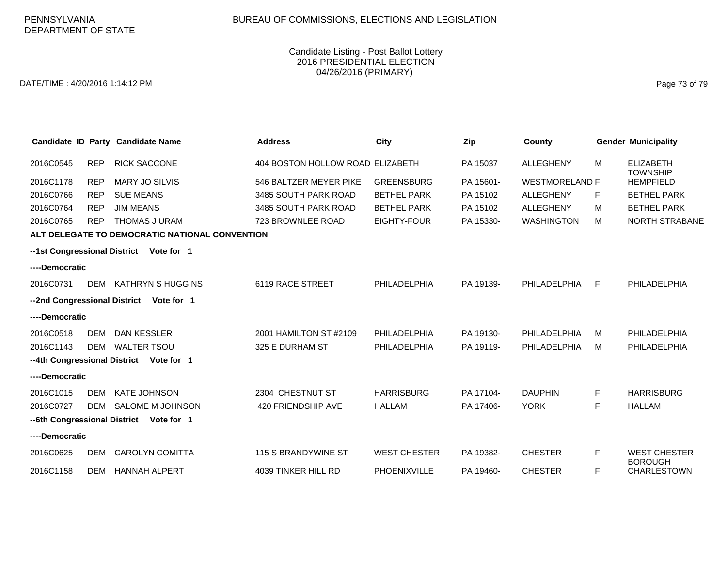### Candidate Listing - Post Ballot Lottery 2016 PRESIDENTIAL ELECTION 04/26/2016 (PRIMARY)

DATE/TIME : 4/20/2016 1:14:12 PM Page 73 of 79

|                              |            | Candidate ID Party Candidate Name              | <b>Address</b>                   | City                | Zip       | County                |   | <b>Gender Municipality</b>           |
|------------------------------|------------|------------------------------------------------|----------------------------------|---------------------|-----------|-----------------------|---|--------------------------------------|
| 2016C0545                    | <b>REP</b> | <b>RICK SACCONE</b>                            | 404 BOSTON HOLLOW ROAD ELIZABETH |                     | PA 15037  | <b>ALLEGHENY</b>      | M | <b>ELIZABETH</b><br><b>TOWNSHIP</b>  |
| 2016C1178                    | <b>REP</b> | <b>MARY JO SILVIS</b>                          | 546 BALTZER MEYER PIKE           | <b>GREENSBURG</b>   | PA 15601- | <b>WESTMORELAND F</b> |   | <b>HEMPFIELD</b>                     |
| 2016C0766                    | <b>REP</b> | <b>SUE MEANS</b>                               | 3485 SOUTH PARK ROAD             | <b>BETHEL PARK</b>  | PA 15102  | <b>ALLEGHENY</b>      | F | <b>BETHEL PARK</b>                   |
| 2016C0764                    | <b>REP</b> | <b>JIM MEANS</b>                               | 3485 SOUTH PARK ROAD             | <b>BETHEL PARK</b>  | PA 15102  | ALLEGHENY             | м | <b>BETHEL PARK</b>                   |
| 2016C0765                    | <b>REP</b> | <b>THOMAS J URAM</b>                           | 723 BROWNLEE ROAD                | EIGHTY-FOUR         | PA 15330- | <b>WASHINGTON</b>     | м | <b>NORTH STRABANE</b>                |
|                              |            | ALT DELEGATE TO DEMOCRATIC NATIONAL CONVENTION |                                  |                     |           |                       |   |                                      |
|                              |            | --1st Congressional District Vote for 1        |                                  |                     |           |                       |   |                                      |
| ----Democratic               |            |                                                |                                  |                     |           |                       |   |                                      |
| 2016C0731                    | <b>DEM</b> | <b>KATHRYN S HUGGINS</b>                       | 6119 RACE STREET                 | PHILADELPHIA        | PA 19139- | PHILADELPHIA          | F | PHILADELPHIA                         |
| --2nd Congressional District |            | Vote for 1                                     |                                  |                     |           |                       |   |                                      |
| ----Democratic               |            |                                                |                                  |                     |           |                       |   |                                      |
| 2016C0518                    | DEM        | DAN KESSLER                                    | 2001 HAMILTON ST #2109           | PHILADELPHIA        | PA 19130- | PHILADELPHIA          | м | PHILADELPHIA                         |
| 2016C1143                    | <b>DEM</b> | <b>WALTER TSOU</b>                             | 325 E DURHAM ST                  | PHILADELPHIA        | PA 19119- | PHILADELPHIA          | м | PHILADELPHIA                         |
|                              |            | --4th Congressional District Vote for 1        |                                  |                     |           |                       |   |                                      |
| ----Democratic               |            |                                                |                                  |                     |           |                       |   |                                      |
| 2016C1015                    | DEM        | <b>KATE JOHNSON</b>                            | 2304 CHESTNUT ST                 | <b>HARRISBURG</b>   | PA 17104- | <b>DAUPHIN</b>        | F | <b>HARRISBURG</b>                    |
| 2016C0727                    | DEM        | SALOME M JOHNSON                               | 420 FRIENDSHIP AVE               | <b>HALLAM</b>       | PA 17406- | <b>YORK</b>           | F | <b>HALLAM</b>                        |
|                              |            | --6th Congressional District Vote for 1        |                                  |                     |           |                       |   |                                      |
| ----Democratic               |            |                                                |                                  |                     |           |                       |   |                                      |
| 2016C0625                    | DEM        | <b>CAROLYN COMITTA</b>                         | 115 S BRANDYWINE ST              | <b>WEST CHESTER</b> | PA 19382- | <b>CHESTER</b>        | F | <b>WEST CHESTER</b>                  |
| 2016C1158                    | DEM        | <b>HANNAH ALPERT</b>                           | 4039 TINKER HILL RD              | <b>PHOENIXVILLE</b> | PA 19460- | <b>CHESTER</b>        | F | <b>BOROUGH</b><br><b>CHARLESTOWN</b> |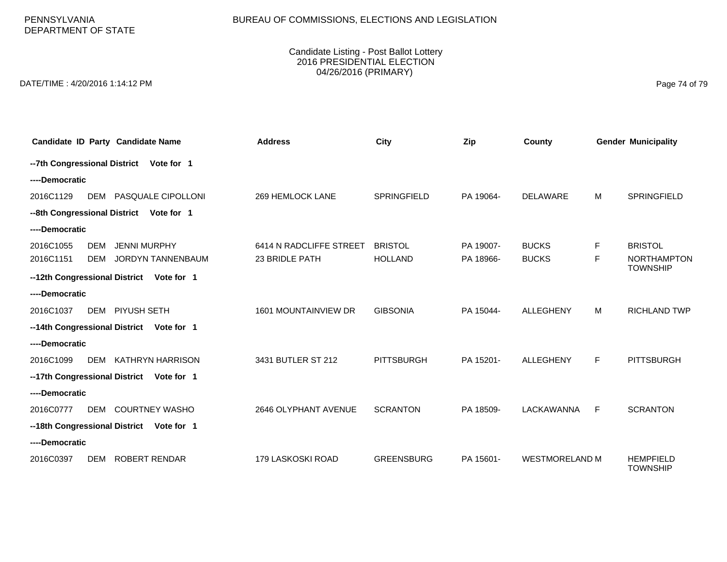# BUREAU OF COMMISSIONS, ELECTIONS AND LEGISLATION

PENNSYLVANIA DEPARTMENT OF STATE

### Candidate Listing - Post Ballot Lottery 2016 PRESIDENTIAL ELECTION 04/26/2016 (PRIMARY)

DATE/TIME : 4/20/2016 1:14:12 PM Page 74 of 79

|                | Candidate ID Party Candidate Name        | <b>Address</b>          | City               | Zip       | County                |    | <b>Gender Municipality</b>            |
|----------------|------------------------------------------|-------------------------|--------------------|-----------|-----------------------|----|---------------------------------------|
|                | --7th Congressional District Vote for 1  |                         |                    |           |                       |    |                                       |
| ----Democratic |                                          |                         |                    |           |                       |    |                                       |
| 2016C1129      | DEM PASQUALE CIPOLLONI                   | 269 HEMLOCK LANE        | <b>SPRINGFIELD</b> | PA 19064- | <b>DELAWARE</b>       | м  | <b>SPRINGFIELD</b>                    |
|                | --8th Congressional District Vote for 1  |                         |                    |           |                       |    |                                       |
| ----Democratic |                                          |                         |                    |           |                       |    |                                       |
| 2016C1055      | <b>DEM</b><br><b>JENNI MURPHY</b>        | 6414 N RADCLIFFE STREET | <b>BRISTOL</b>     | PA 19007- | <b>BUCKS</b>          | F. | <b>BRISTOL</b>                        |
| 2016C1151      | JORDYN TANNENBAUM<br>DEM                 | 23 BRIDLE PATH          | <b>HOLLAND</b>     | PA 18966- | <b>BUCKS</b>          | F  | <b>NORTHAMPTON</b><br><b>TOWNSHIP</b> |
|                | --12th Congressional District Vote for 1 |                         |                    |           |                       |    |                                       |
| ----Democratic |                                          |                         |                    |           |                       |    |                                       |
| 2016C1037      | DEM PIYUSH SETH                          | 1601 MOUNTAINVIEW DR    | <b>GIBSONIA</b>    | PA 15044- | <b>ALLEGHENY</b>      | M  | <b>RICHLAND TWP</b>                   |
|                | --14th Congressional District Vote for 1 |                         |                    |           |                       |    |                                       |
| ----Democratic |                                          |                         |                    |           |                       |    |                                       |
| 2016C1099      | <b>KATHRYN HARRISON</b><br>DEM           | 3431 BUTLER ST 212      | <b>PITTSBURGH</b>  | PA 15201- | <b>ALLEGHENY</b>      | F. | <b>PITTSBURGH</b>                     |
|                | --17th Congressional District Vote for 1 |                         |                    |           |                       |    |                                       |
| ----Democratic |                                          |                         |                    |           |                       |    |                                       |
| 2016C0777      | DEM COURTNEY WASHO                       | 2646 OLYPHANT AVENUE    | <b>SCRANTON</b>    | PA 18509- | <b>LACKAWANNA</b>     | F. | <b>SCRANTON</b>                       |
|                | --18th Congressional District Vote for 1 |                         |                    |           |                       |    |                                       |
| ----Democratic |                                          |                         |                    |           |                       |    |                                       |
| 2016C0397      | <b>ROBERT RENDAR</b><br><b>DEM</b>       | 179 LASKOSKI ROAD       | <b>GREENSBURG</b>  | PA 15601- | <b>WESTMORELAND M</b> |    | <b>HEMPFIELD</b><br><b>TOWNSHIP</b>   |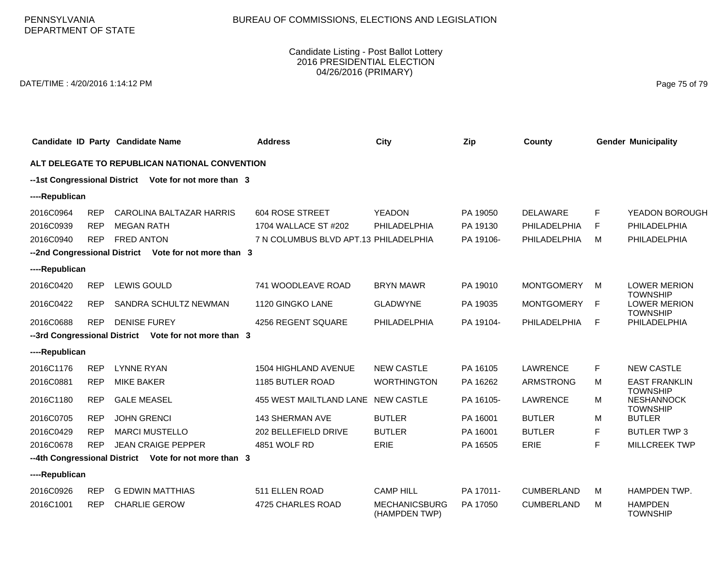### Candidate Listing - Post Ballot Lottery 2016 PRESIDENTIAL ELECTION 04/26/2016 (PRIMARY)

DATE/TIME : 4/20/2016 1:14:12 PM Page 75 of 79

|                                                       |            | Candidate ID Party Candidate Name                     | <b>Address</b>                        | City                                  | Zip       | County            |   | <b>Gender Municipality</b>                              |  |
|-------------------------------------------------------|------------|-------------------------------------------------------|---------------------------------------|---------------------------------------|-----------|-------------------|---|---------------------------------------------------------|--|
| ALT DELEGATE TO REPUBLICAN NATIONAL CONVENTION        |            |                                                       |                                       |                                       |           |                   |   |                                                         |  |
| --1st Congressional District Vote for not more than 3 |            |                                                       |                                       |                                       |           |                   |   |                                                         |  |
| ----Republican                                        |            |                                                       |                                       |                                       |           |                   |   |                                                         |  |
| 2016C0964                                             | <b>REP</b> | CAROLINA BALTAZAR HARRIS                              | <b>604 ROSE STREET</b>                | <b>YEADON</b>                         | PA 19050  | <b>DELAWARE</b>   | F | YEADON BOROUGH                                          |  |
| 2016C0939                                             | <b>REP</b> | <b>MEGAN RATH</b>                                     | 1704 WALLACE ST #202                  | PHILADELPHIA                          | PA 19130  | PHILADELPHIA      | F | PHILADELPHIA                                            |  |
| 2016C0940                                             | <b>REP</b> | <b>FRED ANTON</b>                                     | 7 N COLUMBUS BLVD APT.13 PHILADELPHIA |                                       | PA 19106- | PHILADELPHIA      | м | PHILADELPHIA                                            |  |
|                                                       |            | --2nd Congressional District Vote for not more than 3 |                                       |                                       |           |                   |   |                                                         |  |
| ----Republican                                        |            |                                                       |                                       |                                       |           |                   |   |                                                         |  |
| 2016C0420                                             | <b>REP</b> | <b>LEWIS GOULD</b>                                    | 741 WOODLEAVE ROAD                    | <b>BRYN MAWR</b>                      | PA 19010  | <b>MONTGOMERY</b> | м | <b>LOWER MERION</b><br><b>TOWNSHIP</b>                  |  |
| 2016C0422                                             | <b>REP</b> | SANDRA SCHULTZ NEWMAN                                 | 1120 GINGKO LANE                      | <b>GLADWYNE</b>                       | PA 19035  | <b>MONTGOMERY</b> | E | <b>LOWER MERION</b><br><b>TOWNSHIP</b>                  |  |
| 2016C0688                                             | <b>REP</b> | <b>DENISE FUREY</b>                                   | 4256 REGENT SQUARE                    | PHILADELPHIA                          | PA 19104- | PHILADELPHIA      | E | PHILADELPHIA                                            |  |
|                                                       |            | --3rd Congressional District Vote for not more than 3 |                                       |                                       |           |                   |   |                                                         |  |
| ----Republican                                        |            |                                                       |                                       |                                       |           |                   |   |                                                         |  |
| 2016C1176                                             | <b>REP</b> | <b>LYNNE RYAN</b>                                     | <b>1504 HIGHLAND AVENUE</b>           | <b>NEW CASTLE</b>                     | PA 16105  | <b>LAWRENCE</b>   | F | <b>NEW CASTLE</b>                                       |  |
| 2016C0881                                             | <b>REP</b> | <b>MIKE BAKER</b>                                     | 1185 BUTLER ROAD                      | <b>WORTHINGTON</b>                    | PA 16262  | <b>ARMSTRONG</b>  | M | <b>EAST FRANKLIN</b>                                    |  |
| 2016C1180                                             | <b>REP</b> | <b>GALE MEASEL</b>                                    | 455 WEST MAILTLAND LANE NEW CASTLE    |                                       | PA 16105- | <b>LAWRENCE</b>   | M | <b>TOWNSHIP</b><br><b>NESHANNOCK</b><br><b>TOWNSHIP</b> |  |
| 2016C0705                                             | <b>REP</b> | <b>JOHN GRENCI</b>                                    | <b>143 SHERMAN AVE</b>                | <b>BUTLER</b>                         | PA 16001  | <b>BUTLER</b>     | м | <b>BUTLER</b>                                           |  |
| 2016C0429                                             | <b>REP</b> | <b>MARCI MUSTELLO</b>                                 | 202 BELLEFIELD DRIVE                  | <b>BUTLER</b>                         | PA 16001  | <b>BUTLER</b>     | F | <b>BUTLER TWP 3</b>                                     |  |
| 2016C0678                                             | <b>REP</b> | <b>JEAN CRAIGE PEPPER</b>                             | 4851 WOLF RD                          | ERIE                                  | PA 16505  | ERIE              | F | MILLCREEK TWP                                           |  |
|                                                       |            | --4th Congressional District Vote for not more than 3 |                                       |                                       |           |                   |   |                                                         |  |
| ----Republican                                        |            |                                                       |                                       |                                       |           |                   |   |                                                         |  |
| 2016C0926                                             | <b>REP</b> | <b>G EDWIN MATTHIAS</b>                               | 511 ELLEN ROAD                        | <b>CAMP HILL</b>                      | PA 17011- | <b>CUMBERLAND</b> | M | HAMPDEN TWP.                                            |  |
| 2016C1001                                             | <b>REP</b> | <b>CHARLIE GEROW</b>                                  | 4725 CHARLES ROAD                     | <b>MECHANICSBURG</b><br>(HAMPDEN TWP) | PA 17050  | <b>CUMBERLAND</b> | м | <b>HAMPDEN</b><br><b>TOWNSHIP</b>                       |  |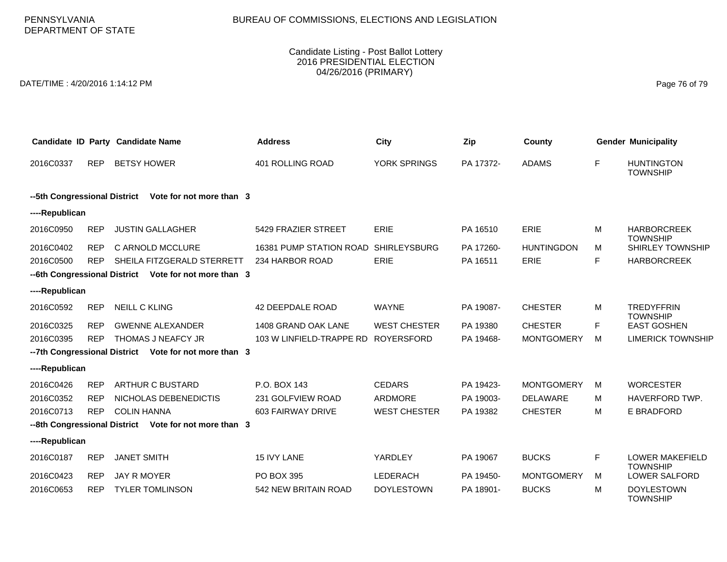# BUREAU OF COMMISSIONS, ELECTIONS AND LEGISLATION

PENNSYLVANIA DEPARTMENT OF STATE

### Candidate Listing - Post Ballot Lottery 2016 PRESIDENTIAL ELECTION 04/26/2016 (PRIMARY)

DATE/TIME : 4/20/2016 1:14:12 PM Page 76 of 79

|                                                          |            | Candidate ID Party Candidate Name                     | <b>Address</b>           | <b>City</b>         | Zip       | County            |    | <b>Gender Municipality</b>                |  |  |
|----------------------------------------------------------|------------|-------------------------------------------------------|--------------------------|---------------------|-----------|-------------------|----|-------------------------------------------|--|--|
| 2016C0337                                                | <b>REP</b> | <b>BETSY HOWER</b>                                    | 401 ROLLING ROAD         | YORK SPRINGS        | PA 17372- | <b>ADAMS</b>      | F  | <b>HUNTINGTON</b><br><b>TOWNSHIP</b>      |  |  |
| --5th Congressional District<br>Vote for not more than 3 |            |                                                       |                          |                     |           |                   |    |                                           |  |  |
| ----Republican                                           |            |                                                       |                          |                     |           |                   |    |                                           |  |  |
| 2016C0950                                                | <b>REP</b> | <b>JUSTIN GALLAGHER</b>                               | 5429 FRAZIER STREET      | ERIE                | PA 16510  | ERIE              | м  | <b>HARBORCREEK</b><br><b>TOWNSHIP</b>     |  |  |
| 2016C0402                                                | <b>REP</b> | C ARNOLD MCCLURE                                      | 16381 PUMP STATION ROAD  | <b>SHIRLEYSBURG</b> | PA 17260- | <b>HUNTINGDON</b> | м  | SHIRLEY TOWNSHIP                          |  |  |
| 2016C0500                                                | <b>REP</b> | SHEILA FITZGERALD STERRETT                            | 234 HARBOR ROAD          | <b>ERIE</b>         | PA 16511  | <b>ERIE</b>       | F. | <b>HARBORCREEK</b>                        |  |  |
|                                                          |            | --6th Congressional District Vote for not more than 3 |                          |                     |           |                   |    |                                           |  |  |
| ----Republican                                           |            |                                                       |                          |                     |           |                   |    |                                           |  |  |
| 2016C0592                                                | <b>REP</b> | <b>NEILL C KLING</b>                                  | 42 DEEPDALE ROAD         | <b>WAYNE</b>        | PA 19087- | <b>CHESTER</b>    | М  | <b>TREDYFFRIN</b><br><b>TOWNSHIP</b>      |  |  |
| 2016C0325                                                | <b>REP</b> | <b>GWENNE ALEXANDER</b>                               | 1408 GRAND OAK LANE      | <b>WEST CHESTER</b> | PA 19380  | <b>CHESTER</b>    | F. | <b>EAST GOSHEN</b>                        |  |  |
| 2016C0395                                                | <b>REP</b> | THOMAS J NEAFCY JR                                    | 103 W LINFIELD-TRAPPE RD | <b>ROYERSFORD</b>   | PA 19468- | <b>MONTGOMERY</b> | M  | <b>LIMERICK TOWNSHIP</b>                  |  |  |
|                                                          |            | --7th Congressional District Vote for not more than 3 |                          |                     |           |                   |    |                                           |  |  |
| ----Republican                                           |            |                                                       |                          |                     |           |                   |    |                                           |  |  |
| 2016C0426                                                | <b>REP</b> | <b>ARTHUR C BUSTARD</b>                               | P.O. BOX 143             | <b>CEDARS</b>       | PA 19423- | <b>MONTGOMERY</b> | M  | <b>WORCESTER</b>                          |  |  |
| 2016C0352                                                | <b>REP</b> | NICHOLAS DEBENEDICTIS                                 | 231 GOLFVIEW ROAD        | ARDMORE             | PA 19003- | <b>DELAWARE</b>   | М  | HAVERFORD TWP.                            |  |  |
| 2016C0713                                                | <b>REP</b> | <b>COLIN HANNA</b>                                    | 603 FAIRWAY DRIVE        | <b>WEST CHESTER</b> | PA 19382  | <b>CHESTER</b>    | М  | E BRADFORD                                |  |  |
| --8th Congressional District Vote for not more than 3    |            |                                                       |                          |                     |           |                   |    |                                           |  |  |
| ----Republican                                           |            |                                                       |                          |                     |           |                   |    |                                           |  |  |
| 2016C0187                                                | <b>REP</b> | <b>JANET SMITH</b>                                    | 15 IVY LANE              | YARDLEY             | PA 19067  | <b>BUCKS</b>      | F. | <b>LOWER MAKEFIELD</b><br><b>TOWNSHIP</b> |  |  |
| 2016C0423                                                | <b>REP</b> | <b>JAY R MOYER</b>                                    | PO BOX 395               | LEDERACH            | PA 19450- | <b>MONTGOMERY</b> | M  | LOWER SALFORD                             |  |  |
| 2016C0653                                                | <b>REP</b> | <b>TYLER TOMLINSON</b>                                | 542 NEW BRITAIN ROAD     | <b>DOYLESTOWN</b>   | PA 18901- | <b>BUCKS</b>      | М  | <b>DOYLESTOWN</b><br><b>TOWNSHIP</b>      |  |  |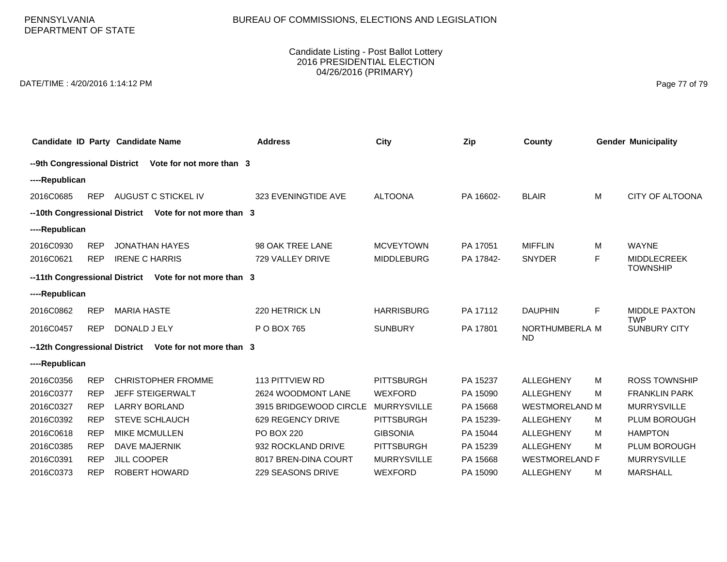# BUREAU OF COMMISSIONS, ELECTIONS AND LEGISLATION

PENNSYLVANIA DEPARTMENT OF STATE

### Candidate Listing - Post Ballot Lottery 2016 PRESIDENTIAL ELECTION 04/26/2016 (PRIMARY)

DATE/TIME : 4/20/2016 1:14:12 PM Page 77 of 79

|                                                          |            | Candidate ID Party Candidate Name                      | <b>Address</b>         | City               | Zip       | County                |    | <b>Gender Municipality</b>            |  |
|----------------------------------------------------------|------------|--------------------------------------------------------|------------------------|--------------------|-----------|-----------------------|----|---------------------------------------|--|
| --9th Congressional District<br>Vote for not more than 3 |            |                                                        |                        |                    |           |                       |    |                                       |  |
| ----Republican                                           |            |                                                        |                        |                    |           |                       |    |                                       |  |
| 2016C0685                                                | <b>REP</b> | AUGUST C STICKEL IV                                    | 323 EVENINGTIDE AVE    | <b>ALTOONA</b>     | PA 16602- | <b>BLAIR</b>          | M  | <b>CITY OF ALTOONA</b>                |  |
|                                                          |            | --10th Congressional District Vote for not more than 3 |                        |                    |           |                       |    |                                       |  |
| ----Republican                                           |            |                                                        |                        |                    |           |                       |    |                                       |  |
| 2016C0930                                                | <b>REP</b> | <b>JONATHAN HAYES</b>                                  | 98 OAK TREE LANE       | <b>MCVEYTOWN</b>   | PA 17051  | <b>MIFFLIN</b>        | M  | <b>WAYNE</b>                          |  |
| 2016C0621                                                | <b>REP</b> | <b>IRENE C HARRIS</b>                                  | 729 VALLEY DRIVE       | <b>MIDDLEBURG</b>  | PA 17842- | <b>SNYDER</b>         | F. | <b>MIDDLECREEK</b><br><b>TOWNSHIP</b> |  |
|                                                          |            | --11th Congressional District Vote for not more than 3 |                        |                    |           |                       |    |                                       |  |
| ----Republican                                           |            |                                                        |                        |                    |           |                       |    |                                       |  |
| 2016C0862                                                | <b>REP</b> | <b>MARIA HASTE</b>                                     | 220 HETRICK LN         | <b>HARRISBURG</b>  | PA 17112  | <b>DAUPHIN</b>        | F  | <b>MIDDLE PAXTON</b>                  |  |
| 2016C0457                                                | <b>REP</b> | DONALD J ELY                                           | P O BOX 765            | <b>SUNBURY</b>     | PA 17801  | NORTHUMBERLA M        |    | <b>TWP</b><br><b>SUNBURY CITY</b>     |  |
| --12th Congressional District                            |            | Vote for not more than 3                               |                        |                    |           | ND.                   |    |                                       |  |
| ----Republican                                           |            |                                                        |                        |                    |           |                       |    |                                       |  |
| 2016C0356                                                | <b>REP</b> | <b>CHRISTOPHER FROMME</b>                              | 113 PITTVIEW RD        | <b>PITTSBURGH</b>  | PA 15237  | <b>ALLEGHENY</b>      | M  | <b>ROSS TOWNSHIP</b>                  |  |
| 2016C0377                                                | <b>REP</b> | <b>JEFF STEIGERWALT</b>                                | 2624 WOODMONT LANE     | <b>WEXFORD</b>     | PA 15090  | <b>ALLEGHENY</b>      | м  | <b>FRANKLIN PARK</b>                  |  |
| 2016C0327                                                | <b>REP</b> | <b>LARRY BORLAND</b>                                   | 3915 BRIDGEWOOD CIRCLE | <b>MURRYSVILLE</b> | PA 15668  | <b>WESTMORELAND M</b> |    | <b>MURRYSVILLE</b>                    |  |
| 2016C0392                                                | <b>REP</b> | <b>STEVE SCHLAUCH</b>                                  | 629 REGENCY DRIVE      | <b>PITTSBURGH</b>  | PA 15239- | <b>ALLEGHENY</b>      | М  | <b>PLUM BOROUGH</b>                   |  |
| 2016C0618                                                | <b>REP</b> | <b>MIKE MCMULLEN</b>                                   | <b>PO BOX 220</b>      | <b>GIBSONIA</b>    | PA 15044  | <b>ALLEGHENY</b>      | м  | <b>HAMPTON</b>                        |  |
| 2016C0385                                                | <b>REP</b> | <b>DAVE MAJERNIK</b>                                   | 932 ROCKLAND DRIVE     | <b>PITTSBURGH</b>  | PA 15239  | <b>ALLEGHENY</b>      | м  | <b>PLUM BOROUGH</b>                   |  |
| 2016C0391                                                | <b>REP</b> | <b>JILL COOPER</b>                                     | 8017 BREN-DINA COURT   | <b>MURRYSVILLE</b> | PA 15668  | <b>WESTMORELAND F</b> |    | <b>MURRYSVILLE</b>                    |  |
| 2016C0373                                                | <b>REP</b> | ROBERT HOWARD                                          | 229 SEASONS DRIVE      | <b>WEXFORD</b>     | PA 15090  | <b>ALLEGHENY</b>      | м  | <b>MARSHALL</b>                       |  |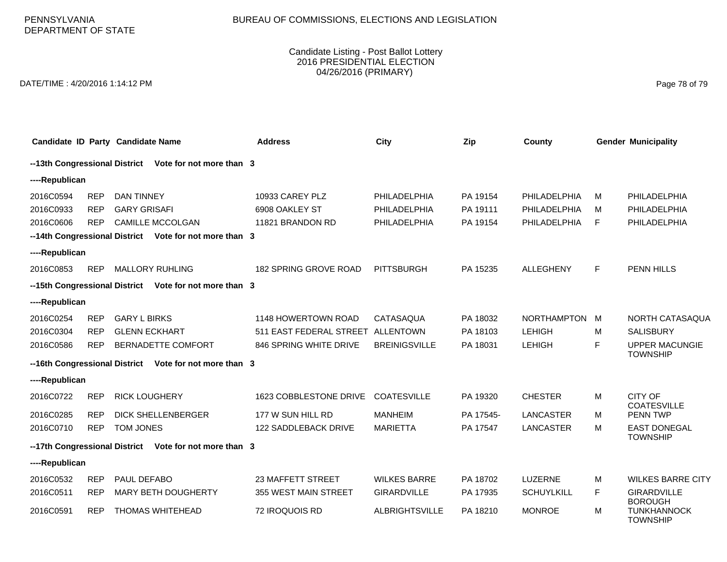### Candidate Listing - Post Ballot Lottery 2016 PRESIDENTIAL ELECTION 04/26/2016 (PRIMARY)

DATE/TIME : 4/20/2016 1:14:12 PM Page 78 of 79

|                |            | Candidate ID Party Candidate Name                      | <b>Address</b>          | City                  | Zip       | County             |   | <b>Gender Municipality</b>               |  |  |
|----------------|------------|--------------------------------------------------------|-------------------------|-----------------------|-----------|--------------------|---|------------------------------------------|--|--|
|                |            | --13th Congressional District Vote for not more than 3 |                         |                       |           |                    |   |                                          |  |  |
| ----Republican |            |                                                        |                         |                       |           |                    |   |                                          |  |  |
| 2016C0594      | <b>REP</b> | <b>DAN TINNEY</b>                                      | 10933 CAREY PLZ         | PHILADELPHIA          | PA 19154  | PHILADELPHIA       | м | PHILADELPHIA                             |  |  |
| 2016C0933      | <b>REP</b> | <b>GARY GRISAFI</b>                                    | 6908 OAKLEY ST          | PHILADELPHIA          | PA 19111  | PHILADELPHIA       | м | PHILADELPHIA                             |  |  |
| 2016C0606      | <b>REP</b> | <b>CAMILLE MCCOLGAN</b>                                | 11821 BRANDON RD        | PHILADELPHIA          | PA 19154  | PHILADELPHIA       | F | PHILADELPHIA                             |  |  |
|                |            | --14th Congressional District Vote for not more than 3 |                         |                       |           |                    |   |                                          |  |  |
| ----Republican |            |                                                        |                         |                       |           |                    |   |                                          |  |  |
| 2016C0853      | <b>REP</b> | <b>MALLORY RUHLING</b>                                 | 182 SPRING GROVE ROAD   | <b>PITTSBURGH</b>     | PA 15235  | <b>ALLEGHENY</b>   | F | PENN HILLS                               |  |  |
|                |            | --15th Congressional District Vote for not more than 3 |                         |                       |           |                    |   |                                          |  |  |
| ----Republican |            |                                                        |                         |                       |           |                    |   |                                          |  |  |
| 2016C0254      | <b>REP</b> | <b>GARY L BIRKS</b>                                    | 1148 HOWERTOWN ROAD     | CATASAQUA             | PA 18032  | <b>NORTHAMPTON</b> | M | NORTH CATASAQUA                          |  |  |
| 2016C0304      | <b>REP</b> | <b>GLENN ECKHART</b>                                   | 511 EAST FEDERAL STREET | <b>ALLENTOWN</b>      | PA 18103  | <b>LEHIGH</b>      | м | <b>SALISBURY</b>                         |  |  |
| 2016C0586      | <b>REP</b> | BERNADETTE COMFORT                                     | 846 SPRING WHITE DRIVE  | <b>BREINIGSVILLE</b>  | PA 18031  | <b>LEHIGH</b>      | F | <b>UPPER MACUNGIE</b><br><b>TOWNSHIP</b> |  |  |
|                |            | --16th Congressional District Vote for not more than 3 |                         |                       |           |                    |   |                                          |  |  |
| ----Republican |            |                                                        |                         |                       |           |                    |   |                                          |  |  |
| 2016C0722      | <b>REP</b> | <b>RICK LOUGHERY</b>                                   | 1623 COBBLESTONE DRIVE  | <b>COATESVILLE</b>    | PA 19320  | <b>CHESTER</b>     | М | CITY OF<br><b>COATESVILLE</b>            |  |  |
| 2016C0285      | <b>REP</b> | <b>DICK SHELLENBERGER</b>                              | 177 W SUN HILL RD       | <b>MANHEIM</b>        | PA 17545- | LANCASTER          | м | <b>PENN TWP</b>                          |  |  |
| 2016C0710      | <b>REP</b> | TOM JONES                                              | 122 SADDLEBACK DRIVE    | <b>MARIETTA</b>       | PA 17547  | LANCASTER          | м | <b>EAST DONEGAL</b><br><b>TOWNSHIP</b>   |  |  |
|                |            | --17th Congressional District Vote for not more than 3 |                         |                       |           |                    |   |                                          |  |  |
| ----Republican |            |                                                        |                         |                       |           |                    |   |                                          |  |  |
| 2016C0532      | <b>REP</b> | PAUL DEFABO                                            | 23 MAFFETT STREET       | <b>WILKES BARRE</b>   | PA 18702  | LUZERNE            | M | <b>WILKES BARRE CITY</b>                 |  |  |
| 2016C0511      | <b>REP</b> | <b>MARY BETH DOUGHERTY</b>                             | 355 WEST MAIN STREET    | <b>GIRARDVILLE</b>    | PA 17935  | <b>SCHUYLKILL</b>  | F | <b>GIRARDVILLE</b><br><b>BOROUGH</b>     |  |  |
| 2016C0591      | <b>REP</b> | <b>THOMAS WHITEHEAD</b>                                | 72 IROQUOIS RD          | <b>ALBRIGHTSVILLE</b> | PA 18210  | <b>MONROE</b>      | м | <b>TUNKHANNOCK</b><br><b>TOWNSHIP</b>    |  |  |